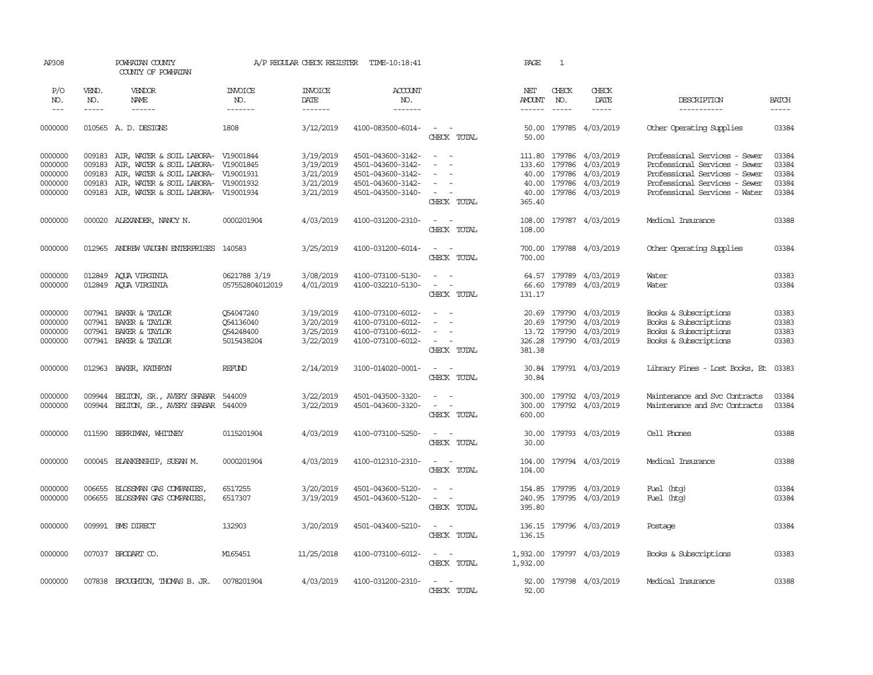| AP308                                               |                                                | POWHATAN COUNTY<br>COUNTY OF POWHATAN                                                                                                                                                           |                                                                                                                                                                                                                                                                                                                                                                                                                                                                                                                 | A/P REGULAR CHECK REGISTER                                    | TIME-10:18:41                                                                                         |                                                                                                      | PAGE                                                                                                                                                                                                                                                                                                                                                                                                                                                                                                           | 1                     |                                                                                                                            |                                                                                                                                                                   |                                           |
|-----------------------------------------------------|------------------------------------------------|-------------------------------------------------------------------------------------------------------------------------------------------------------------------------------------------------|-----------------------------------------------------------------------------------------------------------------------------------------------------------------------------------------------------------------------------------------------------------------------------------------------------------------------------------------------------------------------------------------------------------------------------------------------------------------------------------------------------------------|---------------------------------------------------------------|-------------------------------------------------------------------------------------------------------|------------------------------------------------------------------------------------------------------|----------------------------------------------------------------------------------------------------------------------------------------------------------------------------------------------------------------------------------------------------------------------------------------------------------------------------------------------------------------------------------------------------------------------------------------------------------------------------------------------------------------|-----------------------|----------------------------------------------------------------------------------------------------------------------------|-------------------------------------------------------------------------------------------------------------------------------------------------------------------|-------------------------------------------|
| P/O<br>NO.<br>$---$                                 | VEND.<br>NO.<br>$\frac{1}{2}$                  | VENDOR<br>NAME<br>$- - - - - -$                                                                                                                                                                 | <b>INVOICE</b><br>NO.<br>$\begin{array}{cccccccccc} \multicolumn{2}{c}{} & \multicolumn{2}{c}{} & \multicolumn{2}{c}{} & \multicolumn{2}{c}{} & \multicolumn{2}{c}{} & \multicolumn{2}{c}{} & \multicolumn{2}{c}{} & \multicolumn{2}{c}{} & \multicolumn{2}{c}{} & \multicolumn{2}{c}{} & \multicolumn{2}{c}{} & \multicolumn{2}{c}{} & \multicolumn{2}{c}{} & \multicolumn{2}{c}{} & \multicolumn{2}{c}{} & \multicolumn{2}{c}{} & \multicolumn{2}{c}{} & \multicolumn{2}{c}{} & \multicolumn{2}{c}{} & \mult$ | <b>INVOICE</b><br>DATE<br>--------                            | ACCOUNT<br>NO.<br>-------                                                                             |                                                                                                      | NET<br><b>AMOUNT</b><br>$\begin{array}{cccccccccc} \multicolumn{2}{c}{} & \multicolumn{2}{c}{} & \multicolumn{2}{c}{} & \multicolumn{2}{c}{} & \multicolumn{2}{c}{} & \multicolumn{2}{c}{} & \multicolumn{2}{c}{} & \multicolumn{2}{c}{} & \multicolumn{2}{c}{} & \multicolumn{2}{c}{} & \multicolumn{2}{c}{} & \multicolumn{2}{c}{} & \multicolumn{2}{c}{} & \multicolumn{2}{c}{} & \multicolumn{2}{c}{} & \multicolumn{2}{c}{} & \multicolumn{2}{c}{} & \multicolumn{2}{c}{} & \multicolumn{2}{c}{} & \mult$ | CHECK<br>NO.<br>$---$ | CHECK<br>DATE<br>$\frac{1}{2}$                                                                                             | DESCRIPTION<br>-----------                                                                                                                                        | <b>BATCH</b><br>$- - - - -$               |
| 0000000                                             |                                                | 010565 A.D. DESIGNS                                                                                                                                                                             | 1808                                                                                                                                                                                                                                                                                                                                                                                                                                                                                                            | 3/12/2019                                                     | 4100-083500-6014-                                                                                     | $\sim$<br>$\sim$ $-$<br>CHECK TOTAL                                                                  | 50.00                                                                                                                                                                                                                                                                                                                                                                                                                                                                                                          |                       | 50.00 179785 4/03/2019                                                                                                     | Other Operating Supplies                                                                                                                                          | 03384                                     |
| 0000000<br>0000000<br>0000000<br>0000000<br>0000000 | 009183<br>009183<br>009183<br>009183<br>009183 | AIR, WATER & SOIL LABORA- V19001844<br>AIR, WATER & SOIL LABORA- V19001845<br>AIR, WATER & SOIL LABORA- V19001931<br>AIR, WATER & SOIL LABORA- V19001932<br>AIR, WATER & SOIL LABORA- V19001934 |                                                                                                                                                                                                                                                                                                                                                                                                                                                                                                                 | 3/19/2019<br>3/19/2019<br>3/21/2019<br>3/21/2019<br>3/21/2019 | 4501-043600-3142-<br>4501-043600-3142-<br>4501-043600-3142-<br>4501-043600-3142-<br>4501-043500-3140- | $\omega_{\rm{max}}$ and $\omega_{\rm{max}}$<br>$\equiv$<br>$\sim$<br>$\sim$<br>$\sim$<br>CHECK TOTAL | 40.00<br>365.40                                                                                                                                                                                                                                                                                                                                                                                                                                                                                                |                       | 111.80 179786 4/03/2019<br>133.60 179786 4/03/2019<br>40.00 179786 4/03/2019<br>40.00 179786 4/03/2019<br>179786 4/03/2019 | Professional Services - Sewer<br>Professional Services - Sewer<br>Professional Services - Sewer<br>Professional Services - Sewer<br>Professional Services - Water | 03384<br>03384<br>03384<br>03384<br>03384 |
| 0000000                                             |                                                | 000020 ALEXANDER, NANCY N.                                                                                                                                                                      | 0000201904                                                                                                                                                                                                                                                                                                                                                                                                                                                                                                      | 4/03/2019                                                     | 4100-031200-2310-                                                                                     | $\sim$ $ -$<br>CHECK TOTAL                                                                           | 108.00                                                                                                                                                                                                                                                                                                                                                                                                                                                                                                         |                       | 108.00 179787 4/03/2019                                                                                                    | Medical Insurance                                                                                                                                                 | 03388                                     |
| 0000000                                             | 012965                                         | ANDREW VAUGHN ENTERPRISES 140583                                                                                                                                                                |                                                                                                                                                                                                                                                                                                                                                                                                                                                                                                                 | 3/25/2019                                                     | 4100-031200-6014-                                                                                     | $\sim$ $ \sim$<br>CHECK TOTAL                                                                        | 700.00                                                                                                                                                                                                                                                                                                                                                                                                                                                                                                         |                       | 700.00 179788 4/03/2019                                                                                                    | Other Operating Supplies                                                                                                                                          | 03384                                     |
| 0000000<br>0000000                                  | 012849                                         | AQUA VIRGINIA<br>012849 AQUA VIRGINIA                                                                                                                                                           | 0621788 3/19<br>057552804012019                                                                                                                                                                                                                                                                                                                                                                                                                                                                                 | 3/08/2019<br>4/01/2019                                        | 4100-073100-5130-<br>4100-032210-5130-                                                                | $\sim$<br>$\sim$<br>$\mathcal{L}_{\text{max}}$ , and $\mathcal{L}_{\text{max}}$<br>CHECK TOTAL       | 66.60<br>131.17                                                                                                                                                                                                                                                                                                                                                                                                                                                                                                |                       | 64.57 179789 4/03/2019<br>179789 4/03/2019                                                                                 | Water<br>Water                                                                                                                                                    | 03383<br>03384                            |
| 0000000<br>0000000<br>0000000<br>0000000            | 007941<br>007941<br>007941<br>007941           | BAKER & TAYLOR<br>BAKER & TAYLOR<br>BAKER & TAYLOR<br>BAKER & TAYLOR                                                                                                                            | 054047240<br>Q54136040<br>054248400<br>5015438204                                                                                                                                                                                                                                                                                                                                                                                                                                                               | 3/19/2019<br>3/20/2019<br>3/25/2019<br>3/22/2019              | 4100-073100-6012-<br>4100-073100-6012-<br>4100-073100-6012-<br>4100-073100-6012-                      | $\sim$<br>$\sim$<br>$\sim$<br>$\sim$<br>$\sim$<br>$\sim$ $ -$<br>CHECK TOTAL                         | 13.72<br>326.28<br>381.38                                                                                                                                                                                                                                                                                                                                                                                                                                                                                      |                       | 20.69 179790 4/03/2019<br>20.69 179790 4/03/2019<br>179790 4/03/2019<br>179790 4/03/2019                                   | Books & Subscriptions<br>Books & Subscriptions<br>Books & Subscriptions<br>Books & Subscriptions                                                                  | 03383<br>03383<br>03383<br>03383          |
| 0000000                                             |                                                | 012963 BAKER, KATHRYN                                                                                                                                                                           | REFUND                                                                                                                                                                                                                                                                                                                                                                                                                                                                                                          | 2/14/2019                                                     | 3100-014020-0001-                                                                                     | $\sim$ $ -$<br>CHECK TOTAL                                                                           | 30.84<br>30.84                                                                                                                                                                                                                                                                                                                                                                                                                                                                                                 |                       | 179791 4/03/2019                                                                                                           | Library Fines - Lost Books, Et                                                                                                                                    | 03383                                     |
| 0000000<br>0000000                                  | 009944<br>009944                               | BELTON, SR., AVERY SHABAR<br>BELTON, SR., AVERY SHABAR 544009                                                                                                                                   | 544009                                                                                                                                                                                                                                                                                                                                                                                                                                                                                                          | 3/22/2019<br>3/22/2019                                        | 4501-043500-3320-<br>4501-043600-3320-                                                                | $\sim$<br>$\sim$<br>$\sim$<br>CHECK TOTAL                                                            | 300.00<br>300.00<br>600.00                                                                                                                                                                                                                                                                                                                                                                                                                                                                                     |                       | 179792 4/03/2019<br>179792 4/03/2019                                                                                       | Maintenance and Svc Contracts<br>Maintenance and Svc Contracts                                                                                                    | 03384<br>03384                            |
| 0000000                                             | 011590                                         | BERRIMAN, WHITNEY                                                                                                                                                                               | 0115201904                                                                                                                                                                                                                                                                                                                                                                                                                                                                                                      | 4/03/2019                                                     | 4100-073100-5250-                                                                                     | $\sim$<br>CHECK TOTAL                                                                                | 30.00<br>30.00                                                                                                                                                                                                                                                                                                                                                                                                                                                                                                 |                       | 179793 4/03/2019                                                                                                           | Cell Phones                                                                                                                                                       | 03388                                     |
| 0000000                                             | 000045                                         | BLANKENSHIP, SUSAN M.                                                                                                                                                                           | 0000201904                                                                                                                                                                                                                                                                                                                                                                                                                                                                                                      | 4/03/2019                                                     | 4100-012310-2310-                                                                                     | $\sim$ $ -$<br>CHECK TOTAL                                                                           | 104.00<br>104.00                                                                                                                                                                                                                                                                                                                                                                                                                                                                                               |                       | 179794 4/03/2019                                                                                                           | Medical Insurance                                                                                                                                                 | 03388                                     |
| 0000000<br>0000000                                  | 006655<br>006655                               | BLOSSMAN GAS COMPANIES,<br>BLOSSMAN GAS COMPANIES,                                                                                                                                              | 6517255<br>6517307                                                                                                                                                                                                                                                                                                                                                                                                                                                                                              | 3/20/2019<br>3/19/2019                                        | 4501-043600-5120-<br>4501-043600-5120-                                                                | $\sim$ $ -$<br>$\omega_{\rm{max}}$<br>CHECK TOTAL                                                    | 154.85<br>240.95<br>395.80                                                                                                                                                                                                                                                                                                                                                                                                                                                                                     |                       | 179795 4/03/2019<br>179795 4/03/2019                                                                                       | Fuel (htg)<br>Fuel (htg)                                                                                                                                          | 03384<br>03384                            |
| 0000000                                             |                                                | 009991 BMS DIRECT                                                                                                                                                                               | 132903                                                                                                                                                                                                                                                                                                                                                                                                                                                                                                          | 3/20/2019                                                     | 4501-043400-5210-                                                                                     | $\sim$ $\sim$<br>CHECK TOTAL                                                                         | 136.15<br>136.15                                                                                                                                                                                                                                                                                                                                                                                                                                                                                               |                       | 179796 4/03/2019                                                                                                           | Postage                                                                                                                                                           | 03384                                     |
| 0000000                                             |                                                | 007037 BRODART CO.                                                                                                                                                                              | M165451                                                                                                                                                                                                                                                                                                                                                                                                                                                                                                         | 11/25/2018                                                    | 4100-073100-6012-                                                                                     | $\sim$ $ -$<br>CHECK TOTAL                                                                           | 1,932.00<br>1,932.00                                                                                                                                                                                                                                                                                                                                                                                                                                                                                           |                       | 179797 4/03/2019                                                                                                           | Books & Subscriptions                                                                                                                                             | 03383                                     |
| 0000000                                             |                                                | 007838 BROUGHTON, THOMAS B. JR.                                                                                                                                                                 | 0078201904                                                                                                                                                                                                                                                                                                                                                                                                                                                                                                      | 4/03/2019                                                     | 4100-031200-2310-                                                                                     | $\sim$ $ -$<br>CHECK TOTAL                                                                           | 92.00                                                                                                                                                                                                                                                                                                                                                                                                                                                                                                          |                       | 92.00 179798 4/03/2019                                                                                                     | Medical Insurance                                                                                                                                                 | 03388                                     |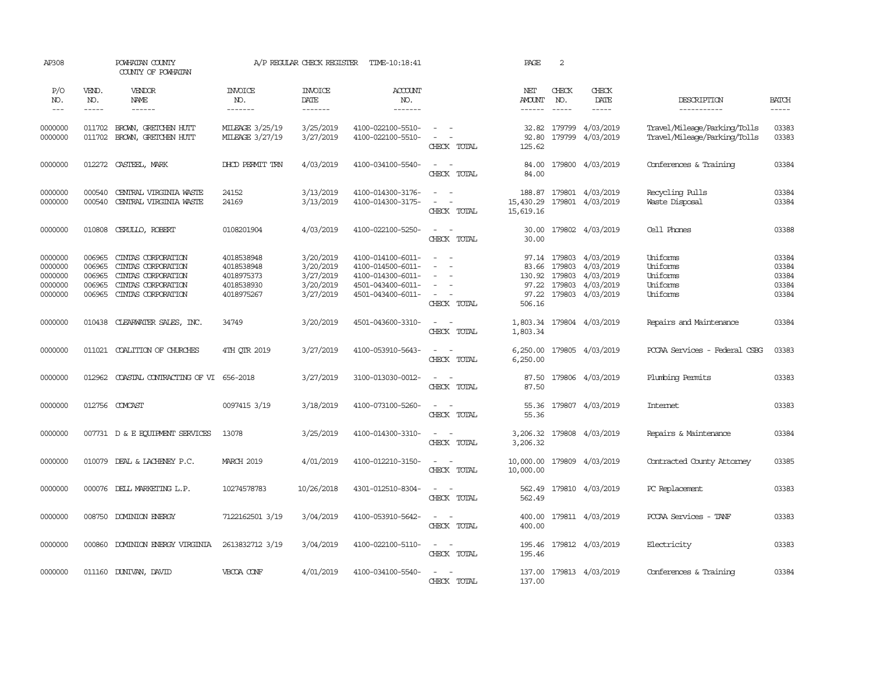| AP308                                               |                                                | POWHATAN COUNTY<br>COUNTY OF POWHATAN                                                                      |                                                                    | A/P REGULAR CHECK REGISTER                                    | TIME-10:18:41                                                                                         |                                                                                                                                                                           | PAGE                                        | 2                                          |                                                                      |                                                              |                                           |
|-----------------------------------------------------|------------------------------------------------|------------------------------------------------------------------------------------------------------------|--------------------------------------------------------------------|---------------------------------------------------------------|-------------------------------------------------------------------------------------------------------|---------------------------------------------------------------------------------------------------------------------------------------------------------------------------|---------------------------------------------|--------------------------------------------|----------------------------------------------------------------------|--------------------------------------------------------------|-------------------------------------------|
| P/O<br>NO.<br>$---$                                 | VEND.<br>NO.<br>$\frac{1}{2}$                  | VENDOR<br>NAME<br>------                                                                                   | <b>INVOICE</b><br>NO.<br>-------                                   | <b>INVOICE</b><br>DATE<br>-------                             | <b>ACCOUNT</b><br>NO.<br>-------                                                                      |                                                                                                                                                                           | NET<br><b>AMOUNT</b><br>$- - - - - -$       | CHECK<br>NO.<br>$\frac{1}{2}$              | CHECK<br>DATE<br>$- - - - -$                                         | DESCRIPTION<br>-----------                                   | <b>BATCH</b><br>-----                     |
| 0000000<br>0000000                                  | 011702<br>011702                               | BROWN, GRETCHEN HUTT<br>BROWN, GRETCHEN HUTT                                                               | MILEAGE 3/25/19<br>MILEAGE 3/27/19                                 | 3/25/2019<br>3/27/2019                                        | 4100-022100-5510-<br>4100-022100-5510-                                                                | $\sim$<br>$\sim$<br>$\sim$<br>CHECK TOTAL                                                                                                                                 | 32.82<br>92.80<br>125.62                    | 179799                                     | 4/03/2019<br>179799 4/03/2019                                        | Travel/Mileage/Parking/Tolls<br>Travel/Mileage/Parking/Tolls | 03383<br>03383                            |
| 0000000                                             |                                                | 012272 CASTEEL, MARK                                                                                       | DHCD PERMIT TRN                                                    | 4/03/2019                                                     | 4100-034100-5540-                                                                                     | $\sim$<br>$\sim$<br>CHECK TOTAL                                                                                                                                           | 84.00<br>84.00                              |                                            | 179800 4/03/2019                                                     | Conferences & Training                                       | 03384                                     |
| 0000000<br>0000000                                  | 000540<br>000540                               | CENTRAL VIRGINIA WASTE<br>CENTRAL VIRGINIA WASTE                                                           | 24152<br>24169                                                     | 3/13/2019<br>3/13/2019                                        | 4100-014300-3176-<br>4100-014300-3175-                                                                | $\sim$<br>$\omega_{\rm{max}}$ and $\omega_{\rm{max}}$<br>CHECK TOTAL                                                                                                      | 188.87<br>15,430.29<br>15,619.16            |                                            | 179801 4/03/2019<br>179801 4/03/2019                                 | Recycling Pulls<br>Waste Disposal                            | 03384<br>03384                            |
| 0000000                                             |                                                | 010808 CERULLO, ROBERT                                                                                     | 0108201904                                                         | 4/03/2019                                                     | 4100-022100-5250-                                                                                     | $\sim$<br>$\sim$<br>CHECK TOTAL                                                                                                                                           | 30.00<br>30.00                              |                                            | 179802 4/03/2019                                                     | Cell Phones                                                  | 03388                                     |
| 0000000<br>0000000<br>0000000<br>0000000<br>0000000 | 006965<br>006965<br>006965<br>006965<br>006965 | CINIAS CORPORATION<br>CINIAS CORPORATION<br>CINIAS CORPORATION<br>CINIAS CORPORATION<br>CINIAS CORPORATION | 4018538948<br>4018538948<br>4018975373<br>4018538930<br>4018975267 | 3/20/2019<br>3/20/2019<br>3/27/2019<br>3/20/2019<br>3/27/2019 | 4100-014100-6011-<br>4100-014500-6011-<br>4100-014300-6011-<br>4501-043400-6011-<br>4501-043400-6011- | $\equiv$<br>$\sim$<br>$\equiv$<br>$\equiv$<br>$\frac{1}{2} \left( \frac{1}{2} \right) \left( \frac{1}{2} \right) = \frac{1}{2} \left( \frac{1}{2} \right)$<br>CHECK TOTAL | 83.66<br>130.92<br>97.22<br>97.22<br>506.16 | 97.14 179803<br>179803<br>179803<br>179803 | 4/03/2019<br>4/03/2019<br>4/03/2019<br>4/03/2019<br>179803 4/03/2019 | Uniforms<br>Uniforms<br>Uniforms<br>Uniforms<br>Uniforms     | 03384<br>03384<br>03384<br>03384<br>03384 |
| 0000000                                             | 010438                                         | CLEARWATER SALES, INC.                                                                                     | 34749                                                              | 3/20/2019                                                     | 4501-043600-3310-                                                                                     | $\sim$ $ -$<br>CHECK TOTAL                                                                                                                                                | 1,803.34                                    |                                            | 1,803.34 179804 4/03/2019                                            | Repairs and Maintenance                                      | 03384                                     |
| 0000000                                             |                                                | 011021 COALITION OF CHURCHES                                                                               | 4TH OTR 2019                                                       | 3/27/2019                                                     | 4100-053910-5643-                                                                                     | $\sim$ $  -$<br>CHECK TOTAL                                                                                                                                               | 6,250.00<br>6,250.00                        |                                            | 179805 4/03/2019                                                     | PCCAA Services - Federal CSBG                                | 03383                                     |
| 0000000                                             | 012962                                         | COASTAL CONTRACTING OF VI 656-2018                                                                         |                                                                    | 3/27/2019                                                     | 3100-013030-0012-                                                                                     | $\sim$ $ -$<br>CHECK TOTAL                                                                                                                                                | 87.50<br>87.50                              |                                            | 179806 4/03/2019                                                     | Plumbing Permits                                             | 03383                                     |
| 0000000                                             |                                                | 012756 COMCAST                                                                                             | 0097415 3/19                                                       | 3/18/2019                                                     | 4100-073100-5260-                                                                                     | $\sim$<br>$\sim$<br>CHECK TOTAL                                                                                                                                           | 55.36<br>55.36                              |                                            | 179807 4/03/2019                                                     | <b>Internet</b>                                              | 03383                                     |
| 0000000                                             |                                                | 007731 D & E EQUIPMENT SERVICES                                                                            | 13078                                                              | 3/25/2019                                                     | 4100-014300-3310-                                                                                     | $\sim$<br>$\sim$<br>CHECK TOTAL                                                                                                                                           | 3,206.32<br>3,206.32                        |                                            | 179808 4/03/2019                                                     | Repairs & Maintenance                                        | 03384                                     |
| 0000000                                             |                                                | 010079 DEAL & LACHENEY P.C.                                                                                | <b>MARCH 2019</b>                                                  | 4/01/2019                                                     | 4100-012210-3150-                                                                                     | $\sim$ $ \sim$<br>CHECK TOTAL                                                                                                                                             | 10,000.00<br>10,000.00                      |                                            | 179809 4/03/2019                                                     | Contracted County Attomey                                    | 03385                                     |
| 0000000                                             |                                                | 000076 DELL MARKETING L.P.                                                                                 | 10274578783                                                        | 10/26/2018                                                    | 4301-012510-8304-                                                                                     | $\sim$<br>$\sim$<br>CHECK TOTAL                                                                                                                                           | 562.49<br>562.49                            |                                            | 179810 4/03/2019                                                     | PC Replacement                                               | 03383                                     |
| 0000000                                             |                                                | 008750 DOMINION ENERGY                                                                                     | 7122162501 3/19                                                    | 3/04/2019                                                     | 4100-053910-5642-                                                                                     | $\sim$ $ -$<br>CHECK TOTAL                                                                                                                                                | 400.00<br>400.00                            |                                            | 179811 4/03/2019                                                     | PCCAA Services - TANF                                        | 03383                                     |
| 0000000                                             |                                                | 000860 DOMINION ENERGY VIRGINIA                                                                            | 2613832712 3/19                                                    | 3/04/2019                                                     | 4100-022100-5110-                                                                                     | $\omega_{\rm{max}}$ and $\omega_{\rm{max}}$<br>CHECK TOTAL                                                                                                                | 195.46<br>195.46                            |                                            | 179812 4/03/2019                                                     | Electricity                                                  | 03383                                     |
| 0000000                                             |                                                | 011160 DUNIVAN, DAVID                                                                                      | VBCOA CONF                                                         | 4/01/2019                                                     | 4100-034100-5540-                                                                                     | $\overline{\phantom{a}}$<br>$\sim$<br>CHECK TOTAL                                                                                                                         | 137.00<br>137.00                            |                                            | 179813 4/03/2019                                                     | Conferences & Training                                       | 03384                                     |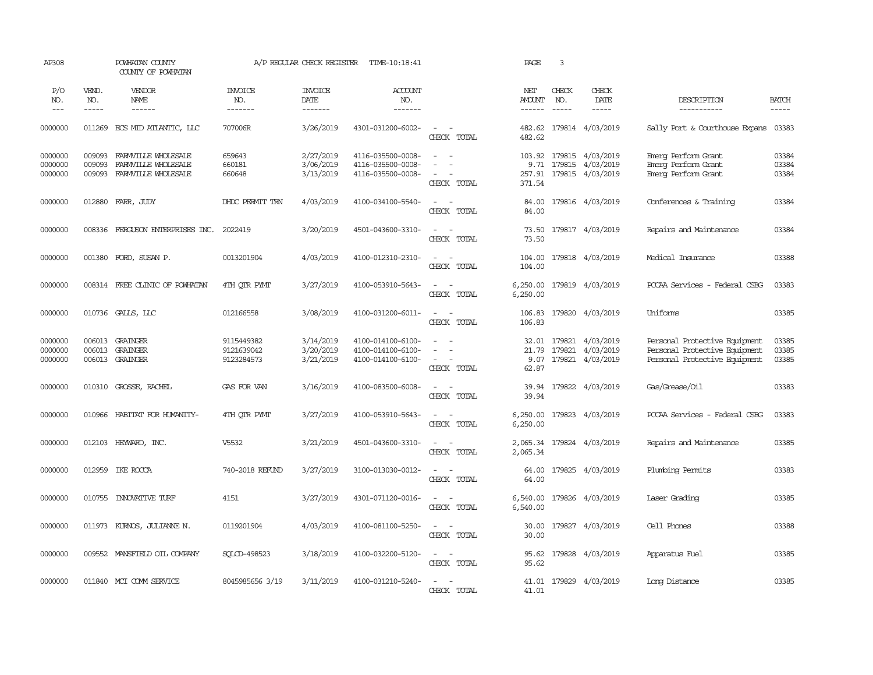| AP308                         |                               | POWHATAN COUNTY<br>COUNTY OF POWHATAN                             |                                        | A/P REGULAR CHECK REGISTER          | TIME-10:18:41                                               |                                                                                                     | PAGE                            | 3                             |                                                                      |                                                                                                 |                               |
|-------------------------------|-------------------------------|-------------------------------------------------------------------|----------------------------------------|-------------------------------------|-------------------------------------------------------------|-----------------------------------------------------------------------------------------------------|---------------------------------|-------------------------------|----------------------------------------------------------------------|-------------------------------------------------------------------------------------------------|-------------------------------|
| P/O<br>NO.<br>$---$           | VEND.<br>NO.<br>$\frac{1}{2}$ | VENDOR<br>NAME<br>$- - - - - -$                                   | <b>INVOICE</b><br>NO.<br>-------       | <b>INVOICE</b><br>DATE<br>-------   | <b>ACCOUNT</b><br>NO.<br>-------                            |                                                                                                     | NET<br>AMOUNT<br>$- - - - - -$  | CHECK<br>NO.<br>$\frac{1}{2}$ | CHECK<br>DATE<br>$\frac{1}{2}$                                       | DESCRIPTION<br>------------                                                                     | <b>BATCH</b><br>$\frac{1}{2}$ |
| 0000000                       | 011269                        | ECS MID ATLANTIC, LLC                                             | 707006R                                | 3/26/2019                           | 4301-031200-6002-                                           | $\sim$ $ -$<br>CHECK TOTAL                                                                          | 482.62<br>482.62                |                               | 179814 4/03/2019                                                     | Sally Port & Courthouse Expans                                                                  | 03383                         |
| 0000000<br>0000000<br>0000000 | 009093<br>009093<br>009093    | FARMVILLE WHOLESALE<br>FARMVILLE WHOLESALE<br>FARMVILLE WHOLESALE | 659643<br>660181<br>660648             | 2/27/2019<br>3/06/2019<br>3/13/2019 | 4116-035500-0008-<br>4116-035500-0008-<br>4116-035500-0008- | $\overline{\phantom{a}}$<br>$\sim$<br>$\equiv$<br>$\sim$<br>$\overline{\phantom{a}}$<br>CHECK TOTAL | 257.91<br>371.54                |                               | 103.92 179815 4/03/2019<br>9.71 179815 4/03/2019<br>179815 4/03/2019 | Einerg Perform Grant<br>Emerg Perform Grant<br>Emerg Perform Grant                              | 03384<br>03384<br>03384       |
| 0000000                       | 012880                        | FARR, JUDY                                                        | DHDC PERMIT TRN                        | 4/03/2019                           | 4100-034100-5540-                                           | $\sim$<br>$\sim$<br>CHECK TOTAL                                                                     | 84.00<br>84.00                  |                               | 179816 4/03/2019                                                     | Conferences & Training                                                                          | 03384                         |
| 0000000                       | 008336                        | FERGUSON ENTERPRISES INC. 2022419                                 |                                        | 3/20/2019                           | 4501-043600-3310-                                           | $\sim$<br>$\sim$<br>CHECK TOTAL                                                                     | 73.50<br>73.50                  |                               | 179817 4/03/2019                                                     | Repairs and Maintenance                                                                         | 03384                         |
| 0000000                       | 001380                        | FORD, SUSAN P.                                                    | 0013201904                             | 4/03/2019                           | 4100-012310-2310-                                           | $\sim$<br>$\sim$<br>CHECK TOTAL                                                                     | 104.00<br>104.00                |                               | 179818 4/03/2019                                                     | Medical Insurance                                                                               | 03388                         |
| 0000000                       | 008314                        | FREE CLINIC OF POWHATAN                                           | 4TH QTR PYMT                           | 3/27/2019                           | 4100-053910-5643-                                           | $\sim$ $ -$<br>CHECK TOTAL                                                                          | 6,250.00                        |                               | 6,250.00 179819 4/03/2019                                            | PCCAA Services - Federal CSBG                                                                   | 03383                         |
| 0000000                       |                               | 010736 GALLS, LLC                                                 | 012166558                              | 3/08/2019                           | 4100-031200-6011-                                           | $\sim$ $\sim$<br>CHECK TOTAL                                                                        | 106.83<br>106.83                |                               | 179820 4/03/2019                                                     | Uniforms                                                                                        | 03385                         |
| 0000000<br>0000000<br>0000000 | 006013<br>006013<br>006013    | GRAINGER<br>GRAINGER<br>GRAINGER                                  | 9115449382<br>9121639042<br>9123284573 | 3/14/2019<br>3/20/2019<br>3/21/2019 | 4100-014100-6100-<br>4100-014100-6100-<br>4100-014100-6100- | $\sim$<br>$\sim$<br>$\equiv$<br>$\sim$<br>$\sim$<br>CHECK TOTAL                                     | 32.01<br>21.79<br>9.07<br>62.87 |                               | 179821 4/03/2019<br>179821 4/03/2019<br>179821 4/03/2019             | Personal Protective Equipment<br>Personal Protective Equipment<br>Personal Protective Equipment | 03385<br>03385<br>03385       |
| 0000000                       |                               | 010310 GROSSE, RACHEL                                             | GAS FOR VAN                            | 3/16/2019                           | 4100-083500-6008-                                           | $\sim$ $\sim$<br>CHECK TOTAL                                                                        | 39.94                           |                               | 39.94 179822 4/03/2019                                               | Gas/Grease/0il                                                                                  | 03383                         |
| 0000000                       | 010966                        | HABITAT FOR HUMANITY-                                             | 4TH OTR PYMT                           | 3/27/2019                           | 4100-053910-5643-                                           | $\sim$ $  -$<br>CHECK TOTAL                                                                         | 6,250.00<br>6,250.00            |                               | 179823 4/03/2019                                                     | PCCAA Services - Federal CSBG                                                                   | 03383                         |
| 0000000                       | 012103                        | HEYWARD, INC.                                                     | V5532                                  | 3/21/2019                           | 4501-043600-3310-                                           | $\overline{a}$<br>$\sim$<br>CHECK TOTAL                                                             | 2,065.34<br>2,065.34            |                               | 179824 4/03/2019                                                     | Repairs and Maintenance                                                                         | 03385                         |
| 0000000                       | 012959                        | IKE ROCCA                                                         | 740-2018 REFUND                        | 3/27/2019                           | 3100-013030-0012-                                           | $\overline{\phantom{a}}$<br>$\sim$<br>CHECK TOTAL                                                   | 64.00<br>64.00                  |                               | 179825 4/03/2019                                                     | Plumbing Permits                                                                                | 03383                         |
| 0000000                       | 010755                        | INVOVATIVE TURF                                                   | 4151                                   | 3/27/2019                           | 4301-071120-0016-                                           | $\sim$ $ \sim$<br>CHECK TOTAL                                                                       | 6,540.00<br>6,540.00            |                               | 179826 4/03/2019                                                     | Laser Grading                                                                                   | 03385                         |
| 0000000                       |                               | 011973 KURNOS, JULIANNE N.                                        | 0119201904                             | 4/03/2019                           | 4100-081100-5250-                                           | $\sim$ $  -$<br>CHECK TOTAL                                                                         | 30.00<br>30.00                  |                               | 179827 4/03/2019                                                     | Cell Phones                                                                                     | 03388                         |
| 0000000                       | 009552                        | MANSFIELD OIL COMPANY                                             | SOLCD-498523                           | 3/18/2019                           | 4100-032200-5120-                                           | $\sim$ $  -$<br>CHECK TOTAL                                                                         | 95.62<br>95.62                  |                               | 179828 4/03/2019                                                     | Apparatus Fuel                                                                                  | 03385                         |
| 0000000                       | 011840                        | MCI COMM SERVICE                                                  | 8045985656 3/19                        | 3/11/2019                           | 4100-031210-5240-                                           | CHECK TOTAL                                                                                         | 41.01<br>41.01                  |                               | 179829 4/03/2019                                                     | Long Distance                                                                                   | 03385                         |
|                               |                               |                                                                   |                                        |                                     |                                                             |                                                                                                     |                                 |                               |                                                                      |                                                                                                 |                               |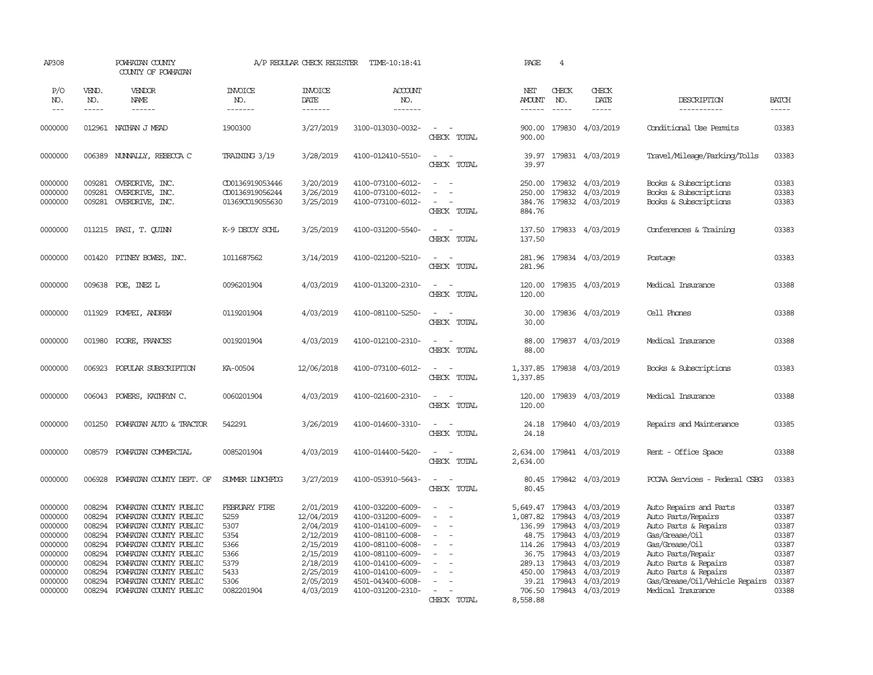| AP308                                                                                                      |                                                                                                  | POWHATAN COUNTY<br>COUNTY OF POWHATAN                                                                                                                                                                                                                            |                                                                                             | A/P REGULAR CHECK REGISTER                                                                                                      | TIME-10:18:41                                                                                                                                                                                                  |                                                                   | PAGE                                                                                                | $\overline{4}$                                                                         |                                                                                                                                              |                                                                                                                                                                                                                                      |                                                                                        |
|------------------------------------------------------------------------------------------------------------|--------------------------------------------------------------------------------------------------|------------------------------------------------------------------------------------------------------------------------------------------------------------------------------------------------------------------------------------------------------------------|---------------------------------------------------------------------------------------------|---------------------------------------------------------------------------------------------------------------------------------|----------------------------------------------------------------------------------------------------------------------------------------------------------------------------------------------------------------|-------------------------------------------------------------------|-----------------------------------------------------------------------------------------------------|----------------------------------------------------------------------------------------|----------------------------------------------------------------------------------------------------------------------------------------------|--------------------------------------------------------------------------------------------------------------------------------------------------------------------------------------------------------------------------------------|----------------------------------------------------------------------------------------|
| P/O<br>NO.<br>$---$                                                                                        | VEND.<br>NO.<br>$\frac{1}{2}$                                                                    | VENDOR<br>NAME<br>$- - - - - -$                                                                                                                                                                                                                                  | <b>INVOICE</b><br>NO.<br>-------                                                            | <b>INVOICE</b><br>DATE<br>-------                                                                                               | <b>ACCOUNT</b><br>NO.<br>-------                                                                                                                                                                               |                                                                   | NET<br><b>AMOUNT</b><br>$- - - - - -$                                                               | CHECK<br>NO.<br>$\frac{1}{2}$                                                          | CHECK<br>DATE<br>$- - - - -$                                                                                                                 | DESCRIPTION<br>-----------                                                                                                                                                                                                           | <b>BATCH</b><br>-----                                                                  |
| 0000000                                                                                                    |                                                                                                  | 012961 NATHAN J MEAD                                                                                                                                                                                                                                             | 1900300                                                                                     | 3/27/2019                                                                                                                       | 3100-013030-0032-                                                                                                                                                                                              | $\sim$<br>$\sim$<br>CHECK TOTAL                                   | 900.00                                                                                              |                                                                                        | 900.00 179830 4/03/2019                                                                                                                      | Conditional Use Permits                                                                                                                                                                                                              | 03383                                                                                  |
| 0000000                                                                                                    | 006389                                                                                           | NUNNALLY, REBECCA C                                                                                                                                                                                                                                              | TRAINING 3/19                                                                               | 3/28/2019                                                                                                                       | 4100-012410-5510-                                                                                                                                                                                              | $\sim$ $ \sim$<br>CHECK TOTAL                                     | 39.97<br>39.97                                                                                      |                                                                                        | 179831 4/03/2019                                                                                                                             | Travel/Mileage/Parking/Tolls                                                                                                                                                                                                         | 03383                                                                                  |
| 0000000<br>0000000<br>0000000                                                                              | 009281<br>009281                                                                                 | OVERDRIVE, INC.<br>OVERDRIVE, INC.<br>009281 OVERDRIVE, INC.                                                                                                                                                                                                     | CD0136919053446<br>CD0136919056244<br>01369CO19055630                                       | 3/20/2019<br>3/26/2019<br>3/25/2019                                                                                             | 4100-073100-6012-<br>4100-073100-6012-<br>4100-073100-6012-                                                                                                                                                    | $\sim$<br>$\equiv$<br>$\sim$<br>CHECK TOTAL                       | 250.00<br>250.00<br>384.76<br>884.76                                                                | 179832                                                                                 | 179832 4/03/2019<br>4/03/2019<br>179832 4/03/2019                                                                                            | Books & Subscriptions<br>Books & Subscriptions<br>Books & Subscriptions                                                                                                                                                              | 03383<br>03383<br>03383                                                                |
| 0000000                                                                                                    | 011215                                                                                           | PASI, T. QUINN                                                                                                                                                                                                                                                   | K-9 DECOY SCHL                                                                              | 3/25/2019                                                                                                                       | 4100-031200-5540-                                                                                                                                                                                              | $\sim$ $\sim$<br>CHECK TOTAL                                      | 137.50                                                                                              |                                                                                        | 137.50 179833 4/03/2019                                                                                                                      | Conferences & Training                                                                                                                                                                                                               | 03383                                                                                  |
| 0000000                                                                                                    | 001420                                                                                           | PITNEY BOWES, INC.                                                                                                                                                                                                                                               | 1011687562                                                                                  | 3/14/2019                                                                                                                       | 4100-021200-5210-                                                                                                                                                                                              | $\sim$<br>$\sim$<br>CHECK TOTAL                                   | 281.96<br>281.96                                                                                    |                                                                                        | 179834 4/03/2019                                                                                                                             | Postage                                                                                                                                                                                                                              | 03383                                                                                  |
| 0000000                                                                                                    | 009638                                                                                           | POE, INEZ L                                                                                                                                                                                                                                                      | 0096201904                                                                                  | 4/03/2019                                                                                                                       | 4100-013200-2310-                                                                                                                                                                                              | $\sim$<br>$\sim$<br>CHECK TOTAL                                   | 120.00<br>120.00                                                                                    |                                                                                        | 179835 4/03/2019                                                                                                                             | Medical Insurance                                                                                                                                                                                                                    | 03388                                                                                  |
| 0000000                                                                                                    | 011929                                                                                           | POMPEI, ANDREW                                                                                                                                                                                                                                                   | 0119201904                                                                                  | 4/03/2019                                                                                                                       | 4100-081100-5250-                                                                                                                                                                                              | $\sim$<br>$\sim$<br>CHECK TOTAL                                   | 30.00<br>30.00                                                                                      |                                                                                        | 179836 4/03/2019                                                                                                                             | Cell Phones                                                                                                                                                                                                                          | 03388                                                                                  |
| 0000000                                                                                                    | 001980                                                                                           | POORE, FRANCES                                                                                                                                                                                                                                                   | 0019201904                                                                                  | 4/03/2019                                                                                                                       | 4100-012100-2310-                                                                                                                                                                                              | $\sim$<br>$\sim$<br>CHECK TOTAL                                   | 88.00<br>88.00                                                                                      |                                                                                        | 179837 4/03/2019                                                                                                                             | Medical Insurance                                                                                                                                                                                                                    | 03388                                                                                  |
| 0000000                                                                                                    | 006923                                                                                           | POPULAR SUBSCRIPTION                                                                                                                                                                                                                                             | KA-00504                                                                                    | 12/06/2018                                                                                                                      | 4100-073100-6012-                                                                                                                                                                                              | $\sim$<br>$\overline{\phantom{a}}$<br>CHECK TOTAL                 | 1,337.85<br>1,337.85                                                                                |                                                                                        | 179838 4/03/2019                                                                                                                             | Books & Subscriptions                                                                                                                                                                                                                | 03383                                                                                  |
| 0000000                                                                                                    | 006043                                                                                           | POWERS, KATHRYN C.                                                                                                                                                                                                                                               | 0060201904                                                                                  | 4/03/2019                                                                                                                       | 4100-021600-2310-                                                                                                                                                                                              | $\sim$<br>$\sim$<br>CHECK TOTAL                                   | 120.00<br>120.00                                                                                    |                                                                                        | 179839 4/03/2019                                                                                                                             | Medical Insurance                                                                                                                                                                                                                    | 03388                                                                                  |
| 0000000                                                                                                    | 001250                                                                                           | POWHATAN AUTO & TRACTOR                                                                                                                                                                                                                                          | 542291                                                                                      | 3/26/2019                                                                                                                       | 4100-014600-3310-                                                                                                                                                                                              | $\sim$<br>$\sim$<br>CHECK TOTAL                                   | 24.18<br>24.18                                                                                      |                                                                                        | 179840 4/03/2019                                                                                                                             | Repairs and Maintenance                                                                                                                                                                                                              | 03385                                                                                  |
| 0000000                                                                                                    | 008579                                                                                           | POWHATAN COMMERCIAL                                                                                                                                                                                                                                              | 0085201904                                                                                  | 4/03/2019                                                                                                                       | 4100-014400-5420-                                                                                                                                                                                              | $\sim$<br>$\sim$<br>CHECK TOTAL                                   | 2,634.00<br>2,634.00                                                                                |                                                                                        | 179841 4/03/2019                                                                                                                             | Rent - Office Space                                                                                                                                                                                                                  | 03388                                                                                  |
| 0000000                                                                                                    | 006928                                                                                           | POWHATAN COUNTY DEPT. OF                                                                                                                                                                                                                                         | SUMER LUNCHFDG                                                                              | 3/27/2019                                                                                                                       | 4100-053910-5643-                                                                                                                                                                                              | $\overline{\phantom{a}}$<br>$\sim$<br>CHECK TOTAL                 | 80.45<br>80.45                                                                                      |                                                                                        | 179842 4/03/2019                                                                                                                             | PCCAA Services - Federal CSBG                                                                                                                                                                                                        | 03383                                                                                  |
| 0000000<br>0000000<br>0000000<br>0000000<br>0000000<br>0000000<br>0000000<br>0000000<br>0000000<br>0000000 | 008294<br>008294<br>008294<br>008294<br>008294<br>008294<br>008294<br>008294<br>008294<br>008294 | POWHATAN COUNTY PUBLIC<br>POWHATAN COUNTY PUBLIC<br>POWHATAN COUNTY PUBLIC<br>POWHATAN COUNTY PUBLIC<br>POWHATAN COUNTY PUBLIC<br>POWHATAN COUNTY PUBLIC<br>POWHATAN COUNTY PUBLIC<br>POWHATAN COUNTY PUBLIC<br>POWHATAN COUNTY PUBLIC<br>POWHATAN COUNTY PUBLIC | FEBRUARY FIRE<br>5259<br>5307<br>5354<br>5366<br>5366<br>5379<br>5433<br>5306<br>0082201904 | 2/01/2019<br>12/04/2019<br>2/04/2019<br>2/12/2019<br>2/15/2019<br>2/15/2019<br>2/18/2019<br>2/25/2019<br>2/05/2019<br>4/03/2019 | 4100-032200-6009-<br>4100-031200-6009-<br>4100-014100-6009-<br>4100-081100-6008-<br>4100-081100-6008-<br>4100-081100-6009-<br>4100-014100-6009-<br>4100-014100-6009-<br>4501-043400-6008-<br>4100-031200-2310- | $\equiv$<br>$\equiv$<br>$\blacksquare$<br>$\equiv$<br>CHECK TOTAL | 5,649.47<br>1,087.82<br>136.99<br>48.75<br>114.26<br>36.75<br>289.13<br>450.00<br>39.21<br>8,558.88 | 179843<br>179843<br>179843<br>179843<br>179843<br>179843<br>179843<br>179843<br>179843 | 4/03/2019<br>4/03/2019<br>4/03/2019<br>4/03/2019<br>4/03/2019<br>4/03/2019<br>4/03/2019<br>4/03/2019<br>4/03/2019<br>706.50 179843 4/03/2019 | Auto Repairs and Parts<br>Auto Parts/Repairs<br>Auto Parts & Repairs<br>Gas/Grease/Oil<br>Gas/Grease/Oil<br>Auto Parts/Repair<br>Auto Parts & Repairs<br>Auto Parts & Repairs<br>Gas/Grease/Oil/Vehicle Repairs<br>Medical Insurance | 03387<br>03387<br>03387<br>03387<br>03387<br>03387<br>03387<br>03387<br>03387<br>03388 |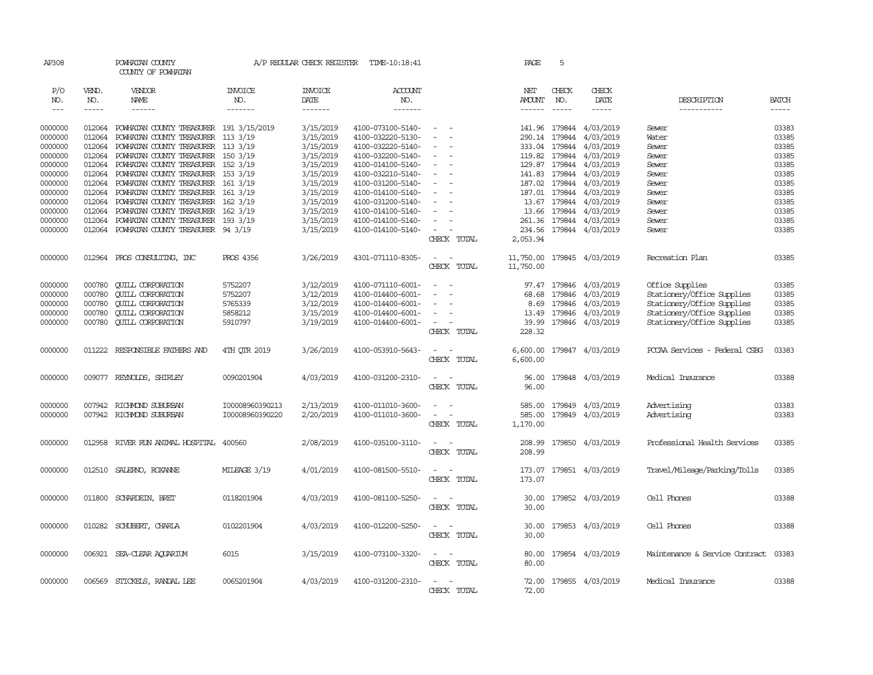| AP308              |              | POWHATAN COUNTY<br>COUNTY OF POWHATAN                                    |                 | A/P REGULAR CHECK REGISTER | TIME-10:18:41                          |                                    | PAGE               | 5             |                                                  |                                      |              |
|--------------------|--------------|--------------------------------------------------------------------------|-----------------|----------------------------|----------------------------------------|------------------------------------|--------------------|---------------|--------------------------------------------------|--------------------------------------|--------------|
| P/O<br>NO.         | VEND.<br>NO. | VENDOR<br>NAME                                                           | INVOICE<br>NO.  | <b>INVOICE</b><br>DATE     | ACCOUNT<br>NO.                         |                                    | NET<br>AMOUNT      | CHECK<br>NO.  | CHECK<br>DATE                                    | DESCRIPTION                          | <b>BATCH</b> |
| $\frac{1}{2}$      | $- - - - -$  | $- - - - - -$                                                            | -------         | --------                   | $- - - - - - -$                        |                                    |                    | $\frac{1}{2}$ | $- - - - -$                                      | -----------                          | $- - - - -$  |
| 0000000            | 012064       | POWHATAN COUNTY TREASURER 191 3/15/2019                                  |                 | 3/15/2019                  | 4100-073100-5140-                      | $\overline{\phantom{a}}$           |                    |               | 141.96 179844 4/03/2019                          | Sewer                                | 03383        |
| 0000000            | 012064       | POWHATAN COUNTY TREASURER 113 3/19                                       |                 | 3/15/2019                  | 4100-032220-5130-                      |                                    |                    | 290.14 179844 | 4/03/2019                                        | Water                                | 03385        |
| 0000000            | 012064       | POWHATAN COUNTY TREASURER 113 3/19                                       |                 | 3/15/2019                  | 4100-032220-5140-                      |                                    |                    |               | 333.04 179844 4/03/2019                          | Sewer                                | 03385        |
| 0000000            | 012064       | POWHATAN COUNTY TREASURER 150 3/19                                       |                 | 3/15/2019                  | 4100-032200-5140-                      | $\equiv$                           |                    |               | 119.82 179844 4/03/2019                          | Sewer                                | 03385        |
| 0000000            | 012064       | POWHATAN COUNTY TREASURER 152 3/19                                       |                 | 3/15/2019                  | 4100-014100-5140-                      | $\overline{\phantom{a}}$           |                    |               | 129.87 179844 4/03/2019                          | Sewer                                | 03385        |
| 0000000            | 012064       | POWHATAN COUNTY TREASURER 153 3/19                                       |                 | 3/15/2019                  | 4100-032210-5140-                      |                                    |                    |               | 141.83 179844 4/03/2019                          | Sewer                                | 03385        |
| 0000000            | 012064       | POWHATAN COUNTY TREASURER 161 3/19                                       |                 | 3/15/2019                  | 4100-031200-5140-                      |                                    |                    |               | 187.02 179844 4/03/2019                          | Sewer                                | 03385        |
| 0000000            | 012064       |                                                                          |                 |                            | 4100-014100-5140-                      | $\sim$                             |                    |               |                                                  |                                      | 03385        |
|                    | 012064       | POWHATAN COUNTY TREASURER 161 3/19                                       |                 | 3/15/2019                  |                                        |                                    |                    |               | 187.01 179844 4/03/2019                          | Sewer                                | 03385        |
| 0000000<br>0000000 | 012064       | POWHATAN COUNTY TREASURER 162 3/19<br>POWHATAN COUNTY TREASURER 162 3/19 |                 | 3/15/2019                  | 4100-031200-5140-<br>4100-014100-5140- |                                    |                    |               | 13.67 179844 4/03/2019<br>13.66 179844 4/03/2019 | Sewer                                | 03385        |
|                    |              |                                                                          |                 | 3/15/2019                  |                                        |                                    |                    |               |                                                  | Sewer                                |              |
| 0000000            | 012064       | POWHATAN COUNTY TREASURER 193 3/19                                       |                 | 3/15/2019                  | 4100-014100-5140-                      | $\sim$                             |                    |               | 261.36 179844 4/03/2019                          | Sewer                                | 03385        |
| 0000000            | 012064       | POWHATAN COUNTY TREASURER 94 3/19                                        |                 | 3/15/2019                  | 4100-014100-5140-                      | $\equiv$<br>CHECK TOTAL            | 234.56<br>2,053.94 |               | 179844 4/03/2019                                 | Sewer                                | 03385        |
| 0000000            |              | 012964 PROS CONSULTING, INC                                              | PROS 4356       | 3/26/2019                  | 4301-071110-8305-                      | $\sim$<br>$\sim$                   | 11,750.00          |               | 179845 4/03/2019                                 | Recreation Plan                      | 03385        |
|                    |              |                                                                          |                 |                            |                                        | CHECK TOTAL                        | 11,750.00          |               |                                                  |                                      |              |
| 0000000            | 000780       | <b>CUILL CORPORATION</b>                                                 | 5752207         | 3/12/2019                  | 4100-071110-6001-                      | $\sim$                             |                    |               | 97.47 179846 4/03/2019                           | Office Supplies                      | 03385        |
| 0000000            | 000780       | <b>CUILL CORPORATION</b>                                                 | 5752207         | 3/12/2019                  | 4100-014400-6001-                      |                                    | 68.68              |               | 179846 4/03/2019                                 | Stationery/Office Supplies           | 03385        |
| 0000000            | 000780       | <b>QUILL CORPORATION</b>                                                 | 5765339         | 3/12/2019                  | 4100-014400-6001-                      |                                    | 8.69               |               | 179846 4/03/2019                                 | Stationery/Office Supplies           | 03385        |
| 0000000            | 000780       | <b>QUILL CORPORATION</b>                                                 | 5858212         | 3/15/2019                  | 4100-014400-6001-                      | $\overline{\phantom{a}}$           |                    |               | 13.49 179846 4/03/2019                           | Stationery/Office Supplies           | 03385        |
| 0000000            | 000780       | <b>CUILL CORPORATION</b>                                                 | 5910797         | 3/19/2019                  | 4100-014400-6001-                      | $\overline{\phantom{a}}$           | 39.99              |               | 179846 4/03/2019                                 | Stationery/Office Supplies           | 03385        |
|                    |              |                                                                          |                 |                            |                                        | CHECK TOTAL                        | 228.32             |               |                                                  |                                      |              |
| 0000000            |              | 011222 RESPONSIBLE FAIHERS AND                                           | 4TH OTR 2019    | 3/26/2019                  | 4100-053910-5643-                      | $\sim$                             | 6,600.00           |               | 179847 4/03/2019                                 | PCCAA Services - Federal CSBG        | 03383        |
|                    |              |                                                                          |                 |                            |                                        | CHECK TOTAL                        | 6,600.00           |               |                                                  |                                      |              |
| 0000000            |              | 009077 REYNOLDS, SHIRLEY                                                 | 0090201904      | 4/03/2019                  | 4100-031200-2310-                      | $\equiv$<br>$\sim$                 | 96.00              |               | 179848 4/03/2019                                 | Medical Insurance                    | 03388        |
|                    |              |                                                                          |                 |                            |                                        | CHECK TOTAL                        | 96.00              |               |                                                  |                                      |              |
| 0000000            | 007942       | RICHMOND SUBURBAN                                                        | I00008960390213 | 2/13/2019                  | 4100-011010-3600-                      | $\sim$                             | 585.00             | 179849        | 4/03/2019                                        | Advertising                          | 03383        |
| 0000000            |              | 007942 RICHMOND SUBURBAN                                                 | I00008960390220 | 2/20/2019                  | 4100-011010-3600-                      | $\sim$                             | 585.00             | 179849        | 4/03/2019                                        | Advertising                          | 03383        |
|                    |              |                                                                          |                 |                            |                                        | CHECK TOTAL                        | 1,170.00           |               |                                                  |                                      |              |
| 0000000            |              | 012958 RIVER RUN ANIMAL HOSPITAL                                         | 400560          | 2/08/2019                  | 4100-035100-3110-                      | $\overline{\phantom{a}}$           | 208.99             |               | 179850 4/03/2019                                 | Professional Health Services         | 03385        |
|                    |              |                                                                          |                 |                            |                                        | CHECK TOTAL                        | 208.99             |               |                                                  |                                      |              |
| 0000000            | 012510       | SALERNO, ROXANNE                                                         | MILEAGE 3/19    | 4/01/2019                  | 4100-081500-5510-                      | $\overline{\phantom{a}}$<br>$\sim$ | 173.07             |               | 179851 4/03/2019                                 | Travel/Mileage/Parking/Tolls         | 03385        |
|                    |              |                                                                          |                 |                            |                                        | CHECK TOTAL                        | 173.07             |               |                                                  |                                      |              |
| 0000000            |              | 011800 SCHARDEIN, BRET                                                   | 0118201904      | 4/03/2019                  | 4100-081100-5250-                      | $\sim$<br>- -                      |                    |               | 30.00 179852 4/03/2019                           | Cell Phones                          | 03388        |
|                    |              |                                                                          |                 |                            |                                        | CHECK TOTAL                        | 30.00              |               |                                                  |                                      |              |
| 0000000            | 010282       | SCHUBERT, CHARLA                                                         | 0102201904      | 4/03/2019                  | 4100-012200-5250-                      | $\sim$<br>$\sim$                   | 30.00              |               | 179853 4/03/2019                                 | Cell Phones                          | 03388        |
|                    |              |                                                                          |                 |                            |                                        | CHECK TOTAL                        | 30.00              |               |                                                  |                                      |              |
| 0000000            |              | 006921 SEA-CLEAR AQUARIUM                                                | 6015            | 3/15/2019                  | 4100-073100-3320-                      | $\sim$ $ \sim$                     | 80.00              |               | 179854 4/03/2019                                 | Maintenance & Service Contract 03383 |              |
|                    |              |                                                                          |                 |                            |                                        | CHECK TOTAL                        | 80.00              |               |                                                  |                                      |              |
| 0000000            | 006569       | STICKELS, RANDAL LEE                                                     | 0065201904      | 4/03/2019                  | 4100-031200-2310-                      | $\sim$<br>$\sim$                   | 72.00              |               | 179855 4/03/2019                                 | Medical Insurance                    | 03388        |
|                    |              |                                                                          |                 |                            |                                        | CHECK TOTAL                        | 72.00              |               |                                                  |                                      |              |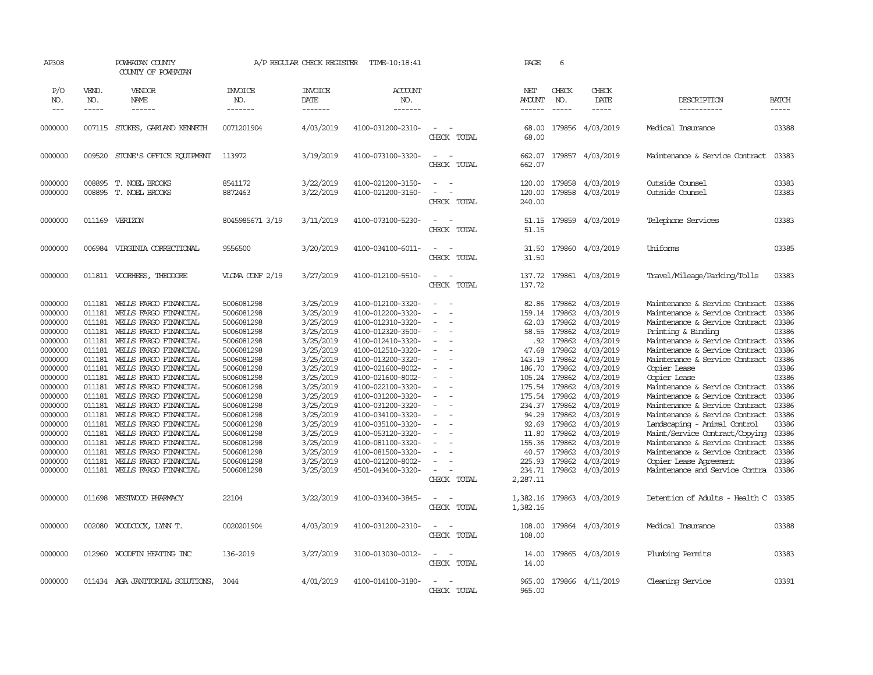| AP308                                                                                                                                                                                                         |                                                                                                                                                                        | POWHATAN COUNTY<br>COUNTY OF POWHATAN                                                                                                                                                                                                                                                                                                                                                                                                                                                                 |                                                                                                                                                                                                                                                                        | A/P REGULAR CHECK REGISTER                                                                                                                                                                                                                          | TIME-10:18:41                                                                                                                                                                                                                                                                                                                                                                                               |                                                                                    | PAGE                                                                                                                                                                                                               | 6                                                                                                                              |                                                                                                                                                                                                                                                            |                                                                                                                                                                                                                                                                                                                                                                                                                                                                                                                                                                                                          |                                                                                                                                                                         |
|---------------------------------------------------------------------------------------------------------------------------------------------------------------------------------------------------------------|------------------------------------------------------------------------------------------------------------------------------------------------------------------------|-------------------------------------------------------------------------------------------------------------------------------------------------------------------------------------------------------------------------------------------------------------------------------------------------------------------------------------------------------------------------------------------------------------------------------------------------------------------------------------------------------|------------------------------------------------------------------------------------------------------------------------------------------------------------------------------------------------------------------------------------------------------------------------|-----------------------------------------------------------------------------------------------------------------------------------------------------------------------------------------------------------------------------------------------------|-------------------------------------------------------------------------------------------------------------------------------------------------------------------------------------------------------------------------------------------------------------------------------------------------------------------------------------------------------------------------------------------------------------|------------------------------------------------------------------------------------|--------------------------------------------------------------------------------------------------------------------------------------------------------------------------------------------------------------------|--------------------------------------------------------------------------------------------------------------------------------|------------------------------------------------------------------------------------------------------------------------------------------------------------------------------------------------------------------------------------------------------------|----------------------------------------------------------------------------------------------------------------------------------------------------------------------------------------------------------------------------------------------------------------------------------------------------------------------------------------------------------------------------------------------------------------------------------------------------------------------------------------------------------------------------------------------------------------------------------------------------------|-------------------------------------------------------------------------------------------------------------------------------------------------------------------------|
| P/O<br>NO.                                                                                                                                                                                                    | VEND.<br>NO.                                                                                                                                                           | VENDOR<br>NAME                                                                                                                                                                                                                                                                                                                                                                                                                                                                                        | <b>INVOICE</b><br>NO.                                                                                                                                                                                                                                                  | <b>INVOICE</b><br>DATE                                                                                                                                                                                                                              | <b>ACCOUNT</b><br>NO.                                                                                                                                                                                                                                                                                                                                                                                       |                                                                                    | NET<br><b>AMOUNT</b>                                                                                                                                                                                               | CHECK<br>NO.                                                                                                                   | CHECK<br>DATE                                                                                                                                                                                                                                              | DESCRIPTION                                                                                                                                                                                                                                                                                                                                                                                                                                                                                                                                                                                              | <b>BATCH</b>                                                                                                                                                            |
| $---$                                                                                                                                                                                                         | -----                                                                                                                                                                  | ------                                                                                                                                                                                                                                                                                                                                                                                                                                                                                                | -------                                                                                                                                                                                                                                                                | -------                                                                                                                                                                                                                                             | -------                                                                                                                                                                                                                                                                                                                                                                                                     |                                                                                    | $- - - - - -$                                                                                                                                                                                                      | $\frac{1}{2}$                                                                                                                  | -----                                                                                                                                                                                                                                                      | -----------                                                                                                                                                                                                                                                                                                                                                                                                                                                                                                                                                                                              | -----                                                                                                                                                                   |
| 0000000                                                                                                                                                                                                       |                                                                                                                                                                        | 007115 STOKES, GARLAND KENNETH                                                                                                                                                                                                                                                                                                                                                                                                                                                                        | 0071201904                                                                                                                                                                                                                                                             | 4/03/2019                                                                                                                                                                                                                                           | 4100-031200-2310-                                                                                                                                                                                                                                                                                                                                                                                           | CHECK TOTAL                                                                        | 68.00<br>68,00                                                                                                                                                                                                     | 179856                                                                                                                         | 4/03/2019                                                                                                                                                                                                                                                  | Medical Insurance                                                                                                                                                                                                                                                                                                                                                                                                                                                                                                                                                                                        | 03388                                                                                                                                                                   |
| 0000000                                                                                                                                                                                                       | 009520                                                                                                                                                                 | STONE'S OFFICE EQUIPMENT                                                                                                                                                                                                                                                                                                                                                                                                                                                                              | 113972                                                                                                                                                                                                                                                                 | 3/19/2019                                                                                                                                                                                                                                           | 4100-073100-3320-                                                                                                                                                                                                                                                                                                                                                                                           | $\sim$<br>$\sim$<br>CHECK<br>TOTAL                                                 | 662.07<br>662.07                                                                                                                                                                                                   |                                                                                                                                | 179857 4/03/2019                                                                                                                                                                                                                                           | Maintenance & Service Contract                                                                                                                                                                                                                                                                                                                                                                                                                                                                                                                                                                           | 03383                                                                                                                                                                   |
| 0000000<br>0000000                                                                                                                                                                                            |                                                                                                                                                                        | 008895 T. NOEL BROOKS<br>008895 T. NOEL BROOKS                                                                                                                                                                                                                                                                                                                                                                                                                                                        | 8541172<br>8872463                                                                                                                                                                                                                                                     | 3/22/2019<br>3/22/2019                                                                                                                                                                                                                              | 4100-021200-3150-<br>4100-021200-3150-                                                                                                                                                                                                                                                                                                                                                                      | ٠.<br>$\sim$<br>CHECK TOTAL                                                        | 120.00<br>120.00<br>240.00                                                                                                                                                                                         | 179858<br>179858                                                                                                               | 4/03/2019<br>4/03/2019                                                                                                                                                                                                                                     | Outside Counsel<br>Outside Counsel                                                                                                                                                                                                                                                                                                                                                                                                                                                                                                                                                                       | 03383<br>03383                                                                                                                                                          |
| 0000000                                                                                                                                                                                                       |                                                                                                                                                                        | 011169 VERIZON                                                                                                                                                                                                                                                                                                                                                                                                                                                                                        | 8045985671 3/19                                                                                                                                                                                                                                                        | 3/11/2019                                                                                                                                                                                                                                           | 4100-073100-5230-                                                                                                                                                                                                                                                                                                                                                                                           | $\sim$<br>. —<br>CHECK TOTAL                                                       | 51.15<br>51.15                                                                                                                                                                                                     | 179859                                                                                                                         | 4/03/2019                                                                                                                                                                                                                                                  | Telephone Services                                                                                                                                                                                                                                                                                                                                                                                                                                                                                                                                                                                       | 03383                                                                                                                                                                   |
| 0000000                                                                                                                                                                                                       | 006984                                                                                                                                                                 | VIRGINIA CORRECTIONAL                                                                                                                                                                                                                                                                                                                                                                                                                                                                                 | 9556500                                                                                                                                                                                                                                                                | 3/20/2019                                                                                                                                                                                                                                           | 4100-034100-6011-                                                                                                                                                                                                                                                                                                                                                                                           | $\equiv$<br>$\sim$<br>CHECK TOTAL                                                  | 31.50<br>31.50                                                                                                                                                                                                     |                                                                                                                                | 179860 4/03/2019                                                                                                                                                                                                                                           | Uniforms                                                                                                                                                                                                                                                                                                                                                                                                                                                                                                                                                                                                 | 03385                                                                                                                                                                   |
| 0000000                                                                                                                                                                                                       |                                                                                                                                                                        | 011811 VOORHEES, THEODORE                                                                                                                                                                                                                                                                                                                                                                                                                                                                             | VIGMA CONF 2/19                                                                                                                                                                                                                                                        | 3/27/2019                                                                                                                                                                                                                                           | 4100-012100-5510-                                                                                                                                                                                                                                                                                                                                                                                           | $\sim$<br>$\sim$<br>CHECK TOTAL                                                    | 137.72<br>137.72                                                                                                                                                                                                   |                                                                                                                                | 179861 4/03/2019                                                                                                                                                                                                                                           | Travel/Mileage/Parking/Tolls                                                                                                                                                                                                                                                                                                                                                                                                                                                                                                                                                                             | 03383                                                                                                                                                                   |
| 0000000<br>0000000<br>0000000<br>0000000<br>0000000<br>0000000<br>0000000<br>0000000<br>0000000<br>0000000<br>0000000<br>0000000<br>0000000<br>0000000<br>0000000<br>0000000<br>0000000<br>0000000<br>0000000 | 011181<br>011181<br>011181<br>011181<br>011181<br>011181<br>011181<br>011181<br>011181<br>011181<br>011181<br>011181<br>011181<br>011181<br>011181<br>011181<br>011181 | WELLS FARGO FINANCIAL<br>WELLS FARGO FINANCIAL<br>WELLS FARGO FINANCIAL<br>WELLS FARGO FINANCIAL<br>WELLS FARGO FINANCIAL<br>011181 WELLS FARGO FINANCIAL<br>WEILS FARGO FINANCIAL<br>WELLS FARGO FINANCIAL<br>WELLS FARGO FINANCIAL<br>WELLS FARGO FINANCIAL<br>WELLS FARGO FINANCIAL<br>WELLS FARGO FINANCIAL<br>WEILS FARGO FINANCIAL<br>WELLS FARGO FINANCIAL<br>WELLS FARGO FINANCIAL<br>WELLS FARGO FINANCIAL<br>WELLS FARGO FINANCIAL<br>WELLS FARGO FINANCIAL<br>011181 WELLS FARGO FINANCIAL | 5006081298<br>5006081298<br>5006081298<br>5006081298<br>5006081298<br>5006081298<br>5006081298<br>5006081298<br>5006081298<br>5006081298<br>5006081298<br>5006081298<br>5006081298<br>5006081298<br>5006081298<br>5006081298<br>5006081298<br>5006081298<br>5006081298 | 3/25/2019<br>3/25/2019<br>3/25/2019<br>3/25/2019<br>3/25/2019<br>3/25/2019<br>3/25/2019<br>3/25/2019<br>3/25/2019<br>3/25/2019<br>3/25/2019<br>3/25/2019<br>3/25/2019<br>3/25/2019<br>3/25/2019<br>3/25/2019<br>3/25/2019<br>3/25/2019<br>3/25/2019 | 4100-012100-3320-<br>4100-012200-3320-<br>4100-012310-3320-<br>4100-012320-3500-<br>4100-012410-3320-<br>4100-012510-3320-<br>4100-013200-3320-<br>4100-021600-8002-<br>4100-021600-8002-<br>4100-022100-3320-<br>4100-031200-3320-<br>4100-031200-3320-<br>4100-034100-3320-<br>4100-035100-3320-<br>4100-053120-3320-<br>4100-081100-3320-<br>4100-081500-3320-<br>4100-021200-8002-<br>4501-043400-3320- | $\equiv$<br>$\equiv$<br>$\sim$<br>$\sim$<br>$\equiv$<br>$\sim$<br>$\sim$<br>$\sim$ | 82.86<br>159.14<br>62.03<br>58.55<br>.92<br>47.68<br>143.19<br>186.70<br>105.24 179862<br>175.54 179862<br>175.54 179862<br>234.37 179862<br>94.29<br>92.69<br>11.80<br>155.36<br>40.57<br>225.93 179862<br>234.71 | 179862<br>179862<br>179862<br>179862<br>179862<br>179862<br>179862<br>179862<br>179862<br>179862<br>179862<br>179862<br>179862 | 4/03/2019<br>4/03/2019<br>4/03/2019<br>4/03/2019<br>4/03/2019<br>4/03/2019<br>4/03/2019<br>4/03/2019<br>4/03/2019<br>4/03/2019<br>4/03/2019<br>4/03/2019<br>4/03/2019<br>4/03/2019<br>4/03/2019<br>4/03/2019<br>4/03/2019<br>4/03/2019<br>179862 4/03/2019 | Maintenance & Service Contract<br>Maintenance & Service Contract<br>Maintenance & Service Contract<br>Printing & Binding<br>Maintenance & Service Contract<br>Maintenance & Service Contract<br>Maintenance & Service Contract<br>Copier Lease<br>Copier Lease<br>Maintenance & Service Contract<br>Maintenance & Service Contract<br>Maintenance & Service Contract<br>Maintenance & Service Contract<br>Landscaping - Animal Control<br>Maint/Service Contract/Copying<br>Maintenance & Service Contract<br>Maintenance & Service Contract<br>Copier Lease Agreement<br>Maintenance and Service Contra | 03386<br>03386<br>03386<br>03386<br>03386<br>03386<br>03386<br>03386<br>03386<br>03386<br>03386<br>03386<br>03386<br>03386<br>03386<br>03386<br>03386<br>03386<br>03386 |
| 0000000                                                                                                                                                                                                       | 011698                                                                                                                                                                 | WESTWOOD PHARMACY                                                                                                                                                                                                                                                                                                                                                                                                                                                                                     | 22104                                                                                                                                                                                                                                                                  | 3/22/2019                                                                                                                                                                                                                                           | 4100-033400-3845-                                                                                                                                                                                                                                                                                                                                                                                           | CHECK TOTAL<br>$\sim$<br>$\equiv$<br>CHECK TOTAL                                   | 2,287.11<br>1,382.16<br>1,382.16                                                                                                                                                                                   |                                                                                                                                | 179863 4/03/2019                                                                                                                                                                                                                                           | Detention of Adults - Health C                                                                                                                                                                                                                                                                                                                                                                                                                                                                                                                                                                           | 03385                                                                                                                                                                   |
| 0000000                                                                                                                                                                                                       | 002080                                                                                                                                                                 | WOODCOCK, LYNN T.                                                                                                                                                                                                                                                                                                                                                                                                                                                                                     | 0020201904                                                                                                                                                                                                                                                             | 4/03/2019                                                                                                                                                                                                                                           | 4100-031200-2310-                                                                                                                                                                                                                                                                                                                                                                                           | $\sim$<br>$\sim$<br>CHECK TOTAL                                                    | 108.00<br>108.00                                                                                                                                                                                                   |                                                                                                                                | 179864 4/03/2019                                                                                                                                                                                                                                           | Medical Insurance                                                                                                                                                                                                                                                                                                                                                                                                                                                                                                                                                                                        | 03388                                                                                                                                                                   |
| 0000000                                                                                                                                                                                                       | 012960                                                                                                                                                                 | WOODFIN HEATING INC                                                                                                                                                                                                                                                                                                                                                                                                                                                                                   | 136-2019                                                                                                                                                                                                                                                               | 3/27/2019                                                                                                                                                                                                                                           | 3100-013030-0012-                                                                                                                                                                                                                                                                                                                                                                                           | $\equiv$<br>$\overline{\phantom{a}}$<br>CHECK TOTAL                                | 14.00<br>14.00                                                                                                                                                                                                     |                                                                                                                                | 179865 4/03/2019                                                                                                                                                                                                                                           | Plumbing Permits                                                                                                                                                                                                                                                                                                                                                                                                                                                                                                                                                                                         | 03383                                                                                                                                                                   |
| 0000000                                                                                                                                                                                                       |                                                                                                                                                                        | 011434 AGA JANITORIAL SOLUTIONS,                                                                                                                                                                                                                                                                                                                                                                                                                                                                      | 3044                                                                                                                                                                                                                                                                   | 4/01/2019                                                                                                                                                                                                                                           | 4100-014100-3180-                                                                                                                                                                                                                                                                                                                                                                                           | $\sim$<br>. —<br>CHECK TOTAL                                                       | 965.00<br>965.00                                                                                                                                                                                                   |                                                                                                                                | 179866 4/11/2019                                                                                                                                                                                                                                           | Cleaning Service                                                                                                                                                                                                                                                                                                                                                                                                                                                                                                                                                                                         | 03391                                                                                                                                                                   |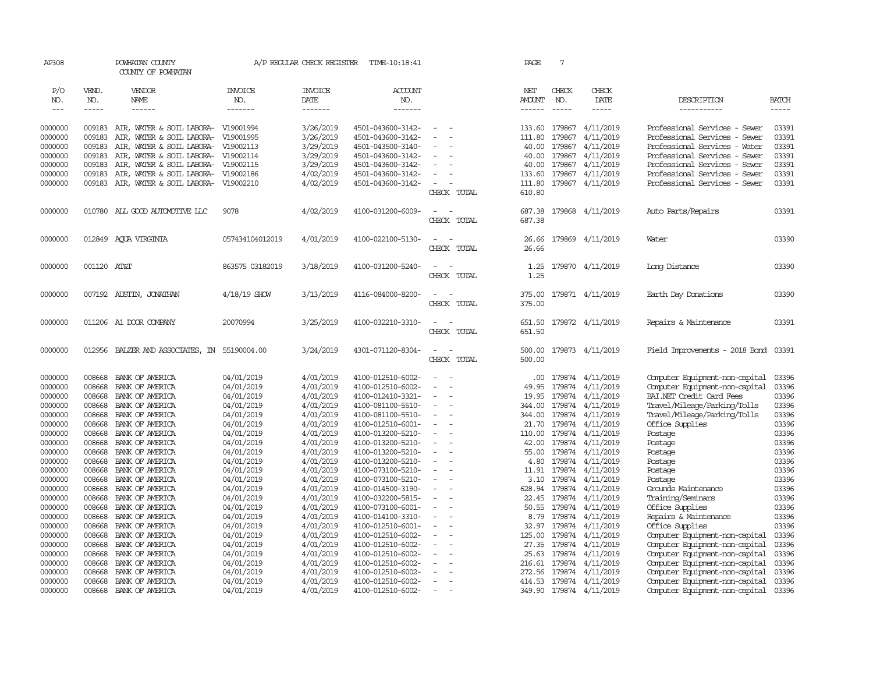| AP308         |             | POWHATAN COUNTY<br>COUNTY OF POWHATAN |                 | A/P REGULAR CHECK REGISTER | TIME-10:18:41     |                                                      | PAGE          | 7             |                         |                                      |              |
|---------------|-------------|---------------------------------------|-----------------|----------------------------|-------------------|------------------------------------------------------|---------------|---------------|-------------------------|--------------------------------------|--------------|
| P/O           | VEND.       | VENDOR                                | <b>INVOICE</b>  | <b>INVOICE</b>             | <b>ACCOUNT</b>    |                                                      | NET           | CHECK         | CHECK                   |                                      |              |
| NO.           | NO.         | NAME                                  | NO.             | DATE                       | NO.               |                                                      | <b>AMOUNT</b> | NO.           | DATE                    | DESCRIPTION                          | <b>BATCH</b> |
| $\frac{1}{2}$ | -----       | ------                                | -------         | -------                    | -------           |                                                      | $- - - - - -$ | $\frac{1}{2}$ | -----                   | -----------                          | -----        |
|               |             |                                       |                 |                            |                   |                                                      |               |               |                         |                                      |              |
| 0000000       | 009183      | AIR, WATER & SOIL LABORA- V19001994   |                 | 3/26/2019                  | 4501-043600-3142- |                                                      | 133.60        | 179867        | 4/11/2019               | Professional Services - Sewer        | 03391        |
| 0000000       | 009183      | AIR, WATER & SOIL LABORA- V19001995   |                 | 3/26/2019                  | 4501-043600-3142- |                                                      | 111.80        | 179867        | 4/11/2019               | Professional Services - Sewer        | 03391        |
| 0000000       | 009183      | AIR, WATER & SOIL LABORA- V19002113   |                 | 3/29/2019                  | 4501-043500-3140- |                                                      | 40.00         | 179867        | 4/11/2019               | Professional Services - Water        | 03391        |
| 0000000       | 009183      | AIR, WATER & SOIL LABORA- V19002114   |                 | 3/29/2019                  | 4501-043600-3142- | $\sim$                                               | 40.00         | 179867        | 4/11/2019               | Professional Services - Sewer        | 03391        |
| 0000000       | 009183      | AIR, WATER & SOIL LABORA- V19002115   |                 | 3/29/2019                  | 4501-043600-3142- |                                                      | 40.00         | 179867        | 4/11/2019               | Professional Services - Sewer        | 03391        |
| 0000000       | 009183      | AIR, WATER & SOIL LABORA- V19002186   |                 | 4/02/2019                  | 4501-043600-3142- |                                                      | 133.60        | 179867        | 4/11/2019               | Professional Services - Sewer        | 03391        |
| 0000000       | 009183      | AIR, WATER & SOIL LABORA- V19002210   |                 | 4/02/2019                  | 4501-043600-3142- | $\equiv$                                             | 111.80        |               | 179867 4/11/2019        | Professional Services - Sewer        | 03391        |
|               |             |                                       |                 |                            |                   | CHECK TOTAL                                          | 610.80        |               |                         |                                      |              |
| 0000000       |             | 010780 ALL GOOD AUTOMOTTVE LLC        | 9078            | 4/02/2019                  | 4100-031200-6009- | $\sim$<br>$\equiv$                                   | 687.38        |               | 179868 4/11/2019        | Auto Parts/Repairs                   | 03391        |
|               |             |                                       |                 |                            |                   | CHECK TOTAL                                          | 687.38        |               |                         |                                      |              |
|               |             |                                       |                 |                            |                   |                                                      |               |               |                         |                                      |              |
| 0000000       |             | 012849 ACUA VIRGINIA                  | 057434104012019 | 4/01/2019                  | 4100-022100-5130- | $\sim$<br>$\sim$                                     | 26.66         |               | 179869 4/11/2019        | Water                                | 03390        |
|               |             |                                       |                 |                            |                   | CHECK TOTAL                                          | 26.66         |               |                         |                                      |              |
|               |             |                                       |                 |                            |                   |                                                      |               |               |                         |                                      |              |
| 0000000       | 001120 AT&T |                                       | 863575 03182019 | 3/18/2019                  | 4100-031200-5240- | $\sim$<br>. —                                        | 1.25          |               | 179870 4/11/2019        | Long Distance                        | 03390        |
|               |             |                                       |                 |                            |                   | CHECK TOTAL                                          | 1.25          |               |                         |                                      |              |
| 0000000       |             | 007192 AUSTIN, JONATHAN               | $4/18/19$ SHOW  | 3/13/2019                  | 4116-084000-8200- | $\overline{\phantom{a}}$<br>$\overline{\phantom{a}}$ | 375.00        |               | 179871 4/11/2019        | Earth Day Donations                  | 03390        |
|               |             |                                       |                 |                            |                   | CHECK TOTAL                                          | 375.00        |               |                         |                                      |              |
|               |             |                                       |                 |                            |                   |                                                      |               |               |                         |                                      |              |
| 0000000       |             | 011206 A1 DOOR COMPANY                | 20070994        | 3/25/2019                  | 4100-032210-3310- | $\sim$<br>. —                                        | 651.50        |               | 179872 4/11/2019        | Repairs & Maintenance                | 03391        |
|               |             |                                       |                 |                            |                   | CHECK TOTAL                                          | 651.50        |               |                         |                                      |              |
|               |             |                                       |                 |                            |                   |                                                      |               |               |                         |                                      |              |
| 0000000       | 012956      | BALZER AND ASSOCIATES, IN 55190004.00 |                 | 3/24/2019                  | 4301-071120-8304- | $\overline{\phantom{a}}$<br>$\overline{\phantom{a}}$ | 500.00        |               | 179873 4/11/2019        | Field Improvements - 2018 Bond 03391 |              |
|               |             |                                       |                 |                            |                   | CHECK TOTAL                                          | 500.00        |               |                         |                                      |              |
| 0000000       | 008668      | BANK OF AMERICA                       | 04/01/2019      | 4/01/2019                  | 4100-012510-6002- | $\equiv$<br>$\overline{\phantom{a}}$                 | .00.          | 179874        | 4/11/2019               | Computer Equipment-non-capital       | 03396        |
| 0000000       | 008668      | BANK OF AMERICA                       | 04/01/2019      | 4/01/2019                  | 4100-012510-6002- | $\equiv$                                             | 49.95         | 179874        | 4/11/2019               | Computer Equipment-non-capital       | 03396        |
| 0000000       | 008668      | BANK OF AMERICA                       | 04/01/2019      | 4/01/2019                  | 4100-012410-3321- |                                                      | 19.95         | 179874        | 4/11/2019               | BAI.NET Credit Card Fees             | 03396        |
| 0000000       | 008668      | BANK OF AMERICA                       | 04/01/2019      | 4/01/2019                  | 4100-081100-5510- |                                                      | 344.00        | 179874        | 4/11/2019               | Travel/Mileage/Parking/Tolls         | 03396        |
| 0000000       | 008668      | BANK OF AMERICA                       | 04/01/2019      | 4/01/2019                  | 4100-081100-5510- |                                                      | 344.00        | 179874        | 4/11/2019               | Travel/Mileage/Parking/Tolls         | 03396        |
| 0000000       | 008668      | BANK OF AMERICA                       | 04/01/2019      | 4/01/2019                  | 4100-012510-6001- | $\equiv$                                             | 21.70         | 179874        | 4/11/2019               | Office Supplies                      | 03396        |
| 0000000       | 008668      | BANK OF AMERICA                       | 04/01/2019      | 4/01/2019                  | 4100-013200-5210- |                                                      | 110.00        | 179874        | 4/11/2019               | Postage                              | 03396        |
| 0000000       | 008668      | BANK OF AMERICA                       | 04/01/2019      | 4/01/2019                  | 4100-013200-5210- | $\sim$                                               | 42.00         | 179874        | 4/11/2019               | Postage                              | 03396        |
| 0000000       | 008668      | BANK OF AMERICA                       | 04/01/2019      | 4/01/2019                  | 4100-013200-5210- | $\overline{\phantom{a}}$                             | 55.00         | 179874        | 4/11/2019               | Postage                              | 03396        |
| 0000000       | 008668      | BANK OF AMERICA                       | 04/01/2019      | 4/01/2019                  | 4100-013200-5210- |                                                      | 4.80          | 179874        | 4/11/2019               | Postage                              | 03396        |
| 0000000       | 008668      | BANK OF AMERICA                       | 04/01/2019      | 4/01/2019                  | 4100-073100-5210- | $\blacksquare$<br>÷,                                 | 11.91         | 179874        | 4/11/2019               | Postage                              | 03396        |
| 0000000       | 008668      | BANK OF AMERICA                       | 04/01/2019      | 4/01/2019                  | 4100-073100-5210- |                                                      | 3.10          | 179874        | 4/11/2019               | Postage                              | 03396        |
| 0000000       | 008668      | BANK OF AMERICA                       | 04/01/2019      | 4/01/2019                  | 4100-014500-3190- | ٠                                                    | 628.94        | 179874        | 4/11/2019               | Grounds Maintenance                  | 03396        |
| 0000000       | 008668      | BANK OF AMERICA                       | 04/01/2019      | 4/01/2019                  | 4100-032200-5815- | $\sim$                                               | 22.45         | 179874        | 4/11/2019               | Training/Seminars                    | 03396        |
| 0000000       | 008668      | BANK OF AMERICA                       | 04/01/2019      | 4/01/2019                  | 4100-073100-6001- | $\equiv$                                             | 50.55         | 179874        | 4/11/2019               | Office Supplies                      | 03396        |
| 0000000       | 008668      | BANK OF AMERICA                       | 04/01/2019      | 4/01/2019                  | 4100-014100-3310- |                                                      | 8.79          | 179874        | 4/11/2019               | Repairs & Maintenance                | 03396        |
| 0000000       | 008668      | BANK OF AMERICA                       | 04/01/2019      | 4/01/2019                  | 4100-012510-6001- |                                                      | 32.97         | 179874        | 4/11/2019               | Office Supplies                      | 03396        |
| 0000000       | 008668      | BANK OF AMERICA                       | 04/01/2019      | 4/01/2019                  | 4100-012510-6002- | $\overline{\phantom{a}}$<br>÷.                       | 125.00        | 179874        | 4/11/2019               | Computer Equipment-non-capital       | 03396        |
| 0000000       | 008668      | BANK OF AMERICA                       | 04/01/2019      | 4/01/2019                  | 4100-012510-6002- |                                                      | 27.35         | 179874        | 4/11/2019               | Computer Equipment-non-capital       | 03396        |
| 0000000       | 008668      | BANK OF AMERICA                       | 04/01/2019      | 4/01/2019                  | 4100-012510-6002- |                                                      | 25.63         | 179874        | 4/11/2019               | Computer Equipment-non-capital       | 03396        |
| 0000000       | 008668      | BANK OF AMERICA                       | 04/01/2019      | 4/01/2019                  | 4100-012510-6002- |                                                      | 216.61        | 179874        | 4/11/2019               | Computer Equipment-non-capital       | 03396        |
| 0000000       | 008668      | BANK OF AMERICA                       | 04/01/2019      | 4/01/2019                  | 4100-012510-6002- |                                                      | 272.56        | 179874        | 4/11/2019               | Computer Equipment-non-capital       | 03396        |
| 0000000       | 008668      | BANK OF AMERICA                       | 04/01/2019      | 4/01/2019                  | 4100-012510-6002- | $\overline{\phantom{a}}$                             |               |               | 414.53 179874 4/11/2019 | Computer Equipment-non-capital       | 03396        |
| 0000000       | 008668      | BANK OF AMERICA                       | 04/01/2019      | 4/01/2019                  | 4100-012510-6002- |                                                      |               |               | 349.90 179874 4/11/2019 | Computer Equipment-non-capital       | 03396        |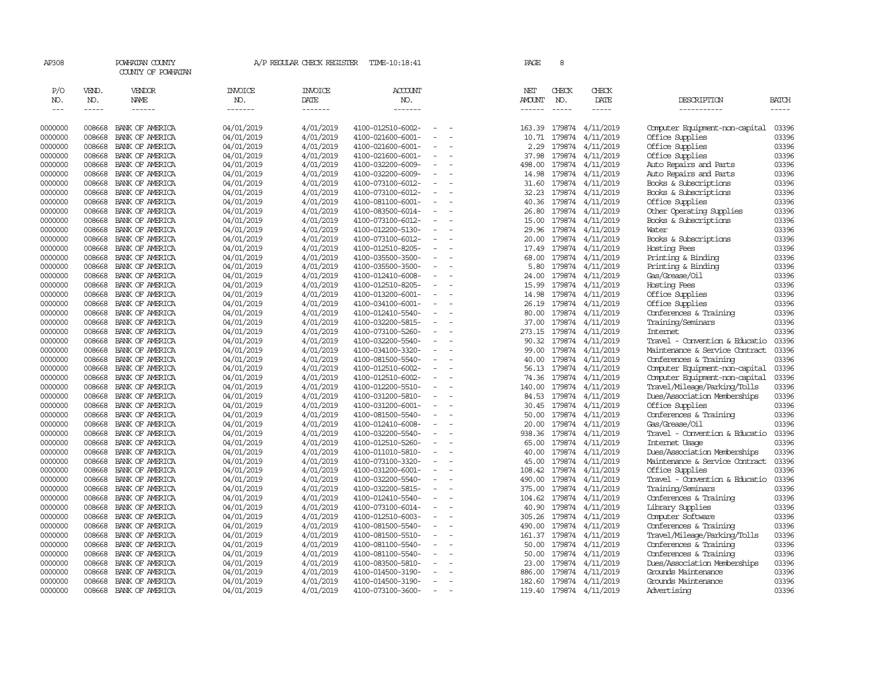| AP308              |                  | POWHATAN COUNTY<br>COUNTY OF POWHATAN |                          | A/P REGULAR CHECK REGISTER | TIME-10:18:41                          |                          |                          | PAGE           | 8                |                         |                                                                  |                |
|--------------------|------------------|---------------------------------------|--------------------------|----------------------------|----------------------------------------|--------------------------|--------------------------|----------------|------------------|-------------------------|------------------------------------------------------------------|----------------|
| P/O                | VEND.            | <b>VENDOR</b>                         | <b>INVOICE</b>           | <b>INVOICE</b>             | <b>ACCOUNT</b>                         |                          |                          | NET            | CHECK            | CHECK                   |                                                                  |                |
| NO.                | NO.              | NAME                                  | NO.                      | DATE                       | NO.                                    |                          |                          | <b>AMOUNT</b>  | NO.              | DATE                    | DESCRIPTION                                                      | BATCH          |
| $---$              | -----            |                                       | -------                  | -------                    | $- - - - - - -$                        |                          |                          | -------        | $\frac{1}{2}$    | -----                   | -----------                                                      | -----          |
| 0000000            | 008668           | BANK OF AMERICA                       | 04/01/2019               | 4/01/2019                  | 4100-012510-6002-                      |                          |                          | 163.39         |                  | 179874 4/11/2019        | Computer Equipment-non-capital                                   | 03396          |
| 0000000            | 008668           | BANK OF AMERICA                       | 04/01/2019               | 4/01/2019                  | 4100-021600-6001-                      | $\overline{\phantom{a}}$ | $\overline{\phantom{a}}$ | 10.71          |                  | 179874 4/11/2019        | Office Supplies                                                  | 03396          |
| 0000000            | 008668           | BANK OF AMERICA                       | 04/01/2019               | 4/01/2019                  | 4100-021600-6001-                      | $\overline{\phantom{a}}$ |                          | 2.29           | 179874           | 4/11/2019               | Office Supplies                                                  | 03396          |
| 0000000            | 008668           | BANK OF AMERICA                       | 04/01/2019               | 4/01/2019                  | 4100-021600-6001-                      | $\equiv$                 |                          | 37.98          | 179874           | 4/11/2019               | Office Supplies                                                  | 03396          |
| 0000000            | 008668           | BANK OF AMERICA                       | 04/01/2019               | 4/01/2019                  | 4100-032200-6009-                      | $\blacksquare$           |                          | 498.00         |                  | 179874 4/11/2019        | Auto Repairs and Parts                                           | 03396          |
| 0000000            | 008668           | BANK OF AMERICA                       | 04/01/2019               | 4/01/2019                  | 4100-032200-6009-                      | $\sim$                   |                          | 14.98          |                  | 179874 4/11/2019        | Auto Repairs and Parts                                           | 03396          |
| 0000000            | 008668           | BANK OF AMERICA                       | 04/01/2019               | 4/01/2019                  | 4100-073100-6012-                      | $\sim$                   |                          | 31.60          | 179874           | 4/11/2019               | Books & Subscriptions                                            | 03396          |
| 0000000            | 008668           | BANK OF AMERICA                       | 04/01/2019               | 4/01/2019                  | 4100-073100-6012-                      |                          |                          | 32.23          | 179874           | 4/11/2019               | Books & Subscriptions                                            | 03396          |
| 0000000            | 008668           | BANK OF AMERICA                       | 04/01/2019               | 4/01/2019                  | 4100-081100-6001-                      |                          |                          | 40.36          |                  | 179874 4/11/2019        | Office Supplies                                                  | 03396          |
| 0000000            | 008668           | BANK OF AMERICA                       | 04/01/2019               | 4/01/2019                  | 4100-083500-6014-                      |                          |                          | 26.80          | 179874           | 4/11/2019               | Other Operating Supplies                                         | 03396          |
| 0000000            | 008668           | BANK OF AMERICA                       | 04/01/2019               | 4/01/2019                  | 4100-073100-6012-                      | $\sim$                   |                          | 15.00          | 179874           | 4/11/2019               | Books & Subscriptions                                            | 03396          |
| 0000000            | 008668           | BANK OF AMERICA                       | 04/01/2019               | 4/01/2019                  | 4100-012200-5130-                      |                          |                          | 29.96          |                  | 179874 4/11/2019        | Water                                                            | 03396          |
| 0000000            | 008668           | BANK OF AMERICA                       | 04/01/2019               | 4/01/2019                  | 4100-073100-6012-                      | $\sim$                   |                          | 20.00          |                  | 179874 4/11/2019        | Books & Subscriptions                                            | 03396          |
| 0000000            | 008668           | BANK OF AMERICA                       | 04/01/2019               | 4/01/2019                  | 4100-012510-8205-                      |                          |                          | 17.49          | 179874           | 4/11/2019               | Hosting Fees                                                     | 03396          |
| 0000000            | 008668           | BANK OF AMERICA                       | 04/01/2019               | 4/01/2019                  | 4100-035500-3500-                      | $\sim$                   |                          | 68.00          | 179874           | 4/11/2019               | Printing & Binding                                               | 03396          |
| 0000000            | 008668           | BANK OF AMERICA                       | 04/01/2019               | 4/01/2019                  | 4100-035500-3500-                      | $\sim$                   |                          | 5.80           |                  | 179874 4/11/2019        | Printing & Binding                                               | 03396          |
| 0000000            | 008668           | BANK OF AMERICA                       | 04/01/2019               | 4/01/2019                  | 4100-012410-6008-                      | $\overline{\phantom{a}}$ |                          | 24.00          | 179874           | 4/11/2019               | Gas/Grease/Oil                                                   | 03396          |
| 0000000            | 008668           | BANK OF AMERICA                       | 04/01/2019               | 4/01/2019                  | 4100-012510-8205-                      | $\equiv$                 |                          | 15.99          | 179874           | 4/11/2019               | Hosting Fees                                                     | 03396          |
| 0000000            | 008668           | BANK OF AMERICA                       | 04/01/2019               | 4/01/2019                  | 4100-013200-6001-                      |                          |                          | 14.98          |                  | 179874 4/11/2019        | Office Supplies                                                  | 03396          |
| 0000000            | 008668           | BANK OF AMERICA                       | 04/01/2019               | 4/01/2019                  | 4100-034100-6001-                      | $\overline{\phantom{a}}$ |                          | 26.19          |                  | 179874 4/11/2019        | Office Supplies                                                  | 03396          |
| 0000000            | 008668           | BANK OF AMERICA                       | 04/01/2019               | 4/01/2019                  | 4100-012410-5540-                      |                          |                          | 80.00          |                  | 179874 4/11/2019        | Conferences & Training                                           | 03396          |
| 0000000            | 008668           | BANK OF AMERICA                       | 04/01/2019               | 4/01/2019                  | 4100-032200-5815-                      | $\sim$                   |                          | 37.00          | 179874           | 4/11/2019               | Training/Seminars                                                | 03396          |
| 0000000            | 008668           | BANK OF AMERICA                       | 04/01/2019               | 4/01/2019                  | 4100-073100-5260-                      | $\sim$                   |                          | 273.15         | 179874           | 4/11/2019               | Internet                                                         | 03396<br>03396 |
| 0000000<br>0000000 | 008668<br>008668 | BANK OF AMERICA<br>BANK OF AMERICA    | 04/01/2019<br>04/01/2019 | 4/01/2019                  | 4100-032200-5540-<br>4100-034100-3320- | $\sim$                   |                          | 90.32<br>99.00 | 179874<br>179874 | 4/11/2019<br>4/11/2019  | Travel - Convention & Educatio<br>Maintenance & Service Contract | 03396          |
| 0000000            | 008668           | BANK OF AMERICA                       | 04/01/2019               | 4/01/2019<br>4/01/2019     | 4100-081500-5540-                      |                          |                          | 40.00          | 179874           | 4/11/2019               | Conferences & Training                                           | 03396          |
| 0000000            | 008668           | BANK OF AMERICA                       | 04/01/2019               | 4/01/2019                  | 4100-012510-6002-                      | $\equiv$                 |                          | 56.13          |                  | 179874 4/11/2019        | Computer Equipment-non-capital                                   | 03396          |
| 0000000            | 008668           | BANK OF AMERICA                       | 04/01/2019               | 4/01/2019                  | 4100-012510-6002-                      | $\sim$                   |                          | 74.36          |                  | 179874 4/11/2019        | Computer Equipment-non-capital                                   | 03396          |
| 0000000            | 008668           | BANK OF AMERICA                       | 04/01/2019               | 4/01/2019                  | 4100-012200-5510-                      | $\equiv$                 |                          | 140.00         | 179874           | 4/11/2019               | Travel/Mileage/Parking/Tolls                                     | 03396          |
| 0000000            | 008668           | BANK OF AMERICA                       | 04/01/2019               | 4/01/2019                  | 4100-031200-5810-                      |                          |                          | 84.53          |                  | 179874 4/11/2019        | Dues/Association Memberships                                     | 03396          |
| 0000000            | 008668           | BANK OF AMERICA                       | 04/01/2019               | 4/01/2019                  | 4100-031200-6001-                      | $\sim$                   |                          | 30.45          |                  | 179874 4/11/2019        | Office Supplies                                                  | 03396          |
| 0000000            | 008668           | BANK OF AMERICA                       | 04/01/2019               | 4/01/2019                  | 4100-081500-5540-                      |                          |                          | 50.00          | 179874           | 4/11/2019               | Conferences & Training                                           | 03396          |
| 0000000            | 008668           | BANK OF AMERICA                       | 04/01/2019               | 4/01/2019                  | 4100-012410-6008-                      |                          |                          | 20.00          | 179874           | 4/11/2019               | Gas/Grease/0il                                                   | 03396          |
| 0000000            | 008668           | BANK OF AMERICA                       | 04/01/2019               | 4/01/2019                  | 4100-032200-5540-                      | $\overline{\phantom{a}}$ |                          | 938.36         | 179874           | 4/11/2019               | Travel - Convention & Educatio                                   | 03396          |
| 0000000            | 008668           | BANK OF AMERICA                       | 04/01/2019               | 4/01/2019                  | 4100-012510-5260-                      | $\overline{\phantom{a}}$ |                          | 65.00          | 179874           | 4/11/2019               | Internet Usage                                                   | 03396          |
| 0000000            | 008668           | BANK OF AMERICA                       | 04/01/2019               | 4/01/2019                  | 4100-011010-5810-                      | $\sim$                   |                          | 40.00          | 179874           | 4/11/2019               | Dues/Association Memberships                                     | 03396          |
| 0000000            | 008668           | BANK OF AMERICA                       | 04/01/2019               | 4/01/2019                  | 4100-073100-3320-                      |                          |                          | 45.00          |                  | 179874 4/11/2019        | Maintenance & Service Contract                                   | 03396          |
| 0000000            | 008668           | BANK OF AMERICA                       | 04/01/2019               | 4/01/2019                  | 4100-031200-6001-                      | $\equiv$                 |                          | 108.42         |                  | 179874 4/11/2019        | Office Supplies                                                  | 03396          |
| 0000000            | 008668           | BANK OF AMERICA                       | 04/01/2019               | 4/01/2019                  | 4100-032200-5540-                      | $\equiv$                 |                          | 490.00         | 179874           | 4/11/2019               | Travel - Convention & Educatio                                   | 03396          |
| 0000000            | 008668           | BANK OF AMERICA                       | 04/01/2019               | 4/01/2019                  | 4100-032200-5815-                      | $\sim$                   |                          | 375.00         | 179874           | 4/11/2019               | Training/Seminars                                                | 03396          |
| 0000000            | 008668           | BANK OF AMERICA                       | 04/01/2019               | 4/01/2019                  | 4100-012410-5540-                      |                          |                          | 104.62         |                  | 179874 4/11/2019        | Conferences & Training                                           | 03396          |
| 0000000            | 008668           | BANK OF AMERICA                       | 04/01/2019               | 4/01/2019                  | 4100-073100-6014-                      | $\overline{\phantom{a}}$ |                          | 40.90          |                  | 179874 4/11/2019        | Library Supplies                                                 | 03396          |
| 0000000            | 008668           | BANK OF AMERICA                       | 04/01/2019               | 4/01/2019                  | 4100-012510-6003-                      |                          |                          | 305.26         | 179874           | 4/11/2019               | Computer Software                                                | 03396          |
| 0000000            | 008668           | BANK OF AMERICA                       | 04/01/2019               | 4/01/2019                  | 4100-081500-5540-                      |                          |                          | 490.00         | 179874           | 4/11/2019               | Conferences & Training                                           | 03396          |
| 0000000            | 008668           | BANK OF AMERICA                       | 04/01/2019               | 4/01/2019                  | 4100-081500-5510-                      |                          |                          |                |                  | 161.37 179874 4/11/2019 | Travel/Mileage/Parking/Tolls                                     | 03396          |
| 0000000            | 008668           | BANK OF AMERICA                       | 04/01/2019               | 4/01/2019                  | 4100-081100-5540-                      |                          |                          | 50.00          |                  | 179874 4/11/2019        | Conferences & Training                                           | 03396          |
| 0000000            | 008668           | BANK OF AMERICA                       | 04/01/2019               | 4/01/2019                  | 4100-081100-5540-                      | $\blacksquare$           |                          | 50.00          |                  | 179874 4/11/2019        | Conferences & Training                                           | 03396          |
| 0000000            | 008668           | BANK OF AMERICA                       | 04/01/2019               | 4/01/2019                  | 4100-083500-5810-                      |                          |                          | 23.00          |                  | 179874 4/11/2019        | Dues/Association Memberships                                     | 03396          |
| 0000000            | 008668           | BANK OF AMERICA                       | 04/01/2019               | 4/01/2019                  | 4100-014500-3190-                      | $\sim$                   |                          | 886.00         | 179874           | 4/11/2019               | Grounds Maintenance                                              | 03396          |
| 0000000            | 008668           | BANK OF AMERICA                       | 04/01/2019               | 4/01/2019                  | 4100-014500-3190-                      |                          |                          |                |                  | 182.60 179874 4/11/2019 | Grounds Maintenance                                              | 03396          |
| 0000000            | 008668           | BANK OF AMERICA                       | 04/01/2019               | 4/01/2019                  | 4100-073100-3600-                      | $\sim$                   |                          |                |                  | 119.40 179874 4/11/2019 | Advertising                                                      | 03396          |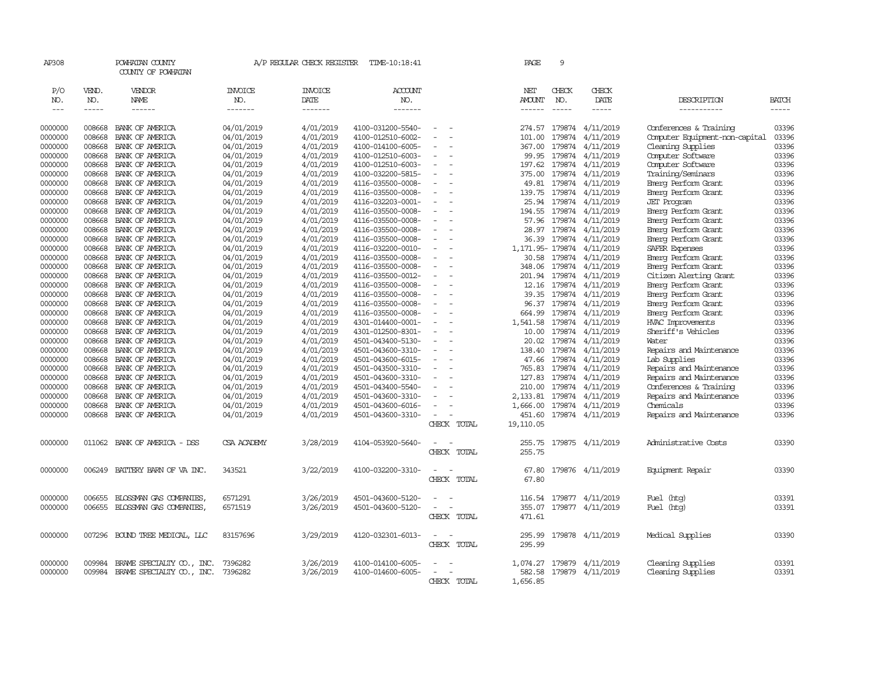| AP308              |                  | POWHATAN COUNTY<br>COUNTY OF POWHATAN |                          | A/P REGULAR CHECK REGISTER | TIME-10:18:41                          |                                 |           | PAGE                 | 9                 |                        |                                                   |                |
|--------------------|------------------|---------------------------------------|--------------------------|----------------------------|----------------------------------------|---------------------------------|-----------|----------------------|-------------------|------------------------|---------------------------------------------------|----------------|
| P/O                | VEND.            | VENDOR                                | <b>INVOICE</b>           | <b>INVOICE</b>             | ACCOUNT                                |                                 |           | NET                  | CHECK             | CHECK                  |                                                   |                |
| NO.                | NO.              | NAME                                  | NO.                      | DATE                       | NO.                                    |                                 |           | <b>AMOUNT</b>        | NO.               | DATE                   | DESCRIPTION                                       | <b>BATCH</b>   |
| $---$              | $- - - - -$      | $- - - - - -$                         | -------                  | -------                    | --------                               |                                 |           | $- - - - - -$        | $\frac{1}{2}$     | -----                  | ------------                                      | -----          |
| 0000000            | 008668           | BANK OF AMERICA                       | 04/01/2019               | 4/01/2019                  | 4100-031200-5540-                      |                                 |           | 274.57               | 179874            | 4/11/2019              | Conferences & Training                            | 03396          |
| 0000000            | 008668           | BANK OF AMERICA                       | 04/01/2019               | 4/01/2019                  | 4100-012510-6002-                      |                                 |           | 101.00               | 179874            | 4/11/2019              | Computer Equipment-non-capital                    | 03396          |
| 0000000            | 008668           | BANK OF AMERICA                       | 04/01/2019               | 4/01/2019                  | 4100-014100-6005-                      |                                 |           | 367.00               | 179874            | 4/11/2019              | Cleaning Supplies                                 | 03396          |
| 0000000            | 008668           | BANK OF AMERICA                       | 04/01/2019               | 4/01/2019                  | 4100-012510-6003-                      |                                 |           | 99.95                | 179874            | 4/11/2019              | Computer Software                                 | 03396          |
| 0000000            | 008668           | BANK OF AMERICA                       | 04/01/2019               | 4/01/2019                  | 4100-012510-6003-                      |                                 |           | 197.62               | 179874            | 4/11/2019              | Computer Software                                 | 03396          |
| 0000000            | 008668           | BANK OF AMERICA                       | 04/01/2019               | 4/01/2019                  | 4100-032200-5815-                      |                                 |           | 375.00               | 179874            | 4/11/2019              | Training/Seminars                                 | 03396          |
| 0000000            | 008668           | BANK OF AMERICA                       | 04/01/2019               | 4/01/2019                  | 4116-035500-0008-                      | $\overline{\phantom{a}}$<br>÷.  |           |                      | 49.81 179874      | 4/11/2019              | Emerg Perform Grant                               | 03396          |
| 0000000            | 008668           | BANK OF AMERICA                       | 04/01/2019               | 4/01/2019                  | 4116-035500-0008-                      |                                 |           | 139.75               | 179874            | 4/11/2019              | Emerg Perform Grant                               | 03396          |
| 0000000            | 008668           | BANK OF AMERICA                       | 04/01/2019               | 4/01/2019                  | 4116-032203-0001-                      |                                 |           | 25.94                | 179874            | 4/11/2019              | <b>JET Program</b>                                | 03396          |
| 0000000            | 008668           | BANK OF AMERICA                       | 04/01/2019               | 4/01/2019                  | 4116-035500-0008-                      | $\overline{\phantom{a}}$        |           | 194.55               | 179874            | 4/11/2019              | Emerg Perform Grant                               | 03396          |
| 0000000            | 008668           | BANK OF AMERICA                       | 04/01/2019               | 4/01/2019                  | 4116-035500-0008-                      | ÷                               |           | 57.96                | 179874            | 4/11/2019              | Emerg Perform Grant                               | 03396          |
| 0000000            | 008668           | BANK OF AMERICA                       | 04/01/2019               | 4/01/2019                  | 4116-035500-0008-                      |                                 |           | 28.97                | 179874            | 4/11/2019              | Emerg Perform Grant                               | 03396          |
| 0000000            | 008668           | BANK OF AMERICA                       | 04/01/2019               | 4/01/2019                  | 4116-035500-0008-                      | $\overline{\phantom{a}}$        |           | 36.39                | 179874            | 4/11/2019              | Emerg Perform Grant                               | 03396          |
| 0000000            | 008668           | BANK OF AMERICA                       | 04/01/2019               | 4/01/2019                  | 4116-032200-0010-                      |                                 |           |                      | 1, 171.95- 179874 | 4/11/2019              | SAFER Expenses                                    | 03396          |
| 0000000            | 008668           | BANK OF AMERICA                       | 04/01/2019               | 4/01/2019                  | 4116-035500-0008-                      |                                 |           | 30.58                | 179874            | 4/11/2019              | Emerg Perform Grant                               | 03396          |
| 0000000            | 008668           | BANK OF AMERICA                       | 04/01/2019               | 4/01/2019                  | 4116-035500-0008-                      |                                 |           | 348.06               | 179874            | 4/11/2019              | Emerg Perform Grant                               | 03396          |
| 0000000            | 008668           | BANK OF AMERICA                       | 04/01/2019               | 4/01/2019                  | 4116-035500-0012-                      | ÷.                              |           | 201.94               | 179874            | 4/11/2019              | Citizen Alerting Grant                            | 03396          |
| 0000000            | 008668           | BANK OF AMERICA                       | 04/01/2019               | 4/01/2019                  | 4116-035500-0008-                      |                                 |           | 12.16                | 179874            | 4/11/2019              | Emerg Perform Grant                               | 03396          |
| 0000000            | 008668           | BANK OF AMERICA                       | 04/01/2019               | 4/01/2019                  | 4116-035500-0008-                      |                                 |           | 39.35                | 179874            | 4/11/2019              | Emerg Perform Grant                               | 03396          |
| 0000000            | 008668           | BANK OF AMERICA                       | 04/01/2019               | 4/01/2019                  | 4116-035500-0008-                      | $\equiv$<br>÷.                  |           | 96.37                | 179874            | 4/11/2019              | Emerg Perform Grant                               | 03396          |
| 0000000            | 008668           | BANK OF AMERICA                       | 04/01/2019               | 4/01/2019                  | 4116-035500-0008-                      |                                 |           | 664.99               | 179874            | 4/11/2019              | Emerg Perform Grant                               | 03396          |
| 0000000            | 008668           | BANK OF AMERICA                       | 04/01/2019               | 4/01/2019                  | 4301-014400-0001-                      | $\equiv$                        |           | 1,541.58             | 179874            | 4/11/2019              | <b>HVAC Improvements</b>                          | 03396          |
| 0000000            | 008668           | BANK OF AMERICA                       | 04/01/2019               | 4/01/2019                  | 4301-012500-8301-                      |                                 |           | 10.00                | 179874            | 4/11/2019              | Sheriff's Vehicles                                | 03396          |
| 0000000            | 008668           | BANK OF AMERICA                       | 04/01/2019               | 4/01/2019                  | 4501-043400-5130-                      |                                 |           | 20.02                | 179874            | 4/11/2019              | Water                                             | 03396<br>03396 |
| 0000000            | 008668           | BANK OF AMERICA                       | 04/01/2019               | 4/01/2019                  | 4501-043600-3310-                      |                                 |           | 138.40               | 179874            | 4/11/2019<br>4/11/2019 | Repairs and Maintenance                           | 03396          |
| 0000000            | 008668<br>008668 | BANK OF AMERICA                       | 04/01/2019               | 4/01/2019<br>4/01/2019     | 4501-043600-6015-                      |                                 |           | 47.66<br>765.83      | 179874            |                        | Lab Supplies                                      | 03396          |
| 0000000            |                  | BANK OF AMERICA                       | 04/01/2019               |                            | 4501-043500-3310-                      |                                 |           |                      | 179874            | 4/11/2019              | Repairs and Maintenance                           |                |
| 0000000<br>0000000 | 008668<br>008668 | BANK OF AMERICA<br>BANK OF AMERICA    | 04/01/2019               | 4/01/2019<br>4/01/2019     | 4501-043600-3310-<br>4501-043400-5540- |                                 |           | 127.83<br>210.00     | 179874<br>179874  | 4/11/2019<br>4/11/2019 | Repairs and Maintenance<br>Conferences & Training | 03396<br>03396 |
|                    | 008668           | BANK OF AMERICA                       | 04/01/2019<br>04/01/2019 | 4/01/2019                  |                                        |                                 |           |                      | 179874            | 4/11/2019              | Repairs and Maintenance                           | 03396          |
| 0000000<br>0000000 | 008668           | BANK OF AMERICA                       | 04/01/2019               | 4/01/2019                  | 4501-043600-3310-<br>4501-043600-6016- |                                 |           | 2,133.81<br>1,666.00 | 179874            | 4/11/2019              | Chemicals                                         | 03396          |
| 0000000            | 008668           | BANK OF AMERICA                       | 04/01/2019               | 4/01/2019                  | 4501-043600-3310-                      |                                 |           | 451.60               |                   | 179874 4/11/2019       | Repairs and Maintenance                           | 03396          |
|                    |                  |                                       |                          |                            |                                        | CHECK TOTAL                     | 19,110.05 |                      |                   |                        |                                                   |                |
|                    |                  |                                       |                          |                            |                                        |                                 |           |                      |                   |                        |                                                   |                |
| 0000000            | 011062           | BANK OF AMERICA - DSS                 | <b>CSA ACADEMY</b>       | 3/28/2019                  | 4104-053920-5640-                      | CHECK TOTAL                     |           | 255.75<br>255.75     |                   | 179875 4/11/2019       | Administrative Costs                              | 03390          |
|                    |                  |                                       |                          |                            |                                        |                                 |           |                      |                   |                        |                                                   |                |
| 0000000            | 006249           | BATTERY BARN OF VA INC.               | 343521                   | 3/22/2019                  | 4100-032200-3310-                      | CHECK TOTAL                     |           | 67.80<br>67.80       |                   | 179876 4/11/2019       | Equipment Repair                                  | 03390          |
|                    |                  |                                       |                          |                            |                                        |                                 |           |                      |                   |                        |                                                   |                |
| 0000000            | 006655           | BLOSSMAN GAS COMPANIES,               | 6571291                  | 3/26/2019                  | 4501-043600-5120-                      |                                 |           | 116.54               |                   | 179877 4/11/2019       | Fuel (htg)                                        | 03391          |
| 0000000            | 006655           | BLOSSMAN GAS COMPANIES,               | 6571519                  | 3/26/2019                  | 4501-043600-5120-                      | $\sim$<br>- 14                  |           | 355.07               |                   | 179877 4/11/2019       | Fuel (htg)                                        | 03391          |
|                    |                  |                                       |                          |                            |                                        | CHECK TOTAL                     |           | 471.61               |                   |                        |                                                   |                |
| 0000000            | 007296           | BOUND TREE MEDICAL, LLC               | 83157696                 | 3/29/2019                  | 4120-032301-6013-                      | $\overline{\phantom{a}}$<br>- - |           | 295.99               |                   | 179878 4/11/2019       | Medical Supplies                                  | 03390          |
|                    |                  |                                       |                          |                            |                                        | CHECK TOTAL                     |           | 295.99               |                   |                        |                                                   |                |
| 0000000            | 009984           | BRAME SPECIALITY CO., INC.            | 7396282                  | 3/26/2019                  | 4100-014100-6005-                      |                                 |           | 1,074.27             | 179879            | 4/11/2019              | Cleaning Supplies                                 | 03391          |
| 0000000            | 009984           | BRAME SPECIALITY CO., INC.            | 7396282                  | 3/26/2019                  | 4100-014600-6005-                      |                                 |           | 582.58               |                   | 179879 4/11/2019       | Cleaning Supplies                                 | 03391          |
|                    |                  |                                       |                          |                            |                                        | CHECK TOTAL                     |           | 1,656.85             |                   |                        |                                                   |                |
|                    |                  |                                       |                          |                            |                                        |                                 |           |                      |                   |                        |                                                   |                |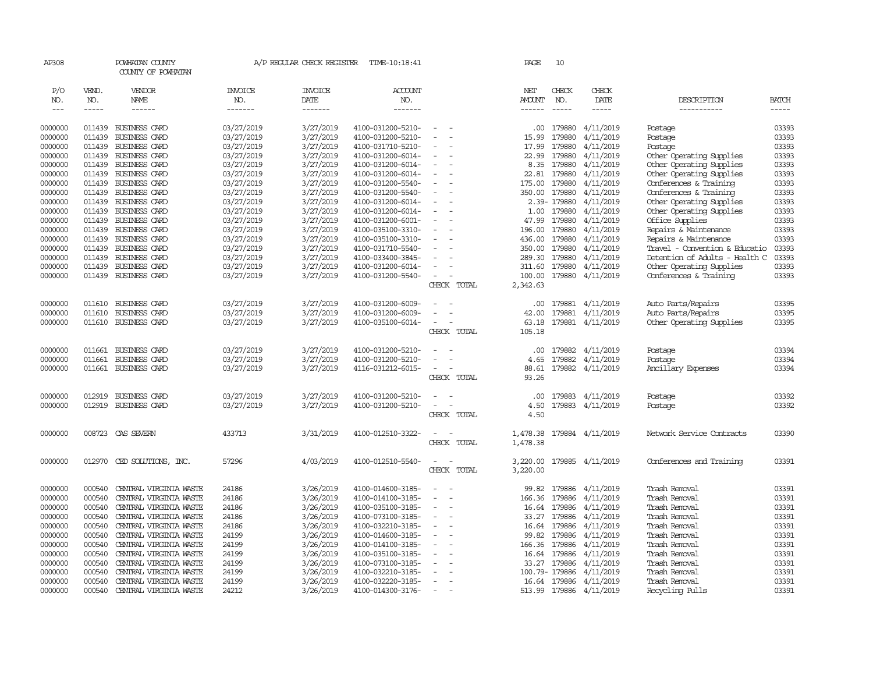| AP308      |              | POWHATAN COUNTY<br>COUNTY OF POWHATAN |                       | A/P REGULAR CHECK REGISTER | TIME-10:18:41         |                          |             | PAGE                 | 10             |                         |                                |              |
|------------|--------------|---------------------------------------|-----------------------|----------------------------|-----------------------|--------------------------|-------------|----------------------|----------------|-------------------------|--------------------------------|--------------|
| P/O<br>NO. | VEND.<br>NO. | VENDOR<br>NAME                        | <b>INVOICE</b><br>NO. | <b>INVOICE</b><br>DATE     | <b>ACCOUNT</b><br>NO. |                          |             | NET<br>AMOUNT        | CHECK<br>NO.   | CHECK<br>DATE           | DESCRIPTION                    | <b>BATCH</b> |
| $---$      | $- - - - -$  | $- - - - - -$                         | -------               | -------                    | -------               |                          |             | ------               | $- - - - -$    | $- - - - -$             | -----------                    | $- - - - -$  |
| 0000000    | 011439       | BUSINESS CARD                         | 03/27/2019            | 3/27/2019                  | 4100-031200-5210-     |                          |             |                      | .00 179880     | 4/11/2019               | Postage                        | 03393        |
| 0000000    | 011439       | BUSINESS CARD                         | 03/27/2019            | 3/27/2019                  | 4100-031200-5210-     |                          |             | 15.99                | 179880         | 4/11/2019               | Postage                        | 03393        |
| 0000000    | 011439       | BUSINESS CARD                         | 03/27/2019            | 3/27/2019                  | 4100-031710-5210-     |                          |             | 17.99                | 179880         | 4/11/2019               | Postage                        | 03393        |
| 0000000    | 011439       | BUSINESS CARD                         | 03/27/2019            | 3/27/2019                  | 4100-031200-6014-     | $\equiv$                 |             | 22.99                | 179880         | 4/11/2019               | Other Operating Supplies       | 03393        |
| 0000000    | 011439       | <b>BUSINESS CARD</b>                  | 03/27/2019            | 3/27/2019                  | 4100-031200-6014-     |                          |             | 8.35                 | 179880         | 4/11/2019               | Other Operating Supplies       | 03393        |
| 0000000    | 011439       | <b>BUSINESS CARD</b>                  | 03/27/2019            | 3/27/2019                  | 4100-031200-6014-     |                          |             | 22.81                | 179880         | 4/11/2019               | Other Operating Supplies       | 03393        |
| 0000000    | 011439       | <b>BUSINESS CARD</b>                  | 03/27/2019            | 3/27/2019                  | 4100-031200-5540-     |                          |             |                      | 175.00 179880  | 4/11/2019               | Conferences & Training         | 03393        |
| 0000000    | 011439       | BUSINESS CARD                         | 03/27/2019            | 3/27/2019                  | 4100-031200-5540-     |                          |             | 350.00               | 179880         | 4/11/2019               | Conferences & Training         | 03393        |
| 0000000    | 011439       | <b>BUSINESS CARD</b>                  | 03/27/2019            | 3/27/2019                  | 4100-031200-6014-     |                          |             |                      | 2.39-179880    | 4/11/2019               | Other Operating Supplies       | 03393        |
| 0000000    | 011439       | BUSINESS CARD                         | 03/27/2019            | 3/27/2019                  | 4100-031200-6014-     |                          |             | 1.00                 |                | 179880 4/11/2019        | Other Operating Supplies       | 03393        |
| 0000000    | 011439       | BUSINESS CARD                         | 03/27/2019            | 3/27/2019                  | 4100-031200-6001-     | $\equiv$                 |             | 47.99                |                | 179880 4/11/2019        | Office Supplies                | 03393        |
| 0000000    | 011439       | <b>BUSINESS CARD</b>                  | 03/27/2019            | 3/27/2019                  | 4100-035100-3310-     |                          |             | 196.00               | 179880         | 4/11/2019               | Repairs & Maintenance          | 03393        |
| 0000000    | 011439       | BUSINESS CARD                         | 03/27/2019            | 3/27/2019                  | 4100-035100-3310-     |                          |             | 436.00               |                | 179880 4/11/2019        | Repairs & Maintenance          | 03393        |
| 0000000    | 011439       | BUSINESS CARD                         | 03/27/2019            | 3/27/2019                  | 4100-031710-5540-     |                          |             |                      |                | 350.00 179880 4/11/2019 | Travel - Convention & Educatio | 03393        |
| 0000000    | 011439       | BUSINESS CARD                         | 03/27/2019            | 3/27/2019                  | 4100-033400-3845-     |                          |             | 289.30               | 179880         | 4/11/2019               | Detention of Adults - Health C | 03393        |
| 0000000    | 011439       | <b>BUSINESS CARD</b>                  | 03/27/2019            | 3/27/2019                  | 4100-031200-6014-     |                          |             | 311.60               |                | 179880 4/11/2019        | Other Operating Supplies       | 03393        |
| 0000000    | 011439       | BUSINESS CARD                         | 03/27/2019            | 3/27/2019                  | 4100-031200-5540-     |                          |             | 100.00               |                | 179880 4/11/2019        | Conferences & Training         | 03393        |
|            |              |                                       |                       |                            |                       |                          | CHECK TOTAL | 2,342.63             |                |                         |                                |              |
| 0000000    | 011610       | BUSINESS CARD                         | 03/27/2019            | 3/27/2019                  | 4100-031200-6009-     |                          |             | .00.                 |                | 179881 4/11/2019        | Auto Parts/Repairs             | 03395        |
| 0000000    | 011610       | BUSINESS CARD                         | 03/27/2019            | 3/27/2019                  | 4100-031200-6009-     |                          |             | 42.00                | 179881         | 4/11/2019               | Auto Parts/Repairs             | 03395        |
| 0000000    | 011610       | BUSINESS CARD                         | 03/27/2019            | 3/27/2019                  | 4100-035100-6014-     |                          |             | 63.18                |                | 179881 4/11/2019        | Other Operating Supplies       | 03395        |
|            |              |                                       |                       |                            |                       |                          | CHECK TOTAL | 105.18               |                |                         |                                |              |
| 0000000    | 011661       | BUSINESS CARD                         | 03/27/2019            | 3/27/2019                  | 4100-031200-5210-     | $\equiv$                 |             | .00                  | 179882         | 4/11/2019               | Postage                        | 03394        |
| 0000000    | 011661       | BUSINESS CARD                         | 03/27/2019            | 3/27/2019                  | 4100-031200-5210-     |                          |             | 4.65                 |                | 179882 4/11/2019        | Postage                        | 03394        |
| 0000000    |              | 011661 BUSINESS CARD                  | 03/27/2019            | 3/27/2019                  | 4116-031212-6015-     |                          |             | 88.61                |                | 179882 4/11/2019        | Ancillary Expenses             | 03394        |
|            |              |                                       |                       |                            |                       |                          | CHECK TOTAL | 93.26                |                |                         |                                |              |
| 0000000    | 012919       | BUSINESS CARD                         | 03/27/2019            | 3/27/2019                  | 4100-031200-5210-     |                          |             | .00.                 | 179883         | 4/11/2019               | Postage                        | 03392        |
| 0000000    | 012919       | BUSINESS CARD                         | 03/27/2019            | 3/27/2019                  | 4100-031200-5210-     |                          |             | 4.50                 |                | 179883 4/11/2019        | Postage                        | 03392        |
|            |              |                                       |                       |                            |                       |                          | CHECK TOTAL | 4.50                 |                |                         |                                |              |
|            |              |                                       |                       |                            |                       |                          |             |                      |                |                         |                                |              |
| 0000000    | 008723       | CAS SEVERN                            | 433713                | 3/31/2019                  | 4100-012510-3322-     |                          | CHECK TOTAL | 1,478.38<br>1,478.38 |                | 179884 4/11/2019        | Network Service Contracts      | 03390        |
|            |              |                                       |                       |                            |                       |                          |             |                      |                |                         |                                |              |
| 0000000    | 012970       | CED SOLUTIONS, INC.                   | 57296                 | 4/03/2019                  | 4100-012510-5540-     |                          |             | 3,220.00             |                | 179885 4/11/2019        | Conferences and Training       | 03391        |
|            |              |                                       |                       |                            |                       |                          | CHECK TOTAL | 3,220.00             |                |                         |                                |              |
| 0000000    | 000540       | CENTRAL VIRGINIA WASTE                | 24186                 | 3/26/2019                  | 4100-014600-3185-     |                          |             | 99.82                | 179886         | 4/11/2019               | Trash Removal                  | 03391        |
| 0000000    | 000540       | CENTRAL VIRGINIA WASTE                | 24186                 | 3/26/2019                  | 4100-014100-3185-     |                          |             | 166.36               | 179886         | 4/11/2019               | Trash Removal                  | 03391        |
| 0000000    | 000540       | CENTRAL VIRGINIA WASTE                | 24186                 | 3/26/2019                  | 4100-035100-3185-     | $\equiv$                 |             | 16.64                | 179886         | 4/11/2019               | Trash Removal                  | 03391        |
| 0000000    | 000540       | CENTRAL VIRGINIA WASTE                | 24186                 | 3/26/2019                  | 4100-073100-3185-     |                          |             | 33.27                |                | 179886 4/11/2019        | Trash Removal                  | 03391        |
| 0000000    | 000540       | CENTRAL VIRGINIA WASTE                | 24186                 | 3/26/2019                  | 4100-032210-3185-     |                          |             |                      | 16.64 179886   | 4/11/2019               | Trash Removal                  | 03391        |
| 0000000    | 000540       | CENTRAL VIRGINIA WASTE                | 24199                 | 3/26/2019                  | 4100-014600-3185-     | $\overline{\phantom{a}}$ |             | 99.82                | 179886         | 4/11/2019               | Trash Removal                  | 03391        |
| 0000000    | 000540       | CENTRAL VIRGINIA WASTE                | 24199                 | 3/26/2019                  | 4100-014100-3185-     |                          |             | 166.36               | 179886         | 4/11/2019               | Trash Removal                  | 03391        |
| 0000000    | 000540       | CENTRAL VIRGINIA WASTE                | 24199                 | 3/26/2019                  | 4100-035100-3185-     |                          |             |                      | 16.64 179886   | 4/11/2019               | Trash Removal                  | 03391        |
| 0000000    | 000540       | CENTRAL VIRGINIA WASTE                | 24199                 | 3/26/2019                  | 4100-073100-3185-     |                          |             |                      | 33.27 179886   | 4/11/2019               | Trash Removal                  | 03391        |
| 0000000    | 000540       | CENTRAL VIRGINIA WASTE                | 24199                 | 3/26/2019                  | 4100-032210-3185-     |                          |             |                      | 100.79- 179886 | 4/11/2019               | Trash Removal                  | 03391        |
| 0000000    | 000540       | CENTRAL VIRGINIA WASTE                | 24199                 | 3/26/2019                  | 4100-032220-3185-     |                          |             |                      |                | 16.64 179886 4/11/2019  | Trash Removal                  | 03391        |
| 0000000    | 000540       | CENTRAL VIRGINIA WASTE                | 24212                 | 3/26/2019                  | 4100-014300-3176-     |                          |             |                      |                | 513.99 179886 4/11/2019 | Recycling Pulls                | 03391        |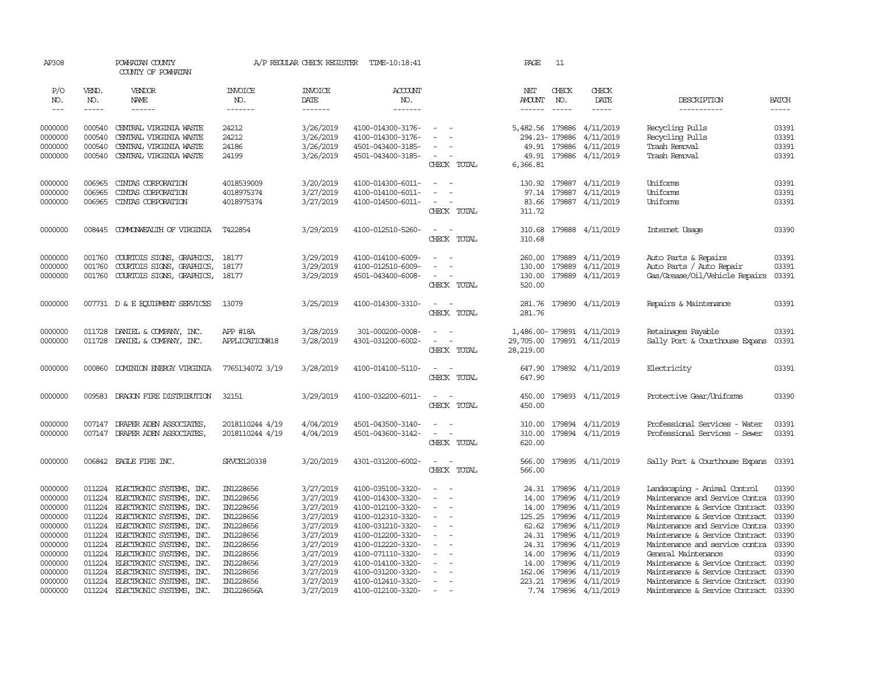| AP308                       |                       | POWHATAN COUNTY<br>COUNTY OF POWHATAN                |                                  | A/P REGULAR CHECK REGISTER        | TIME-10:18:41                          |                                                      | PAGE                           | 11                       |                                      |                                                                  |                                      |
|-----------------------------|-----------------------|------------------------------------------------------|----------------------------------|-----------------------------------|----------------------------------------|------------------------------------------------------|--------------------------------|--------------------------|--------------------------------------|------------------------------------------------------------------|--------------------------------------|
| P/O<br>NO.<br>$\frac{1}{2}$ | VEND.<br>NO.<br>----- | VENDOR<br>NAME<br>$- - - - - -$                      | <b>INVOICE</b><br>NO.<br>------- | <b>INVOICE</b><br>DATE<br>------- | <b>ACCOUNT</b><br>NO.<br>-------       |                                                      | NET<br><b>AMOUNT</b><br>------ | CHECK<br>NO.<br>$\cdots$ | CHECK<br>DATE<br>-----               | DESCRIPTION<br>-----------                                       | <b>BATCH</b><br>$\cdots\cdots\cdots$ |
| 0000000                     | 000540                | CENTRAL VIRGINIA WASTE                               | 24212                            | 3/26/2019                         | 4100-014300-3176-                      | $\sim$                                               |                                |                          | 5,482.56 179886 4/11/2019            | Recycling Pulls                                                  | 03391                                |
| 0000000                     | 000540                | CENTRAL VIRGINIA WASTE                               | 24212                            | 3/26/2019                         | 4100-014300-3176-                      | $\sim$                                               |                                | 294.23-179886            | 4/11/2019                            | Recycling Pulls                                                  | 03391                                |
| 0000000                     | 000540                | CENTRAL VIRGINIA WASTE                               | 24186                            | 3/26/2019                         | 4501-043400-3185-                      | $\overline{\phantom{a}}$                             |                                | 49.91 179886             | 4/11/2019                            | Trash Removal                                                    | 03391                                |
| 0000000                     | 000540                | CENTRAL VIRGINIA WASTE                               | 24199                            | 3/26/2019                         | 4501-043400-3185-                      | $\sim$                                               |                                | 49.91 179886             | 4/11/2019                            | Trash Removal                                                    | 03391                                |
|                             |                       |                                                      |                                  |                                   |                                        | CHECK TOTAL                                          | 6,366.81                       |                          |                                      |                                                                  |                                      |
| 0000000                     | 006965                | CINIAS CORPORATION                                   | 4018539009                       | 3/20/2019                         | 4100-014300-6011-                      | $\sim$                                               |                                |                          | 130.92 179887 4/11/2019              | Uniforms                                                         | 03391                                |
| 0000000                     | 006965                | CINIAS CORPORATION                                   | 4018975374                       | 3/27/2019                         | 4100-014100-6011-                      |                                                      |                                |                          | 97.14 179887 4/11/2019               | Uniforms                                                         | 03391                                |
| 0000000                     | 006965                | CINIAS CORPORATION                                   | 4018975374                       | 3/27/2019                         | 4100-014500-6011-                      | $\sim$<br>$\overline{\phantom{a}}$                   |                                |                          | 83.66 179887 4/11/2019               | Uniforms                                                         | 03391                                |
|                             |                       |                                                      |                                  |                                   |                                        | CHECK TOTAL                                          | 311.72                         |                          |                                      |                                                                  |                                      |
| 0000000                     | 008445                | COMMONWEALTH OF VIRGINIA                             | T422854                          | 3/29/2019                         | 4100-012510-5260-                      | $\overline{\phantom{a}}$                             | 310.68                         |                          | 179888 4/11/2019                     | Internet Usage                                                   | 03390                                |
|                             |                       |                                                      |                                  |                                   |                                        | CHECK TOTAL                                          | 310.68                         |                          |                                      |                                                                  |                                      |
| 0000000                     | 001760                | COURTOIS SIGNS, GRAPHICS,                            | 18177                            | 3/29/2019                         | 4100-014100-6009-                      | $\equiv$                                             |                                |                          | 260.00 179889 4/11/2019              | Auto Parts & Repairs                                             | 03391                                |
| 0000000                     | 001760                | COURTOIS SIGNS, GRAPHICS,                            | 18177                            | 3/29/2019                         | 4100-012510-6009-                      |                                                      |                                | 130.00 179889            | 4/11/2019                            | Auto Parts / Auto Repair                                         | 03391                                |
| 0000000                     | 001760                | COURTOIS SIGNS, GRAPHICS,                            | 18177                            | 3/29/2019                         | 4501-043400-6008-                      | $\sim$                                               |                                |                          | 130.00 179889 4/11/2019              | Gas/Grease/Oil/Vehicle Repairs                                   | 03391                                |
|                             |                       |                                                      |                                  |                                   |                                        | CHECK TOTAL                                          | 520.00                         |                          |                                      |                                                                  |                                      |
| 0000000                     |                       | 007731 D & E EQUIPMENT SERVICES                      | 13079                            | 3/25/2019                         | 4100-014300-3310-                      | $\sim$<br>$\sim$                                     |                                |                          | 281.76 179890 4/11/2019              | Repairs & Maintenance                                            | 03391                                |
|                             |                       |                                                      |                                  |                                   |                                        | CHECK TOTAL                                          | 281.76                         |                          |                                      |                                                                  |                                      |
| 0000000                     | 011728                | DANIEL & COMPANY, INC.                               | APP #18A                         | 3/28/2019                         | 301-000200-0008-                       |                                                      |                                |                          | 1,486.00-179891 4/11/2019            | Retainages Payable                                               | 03391                                |
| 0000000                     |                       | 011728 DANIEL & COMPANY, INC.                        | APPLICATION#18                   | 3/28/2019                         | 4301-031200-6002-                      | $\sim$<br>$\sim$                                     |                                |                          | 29,705.00 179891 4/11/2019           | Sally Port & Courthouse Expans                                   | 03391                                |
|                             |                       |                                                      |                                  |                                   |                                        | CHECK TOTAL                                          | 28,219.00                      |                          |                                      |                                                                  |                                      |
| 0000000                     | 000860                | DOMINION ENERGY VIRGINIA                             | 7765134072 3/19                  | 3/28/2019                         | 4100-014100-5110-                      | $\sim$ $-$                                           |                                |                          | 647.90 179892 4/11/2019              | Electricity                                                      | 03391                                |
|                             |                       |                                                      |                                  |                                   |                                        | CHECK TOTAL                                          | 647.90                         |                          |                                      |                                                                  |                                      |
| 0000000                     | 009583                | DRAGON FIRE DISTRIBUTION                             | 32151                            | 3/29/2019                         | 4100-032200-6011-                      | $\sim$ $-$                                           |                                |                          | 450.00 179893 4/11/2019              | Protective Gear/Uniforms                                         | 03390                                |
|                             |                       |                                                      |                                  |                                   |                                        | CHECK TOTAL                                          | 450.00                         |                          |                                      |                                                                  |                                      |
| 0000000                     | 007147                | DRAPER ADEN ASSOCIATES,                              | 2018110244 4/19                  | 4/04/2019                         | 4501-043500-3140-                      | $\overline{\phantom{a}}$                             |                                |                          | 310.00 179894 4/11/2019              | Professional Services - Water                                    | 03391                                |
| 0000000                     |                       | 007147 DRAPER ADEN ASSOCIATES.                       | 2018110244 4/19                  | 4/04/2019                         | 4501-043600-3142-                      | $\overline{\phantom{a}}$                             | 310.00                         |                          | 179894 4/11/2019                     | Professional Services - Sewer                                    | 03391                                |
|                             |                       |                                                      |                                  |                                   |                                        | CHECK TOTAL                                          | 620.00                         |                          |                                      |                                                                  |                                      |
| 0000000                     |                       | 006842 EAGLE FIRE INC.                               | SRVCE120338                      | 3/20/2019                         | 4301-031200-6002-                      | $\sim$                                               |                                |                          | 566.00 179895 4/11/2019              | Sally Port & Courthouse Expans                                   | 03391                                |
|                             |                       |                                                      |                                  |                                   |                                        | CHECK TOTAL                                          | 566.00                         |                          |                                      |                                                                  |                                      |
| 0000000                     | 011224                | ELECTRONIC SYSTEMS, INC.                             | IN1228656                        | 3/27/2019                         | 4100-035100-3320-                      | $\overline{\phantom{a}}$                             |                                |                          | 24.31 179896 4/11/2019               | Landscaping - Animal Control                                     | 03390                                |
| 0000000                     | 011224                | ELECTRONIC SYSTEMS, INC.                             | IN1228656                        | 3/27/2019                         | 4100-014300-3320-                      | $\overline{\phantom{a}}$<br>$\overline{\phantom{a}}$ |                                |                          | 14.00 179896 4/11/2019               | Maintenance and Service Contra                                   | 03390                                |
| 0000000                     | 011224                | ELECTRONIC SYSTEMS, INC.                             | IN1228656                        | 3/27/2019                         | 4100-012100-3320-                      | $\sim$                                               |                                | 14.00 179896             | 4/11/2019                            | Maintenance & Service Contract                                   | 03390                                |
| 0000000                     | 011224                | ELECTRONIC SYSTEMS, INC.                             | IN1228656                        | 3/27/2019                         | 4100-012310-3320-                      | $\sim$                                               |                                | 125.25 179896            | 4/11/2019                            | Maintenance & Service Contract 03390                             |                                      |
| 0000000                     | 011224                | ELECTRONIC SYSTEMS, INC.                             | IN1228656                        | 3/27/2019                         | 4100-031210-3320-                      | $\equiv$                                             |                                | 62.62 179896             | 4/11/2019                            | Maintenance and Service Contra                                   | 03390                                |
| 0000000                     | 011224                | ELECTRONIC SYSTEMS, INC.                             | IN1228656                        | 3/27/2019                         | 4100-012200-3320-                      | $\overline{\phantom{a}}$                             |                                | 24.31 179896             | 4/11/2019                            | Maintenance & Service Contract                                   | 03390                                |
| 0000000                     | 011224                | ELECTRONIC SYSTEMS, INC.                             | IN1228656                        | 3/27/2019                         | 4100-012220-3320-                      |                                                      |                                | 24.31 179896             | 4/11/2019                            | Maintenance and service contra                                   | 03390                                |
| 0000000                     | 011224                | ELECTRONIC SYSTEMS, INC.                             | IN1228656                        | 3/27/2019                         | 4100-071110-3320-                      |                                                      |                                |                          | 14.00 179896 4/11/2019               | General Maintenance                                              | 03390                                |
| 0000000                     | 011224                | ELECTRONIC SYSTEMS, INC.                             | IN1228656                        | 3/27/2019                         | 4100-014100-3320-                      | $\equiv$                                             |                                | 14.00 179896             | 4/11/2019                            | Maintenance & Service Contract 03390                             |                                      |
| 0000000<br>0000000          | 011224<br>011224      | ELECTRONIC SYSTEMS, INC.                             | IN1228656<br>IN1228656           | 3/27/2019<br>3/27/2019            | 4100-031200-3320-                      | $\overline{a}$                                       |                                | 162.06 179896            | 4/11/2019<br>223.21 179896 4/11/2019 | Maintenance & Service Contract                                   | 03390<br>03390                       |
| 0000000                     | 011224                | ELECTRONIC SYSTEMS, INC.<br>ELECTRONIC SYSTEMS, INC. | IN1228656A                       | 3/27/2019                         | 4100-012410-3320-<br>4100-012100-3320- | $\sim$                                               |                                |                          | 7.74 179896 4/11/2019                | Maintenance & Service Contract<br>Maintenance & Service Contract | 03390                                |
|                             |                       |                                                      |                                  |                                   |                                        |                                                      |                                |                          |                                      |                                                                  |                                      |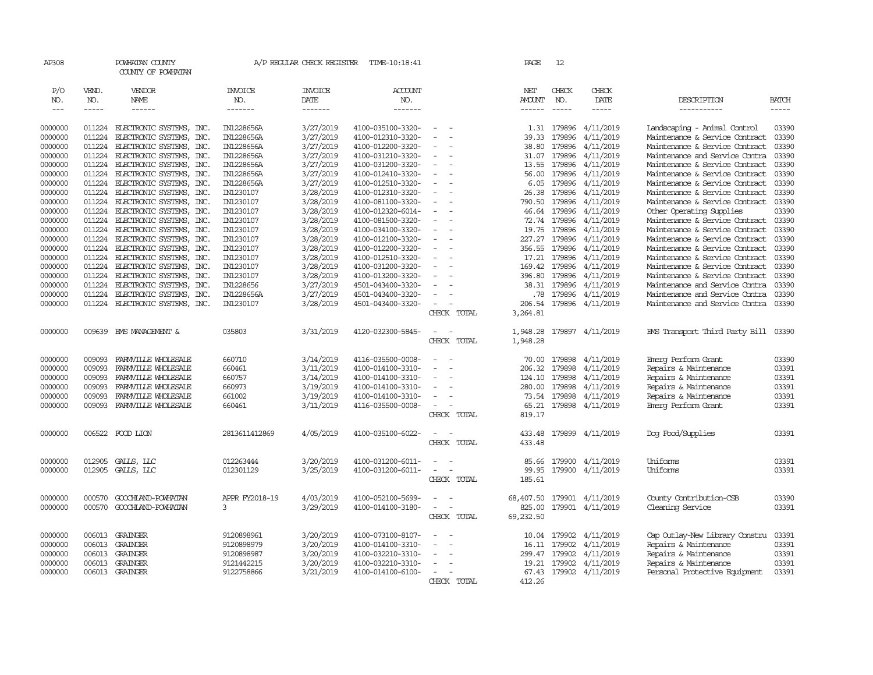| AP308   |        | POWHATAN COUNTY<br>COUNTY OF POWHATAN |                | A/P REGULAR CHECK REGISTER | TIME-10:18:41     |                          | PAGE          | 12            |                        |                                |               |
|---------|--------|---------------------------------------|----------------|----------------------------|-------------------|--------------------------|---------------|---------------|------------------------|--------------------------------|---------------|
| P/O     | VEND.  | VENDOR                                | <b>INVOICE</b> | <b>INVOICE</b>             | <b>ACCOUNT</b>    |                          | NET           | CHECK         | CHECK                  |                                |               |
| NO.     | NO.    | NAME                                  | NO.            | DATE                       | NO.               |                          | <b>AMOUNT</b> | NO.           | DATE                   | DESCRIPTION                    | <b>BATCH</b>  |
| $---$   | -----  | ------                                | -------        | -------                    | -------           |                          | ------        |               | -----                  | -----------                    | $\frac{1}{2}$ |
| 0000000 | 011224 | ELECTRONIC SYSTEMS, INC.              | IN1228656A     | 3/27/2019                  | 4100-035100-3320- |                          | 1.31          | 179896        | 4/11/2019              | Landscaping - Animal Control   | 03390         |
| 0000000 | 011224 | ELECTRONIC SYSTEMS, INC.              | IN1228656A     | 3/27/2019                  | 4100-012310-3320- |                          | 39.33         | 179896        | 4/11/2019              | Maintenance & Service Contract | 03390         |
| 0000000 | 011224 | ELECTRONIC SYSTEMS, INC.              | IN1228656A     | 3/27/2019                  | 4100-012200-3320- | $\equiv$                 | 38.80         | 179896        | 4/11/2019              | Maintenance & Service Contract | 03390         |
| 0000000 | 011224 | ELECTRONIC SYSTEMS, INC.              | IN1228656A     | 3/27/2019                  | 4100-031210-3320- |                          | 31.07         | 179896        | 4/11/2019              | Maintenance and Service Contra | 03390         |
| 0000000 | 011224 | ELECTRONIC SYSTEMS, INC.              | IN1228656A     | 3/27/2019                  | 4100-031200-3320- |                          | 13.55         | 179896        | 4/11/2019              | Maintenance & Service Contract | 03390         |
| 0000000 | 011224 | ELECTRONIC SYSTEMS, INC.              | IN1228656A     | 3/27/2019                  | 4100-012410-3320- |                          | 56.00         | 179896        | 4/11/2019              | Maintenance & Service Contract | 03390         |
| 0000000 | 011224 | ELECTRONIC SYSTEMS, INC.              | IN1228656A     | 3/27/2019                  | 4100-012510-3320- |                          | 6.05          | 179896        | 4/11/2019              | Maintenance & Service Contract | 03390         |
| 0000000 | 011224 | ELECTRONIC SYSTEMS, INC.              | IN1230107      | 3/28/2019                  | 4100-012310-3320- |                          | 26.38         | 179896        | 4/11/2019              | Maintenance & Service Contract | 03390         |
| 0000000 | 011224 | ELECTRONIC SYSTEMS, INC.              | IN1230107      | 3/28/2019                  | 4100-081100-3320- |                          | 790.50        | 179896        | 4/11/2019              | Maintenance & Service Contract | 03390         |
| 0000000 | 011224 | ELECTRONIC SYSTEMS, INC.              | IN1230107      | 3/28/2019                  | 4100-012320-6014- |                          | 46.64         | 179896        | 4/11/2019              | Other Operating Supplies       | 03390         |
| 0000000 | 011224 | ELECTRONIC SYSTEMS, INC.              | IN1230107      | 3/28/2019                  | 4100-081500-3320- |                          | 72.74         | 179896        | 4/11/2019              | Maintenance & Service Contract | 03390         |
| 0000000 | 011224 | ELECTRONIC SYSTEMS, INC.              | IN1230107      | 3/28/2019                  | 4100-034100-3320- |                          | 19.75         | 179896        | 4/11/2019              | Maintenance & Service Contract | 03390         |
| 0000000 | 011224 | ELECTRONIC SYSTEMS, INC.              | IN1230107      | 3/28/2019                  | 4100-012100-3320- |                          | 227.27        | 179896        | 4/11/2019              | Maintenance & Service Contract | 03390         |
| 0000000 | 011224 | ELECTRONIC SYSTEMS,<br>INC.           | IN1230107      | 3/28/2019                  | 4100-012200-3320- |                          | 356.55        | 179896        | 4/11/2019              | Maintenance & Service Contract | 03390         |
| 0000000 | 011224 | ELECTRONIC SYSTEMS, INC.              | IN1230107      | 3/28/2019                  | 4100-012510-3320- |                          |               | 17.21 179896  | 4/11/2019              | Maintenance & Service Contract | 03390         |
| 0000000 | 011224 | ELECTRONIC SYSTEMS, INC.              | IN1230107      | 3/28/2019                  | 4100-031200-3320- | ÷.                       | 169.42        | 179896        | 4/11/2019              | Maintenance & Service Contract | 03390         |
| 0000000 | 011224 | ELECTRONIC SYSTEMS, INC.              | IN1230107      | 3/28/2019                  | 4100-013200-3320- |                          | 396.80        | 179896        | 4/11/2019              | Maintenance & Service Contract | 03390         |
| 0000000 | 011224 | ELECTRONIC SYSTEMS, INC.              | IN1228656      | 3/27/2019                  | 4501-043400-3320- |                          | 38.31         | 179896        | 4/11/2019              | Maintenance and Service Contra | 03390         |
| 0000000 | 011224 | ELECTRONIC SYSTEMS, INC.              | IN1228656A     | 3/27/2019                  | 4501-043400-3320- | $\sim$                   | .78           | 179896        | 4/11/2019              | Maintenance and Service Contra | 03390         |
| 0000000 | 011224 | ELECTRONIC SYSTEMS, INC.              | IN1230107      | 3/28/2019                  | 4501-043400-3320- | $\overline{\phantom{a}}$ | 206.54        | 179896        | 4/11/2019              | Maintenance and Service Contra | 03390         |
|         |        |                                       |                |                            |                   | CHECK TOTAL              | 3,264.81      |               |                        |                                |               |
| 0000000 | 009639 | EMS MANAGEMENT &                      | 035803         | 3/31/2019                  | 4120-032300-5845- | $\overline{\phantom{a}}$ | 1,948.28      | 179897        | 4/11/2019              | EMS Transport Third Party Bill | 03390         |
|         |        |                                       |                |                            |                   | CHECK TOTAL              | 1,948.28      |               |                        |                                |               |
| 0000000 | 009093 | FARMVILLE WHOLESALE                   | 660710         | 3/14/2019                  | 4116-035500-0008- | $\equiv$                 | 70.00         | 179898        | 4/11/2019              | Emerg Perform Grant            | 03390         |
| 0000000 | 009093 | FARMVILLE WHOLESALE                   | 660461         | 3/11/2019                  | 4100-014100-3310- |                          | 206.32        | 179898        | 4/11/2019              | Repairs & Maintenance          | 03391         |
| 0000000 | 009093 | FARMVILLE WHOLESALE                   | 660757         | 3/14/2019                  | 4100-014100-3310- |                          | 124.10        | 179898        | 4/11/2019              | Repairs & Maintenance          | 03391         |
| 0000000 | 009093 | FARMVILLE WHOLESALE                   | 660973         | 3/19/2019                  | 4100-014100-3310- |                          | 280.00        | 179898        | 4/11/2019              | Repairs & Maintenance          | 03391         |
| 0000000 | 009093 | FARMVILLE WHOLESALE                   | 661002         | 3/19/2019                  | 4100-014100-3310- | $\equiv$                 | 73.54         | 179898        | 4/11/2019              | Repairs & Maintenance          | 03391         |
| 0000000 | 009093 | FARMVILLE WHOLESALE                   | 660461         | 3/11/2019                  | 4116-035500-0008- | $\equiv$                 |               |               | 65.21 179898 4/11/2019 | Emerg Perform Grant            | 03391         |
|         |        |                                       |                |                            |                   | CHECK TOTAL              | 819.17        |               |                        |                                |               |
| 0000000 |        | 006522 FOOD LION                      | 2813611412869  | 4/05/2019                  | 4100-035100-6022- | $\sim$<br>$\sim$         | 433.48        |               | 179899 4/11/2019       | Dog Food/Supplies              | 03391         |
|         |        |                                       |                |                            |                   | CHECK TOTAL              | 433.48        |               |                        |                                |               |
| 0000000 | 012905 | GALLS, LLC                            | 012263444      | 3/20/2019                  | 4100-031200-6011- |                          | 85.66         | 179900        | 4/11/2019              | Uniforms                       | 03391         |
| 0000000 | 012905 | GALLS, LLC                            | 012301129      | 3/25/2019                  | 4100-031200-6011- | $\overline{\phantom{a}}$ | 99.95         | 179900        | 4/11/2019              | Uniforms                       | 03391         |
|         |        |                                       |                |                            |                   | CHECK TOTAL              | 185.61        |               |                        |                                |               |
| 0000000 | 000570 | GOOCHLAND-POWHATAN                    | APPR FY2018-19 | 4/03/2019                  | 4100-052100-5699- | $\overline{\phantom{a}}$ | 68,407.50     |               | 179901 4/11/2019       | County Contribution-CSB        | 03390         |
| 0000000 | 000570 | GOOCHLAND-POWHATAN                    | 3              | 3/29/2019                  | 4100-014100-3180- | $\sim$                   | 825.00        | 179901        | 4/11/2019              | Cleaning Service               | 03391         |
|         |        |                                       |                |                            |                   | CHECK TOTAL              | 69,232.50     |               |                        |                                |               |
| 0000000 | 006013 | GRAINGER                              | 9120898961     | 3/20/2019                  | 4100-073100-8107- | $\equiv$                 | 10.04         | 179902        | 4/11/2019              | Cap Outlay-New Library Constru | 03391         |
| 0000000 | 006013 | GRAINGER                              | 9120898979     | 3/20/2019                  | 4100-014100-3310- |                          | 16.11         | 179902        | 4/11/2019              | Repairs & Maintenance          | 03391         |
| 0000000 | 006013 | GRAINGER                              | 9120898987     | 3/20/2019                  | 4100-032210-3310- |                          |               | 299.47 179902 | 4/11/2019              | Repairs & Maintenance          | 03391         |
| 0000000 | 006013 | GRAINGER                              | 9121442215     | 3/20/2019                  | 4100-032210-3310- | $\equiv$                 | 19.21         | 179902        | 4/11/2019              | Repairs & Maintenance          | 03391         |
| 0000000 |        | 006013 GRAINGER                       | 9122758866     | 3/21/2019                  | 4100-014100-6100- | $\equiv$                 | 67.43         |               | 179902 4/11/2019       | Personal Protective Equipment  | 03391         |
|         |        |                                       |                |                            |                   | CHECK TOTAL              | 412.26        |               |                        |                                |               |
|         |        |                                       |                |                            |                   |                          |               |               |                        |                                |               |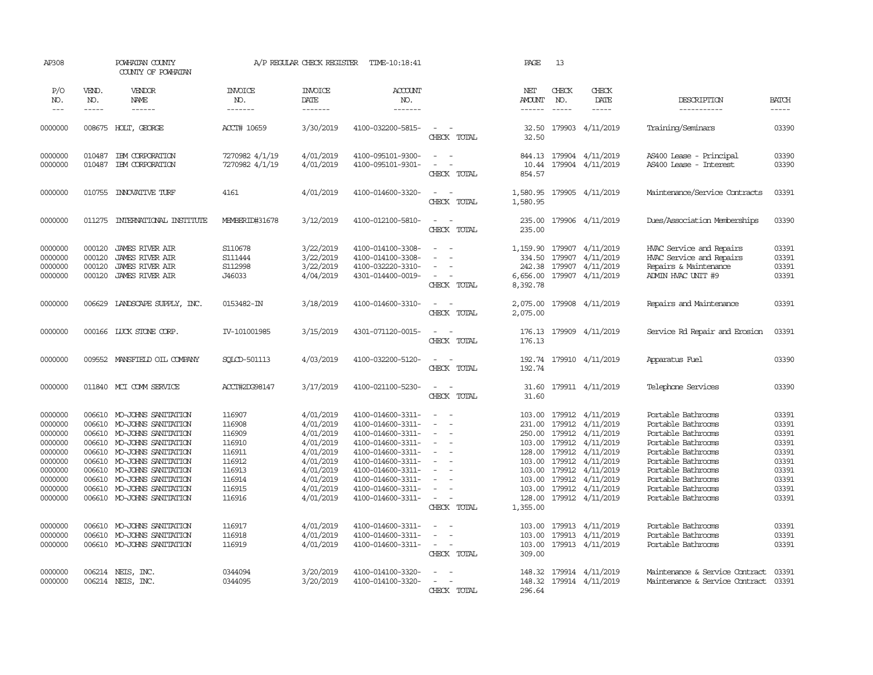| AP308                                                                                                      |                                                                                        | POWHATAN COUNTY<br>COUNTY OF POWHATAN                                                                                                                                                                                                     |                                                                                                  | A/P REGULAR CHECK REGISTER                                                                                                     | TIME-10:18:41                                                                                                                                                                                                  |                                                                                                 | PAGE                                                 | 13                                     |                                                                                                                                                                                                                                  |                                                                                                                                                                                                                          |                                                                                        |
|------------------------------------------------------------------------------------------------------------|----------------------------------------------------------------------------------------|-------------------------------------------------------------------------------------------------------------------------------------------------------------------------------------------------------------------------------------------|--------------------------------------------------------------------------------------------------|--------------------------------------------------------------------------------------------------------------------------------|----------------------------------------------------------------------------------------------------------------------------------------------------------------------------------------------------------------|-------------------------------------------------------------------------------------------------|------------------------------------------------------|----------------------------------------|----------------------------------------------------------------------------------------------------------------------------------------------------------------------------------------------------------------------------------|--------------------------------------------------------------------------------------------------------------------------------------------------------------------------------------------------------------------------|----------------------------------------------------------------------------------------|
| P/O<br>NO.<br>$\frac{1}{2}$                                                                                | VEND.<br>NO.<br>-----                                                                  | VENDOR<br>NAME<br>------                                                                                                                                                                                                                  | <b>INVOICE</b><br>NO.<br>-------                                                                 | <b>INVOICE</b><br>DATE<br>-------                                                                                              | <b>ACCOUNT</b><br>NO.<br>-------                                                                                                                                                                               |                                                                                                 | NET<br><b>AMOUNT</b><br>------                       | CHECK<br>NO.<br>$\cdots \cdots \cdots$ | CHECK<br>DATE<br>-----                                                                                                                                                                                                           | DESCRIPTION<br>-----------                                                                                                                                                                                               | <b>BATCH</b><br>$- - - - -$                                                            |
| 0000000                                                                                                    |                                                                                        | 008675 HOLT, GEORGE                                                                                                                                                                                                                       | ACCT# 10659                                                                                      | 3/30/2019                                                                                                                      | 4100-032200-5815-                                                                                                                                                                                              | $\sim$<br>$\sim$<br>CHECK TOTAL                                                                 | 32.50<br>32.50                                       |                                        | 179903 4/11/2019                                                                                                                                                                                                                 | Training/Seminars                                                                                                                                                                                                        | 03390                                                                                  |
| 0000000<br>0000000                                                                                         | 010487<br>010487                                                                       | IBM CORPORATION<br>IBM CORPORATION                                                                                                                                                                                                        | 7270982 4/1/19<br>7270982 4/1/19                                                                 | 4/01/2019<br>4/01/2019                                                                                                         | 4100-095101-9300-<br>4100-095101-9301-                                                                                                                                                                         | $\sim$<br>$\sim$ $-$<br>$\equiv$<br>CHECK TOTAL                                                 | 844.13<br>10.44<br>854.57                            |                                        | 179904 4/11/2019<br>179904 4/11/2019                                                                                                                                                                                             | AS400 Lease - Principal<br>AS400 Lease - Interest                                                                                                                                                                        | 03390<br>03390                                                                         |
| 0000000                                                                                                    | 010755                                                                                 | <b>INOVATIVE TURF</b>                                                                                                                                                                                                                     | 4161                                                                                             | 4/01/2019                                                                                                                      | 4100-014600-3320-                                                                                                                                                                                              | $\sim$<br>$\sim$<br>CHECK TOTAL                                                                 | 1,580.95<br>1,580.95                                 |                                        | 179905 4/11/2019                                                                                                                                                                                                                 | Maintenance/Service Contracts                                                                                                                                                                                            | 03391                                                                                  |
| 0000000                                                                                                    | 011275                                                                                 | INIERNATIONAL INSTITUIE                                                                                                                                                                                                                   | MEMBERID#31678                                                                                   | 3/12/2019                                                                                                                      | 4100-012100-5810-                                                                                                                                                                                              | $\sim$<br>in 19<br>CHECK TOTAL                                                                  | 235.00<br>235.00                                     |                                        | 179906 4/11/2019                                                                                                                                                                                                                 | Dues/Association Memberships                                                                                                                                                                                             | 03390                                                                                  |
| 0000000<br>0000000<br>0000000<br>0000000                                                                   | 000120<br>000120<br>000120<br>000120                                                   | JAMES RIVER AIR<br><b>JAMES RIVER AIR</b><br><b>JAMES RIVER AIR</b><br><b>JAMES RIVER AIR</b>                                                                                                                                             | S110678<br>S111444<br>S112998<br>J46033                                                          | 3/22/2019<br>3/22/2019<br>3/22/2019<br>4/04/2019                                                                               | 4100-014100-3308-<br>4100-014100-3308-<br>4100-032220-3310-<br>4301-014400-0019-                                                                                                                               | $\equiv$<br>- 1<br>$\sim$<br>$\sim$<br>CHECK TOTAL                                              | 1,159.90<br>334.50<br>242.38<br>6,656.00<br>8,392.78 | 179907                                 | 179907 4/11/2019<br>4/11/2019<br>179907 4/11/2019<br>179907 4/11/2019                                                                                                                                                            | HVAC Service and Repairs<br>HVAC Service and Repairs<br>Repairs & Maintenance<br>ADMIN HVAC UNIT #9                                                                                                                      | 03391<br>03391<br>03391<br>03391                                                       |
| 0000000                                                                                                    | 006629                                                                                 | LANDSCAPE SUPPLY, INC.                                                                                                                                                                                                                    | 0153482-IN                                                                                       | 3/18/2019                                                                                                                      | 4100-014600-3310-                                                                                                                                                                                              | $\sim$ $ \sim$<br>CHECK TOTAL                                                                   | 2,075.00                                             |                                        | 2,075.00 179908 4/11/2019                                                                                                                                                                                                        | Repairs and Maintenance                                                                                                                                                                                                  | 03391                                                                                  |
| 0000000                                                                                                    |                                                                                        | 000166 LUCK STONE CORP.                                                                                                                                                                                                                   | IV-101001985                                                                                     | 3/15/2019                                                                                                                      | 4301-071120-0015-                                                                                                                                                                                              | $\sim$<br>$\sim$<br>CHECK TOTAL                                                                 | 176.13                                               |                                        | 176.13 179909 4/11/2019                                                                                                                                                                                                          | Service Rd Repair and Erosion                                                                                                                                                                                            | 03391                                                                                  |
| 0000000                                                                                                    |                                                                                        | 009552 MANSFIELD OIL COMPANY                                                                                                                                                                                                              | SOLCD-501113                                                                                     | 4/03/2019                                                                                                                      | 4100-032200-5120-                                                                                                                                                                                              | $\sim$<br>$\sim$<br>CHECK TOTAL                                                                 | 192.74<br>192.74                                     |                                        | 179910 4/11/2019                                                                                                                                                                                                                 | Apparatus Fuel                                                                                                                                                                                                           | 03390                                                                                  |
| 0000000                                                                                                    |                                                                                        | 011840 MCI COMM SERVICE                                                                                                                                                                                                                   | ACCT#2DG98147                                                                                    | 3/17/2019                                                                                                                      | 4100-021100-5230-                                                                                                                                                                                              | $\sim$<br>$\overline{\phantom{a}}$<br>CHECK TOTAL                                               | 31.60<br>31.60                                       |                                        | 179911 4/11/2019                                                                                                                                                                                                                 | Telephone Services                                                                                                                                                                                                       | 03390                                                                                  |
| 0000000<br>0000000<br>0000000<br>0000000<br>0000000<br>0000000<br>0000000<br>0000000<br>0000000<br>0000000 | 006610<br>006610<br>006610<br>006610<br>006610<br>006610<br>006610<br>006610<br>006610 | MO-JOHNS SANITATION<br>MO-JOHNS SANITATION<br>MO-JOHNS SANITATION<br>MO-JOHNS SANITATION<br>MO-JOHNS SANITATION<br>MO-JOHNS SANITATION<br>MO-JOHNS SANITATION<br>MO-JOHNS SANITATION<br>MO-JOHNS SANITATION<br>006610 MO-JOHNS SANITATION | 116907<br>116908<br>116909<br>116910<br>116911<br>116912<br>116913<br>116914<br>116915<br>116916 | 4/01/2019<br>4/01/2019<br>4/01/2019<br>4/01/2019<br>4/01/2019<br>4/01/2019<br>4/01/2019<br>4/01/2019<br>4/01/2019<br>4/01/2019 | 4100-014600-3311-<br>4100-014600-3311-<br>4100-014600-3311-<br>4100-014600-3311-<br>4100-014600-3311-<br>4100-014600-3311-<br>4100-014600-3311-<br>4100-014600-3311-<br>4100-014600-3311-<br>4100-014600-3311- | $\sim$<br>$\blacksquare$<br>$\equiv$<br>$\equiv$<br>$\sim$<br>$\equiv$<br>$\sim$<br>CHECK TOTAL | 103.00<br>231.00<br>103.00<br>1,355.00               | 103.00 179912<br>179912                | 179912 4/11/2019<br>179912 4/11/2019<br>250.00 179912 4/11/2019<br>103.00 179912 4/11/2019<br>128.00 179912 4/11/2019<br>4/11/2019<br>103.00 179912 4/11/2019<br>4/11/2019<br>103.00 179912 4/11/2019<br>128.00 179912 4/11/2019 | Portable Bathrooms<br>Portable Bathrooms<br>Portable Bathrooms<br>Portable Bathrooms<br>Portable Bathrooms<br>Portable Bathrooms<br>Portable Bathrooms<br>Portable Bathrooms<br>Portable Bathrooms<br>Portable Bathrooms | 03391<br>03391<br>03391<br>03391<br>03391<br>03391<br>03391<br>03391<br>03391<br>03391 |
| 0000000<br>0000000<br>0000000                                                                              | 006610                                                                                 | 006610 MO-JOHNS SANITATION<br>MO-JOHNS SANITATION<br>006610 MO-JOHNS SANITATION                                                                                                                                                           | 116917<br>116918<br>116919                                                                       | 4/01/2019<br>4/01/2019<br>4/01/2019                                                                                            | 4100-014600-3311-<br>4100-014600-3311-<br>4100-014600-3311-                                                                                                                                                    | $\sim$<br>$\sim$<br>$\equiv$<br>$\sim$<br>$\overline{\phantom{a}}$<br>CHECK TOTAL               | 103.00<br>103.00<br>309.00                           |                                        | 103.00 179913 4/11/2019<br>179913 4/11/2019<br>179913 4/11/2019                                                                                                                                                                  | Portable Bathrooms<br>Portable Bathrooms<br>Portable Bathrooms                                                                                                                                                           | 03391<br>03391<br>03391                                                                |
| 0000000<br>0000000                                                                                         |                                                                                        | 006214 NEIS, INC.<br>006214 NEIS, INC.                                                                                                                                                                                                    | 0344094<br>0344095                                                                               | 3/20/2019<br>3/20/2019                                                                                                         | 4100-014100-3320-<br>4100-014100-3320-                                                                                                                                                                         | $\equiv$<br>$\overline{a}$<br>$\sim$<br>CHECK TOTAL                                             | 148.32<br>296.64                                     |                                        | 179914 4/11/2019<br>148.32 179914 4/11/2019                                                                                                                                                                                      | Maintenance & Service Contract<br>Maintenance & Service Contract                                                                                                                                                         | 03391<br>03391                                                                         |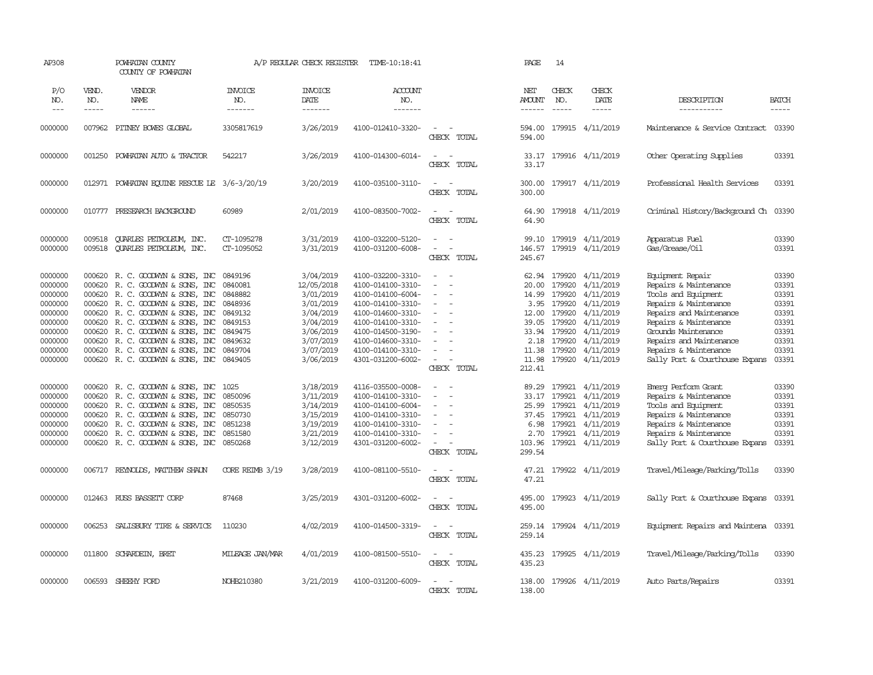| AP308                                                                                                                                                             |                                                                                                  | POWHATAN COUNTY<br>COUNTY OF POWHATAN                                                                                                                                                                                                                                                                                                                                                                                                                                             |                                                                                                                                                                | A/P REGULAR CHECK REGISTER                                                                                                                                                                       | TIME-10:18:41                                                                                                                                                                                                                                                                                                           |                                                                                                                                                                                                                        | PAGE                                                                                                                                       | 14                                                                                                                                       |                                                                                                                                                                                                        |                                                                                                                                                                                                                                                                                                                                                                                     |                                                                                                                                     |
|-------------------------------------------------------------------------------------------------------------------------------------------------------------------|--------------------------------------------------------------------------------------------------|-----------------------------------------------------------------------------------------------------------------------------------------------------------------------------------------------------------------------------------------------------------------------------------------------------------------------------------------------------------------------------------------------------------------------------------------------------------------------------------|----------------------------------------------------------------------------------------------------------------------------------------------------------------|--------------------------------------------------------------------------------------------------------------------------------------------------------------------------------------------------|-------------------------------------------------------------------------------------------------------------------------------------------------------------------------------------------------------------------------------------------------------------------------------------------------------------------------|------------------------------------------------------------------------------------------------------------------------------------------------------------------------------------------------------------------------|--------------------------------------------------------------------------------------------------------------------------------------------|------------------------------------------------------------------------------------------------------------------------------------------|--------------------------------------------------------------------------------------------------------------------------------------------------------------------------------------------------------|-------------------------------------------------------------------------------------------------------------------------------------------------------------------------------------------------------------------------------------------------------------------------------------------------------------------------------------------------------------------------------------|-------------------------------------------------------------------------------------------------------------------------------------|
| P/O<br>NO.<br>$\frac{1}{2}$                                                                                                                                       | VEND.<br>NO.<br>-----                                                                            | VENDOR<br>NAME<br>------                                                                                                                                                                                                                                                                                                                                                                                                                                                          | <b>INVOICE</b><br>NO.<br>-------                                                                                                                               | <b>INVOICE</b><br>DATE<br>-------                                                                                                                                                                | <b>ACCOUNT</b><br>NO.<br>-------                                                                                                                                                                                                                                                                                        |                                                                                                                                                                                                                        | NET<br>AMOUNT                                                                                                                              | CHECK<br>NO.<br>$\frac{1}{2}$                                                                                                            | CHECK<br>DATE<br>-----                                                                                                                                                                                 | DESCRIPTION<br>-----------                                                                                                                                                                                                                                                                                                                                                          | <b>BATCH</b><br>-----                                                                                                               |
| 0000000                                                                                                                                                           | 007962                                                                                           | PITNEY BOWES GLOBAL                                                                                                                                                                                                                                                                                                                                                                                                                                                               | 3305817619                                                                                                                                                     | 3/26/2019                                                                                                                                                                                        | 4100-012410-3320-                                                                                                                                                                                                                                                                                                       | $\overline{\phantom{a}}$<br>CHECK TOTAL                                                                                                                                                                                | 594.00<br>594.00                                                                                                                           |                                                                                                                                          | 179915 4/11/2019                                                                                                                                                                                       | Maintenance & Service Contract                                                                                                                                                                                                                                                                                                                                                      | 03390                                                                                                                               |
| 0000000                                                                                                                                                           | 001250                                                                                           | POWHATAN AUTO & TRACTOR                                                                                                                                                                                                                                                                                                                                                                                                                                                           | 542217                                                                                                                                                         | 3/26/2019                                                                                                                                                                                        | 4100-014300-6014-                                                                                                                                                                                                                                                                                                       | $\overline{\phantom{a}}$<br>$\sim$<br>CHECK TOTAL                                                                                                                                                                      | 33.17<br>33.17                                                                                                                             |                                                                                                                                          | 179916 4/11/2019                                                                                                                                                                                       | Other Operating Supplies                                                                                                                                                                                                                                                                                                                                                            | 03391                                                                                                                               |
| 0000000                                                                                                                                                           |                                                                                                  | 012971 POWHATAN EQUINE RESCUE LE 3/6-3/20/19                                                                                                                                                                                                                                                                                                                                                                                                                                      |                                                                                                                                                                | 3/20/2019                                                                                                                                                                                        | 4100-035100-3110-                                                                                                                                                                                                                                                                                                       | $\sim$<br>$\overline{\phantom{a}}$<br>CHECK TOTAL                                                                                                                                                                      | 300.00<br>300.00                                                                                                                           |                                                                                                                                          | 179917 4/11/2019                                                                                                                                                                                       | Professional Health Services                                                                                                                                                                                                                                                                                                                                                        | 03391                                                                                                                               |
| 0000000                                                                                                                                                           | 010777                                                                                           | PRESEARCH BACKGROUND                                                                                                                                                                                                                                                                                                                                                                                                                                                              | 60989                                                                                                                                                          | 2/01/2019                                                                                                                                                                                        | 4100-083500-7002-                                                                                                                                                                                                                                                                                                       | $\sim$<br>$\sim$<br>CHECK TOTAL                                                                                                                                                                                        | 64.90<br>64.90                                                                                                                             |                                                                                                                                          | 179918 4/11/2019                                                                                                                                                                                       | Criminal History/Background Ch                                                                                                                                                                                                                                                                                                                                                      | 03390                                                                                                                               |
| 0000000<br>0000000                                                                                                                                                | 009518<br>009518                                                                                 | QUARLES PETROLEUM, INC.<br><b>OUARLES PETROLEUM, INC.</b>                                                                                                                                                                                                                                                                                                                                                                                                                         | CT-1095278<br>CT-1095052                                                                                                                                       | 3/31/2019<br>3/31/2019                                                                                                                                                                           | 4100-032200-5120-<br>4100-031200-6008-                                                                                                                                                                                                                                                                                  | $\equiv$<br>$\overline{a}$<br>CHECK TOTAL                                                                                                                                                                              | 99.10<br>146.57<br>245.67                                                                                                                  | 179919                                                                                                                                   | 4/11/2019<br>179919 4/11/2019                                                                                                                                                                          | Apparatus Fuel<br>Gas/Grease/0il                                                                                                                                                                                                                                                                                                                                                    | 03390<br>03391                                                                                                                      |
| 0000000<br>0000000<br>0000000<br>0000000<br>0000000<br>0000000<br>0000000<br>0000000<br>0000000<br>0000000<br>0000000<br>0000000<br>0000000<br>0000000<br>0000000 | 000620<br>000620<br>000620<br>000620<br>000620<br>000620<br>000620<br>000620<br>000620<br>000620 | R. C. GOODWYN & SONS, INC<br>R. C. GOODWYN & SONS, INC<br>R. C. GOODWIN & SONS, INC<br>000620 R.C. GOODWYN & SONS, INC<br>000620 R. C. GOODWIN & SONS, INC<br>R. C. GOODWYN & SONS, INC<br>000620 R. C. GOODWIN & SONS, INC<br>R. C. GOODWIN & SONS, INC<br>R. C. GOODWYN & SONS, INC<br>000620 R. C. GOODWYN & SONS, INC<br>000620 R. C. GOODWYN & SONS, INC<br>R. C. GOODWIN & SONS, INC<br>R. C. GOODWIN & SONS, INC<br>R. C. GOODWYN & SONS, INC<br>R. C. GOODWIN & SONS, INC | 0849196<br>0840081<br>0848882<br>0848936<br>0849132<br>0849153<br>0849475<br>0849632<br>0849704<br>0849405<br>1025<br>0850096<br>0850535<br>0850730<br>0851238 | 3/04/2019<br>12/05/2018<br>3/01/2019<br>3/01/2019<br>3/04/2019<br>3/04/2019<br>3/06/2019<br>3/07/2019<br>3/07/2019<br>3/06/2019<br>3/18/2019<br>3/11/2019<br>3/14/2019<br>3/15/2019<br>3/19/2019 | 4100-032200-3310-<br>4100-014100-3310-<br>4100-014100-6004-<br>4100-014100-3310-<br>4100-014600-3310-<br>4100-014100-3310-<br>4100-014500-3190-<br>4100-014600-3310-<br>4100-014100-3310-<br>4301-031200-6002-<br>4116-035500-0008-<br>4100-014100-3310-<br>4100-014100-6004-<br>4100-014100-3310-<br>4100-014100-3310- | $\equiv$<br>$\equiv$<br>$\sim$<br>$\sim$<br>$\overline{\phantom{a}}$<br>$\equiv$<br>$\equiv$<br>$\equiv$<br>$\overline{\phantom{a}}$<br>CHECK TOTAL<br>$\equiv$<br>. —<br>$\blacksquare$<br>$\blacksquare$<br>$\equiv$ | 62.94<br>20.00<br>14.99<br>3.95<br>12.00<br>39.05<br>33.94<br>2.18<br>11.38<br>11.98<br>212.41<br>89.29<br>33.17<br>25.99<br>37.45<br>6.98 | 179920<br>179920<br>179920<br>179920<br>179920<br>179920<br>179920<br>179920<br>179920<br>179920<br>179921<br>179921<br>179921<br>179921 | 4/11/2019<br>4/11/2019<br>4/11/2019<br>4/11/2019<br>4/11/2019<br>4/11/2019<br>4/11/2019<br>4/11/2019<br>4/11/2019<br>4/11/2019<br>179921 4/11/2019<br>4/11/2019<br>4/11/2019<br>4/11/2019<br>4/11/2019 | Equipment Repair<br>Repairs & Maintenance<br>Tools and Equipment<br>Repairs & Maintenance<br>Repairs and Maintenance<br>Repairs & Maintenance<br>Grounds Maintenance<br>Repairs and Maintenance<br>Repairs & Maintenance<br>Sally Port & Courthouse Expans<br>Emerg Perform Grant<br>Repairs & Maintenance<br>Tools and Equipment<br>Repairs & Maintenance<br>Repairs & Maintenance | 03390<br>03391<br>03391<br>03391<br>03391<br>03391<br>03391<br>03391<br>03391<br>03391<br>03390<br>03391<br>03391<br>03391<br>03391 |
| 0000000<br>0000000                                                                                                                                                | 000620                                                                                           | R. C. GOODWIN & SONS, INC<br>000620 R. C. GOODWIN & SONS, INC                                                                                                                                                                                                                                                                                                                                                                                                                     | 0851580<br>0850268                                                                                                                                             | 3/21/2019<br>3/12/2019                                                                                                                                                                           | 4100-014100-3310-<br>4301-031200-6002-                                                                                                                                                                                                                                                                                  | $\sim$<br>CHECK TOTAL                                                                                                                                                                                                  | 2.70<br>103.96<br>299.54                                                                                                                   | 179921                                                                                                                                   | 4/11/2019<br>179921 4/11/2019                                                                                                                                                                          | Repairs & Maintenance<br>Sally Port & Courthouse Expans                                                                                                                                                                                                                                                                                                                             | 03391<br>03391                                                                                                                      |
| 0000000                                                                                                                                                           |                                                                                                  | 006717 REYNOLDS, MATTHEW SHALN                                                                                                                                                                                                                                                                                                                                                                                                                                                    | CORE REIMB 3/19                                                                                                                                                | 3/28/2019                                                                                                                                                                                        | 4100-081100-5510-                                                                                                                                                                                                                                                                                                       | $\overline{\phantom{a}}$<br>$\sim$<br>CHECK TOTAL                                                                                                                                                                      | 47.21                                                                                                                                      |                                                                                                                                          | 47.21 179922 4/11/2019                                                                                                                                                                                 | Travel/Mileage/Parking/Tolls                                                                                                                                                                                                                                                                                                                                                        | 03390                                                                                                                               |
| 0000000                                                                                                                                                           |                                                                                                  | 012463 RUSS BASSETT CORP                                                                                                                                                                                                                                                                                                                                                                                                                                                          | 87468                                                                                                                                                          | 3/25/2019                                                                                                                                                                                        | 4301-031200-6002-                                                                                                                                                                                                                                                                                                       | $\sim$<br>$\sim$<br>CHECK TOTAL                                                                                                                                                                                        | 495.00<br>495.00                                                                                                                           |                                                                                                                                          | 179923 4/11/2019                                                                                                                                                                                       | Sally Port & Courthouse Expans                                                                                                                                                                                                                                                                                                                                                      | 03391                                                                                                                               |
| 0000000                                                                                                                                                           | 006253                                                                                           | SALISBURY TIRE & SERVICE                                                                                                                                                                                                                                                                                                                                                                                                                                                          | 110230                                                                                                                                                         | 4/02/2019                                                                                                                                                                                        | 4100-014500-3319-                                                                                                                                                                                                                                                                                                       | $\sim$<br>$\sim$<br>CHECK TOTAL                                                                                                                                                                                        | 259.14<br>259.14                                                                                                                           |                                                                                                                                          | 179924 4/11/2019                                                                                                                                                                                       | Equipment Repairs and Maintena                                                                                                                                                                                                                                                                                                                                                      | 03391                                                                                                                               |
| 0000000                                                                                                                                                           | 011800                                                                                           | SCHARDEIN, BRET                                                                                                                                                                                                                                                                                                                                                                                                                                                                   | MILEAGE JAN/MAR                                                                                                                                                | 4/01/2019                                                                                                                                                                                        | 4100-081500-5510-                                                                                                                                                                                                                                                                                                       | $\sim$<br>$\overline{a}$<br>CHECK TOTAL                                                                                                                                                                                | 435.23<br>435.23                                                                                                                           |                                                                                                                                          | 179925 4/11/2019                                                                                                                                                                                       | Travel/Mileage/Parking/Tolls                                                                                                                                                                                                                                                                                                                                                        | 03390                                                                                                                               |
| 0000000                                                                                                                                                           |                                                                                                  | 006593 SHEEHY FORD                                                                                                                                                                                                                                                                                                                                                                                                                                                                | NOHB210380                                                                                                                                                     | 3/21/2019                                                                                                                                                                                        | 4100-031200-6009-                                                                                                                                                                                                                                                                                                       | $\sim$<br>CHECK TOTAL                                                                                                                                                                                                  | 138.00<br>138.00                                                                                                                           |                                                                                                                                          | 179926 4/11/2019                                                                                                                                                                                       | Auto Parts/Repairs                                                                                                                                                                                                                                                                                                                                                                  | 03391                                                                                                                               |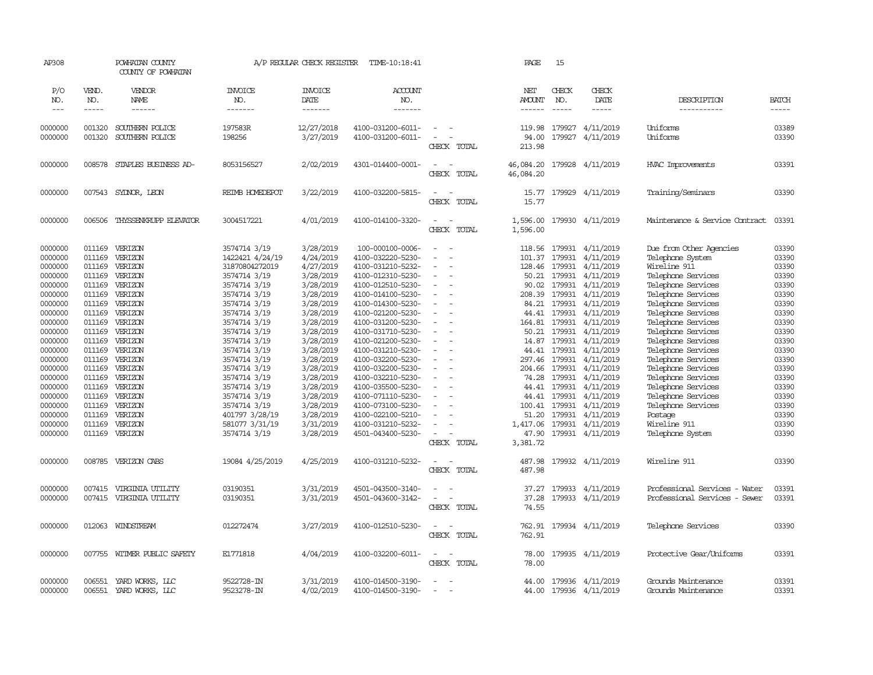| AP308      |              | POWHATAN COUNTY<br>COUNTY OF POWHATAN |                       | A/P REGULAR CHECK REGISTER | TIME-10:18:41         |                                                      | PAGE                 | 15                                                                                                                                                                                                                                                                                                                                                                                                                                                                         |                         |                                |              |
|------------|--------------|---------------------------------------|-----------------------|----------------------------|-----------------------|------------------------------------------------------|----------------------|----------------------------------------------------------------------------------------------------------------------------------------------------------------------------------------------------------------------------------------------------------------------------------------------------------------------------------------------------------------------------------------------------------------------------------------------------------------------------|-------------------------|--------------------------------|--------------|
| P/O<br>NO. | VEND.<br>NO. | VENDOR<br>NAME                        | <b>INVOICE</b><br>NO. | <b>INVOICE</b><br>DATE     | <b>ACCOUNT</b><br>NO. |                                                      | NET<br><b>AMOUNT</b> | CHECK<br>NO.                                                                                                                                                                                                                                                                                                                                                                                                                                                               | CHECK<br>DATE           | DESCRIPTION                    | <b>BATCH</b> |
| $---$      | -----        | ------                                | -------               | --------                   | -------               |                                                      | $- - - - - -$        | $\frac{1}{2} \left( \frac{1}{2} \right) \left( \frac{1}{2} \right) \left( \frac{1}{2} \right) \left( \frac{1}{2} \right) \left( \frac{1}{2} \right) \left( \frac{1}{2} \right) \left( \frac{1}{2} \right) \left( \frac{1}{2} \right) \left( \frac{1}{2} \right) \left( \frac{1}{2} \right) \left( \frac{1}{2} \right) \left( \frac{1}{2} \right) \left( \frac{1}{2} \right) \left( \frac{1}{2} \right) \left( \frac{1}{2} \right) \left( \frac{1}{2} \right) \left( \frac$ | $\cdots\cdots\cdots$    | -----------                    | -----        |
|            |              |                                       |                       |                            |                       |                                                      |                      |                                                                                                                                                                                                                                                                                                                                                                                                                                                                            |                         |                                |              |
| 0000000    | 001320       | SOUTHERN POLICE                       | 197583R               | 12/27/2018                 | 4100-031200-6011-     |                                                      | 119.98               | 179927                                                                                                                                                                                                                                                                                                                                                                                                                                                                     | 4/11/2019               | Uniforms                       | 03389        |
| 0000000    | 001320       | SOUTHERN POLICE                       | 198256                | 3/27/2019                  | 4100-031200-6011-     | $\equiv$<br>$\overline{\phantom{a}}$                 | 94.00                | 179927                                                                                                                                                                                                                                                                                                                                                                                                                                                                     | 4/11/2019               | Uniforms                       | 03390        |
|            |              |                                       |                       |                            |                       | CHECK TOTAL                                          | 213.98               |                                                                                                                                                                                                                                                                                                                                                                                                                                                                            |                         |                                |              |
| 0000000    | 008578       | STAPLES BUSINESS AD-                  | 8053156527            | 2/02/2019                  | 4301-014400-0001-     | $\overline{\phantom{a}}$<br>$\overline{\phantom{a}}$ | 46,084.20            | 179928                                                                                                                                                                                                                                                                                                                                                                                                                                                                     | 4/11/2019               | HVAC Improvements              | 03391        |
|            |              |                                       |                       |                            |                       | CHECK TOTAL                                          | 46,084.20            |                                                                                                                                                                                                                                                                                                                                                                                                                                                                            |                         |                                |              |
|            |              |                                       |                       |                            |                       | $\sim$                                               |                      |                                                                                                                                                                                                                                                                                                                                                                                                                                                                            |                         |                                |              |
| 0000000    | 007543       | SYDNOR, LEON                          | REIMB HOMEDEPOT       | 3/22/2019                  | 4100-032200-5815-     | $\sim$                                               | 15.77                |                                                                                                                                                                                                                                                                                                                                                                                                                                                                            | 179929 4/11/2019        | Training/Seminars              | 03390        |
|            |              |                                       |                       |                            |                       | CHECK TOTAL                                          | 15.77                |                                                                                                                                                                                                                                                                                                                                                                                                                                                                            |                         |                                |              |
| 0000000    | 006506       | THYSSENKRUPP ELEVATOR                 | 3004517221            | 4/01/2019                  | 4100-014100-3320-     | $\equiv$<br>$\overline{\phantom{a}}$                 | 1,596.00             |                                                                                                                                                                                                                                                                                                                                                                                                                                                                            | 179930 4/11/2019        | Maintenance & Service Contract | 03391        |
|            |              |                                       |                       |                            |                       | CHECK TOTAL                                          | 1,596.00             |                                                                                                                                                                                                                                                                                                                                                                                                                                                                            |                         |                                |              |
| 0000000    | 011169       | VERIZON                               | 3574714 3/19          | 3/28/2019                  | 100-000100-0006-      |                                                      | 118.56               | 179931                                                                                                                                                                                                                                                                                                                                                                                                                                                                     | 4/11/2019               | Due from Other Agencies        | 03390        |
| 0000000    | 011169       | VERIZON                               | 1422421 4/24/19       | 4/24/2019                  | 4100-032220-5230-     | $\sim$<br>$\overline{a}$                             | 101.37               | 179931                                                                                                                                                                                                                                                                                                                                                                                                                                                                     | 4/11/2019               | Telephone System               | 03390        |
| 0000000    | 011169       | VERIZON                               | 31870804272019        | 4/27/2019                  | 4100-031210-5232-     |                                                      | 128.46               | 179931                                                                                                                                                                                                                                                                                                                                                                                                                                                                     | 4/11/2019               | Wireline 911                   | 03390        |
| 0000000    | 011169       | VERIZON                               | 3574714 3/19          | 3/28/2019                  | 4100-012310-5230-     |                                                      |                      | 50.21 179931                                                                                                                                                                                                                                                                                                                                                                                                                                                               | 4/11/2019               | Telephone Services             | 03390        |
| 0000000    | 011169       | VERIZON                               | 3574714 3/19          | 3/28/2019                  | 4100-012510-5230-     |                                                      | 90.02                | 179931                                                                                                                                                                                                                                                                                                                                                                                                                                                                     | 4/11/2019               | Telephone Services             | 03390        |
| 0000000    | 011169       | VERIZON                               | 3574714 3/19          | 3/28/2019                  | 4100-014100-5230-     |                                                      | 208.39               | 179931                                                                                                                                                                                                                                                                                                                                                                                                                                                                     | 4/11/2019               | Telephone Services             | 03390        |
| 0000000    | 011169       | VERIZON                               | 3574714 3/19          | 3/28/2019                  | 4100-014300-5230-     |                                                      |                      | 84.21 179931                                                                                                                                                                                                                                                                                                                                                                                                                                                               | 4/11/2019               | Telephone Services             | 03390        |
| 0000000    | 011169       | VERIZON                               | 3574714 3/19          | 3/28/2019                  | 4100-021200-5230-     | $\sim$<br>$\sim$                                     |                      | 44.41 179931                                                                                                                                                                                                                                                                                                                                                                                                                                                               | 4/11/2019               | Telephone Services             | 03390        |
| 0000000    | 011169       | VERIZON                               | 3574714 3/19          | 3/28/2019                  | 4100-031200-5230-     |                                                      | 164.81               | 179931                                                                                                                                                                                                                                                                                                                                                                                                                                                                     | 4/11/2019               | Telephone Services             | 03390        |
| 0000000    | 011169       | VERIZON                               | 3574714 3/19          | 3/28/2019                  | 4100-031710-5230-     |                                                      | 50.21                | 179931                                                                                                                                                                                                                                                                                                                                                                                                                                                                     | 4/11/2019               | Telephone Services             | 03390        |
| 0000000    | 011169       | VERIZON                               | 3574714 3/19          | 3/28/2019                  | 4100-021200-5230-     | $\equiv$                                             |                      | 14.87 179931                                                                                                                                                                                                                                                                                                                                                                                                                                                               | 4/11/2019               | Telephone Services             | 03390        |
| 0000000    | 011169       | VERIZON                               | 3574714 3/19          | 3/28/2019                  | 4100-031210-5230-     |                                                      | 44.41                | 179931                                                                                                                                                                                                                                                                                                                                                                                                                                                                     | 4/11/2019               | Telephone Services             | 03390        |
| 0000000    | 011169       | VERIZON                               | 3574714 3/19          | 3/28/2019                  | 4100-032200-5230-     | $\sim$                                               | 297.46               | 179931                                                                                                                                                                                                                                                                                                                                                                                                                                                                     | 4/11/2019               | Telephone Services             | 03390        |
| 0000000    | 011169       | VERIZON                               | 3574714 3/19          | 3/28/2019                  | 4100-032200-5230-     |                                                      | 204.66               | 179931                                                                                                                                                                                                                                                                                                                                                                                                                                                                     | 4/11/2019               | Telephone Services             | 03390        |
| 0000000    | 011169       | VERIZON                               | 3574714 3/19          | 3/28/2019                  | 4100-032210-5230-     | $\sim$                                               | 74.28                | 179931                                                                                                                                                                                                                                                                                                                                                                                                                                                                     | 4/11/2019               | Telephone Services             | 03390        |
| 0000000    | 011169       | VERIZON                               | 3574714 3/19          | 3/28/2019                  | 4100-035500-5230-     | $\sim$                                               | 44.41                | 179931                                                                                                                                                                                                                                                                                                                                                                                                                                                                     | 4/11/2019               | Telephone Services             | 03390        |
| 0000000    | 011169       | VERIZON                               | 3574714 3/19          | 3/28/2019                  | 4100-071110-5230-     |                                                      | 44.41                | 179931                                                                                                                                                                                                                                                                                                                                                                                                                                                                     | 4/11/2019               | Telephone Services             | 03390        |
| 0000000    | 011169       | VERIZON                               | 3574714 3/19          | 3/28/2019                  | 4100-073100-5230-     | $\sim$                                               | 100.41               | 179931                                                                                                                                                                                                                                                                                                                                                                                                                                                                     | 4/11/2019               | Telephone Services             | 03390        |
| 0000000    | 011169       | VERIZON                               | 401797 3/28/19        | 3/28/2019                  | 4100-022100-5210-     |                                                      | 51.20                | 179931                                                                                                                                                                                                                                                                                                                                                                                                                                                                     | 4/11/2019               | Postage                        | 03390        |
| 0000000    | 011169       | VERIZON                               | 581077 3/31/19        | 3/31/2019                  | 4100-031210-5232-     |                                                      | 1,417.06             | 179931                                                                                                                                                                                                                                                                                                                                                                                                                                                                     | 4/11/2019               | Wireline 911                   | 03390        |
| 0000000    | 011169       | VERIZON                               | 3574714 3/19          | 3/28/2019                  | 4501-043400-5230-     |                                                      | 47.90                |                                                                                                                                                                                                                                                                                                                                                                                                                                                                            | 179931 4/11/2019        | Telephone System               | 03390        |
|            |              |                                       |                       |                            |                       | CHECK TOTAL                                          | 3,381.72             |                                                                                                                                                                                                                                                                                                                                                                                                                                                                            |                         |                                |              |
|            |              |                                       |                       |                            |                       |                                                      |                      |                                                                                                                                                                                                                                                                                                                                                                                                                                                                            |                         |                                |              |
| 0000000    | 008785       | VERIZON CABS                          | 19084 4/25/2019       | 4/25/2019                  | 4100-031210-5232-     | $\sim$                                               | 487.98               |                                                                                                                                                                                                                                                                                                                                                                                                                                                                            | 179932 4/11/2019        | Wireline 911                   | 03390        |
|            |              |                                       |                       |                            |                       | CHECK TOTAL                                          | 487.98               |                                                                                                                                                                                                                                                                                                                                                                                                                                                                            |                         |                                |              |
| 0000000    | 007415       | VIRGINIA UTILITY                      | 03190351              | 3/31/2019                  | 4501-043500-3140-     |                                                      | 37.27                | 179933                                                                                                                                                                                                                                                                                                                                                                                                                                                                     | 4/11/2019               | Professional Services - Water  | 03391        |
| 0000000    |              | 007415 VIRGINIA UTILITY               | 03190351              | 3/31/2019                  | 4501-043600-3142-     | $\sim$<br>$\overline{\phantom{a}}$                   | 37.28                |                                                                                                                                                                                                                                                                                                                                                                                                                                                                            | 179933 4/11/2019        | Professional Services - Sewer  | 03391        |
|            |              |                                       |                       |                            |                       | CHECK TOTAL                                          | 74.55                |                                                                                                                                                                                                                                                                                                                                                                                                                                                                            |                         |                                |              |
|            |              |                                       |                       |                            |                       |                                                      |                      |                                                                                                                                                                                                                                                                                                                                                                                                                                                                            |                         |                                |              |
| 0000000    |              | 012063 WINDSTREAM                     | 012272474             | 3/27/2019                  | 4100-012510-5230-     | $\sim$<br>$\sim$                                     |                      |                                                                                                                                                                                                                                                                                                                                                                                                                                                                            | 762.91 179934 4/11/2019 | Telephone Services             | 03390        |
|            |              |                                       |                       |                            |                       | CHECK TOTAL                                          | 762.91               |                                                                                                                                                                                                                                                                                                                                                                                                                                                                            |                         |                                |              |
| 0000000    |              | 007755 WITMER PUBLIC SAFETY           | E1771818              | 4/04/2019                  | 4100-032200-6011-     | $\sim$<br>$\sim$                                     | 78.00                |                                                                                                                                                                                                                                                                                                                                                                                                                                                                            | 179935 4/11/2019        | Protective Gear/Uniforms       | 03391        |
|            |              |                                       |                       |                            |                       | CHECK TOTAL                                          | 78.00                |                                                                                                                                                                                                                                                                                                                                                                                                                                                                            |                         |                                |              |
|            |              |                                       |                       |                            |                       |                                                      |                      |                                                                                                                                                                                                                                                                                                                                                                                                                                                                            |                         |                                |              |
| 0000000    | 006551       | YARD WORKS, LLC                       | 9522728-IN            | 3/31/2019                  | 4100-014500-3190-     | $\overline{\phantom{a}}$                             | 44.00                |                                                                                                                                                                                                                                                                                                                                                                                                                                                                            | 179936 4/11/2019        | Grounds Maintenance            | 03391        |
| 0000000    | 006551       | YARD WORKS, LLC                       | 9523278-IN            | 4/02/2019                  | 4100-014500-3190-     |                                                      | 44.00                |                                                                                                                                                                                                                                                                                                                                                                                                                                                                            | 179936 4/11/2019        | Grounds Maintenance            | 03391        |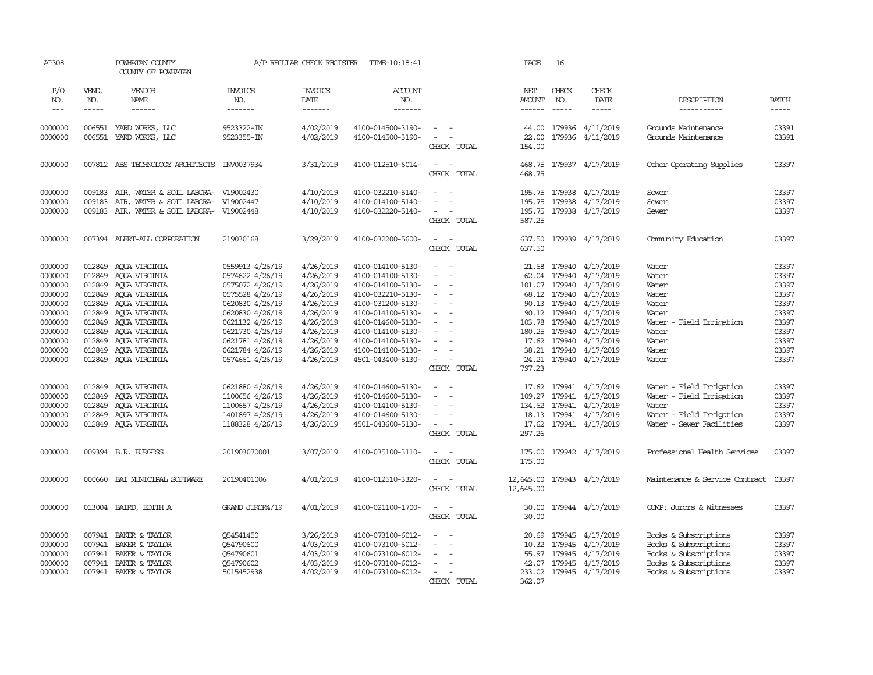| AP308                                                                                                                 |                             | POWHATAN COUNTY<br>COUNTY OF POWHATAN                                                                                                                                                                                                                         |                                                                                                                                                                                                               | A/P REGULAR CHECK REGISTER                                                                                                                  | TIME-10:18:41                                                                                                                                                                                                                       |                                                                                                                                                                                                                 | PAGE                                 | 16                                                                                                                                 |                                                                                                                                                                 |                                                                                                                           |                                                                                                 |
|-----------------------------------------------------------------------------------------------------------------------|-----------------------------|---------------------------------------------------------------------------------------------------------------------------------------------------------------------------------------------------------------------------------------------------------------|---------------------------------------------------------------------------------------------------------------------------------------------------------------------------------------------------------------|---------------------------------------------------------------------------------------------------------------------------------------------|-------------------------------------------------------------------------------------------------------------------------------------------------------------------------------------------------------------------------------------|-----------------------------------------------------------------------------------------------------------------------------------------------------------------------------------------------------------------|--------------------------------------|------------------------------------------------------------------------------------------------------------------------------------|-----------------------------------------------------------------------------------------------------------------------------------------------------------------|---------------------------------------------------------------------------------------------------------------------------|-------------------------------------------------------------------------------------------------|
| P/O<br>NO.<br>$\cdots$                                                                                                | VEND.<br>NO.<br>$- - - - -$ | VENDOR<br>NAME                                                                                                                                                                                                                                                | <b>INVOICE</b><br>NO.<br>-------                                                                                                                                                                              | <b>INVOICE</b><br>DATE<br>-------                                                                                                           | ACCOUNT<br>NO.<br>--------                                                                                                                                                                                                          |                                                                                                                                                                                                                 | NET<br><b>AMOUNT</b><br>------       | CHECK<br>NO.<br>$- - - - -$                                                                                                        | CHECK<br>DATE<br>$\begin{tabular}{ccccc} - & - & - & - \\ \hline \end{tabular}$                                                                                 | DESCRIPTION<br>-----------                                                                                                | <b>BATCH</b><br>$- - - - -$                                                                     |
| 0000000<br>0000000                                                                                                    |                             | 006551 YARD WORKS, LLC<br>006551 YARD WORKS, LLC                                                                                                                                                                                                              | 9523322-IN<br>9523355-IN                                                                                                                                                                                      | 4/02/2019<br>4/02/2019                                                                                                                      | 4100-014500-3190-<br>4100-014500-3190-                                                                                                                                                                                              | $\sim$<br>$\sim$ $ \sim$<br>CHECK TOTAL                                                                                                                                                                         | 44.00<br>22.00<br>154.00             |                                                                                                                                    | 179936 4/11/2019<br>179936 4/11/2019                                                                                                                            | Grounds Maintenance<br>Grounds Maintenance                                                                                | 03391<br>03391                                                                                  |
| 0000000                                                                                                               |                             | 007812 ABS TECHNOLOGY ARCHITECTS INV0037934                                                                                                                                                                                                                   |                                                                                                                                                                                                               | 3/31/2019                                                                                                                                   | 4100-012510-6014-                                                                                                                                                                                                                   | $\sim$ $ \sim$<br>CHECK TOTAL                                                                                                                                                                                   | 468.75                               |                                                                                                                                    | 468.75 179937 4/17/2019                                                                                                                                         | Other Operating Supplies                                                                                                  | 03397                                                                                           |
| 0000000<br>0000000<br>0000000                                                                                         | 009183                      | 009183 AIR, WATER & SOIL LABORA- V19002430<br>AIR, WATER & SOIL LABORA- V19002447<br>009183 AIR, WATER & SOIL LABORA- V19002448                                                                                                                               |                                                                                                                                                                                                               | 4/10/2019<br>4/10/2019<br>4/10/2019                                                                                                         | 4100-032210-5140-<br>4100-014100-5140-<br>4100-032220-5140-                                                                                                                                                                         | $\sim$<br>$\sim$<br>$\sim$<br>$\sim$<br>CHECK TOTAL                                                                                                                                                             | 195.75<br>195.75<br>195.75<br>587.25 | 179938                                                                                                                             | 4/17/2019<br>179938 4/17/2019<br>179938 4/17/2019                                                                                                               | Sewer<br>Sewer<br>Sewer                                                                                                   | 03397<br>03397<br>03397                                                                         |
| 0000000                                                                                                               |                             | 007394 ALERT-ALL CORPORATION                                                                                                                                                                                                                                  | 219030168                                                                                                                                                                                                     | 3/29/2019                                                                                                                                   | 4100-032200-5600-                                                                                                                                                                                                                   | $\sim$<br>$\sim$<br>CHECK TOTAL                                                                                                                                                                                 | 637.50<br>637.50                     |                                                                                                                                    | 179939 4/17/2019                                                                                                                                                | Comunity Education                                                                                                        | 03397                                                                                           |
| 0000000<br>0000000<br>0000000<br>0000000<br>0000000<br>0000000<br>0000000<br>0000000<br>0000000<br>0000000<br>0000000 | 012849                      | 012849 AQUA VIRGINIA<br>012849 AQUA VIRGINIA<br>012849 AQUA VIRGINIA<br>012849 AQUA VIRGINIA<br>012849 AQUA VIRGINIA<br>AQUA VIRGINIA<br>012849 AQUA VIRGINIA<br>012849 AQUA VIRGINIA<br>012849 AQUA VIRGINIA<br>012849 AQUA VIRGINIA<br>012849 AQUA VIRGINIA | 0559913 4/26/19<br>0574622 4/26/19<br>0575072 4/26/19<br>0575528 4/26/19<br>0620830 4/26/19<br>0620830 4/26/19<br>0621132 4/26/19<br>0621730 4/26/19<br>0621781 4/26/19<br>0621784 4/26/19<br>0574661 4/26/19 | 4/26/2019<br>4/26/2019<br>4/26/2019<br>4/26/2019<br>4/26/2019<br>4/26/2019<br>4/26/2019<br>4/26/2019<br>4/26/2019<br>4/26/2019<br>4/26/2019 | 4100-014100-5130-<br>4100-014100-5130-<br>4100-014100-5130-<br>4100-032210-5130-<br>4100-031200-5130-<br>4100-014100-5130-<br>4100-014600-5130-<br>4100-014100-5130-<br>4100-014100-5130-<br>4100-014100-5130-<br>4501-043400-5130- | $\overline{\phantom{a}}$<br>$\sim$<br>$\sim$<br>$\sim$<br>$\sim$<br>$\sim$<br>$\sim$<br>$\sim$<br>$\sim$<br>$\sim$<br>$\overline{\phantom{a}}$<br>$\sim$<br>$\sim$<br>$\sim$<br>$\sim$<br>$\sim$<br>CHECK TOTAL | 62.04<br>180.25<br>24.21<br>797.23   | 21.68 179940<br>179940<br>101.07 179940<br>68.12 179940<br>90.13 179940<br>90.12 179940<br>103.78 179940<br>179940<br>17.62 179940 | 4/17/2019<br>4/17/2019<br>4/17/2019<br>4/17/2019<br>4/17/2019<br>4/17/2019<br>4/17/2019<br>4/17/2019<br>4/17/2019<br>38.21 179940 4/17/2019<br>179940 4/17/2019 | Water<br>Water<br>Water<br>Water<br>Water<br>Water<br>Water - Field Irrigation<br>Water<br>Water<br>Water<br>Water        | 03397<br>03397<br>03397<br>03397<br>03397<br>03397<br>03397<br>03397<br>03397<br>03397<br>03397 |
| 0000000<br>0000000<br>0000000<br>0000000<br>0000000                                                                   | 012849                      | AQUA VIRGINIA<br>012849 AQUA VIRGINIA<br>012849 AQUA VIRGINIA<br>012849 AQUA VIRGINIA<br>012849 AQUA VIRGINIA                                                                                                                                                 | 0621880 4/26/19<br>1100656 4/26/19<br>1100657 4/26/19<br>1401897 4/26/19<br>1188328 4/26/19                                                                                                                   | 4/26/2019<br>4/26/2019<br>4/26/2019<br>4/26/2019<br>4/26/2019                                                                               | 4100-014600-5130-<br>4100-014600-5130-<br>4100-014100-5130-<br>4100-014600-5130-<br>4501-043600-5130-                                                                                                                               | $\sim$<br>- -<br>$\sim$<br>$\sim$<br>$\overline{\phantom{a}}$<br>$\sim$<br>$\overline{\phantom{a}}$<br>$\sim$ $ \sim$<br>CHECK TOTAL                                                                            | 17.62<br>297.26                      |                                                                                                                                    | 179941 4/17/2019<br>109.27 179941 4/17/2019<br>134.62 179941 4/17/2019<br>18.13 179941 4/17/2019<br>17.62 179941 4/17/2019                                      | Water - Field Irrigation<br>Water - Field Irrigation<br>Water<br>Water - Field Irrigation<br>Water - Sewer Facilities     | 03397<br>03397<br>03397<br>03397<br>03397                                                       |
| 0000000                                                                                                               |                             | 009394 B.R. BURGESS                                                                                                                                                                                                                                           | 201903070001                                                                                                                                                                                                  | 3/07/2019                                                                                                                                   | 4100-035100-3110-                                                                                                                                                                                                                   | $\sim$<br>$\sim$<br>CHECK TOTAL                                                                                                                                                                                 | 175.00<br>175.00                     |                                                                                                                                    | 179942 4/17/2019                                                                                                                                                | Professional Health Services                                                                                              | 03397                                                                                           |
| 0000000                                                                                                               | 000660                      | BAI MUNICIPAL SOFTWARE                                                                                                                                                                                                                                        | 20190401006                                                                                                                                                                                                   | 4/01/2019                                                                                                                                   | 4100-012510-3320-                                                                                                                                                                                                                   | CHECK TOTAL                                                                                                                                                                                                     | 12,645.00<br>12,645.00               |                                                                                                                                    | 179943 4/17/2019                                                                                                                                                | Maintenance & Service Contract                                                                                            | 03397                                                                                           |
| 0000000                                                                                                               |                             | 013004 BAIRD, EDITH A                                                                                                                                                                                                                                         | GRAND JUROR4/19                                                                                                                                                                                               | 4/01/2019                                                                                                                                   | 4100-021100-1700-                                                                                                                                                                                                                   | $\sim$<br>$\sim$<br>CHECK TOTAL                                                                                                                                                                                 | 30.00<br>30.00                       |                                                                                                                                    | 179944 4/17/2019                                                                                                                                                | COMP: Jurors & Witnesses                                                                                                  | 03397                                                                                           |
| 0000000<br>0000000<br>0000000<br>0000000<br>0000000                                                                   | 007941<br>007941<br>007941  | 007941 BAKER & TAYLOR<br>BAKER & TAYLOR<br>BAKER & TAYLOR<br>BAKER & TAYLOR<br>007941 BAKER & TAYLOR                                                                                                                                                          | Q54541450<br>054790600<br>054790601<br>Q54790602<br>5015452938                                                                                                                                                | 3/26/2019<br>4/03/2019<br>4/03/2019<br>4/03/2019<br>4/02/2019                                                                               | 4100-073100-6012-<br>4100-073100-6012-<br>4100-073100-6012-<br>4100-073100-6012-<br>4100-073100-6012-                                                                                                                               | $\equiv$<br>$\sim$<br>$\sim$<br>$\sim$ $-$<br>$\sim$<br>CHECK TOTAL                                                                                                                                             | 20.69<br>362.07                      | 10.32 179945                                                                                                                       | 179945 4/17/2019<br>4/17/2019<br>55.97 179945 4/17/2019<br>42.07 179945 4/17/2019<br>233.02 179945 4/17/2019                                                    | Books & Subscriptions<br>Books & Subscriptions<br>Books & Subscriptions<br>Books & Subscriptions<br>Books & Subscriptions | 03397<br>03397<br>03397<br>03397<br>03397                                                       |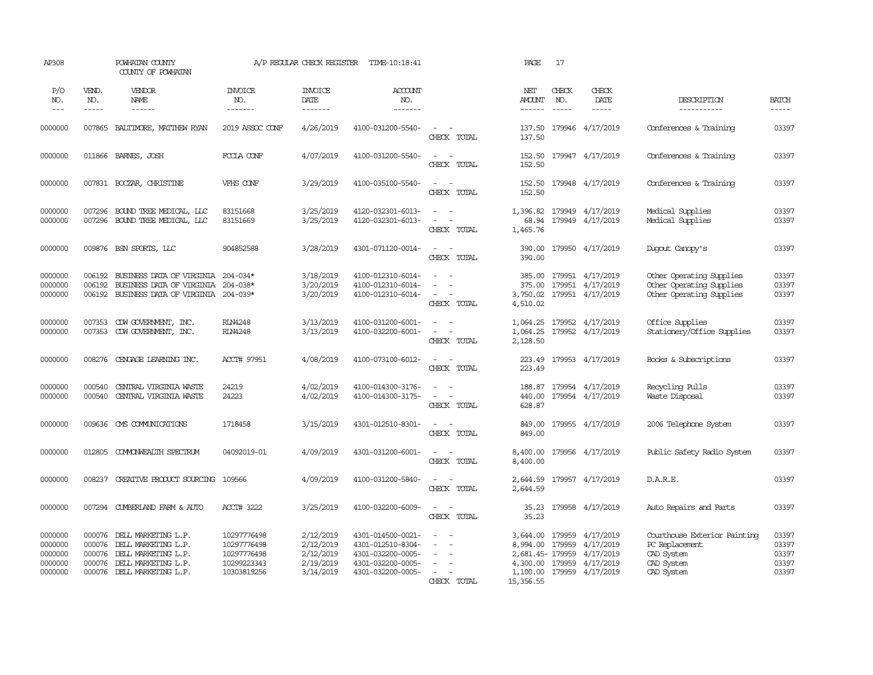| AP308                                               |                               | POWHATAN COUNTY<br>COUNTY OF POWHATAN                                                                                         |                                                                         | A/P REGULAR CHECK REGISTER                                    | TIME-10:18:41                                                                                         |                                                                                                                                                                     | PAGE                                                              | 17                          |                                                                               |                                                                                          |                                           |
|-----------------------------------------------------|-------------------------------|-------------------------------------------------------------------------------------------------------------------------------|-------------------------------------------------------------------------|---------------------------------------------------------------|-------------------------------------------------------------------------------------------------------|---------------------------------------------------------------------------------------------------------------------------------------------------------------------|-------------------------------------------------------------------|-----------------------------|-------------------------------------------------------------------------------|------------------------------------------------------------------------------------------|-------------------------------------------|
| P/O<br>NO.<br>$  -$                                 | VEND.<br>NO.<br>$\frac{1}{2}$ | VENDOR<br>NAME                                                                                                                | <b>INVOICE</b><br>NO.<br>$- - - - - - -$                                | <b>INVOICE</b><br>DATE<br>--------                            | ACCOUNT<br>NO.<br>$- - - - - - -$                                                                     |                                                                                                                                                                     | NET<br><b>AMOUNT</b><br>$- - - - - -$                             | CHECK<br>NO.<br>$- - - - -$ | CHECK<br>DATE<br>$\frac{1}{2}$                                                | DESCRIPTION<br>-----------                                                               | <b>BATCH</b><br>$- - - - -$               |
| 0000000                                             | 007865                        | BALITIMORE, MATTHEW RYAN                                                                                                      | 2019 ASSOC CONF                                                         | 4/26/2019                                                     | 4100-031200-5540-                                                                                     | $\sim$<br>$\sim$ $-$<br>CHECK TOTAL                                                                                                                                 | 137.50<br>137.50                                                  |                             | 179946 4/17/2019                                                              | Conferences & Training                                                                   | 03397                                     |
| 0000000                                             | 011866                        | BARNES, JOSH                                                                                                                  | FCCLA CONF                                                              | 4/07/2019                                                     | 4100-031200-5540-                                                                                     | $\sim$<br>$\sim$ $-$<br>CHECK TOTAL                                                                                                                                 | 152.50<br>152.50                                                  |                             | 179947 4/17/2019                                                              | Conferences & Training                                                                   | 03397                                     |
| 0000000                                             |                               | 007831 BOCZAR, CHRISTINE                                                                                                      | VFHS CONF                                                               | 3/29/2019                                                     | 4100-035100-5540-                                                                                     | $\sim$ 100 $\sim$<br>CHECK TOTAL                                                                                                                                    | 152.50<br>152.50                                                  |                             | 179948 4/17/2019                                                              | Conferences & Training                                                                   | 03397                                     |
| 0000000<br>0000000                                  | 007296<br>007296              | BOUND TREE MEDICAL, LLC<br>BOUND TREE MEDICAL, LLC                                                                            | 83151668<br>83151669                                                    | 3/25/2019<br>3/25/2019                                        | 4120-032301-6013-<br>4120-032301-6013-                                                                | $\sim$ $ \sim$<br>$\sim$ $ \sim$                                                                                                                                    | 1,396.82<br>68.94                                                 |                             | 179949 4/17/2019<br>179949 4/17/2019                                          | Medical Supplies<br>Medical Supplies                                                     | 03397<br>03397                            |
|                                                     |                               |                                                                                                                               |                                                                         |                                                               |                                                                                                       | CHECK TOTAL                                                                                                                                                         | 1,465.76                                                          |                             |                                                                               |                                                                                          |                                           |
| 0000000                                             |                               | 009876 BSN SPORTS, LLC                                                                                                        | 904852588                                                               | 3/28/2019                                                     | 4301-071120-0014-                                                                                     | $\sim$ $\sim$<br>CHECK TOTAL                                                                                                                                        | 390.00<br>390.00                                                  |                             | 179950 4/17/2019                                                              | Duqout Canopy's                                                                          | 03397                                     |
| 0000000<br>0000000<br>0000000                       | 006192<br>006192              | BUSINESS DATA OF VIRGINIA 204-034*<br>BUSINESS DATA OF VIRGINIA 204-038*<br>006192 BUSINESS DATA OF VIRGINIA 204-039*         |                                                                         | 3/18/2019<br>3/20/2019<br>3/20/2019                           | 4100-012310-6014-<br>4100-012310-6014-<br>4100-012310-6014-                                           | $\sim$<br>CHECK TOTAL                                                                                                                                               | 385.00<br>375.00<br>3,750.02<br>4,510.02                          |                             | 179951 4/17/2019<br>179951 4/17/2019<br>179951 4/17/2019                      | Other Operating Supplies<br>Other Operating Supplies<br>Other Operating Supplies         | 03397<br>03397<br>03397                   |
| 0000000<br>0000000                                  |                               | 007353 CDW GOVERNMENT, INC.<br>007353 CDW GOVERNMENT, INC.                                                                    | <b>RLN4248</b><br><b>RLN4248</b>                                        | 3/13/2019<br>3/13/2019                                        | 4100-031200-6001-<br>4100-032200-6001-                                                                | $\omega_{\rm{max}}$ and $\omega_{\rm{max}}$<br>$\sim$<br>$\sim$<br>CHECK TOTAL                                                                                      | 1,064.25<br>2,128.50                                              |                             | 1,064.25 179952 4/17/2019<br>179952 4/17/2019                                 | Office Supplies<br>Stationery/Office Supplies                                            | 03397<br>03397                            |
| 0000000                                             | 008276                        | CENGAGE LEARNING INC.                                                                                                         | ACCT# 97951                                                             | 4/08/2019                                                     | 4100-073100-6012-                                                                                     | $\frac{1}{2} \left( \frac{1}{2} \right) \left( \frac{1}{2} \right) = \frac{1}{2} \left( \frac{1}{2} \right)$<br>CHECK TOTAL                                         | 223.49<br>223.49                                                  |                             | 179953 4/17/2019                                                              | Books & Subscriptions                                                                    | 03397                                     |
| 0000000<br>0000000                                  | 000540<br>000540              | CENTRAL VIRGINIA WASTE<br>CENTRAL VIRGINIA WASTE                                                                              | 24219<br>24223                                                          | 4/02/2019<br>4/02/2019                                        | 4100-014300-3176-<br>4100-014300-3175-                                                                | - -<br>$\sim$<br>$\omega_{\rm{max}}$ and $\omega_{\rm{max}}$<br>CHECK TOTAL                                                                                         | 188.87<br>440.00<br>628.87                                        |                             | 179954 4/17/2019<br>179954 4/17/2019                                          | Recycling Pulls<br>Waste Disposal                                                        | 03397<br>03397                            |
| 0000000                                             | 009636                        | OMS COMMUNICATIONS                                                                                                            | 1718458                                                                 | 3/15/2019                                                     | 4301-012510-8301-                                                                                     | $\sim$ 100 $\sim$<br>CHECK TOTAL                                                                                                                                    | 849.00<br>849.00                                                  |                             | 179955 4/17/2019                                                              | 2006 Telephone System                                                                    | 03397                                     |
| 0000000                                             | 012805                        | COMONWEALTH SPECTRUM                                                                                                          | 04092019-01                                                             | 4/09/2019                                                     | 4301-031200-6001-                                                                                     | $\omega_{\rm{max}}$ and $\omega_{\rm{max}}$<br>CHECK TOTAL                                                                                                          | 8,400.00<br>8,400.00                                              |                             | 179956 4/17/2019                                                              | Public Safety Radio System                                                               | 03397                                     |
| 0000000                                             | 008237                        | CREATIVE PRODUCT SOURCING                                                                                                     | 109566                                                                  | 4/09/2019                                                     | 4100-031200-5840-                                                                                     | $\sim$<br>$\overline{\phantom{a}}$<br>CHECK TOTAL                                                                                                                   | 2,644.59<br>2,644.59                                              |                             | 179957 4/17/2019                                                              | D.A.R.E.                                                                                 | 03397                                     |
| 0000000                                             |                               | 007294 CUMBERLAND FARM & AUTO                                                                                                 | ACCT# 3222                                                              | 3/25/2019                                                     | 4100-032200-6009-                                                                                     | $\sim$<br>$\sim$ $-$<br>CHECK TOTAL                                                                                                                                 | 35.23<br>35.23                                                    |                             | 179958 4/17/2019                                                              | Auto Repairs and Parts                                                                   | 03397                                     |
| 0000000<br>0000000<br>0000000<br>0000000<br>0000000 | 000076<br>000076<br>000076    | 000076 DELL MARKETING L.P.<br>DELL MARKETING L.P.<br>DELL MARKETING L.P.<br>DELL MARKETING L.P.<br>000076 DELL MARKETING L.P. | 10297776498<br>10297776498<br>10297776498<br>10299223343<br>10303819256 | 2/12/2019<br>2/12/2019<br>2/12/2019<br>2/19/2019<br>3/14/2019 | 4301-014500-0021-<br>4301-012510-8304-<br>4301-032200-0005-<br>4301-032200-0005-<br>4301-032200-0005- | $\sim$<br>$\sim$<br>$\sim$<br>$\sim$<br>$\frac{1}{2} \left( \frac{1}{2} \right) \left( \frac{1}{2} \right) = \frac{1}{2} \left( \frac{1}{2} \right)$<br>CHECK TOTAL | 3,644.00<br>8,994.00<br>2,681.45- 179959<br>4,300.00<br>15,356.55 | 179959<br>179959<br>179959  | 4/17/2019<br>4/17/2019<br>4/17/2019<br>4/17/2019<br>1,100.00 179959 4/17/2019 | Courthouse Exterior Painting<br>PC Replacement<br>CAD System<br>CAD System<br>CAD System | 03397<br>03397<br>03397<br>03397<br>03397 |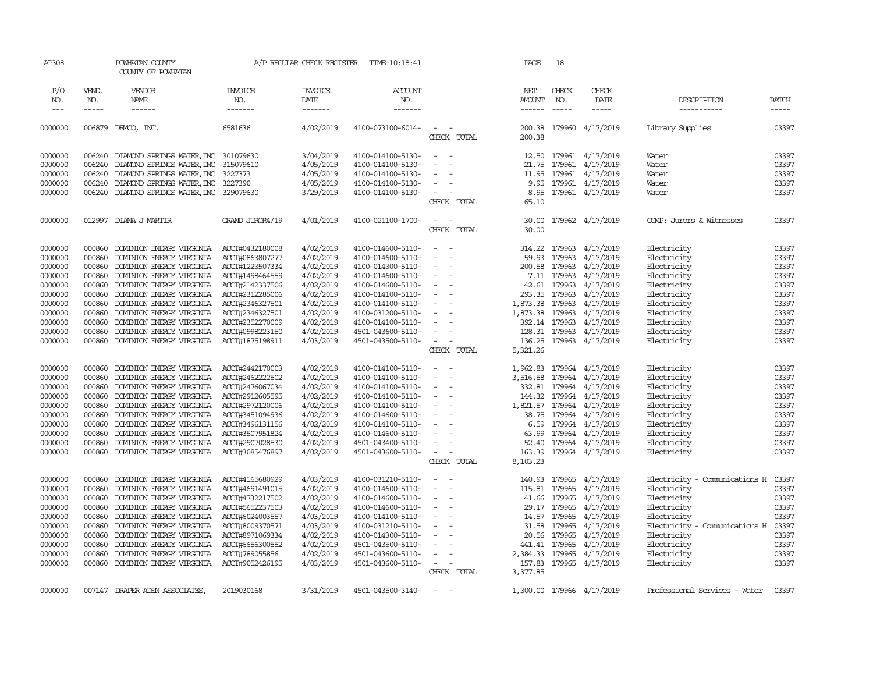| AP308         |              | POWHATAN COUNTY<br>COUNTY OF POWHATAN |                       | A/P REGULAR CHECK REGISTER | TIME-10:18:41         |                                    | PAGE              | 18            |                           |                               |              |
|---------------|--------------|---------------------------------------|-----------------------|----------------------------|-----------------------|------------------------------------|-------------------|---------------|---------------------------|-------------------------------|--------------|
| P/O<br>NO.    | VEND.<br>NO. | VENDOR<br>NAME                        | <b>INVOICE</b><br>NO. | <b>INVOICE</b><br>DATE     | <b>ACCOUNT</b><br>NO. |                                    | NET<br>AMOUNT NO. | CHECK         | CHECK<br>DATE             | DESCRIPTION                   | <b>BATCH</b> |
| $\frac{1}{2}$ | -----        | ------                                | -------               | -------                    | -------               |                                    |                   |               | -----                     | -----------                   | -----        |
| 0000000       | 006879       | DEMCO, INC.                           | 6581636               | 4/02/2019                  | 4100-073100-6014-     | $\sim$ 100 $\sim$<br>CHECK TOTAL   | 200.38<br>200.38  |               | 179960 4/17/2019          | Library Supplies              | 03397        |
| 0000000       | 006240       | DIAMOND SPRINGS WATER, INC 301079630  |                       | 3/04/2019                  | 4100-014100-5130-     | $\sim$<br>$\sim$ $-$               |                   |               | 12.50 179961 4/17/2019    | Water                         | 03397        |
| 0000000       | 006240       | DIAMOND SPRINGS WATER, INC 315079610  |                       | 4/05/2019                  | 4100-014100-5130-     | $\overline{\phantom{a}}$           | 21.75             |               | 179961 4/17/2019          | Water                         | 03397        |
| 0000000       | 006240       | DIAMOND SPRINGS WATER, INC 3227373    |                       | 4/05/2019                  | 4100-014100-5130-     | $\sim$                             | 11.95             |               | 179961 4/17/2019          | Water                         | 03397        |
| 0000000       | 006240       | DIAMOND SPRINGS WATER, INC 3227390    |                       | 4/05/2019                  | 4100-014100-5130-     | $\sim$                             | 9.95              |               | 179961 4/17/2019          | Water                         | 03397        |
| 0000000       | 006240       | DIAMOND SPRINGS WATER, INC 329079630  |                       | 3/29/2019                  | 4100-014100-5130-     | $\sim$<br>$\sim$                   | 8.95              |               | 179961 4/17/2019          | Water                         | 03397        |
|               |              |                                       |                       |                            |                       | CHECK TOTAL                        | 65.10             |               |                           |                               |              |
| 0000000       |              | 012997 DIANA J MARTIR                 | GRAND JUROR4/19       | 4/01/2019                  | 4100-021100-1700-     | $\sim$                             | 30.00             |               | 179962 4/17/2019          | COMP: Jurors & Witnesses      | 03397        |
|               |              |                                       |                       |                            |                       | CHECK TOTAL                        | 30.00             |               |                           |                               |              |
| 0000000       | 000860       | DOMINION ENERGY VIRGINIA              | ACCT#0432180008       | 4/02/2019                  | 4100-014600-5110-     | $\sim$<br>$\sim$                   | 314.22            | 179963        | 4/17/2019                 | Electricity                   | 03397        |
| 0000000       | 000860       | DOMINION ENERGY VIRGINIA              | ACCT#0863807277       | 4/02/2019                  | 4100-014600-5110-     | $\sim$                             | 59.93             | 179963        | 4/17/2019                 | Electricity                   | 03397        |
| 0000000       | 000860       | DOMINION ENERGY VIRGINIA              | ACCT#1223507334       | 4/02/2019                  | 4100-014300-5110-     |                                    | 200.58            | 179963        | 4/17/2019                 | Electricity                   | 03397        |
| 0000000       | 000860       | DOMINION ENERGY VIRGINIA              | ACCT#1498464559       | 4/02/2019                  | 4100-014600-5110-     | $\sim$                             |                   |               | 7.11 179963 4/17/2019     | Electricity                   | 03397        |
| 0000000       | 000860       | DOMINION ENERGY VIRGINIA              | ACCT#2142337506       | 4/02/2019                  | 4100-014600-5110-     | $\sim$                             |                   | 42.61 179963  | 4/17/2019                 | Electricity                   | 03397        |
| 0000000       | 000860       | DOMINION ENERGY VIRGINIA              | ACCT#2312285006       | 4/02/2019                  | 4100-014100-5110-     | $\sim$                             | 293.35            | 179963        | 4/17/2019                 | Electricity                   | 03397        |
| 0000000       | 000860       | DOMINION ENERGY VIRGINIA              | ACCT#2346327501       | 4/02/2019                  | 4100-014100-5110-     | $\overline{\phantom{a}}$           | 1,873.38 179963   |               | 4/17/2019                 | Electricity                   | 03397        |
| 0000000       | 000860       | DOMINION ENERGY VIRGINIA              | ACCT#2346327501       | 4/02/2019                  | 4100-031200-5110-     | $\sim$                             | 1,873.38 179963   |               | 4/17/2019                 | Electricity                   | 03397        |
| 0000000       | 000860       | DOMINION ENERGY VIRGINIA              | ACCT#2352270009       | 4/02/2019                  | 4100-014100-5110-     | $\overline{\phantom{a}}$           |                   | 392.14 179963 | 4/17/2019                 | Electricity                   | 03397        |
| 0000000       | 000860       | DOMINION ENERGY VIRGINIA              | ACCT#0998223150       | 4/02/2019                  | 4501-043600-5110-     | $\sim$                             |                   |               | 128.31 179963 4/17/2019   | Electricity                   | 03397        |
| 0000000       | 000860       | DOMINION ENERGY VIRGINIA              | ACCT#1875198911       | 4/03/2019                  | 4501-043500-5110-     | $\sim$ $ -$                        | 136.25            |               | 179963 4/17/2019          | Electricity                   | 03397        |
|               |              |                                       |                       |                            |                       | CHECK TOTAL                        | 5,321.26          |               |                           |                               |              |
| 0000000       | 000860       | DOMINION ENERGY VIRGINIA              | ACCT#2442170003       | 4/02/2019                  | 4100-014100-5110-     | $\sim$<br>$\sim$                   |                   |               | 1,962.83 179964 4/17/2019 | Electricity                   | 03397        |
| 0000000       | 000860       | DOMINION ENERGY VIRGINIA              | ACCT#2462222502       | 4/02/2019                  | 4100-014100-5110-     | $\blacksquare$                     | 3,516.58          |               | 179964 4/17/2019          | Electricity                   | 03397        |
| 0000000       | 000860       | DOMINION ENERGY VIRGINIA              | ACCT#2476067034       | 4/02/2019                  | 4100-014100-5110-     | $\sim$                             |                   |               | 332.81 179964 4/17/2019   | Electricity                   | 03397        |
| 0000000       | 000860       | DOMINION ENERGY VIRGINIA              | ACCT#2912605595       | 4/02/2019                  | 4100-014100-5110-     | $\sim$                             |                   |               | 144.32 179964 4/17/2019   | Electricity                   | 03397        |
| 0000000       | 000860       | DOMINION ENERGY VIRGINIA              | ACCT#2972120006       | 4/02/2019                  | 4100-014100-5110-     | $\sim$<br>$\overline{\phantom{a}}$ |                   |               | 1,821.57 179964 4/17/2019 | Electricity                   | 03397        |
| 0000000       | 000860       | DOMINION ENERGY VIRGINIA              | ACCT#3451094936       | 4/02/2019                  | 4100-014600-5110-     | $\sim$                             | 38.75             |               | 179964 4/17/2019          | Electricity                   | 03397        |
| 0000000       | 000860       | DOMINION ENERGY VIRGINIA              | ACCT#3496131156       | 4/02/2019                  | 4100-014100-5110-     | $\overline{\phantom{a}}$           | 6.59              |               | 179964 4/17/2019          | Electricity                   | 03397        |
| 0000000       | 000860       | DOMINION ENERGY VIRGINIA              | ACCT#3507951824       | 4/02/2019                  | 4100-014600-5110-     | $\sim$                             | 63.99             |               | 179964 4/17/2019          | Electricity                   | 03397        |
| 0000000       | 000860       | DOMINION ENERGY VIRGINIA              | ACCT#2907028530       | 4/02/2019                  | 4501-043400-5110-     | $\sim$                             | 52.40             |               | 179964 4/17/2019          | Electricity                   | 03397        |
| 0000000       | 000860       | DOMINION ENERGY VIRGINIA              | ACCT#3085476897       | 4/02/2019                  | 4501-043600-5110-     | $\sim$ $ -$                        | 163.39            |               | 179964 4/17/2019          | Electricity                   | 03397        |
|               |              |                                       |                       |                            |                       | CHECK TOTAL                        | 8,103.23          |               |                           |                               |              |
| 0000000       | 000860       | DOMINION ENERGY VIRGINIA              | ACCT#4165680929       | 4/03/2019                  | 4100-031210-5110-     | $\sim$                             | 140.93            |               | 179965 4/17/2019          | Electricity - Comunications H | 03397        |
| 0000000       | 000860       | DOMINION ENERGY VIRGINIA              | ACCT#4691491015       | 4/02/2019                  | 4100-014600-5110-     | $\sim$                             |                   |               | 115.81 179965 4/17/2019   | Electricity                   | 03397        |
| 0000000       | 000860       | DOMINION ENERGY VIRGINIA              | ACCT#4732217502       | 4/02/2019                  | 4100-014600-5110-     | $\sim$<br>$\overline{\phantom{a}}$ |                   |               | 41.66 179965 4/17/2019    | Electricity                   | 03397        |
| 0000000       | 000860       | DOMINION ENERGY VIRGINIA              | ACCT#5652237503       | 4/02/2019                  | 4100-014600-5110-     | $\overline{\phantom{a}}$           |                   | 29.17 179965  | 4/17/2019                 | Electricity                   | 03397        |
| 0000000       | 000860       | DOMINION ENERGY VIRGINIA              | ACCT#6024003557       | 4/03/2019                  | 4100-014100-5110-     | $\overline{\phantom{a}}$           |                   |               | 14.57 179965 4/17/2019    | Electricity                   | 03397        |
| 0000000       | 000860       | DOMINION ENERGY VIRGINIA              | ACCT#8009370571       | 4/03/2019                  | 4100-031210-5110-     | $\sim$                             |                   | 31.58 179965  | 4/17/2019                 | Electricity - Comunications H | 03397        |
| 0000000       | 000860       | DOMINION ENERGY VIRGINIA              | ACCT#8971069334       | 4/02/2019                  | 4100-014300-5110-     | $\overline{\phantom{a}}$           |                   | 20.56 179965  | 4/17/2019                 | Electricity                   | 03397        |
| 0000000       | 000860       | DOMINION ENERGY VIRGINIA              | ACCT#6656300552       | 4/02/2019                  | 4501-043500-5110-     |                                    |                   |               | 441.41 179965 4/17/2019   | Electricity                   | 03397        |
| 0000000       | 000860       | DOMINION ENERGY VIRGINIA              | ACCT#789055856        | 4/02/2019                  | 4501-043600-5110-     | $\overline{\phantom{a}}$           |                   |               | 2,384.33 179965 4/17/2019 | Electricity                   | 03397        |
| 0000000       | 000860       | DOMINION ENERGY VIRGINIA              | ACCT#9052426195       | 4/03/2019                  | 4501-043600-5110-     | $\sim$ $ \sim$                     |                   |               | 157.83 179965 4/17/2019   | Electricity                   | 03397        |
|               |              |                                       |                       |                            |                       | CHECK TOTAL                        | 3,377.85          |               |                           |                               |              |
|               |              |                                       | 2019030168            |                            |                       | $\sim$                             |                   |               |                           |                               |              |
| 0000000       |              | 007147 DRAPER ADEN ASSOCIATES         |                       | 3/31/2019                  | 4501-043500-3140-     |                                    |                   |               | 1,300.00 179966 4/17/2019 | Professional Services - Water | 03397        |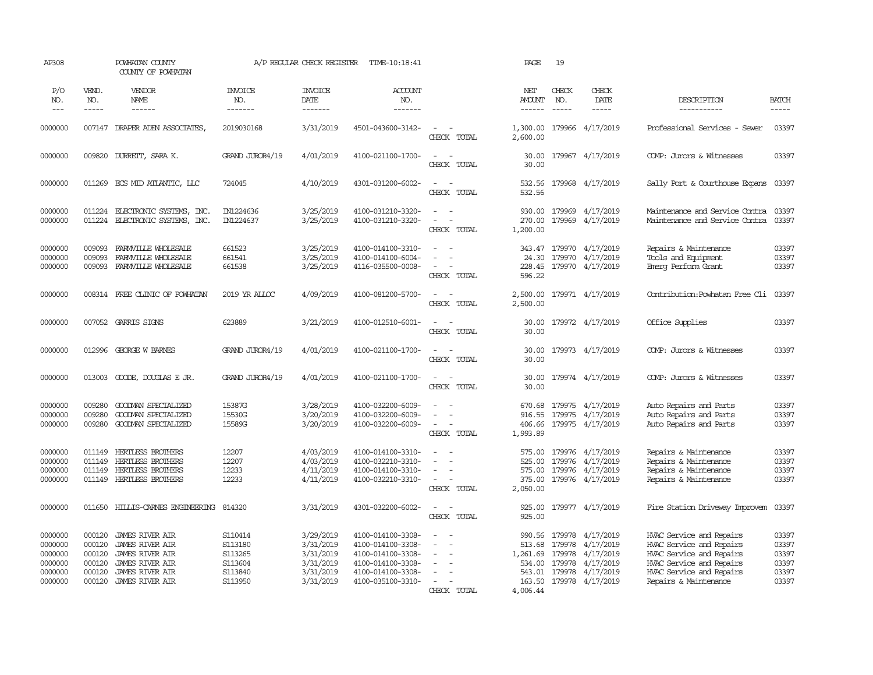| AP308                                                          |                                                          | POWHATAN COUNTY<br>COUNTY OF POWHATAN                                                                                                                    |                                                                | A/P REGULAR CHECK REGISTER                                                 | TIME-10:18:41                                                                                                              |                                                                         | PAGE                                                                   | 19                                             |                                                                                   |                                                                                                                                                                   |                                                    |
|----------------------------------------------------------------|----------------------------------------------------------|----------------------------------------------------------------------------------------------------------------------------------------------------------|----------------------------------------------------------------|----------------------------------------------------------------------------|----------------------------------------------------------------------------------------------------------------------------|-------------------------------------------------------------------------|------------------------------------------------------------------------|------------------------------------------------|-----------------------------------------------------------------------------------|-------------------------------------------------------------------------------------------------------------------------------------------------------------------|----------------------------------------------------|
| P/O<br>NO.<br>$\frac{1}{2}$                                    | VEND.<br>NO.<br>$- - - - -$                              | VENDOR<br>NAME<br>$- - - - - -$                                                                                                                          | <b>INVOICE</b><br>NO.<br>-------                               | <b>INVOICE</b><br>DATE<br>-------                                          | ACCOUNT<br>NO.<br>-------                                                                                                  |                                                                         | NET<br>AMOUNT<br>$- - - - - -$                                         | CHECK<br>NO.<br>$\frac{1}{2}$                  | CHECK<br>DATE<br>-----                                                            | DESCRIPTION<br>-----------                                                                                                                                        | <b>BATCH</b><br>$- - - - -$                        |
| 0000000                                                        |                                                          | 007147 DRAPER ADEN ASSOCIATES,                                                                                                                           | 2019030168                                                     | 3/31/2019                                                                  | 4501-043600-3142-                                                                                                          | $\sim$<br>CHECK TOTAL                                                   | 1,300.00<br>2,600.00                                                   |                                                | 179966 4/17/2019                                                                  | Professional Services - Sewer                                                                                                                                     | 03397                                              |
| 0000000                                                        | 009820                                                   | DURRETT, SARA K.                                                                                                                                         | GRAND JUROR4/19                                                | 4/01/2019                                                                  | 4100-021100-1700-                                                                                                          | $\overline{\phantom{a}}$<br>$\sim$<br>CHECK TOTAL                       | 30.00<br>30.00                                                         |                                                | 179967 4/17/2019                                                                  | COMP: Jurors & Witnesses                                                                                                                                          | 03397                                              |
| 0000000                                                        |                                                          | 011269 ECS MID ATLANTIC, LLC                                                                                                                             | 724045                                                         | 4/10/2019                                                                  | 4301-031200-6002-                                                                                                          | $\sim$<br>$\sim$<br>CHECK TOTAL                                         | 532.56<br>532.56                                                       |                                                | 179968 4/17/2019                                                                  | Sally Port & Courthouse Expans                                                                                                                                    | 03397                                              |
| 0000000<br>0000000                                             | 011224<br>011224                                         | ELECTRONIC SYSTEMS, INC.<br>ELECTRONIC SYSTEMS, INC.                                                                                                     | IN1224636<br>IN1224637                                         | 3/25/2019<br>3/25/2019                                                     | 4100-031210-3320-<br>4100-031210-3320-                                                                                     | $\sim$<br>$\sim$<br>$\overline{a}$<br>$\overline{a}$<br>CHECK TOTAL     | 270.00<br>1,200.00                                                     |                                                | 930.00 179969 4/17/2019<br>179969 4/17/2019                                       | Maintenance and Service Contra<br>Maintenance and Service Contra                                                                                                  | 03397<br>03397                                     |
| 0000000<br>0000000<br>0000000                                  | 009093<br>009093<br>009093                               | FARMVILLE WHOLESALE<br>FARMVILLE WHOLESALE<br>FARMVILLE WHOLESALE                                                                                        | 661523<br>661541<br>661538                                     | 3/25/2019<br>3/25/2019<br>3/25/2019                                        | 4100-014100-3310-<br>4100-014100-6004-<br>4116-035500-0008-                                                                | $\sim$<br>$\sim$<br>$\sim$<br>$\overline{\phantom{a}}$<br>CHECK TOTAL   | 343.47<br>24.30<br>228.45<br>596.22                                    | 179970                                         | 179970 4/17/2019<br>4/17/2019<br>179970 4/17/2019                                 | Repairs & Maintenance<br>Tools and Equipment<br>Emerg Perform Grant                                                                                               | 03397<br>03397<br>03397                            |
| 0000000                                                        |                                                          | 008314 FREE CLINIC OF POWHATAN                                                                                                                           | 2019 YR ALLOC                                                  | 4/09/2019                                                                  | 4100-081200-5700-                                                                                                          | $\sim$<br>$\sim$<br>CHECK TOTAL                                         | 2,500.00<br>2,500.00                                                   |                                                | 179971 4/17/2019                                                                  | Contribution: Powhatan Free Cli                                                                                                                                   | 03397                                              |
| 0000000                                                        |                                                          | 007052 GARRIS SIGNS                                                                                                                                      | 623889                                                         | 3/21/2019                                                                  | 4100-012510-6001-                                                                                                          | $\overline{\phantom{a}}$<br>$\sim$<br>CHECK TOTAL                       | 30.00<br>30.00                                                         |                                                | 179972 4/17/2019                                                                  | Office Supplies                                                                                                                                                   | 03397                                              |
| 0000000                                                        | 012996                                                   | GEORGE W BARNES                                                                                                                                          | GRAND JUROR4/19                                                | 4/01/2019                                                                  | 4100-021100-1700-                                                                                                          | $\sim$<br>$\sim$<br>CHECK TOTAL                                         | 30.00<br>30.00                                                         |                                                | 179973 4/17/2019                                                                  | COMP: Jurors & Witnesses                                                                                                                                          | 03397                                              |
| 0000000                                                        |                                                          | 013003 GOODE, DOUGLAS E JR.                                                                                                                              | GRAND JUROR4/19                                                | 4/01/2019                                                                  | 4100-021100-1700-                                                                                                          | $\overline{\phantom{a}}$<br>$\sim$<br>CHECK TOTAL                       | 30.00<br>30.00                                                         |                                                | 179974 4/17/2019                                                                  | COMP: Jurors & Witnesses                                                                                                                                          | 03397                                              |
| 0000000<br>0000000<br>0000000                                  | 009280<br>009280<br>009280                               | GOODMAN SPECIALIZED<br>GOODWAN SPECIALIZED<br>GOODMAN SPECIALIZED                                                                                        | 15387G<br>15530G<br>15589G                                     | 3/28/2019<br>3/20/2019<br>3/20/2019                                        | 4100-032200-6009-<br>4100-032200-6009-<br>4100-032200-6009-                                                                | $\equiv$<br>$\equiv$<br>$\sim$<br>$\sim$<br>CHECK TOTAL                 | 670.68<br>916.55<br>406.66<br>1,993.89                                 | 179975                                         | 179975 4/17/2019<br>4/17/2019<br>179975 4/17/2019                                 | Auto Repairs and Parts<br>Auto Repairs and Parts<br>Auto Repairs and Parts                                                                                        | 03397<br>03397<br>03397                            |
| 0000000<br>0000000<br>0000000<br>0000000                       | 011149<br>011149<br>011149<br>011149                     | <b>HERTLESS BROTHERS</b><br>HERTLESS BROTHERS<br>HERTLESS BROTHERS<br><b>HERTLESS BROTHERS</b>                                                           | 12207<br>12207<br>12233<br>12233                               | 4/03/2019<br>4/03/2019<br>4/11/2019<br>4/11/2019                           | 4100-014100-3310-<br>4100-032210-3310-<br>4100-014100-3310-<br>4100-032210-3310-                                           | $\equiv$<br>$\sim$<br>$\sim$<br>$\overline{\phantom{a}}$<br>CHECK TOTAL | 575.00<br>525.00<br>575.00<br>375.00<br>2,050.00                       |                                                | 179976 4/17/2019<br>179976 4/17/2019<br>179976 4/17/2019<br>179976 4/17/2019      | Repairs & Maintenance<br>Repairs & Maintenance<br>Repairs & Maintenance<br>Repairs & Maintenance                                                                  | 03397<br>03397<br>03397<br>03397                   |
| 0000000                                                        | 011650                                                   | HILLIS-CARNES ENGINEERING                                                                                                                                | 814320                                                         | 3/31/2019                                                                  | 4301-032200-6002-                                                                                                          | $\sim$<br>$\sim$<br>CHECK TOTAL                                         | 925.00<br>925.00                                                       |                                                | 179977 4/17/2019                                                                  | Fire Station Driveway Improvem                                                                                                                                    | 03397                                              |
| 0000000<br>0000000<br>0000000<br>0000000<br>0000000<br>0000000 | 000120<br>000120<br>000120<br>000120<br>000120<br>000120 | <b>JAMES RIVER AIR</b><br><b>JAMES RIVER AIR</b><br><b>JAMES RIVER AIR</b><br><b>JAMES RIVER AIR</b><br><b>JAMES RIVER AIR</b><br><b>JAMES RIVER AIR</b> | S110414<br>S113180<br>S113265<br>S113604<br>S113840<br>S113950 | 3/29/2019<br>3/31/2019<br>3/31/2019<br>3/31/2019<br>3/31/2019<br>3/31/2019 | 4100-014100-3308-<br>4100-014100-3308-<br>4100-014100-3308-<br>4100-014100-3308-<br>4100-014100-3308-<br>4100-035100-3310- | $\sim$<br>$\sim$<br>$\sim$<br>$\equiv$<br>$\overline{a}$<br>CHECK TOTAL | 990.56<br>513.68<br>1,261.69<br>534.00<br>543.01<br>163.50<br>4,006.44 | 179978<br>179978<br>179978<br>179978<br>179978 | 4/17/2019<br>4/17/2019<br>4/17/2019<br>4/17/2019<br>4/17/2019<br>179978 4/17/2019 | HVAC Service and Repairs<br>HVAC Service and Repairs<br>HVAC Service and Repairs<br>HVAC Service and Repairs<br>HVAC Service and Repairs<br>Repairs & Maintenance | 03397<br>03397<br>03397<br>03397<br>03397<br>03397 |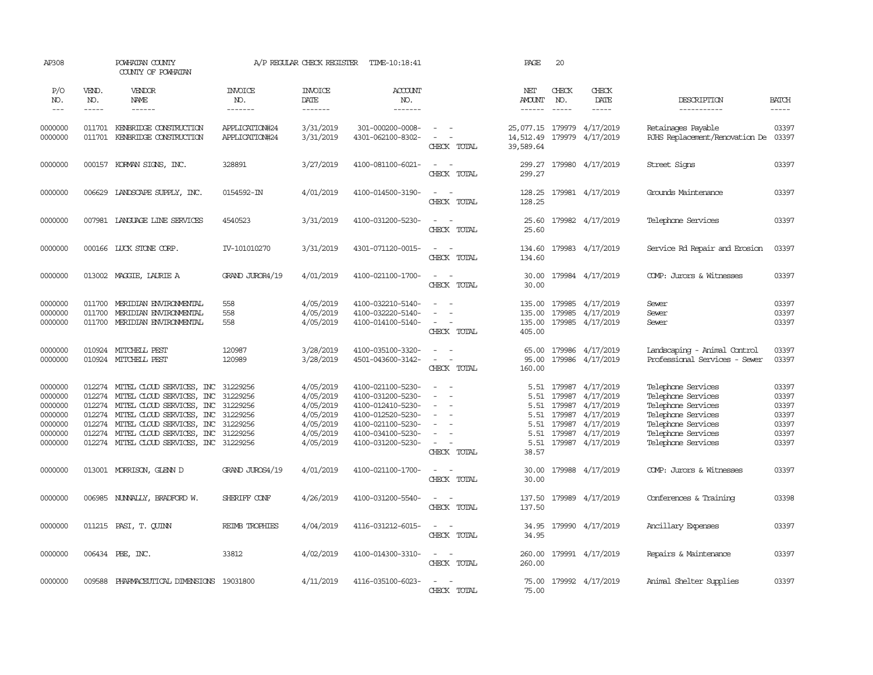| AP308                                                                     |                       | POWHATAN COUNTY<br>COUNTY OF POWHATAN                                                                                                                                                                                                                                               |                                              | A/P REGULAR CHECK REGISTER                                                              | TIME-10:18:41                                                                                                                                   |                                                                                                                                                               | PAGE                                                  | 20                                             |                                                                                                            |                                                                                                                                                        |                                                             |
|---------------------------------------------------------------------------|-----------------------|-------------------------------------------------------------------------------------------------------------------------------------------------------------------------------------------------------------------------------------------------------------------------------------|----------------------------------------------|-----------------------------------------------------------------------------------------|-------------------------------------------------------------------------------------------------------------------------------------------------|---------------------------------------------------------------------------------------------------------------------------------------------------------------|-------------------------------------------------------|------------------------------------------------|------------------------------------------------------------------------------------------------------------|--------------------------------------------------------------------------------------------------------------------------------------------------------|-------------------------------------------------------------|
| P/O<br>NO.<br>$---$                                                       | VEND.<br>NO.<br>----- | VENDOR<br>NAME<br>------                                                                                                                                                                                                                                                            | <b>INVOICE</b><br>NO.<br>-------             | <b>INVOICE</b><br>DATE<br>$- - - - - - -$                                               | <b>ACCOUNT</b><br>NO.<br>--------                                                                                                               |                                                                                                                                                               | NET<br>AMOUNT<br>$- - - - - -$                        | CHECK<br>NO.<br>$\frac{1}{2}$                  | CHECK<br>DATE<br>$- - - - -$                                                                               | DESCRIPTION<br>-----------                                                                                                                             | <b>BATCH</b><br>-----                                       |
| 0000000<br>0000000                                                        | 011701                | 011701 KENBRIDGE CONSTRUCTION<br>KENBRIDGE CONSTRUCTION                                                                                                                                                                                                                             | APPLICATION#24<br>APPLICATION#24             | 3/31/2019<br>3/31/2019                                                                  | 301-000200-0008-<br>4301-062100-8302-                                                                                                           | $\equiv$<br>$\equiv$<br>CHECK TOTAL                                                                                                                           | 25,077.15 179979 4/17/2019<br>14,512.49<br>39,589.64  |                                                | 179979 4/17/2019                                                                                           | Retainages Payable<br>RJHS Replacement/Renovation De                                                                                                   | 03397<br>03397                                              |
| 0000000                                                                   |                       | 000157 KORMAN SIGNS, INC.                                                                                                                                                                                                                                                           | 328891                                       | 3/27/2019                                                                               | 4100-081100-6021-                                                                                                                               | $\equiv$<br>$\sim$<br>CHECK TOTAL                                                                                                                             | 299.27<br>299.27                                      |                                                | 179980 4/17/2019                                                                                           | Street Signs                                                                                                                                           | 03397                                                       |
| 0000000                                                                   |                       | 006629 LANDSCAPE SUPPLY, INC.                                                                                                                                                                                                                                                       | 0154592-IN                                   | 4/01/2019                                                                               | 4100-014500-3190-                                                                                                                               | $\sim$ $\sim$<br>CHECK TOTAL                                                                                                                                  | 128.25<br>128.25                                      |                                                | 179981 4/17/2019                                                                                           | Grounds Maintenance                                                                                                                                    | 03397                                                       |
| 0000000                                                                   |                       | 007981 LANGUAGE LINE SERVICES                                                                                                                                                                                                                                                       | 4540523                                      | 3/31/2019                                                                               | 4100-031200-5230-                                                                                                                               | $\sim$ $-$<br>$\overline{\phantom{a}}$<br>CHECK TOTAL                                                                                                         | 25.60<br>25.60                                        |                                                | 179982 4/17/2019                                                                                           | Telephone Services                                                                                                                                     | 03397                                                       |
| 0000000                                                                   |                       | 000166 LUCK STONE CORP.                                                                                                                                                                                                                                                             | IV-101010270                                 | 3/31/2019                                                                               | 4301-071120-0015-                                                                                                                               | $\sim$ $ \sim$<br>CHECK TOTAL                                                                                                                                 | 134.60<br>134.60                                      |                                                | 179983 4/17/2019                                                                                           | Service Rd Repair and Erosion                                                                                                                          | 03397                                                       |
| 0000000                                                                   |                       | 013002 MAGGIE, LAURIE A                                                                                                                                                                                                                                                             | GRAND JUROR4/19                              | 4/01/2019                                                                               | 4100-021100-1700-                                                                                                                               | $\frac{1}{2} \left( \frac{1}{2} \right) \left( \frac{1}{2} \right) = \frac{1}{2} \left( \frac{1}{2} \right)$<br>CHECK TOTAL                                   | 30.00<br>30.00                                        |                                                | 179984 4/17/2019                                                                                           | COMP: Jurors & Witnesses                                                                                                                               | 03397                                                       |
| 0000000<br>0000000<br>0000000                                             | 011700<br>011700      | MERIDIAN ENVIRONMENTAL<br>MERIDIAN ENVIRONMENTAL<br>011700 MERIDIAN ENVIRONMENTAL                                                                                                                                                                                                   | 558<br>558<br>558                            | 4/05/2019<br>4/05/2019<br>4/05/2019                                                     | 4100-032210-5140-<br>4100-032220-5140-<br>4100-014100-5140-                                                                                     | $\sim$<br>$\overline{\phantom{a}}$<br>CHECK TOTAL                                                                                                             | 135.00<br>135.00<br>135.00<br>405.00                  | 179985<br>179985                               | 4/17/2019<br>4/17/2019<br>179985 4/17/2019                                                                 | Sewer<br>Sewer<br>Sewer                                                                                                                                | 03397<br>03397<br>03397                                     |
| 0000000<br>0000000                                                        |                       | 010924 MITCHELL PEST<br>010924 MITCHELL PEST                                                                                                                                                                                                                                        | 120987<br>120989                             | 3/28/2019<br>3/28/2019                                                                  | 4100-035100-3320-<br>4501-043600-3142-                                                                                                          | $\sim$<br>- 11<br>$\sim$<br>$\sim$ $-$<br>CHECK TOTAL                                                                                                         | 65.00<br>95.00<br>160.00                              | 179986                                         | 4/17/2019<br>179986 4/17/2019                                                                              | Landscaping - Animal Control<br>Professional Services - Sewer                                                                                          | 03397<br>03397                                              |
| 0000000<br>0000000<br>0000000<br>0000000<br>0000000<br>0000000<br>0000000 |                       | 012274 MITEL CLOUD SERVICES, INC 31229256<br>012274 MITEL CLOUD SERVICES, INC<br>012274 MITEL CLOUD SERVICES, INC 31229256<br>012274 MITEL CLOUD SERVICES, INC<br>012274 MITEL CLOUD SERVICES, INC<br>012274 MITEL CLOUD SERVICES, INC<br>012274 MITEL CLOUD SERVICES, INC 31229256 | 31229256<br>31229256<br>31229256<br>31229256 | 4/05/2019<br>4/05/2019<br>4/05/2019<br>4/05/2019<br>4/05/2019<br>4/05/2019<br>4/05/2019 | 4100-021100-5230-<br>4100-031200-5230-<br>4100-012410-5230-<br>4100-012520-5230-<br>4100-021100-5230-<br>4100-034100-5230-<br>4100-031200-5230- | $\sim$<br>$\overline{\phantom{a}}$<br>$\sim$<br>$\sim$<br>$\sim$<br>$\sim$<br>$\equiv$<br>$\overline{\phantom{a}}$<br>$\overline{\phantom{a}}$<br>CHECK TOTAL | 5.51<br>5.51<br>5.51<br>5.51<br>5.51<br>5.51<br>38.57 | 179987<br>179987<br>179987<br>179987<br>179987 | 5.51 179987 4/17/2019<br>4/17/2019<br>4/17/2019<br>4/17/2019<br>4/17/2019<br>4/17/2019<br>179987 4/17/2019 | Telephone Services<br>Telephone Services<br>Telephone Services<br>Telephone Services<br>Telephone Services<br>Telephone Services<br>Telephone Services | 03397<br>03397<br>03397<br>03397<br>03397<br>03397<br>03397 |
| 0000000                                                                   |                       | 013001 MORRISON, GLENN D                                                                                                                                                                                                                                                            | GRAND JUROS4/19                              | 4/01/2019                                                                               | 4100-021100-1700-                                                                                                                               | $\sim$ $ \sim$<br>CHECK TOTAL                                                                                                                                 | 30.00<br>30.00                                        |                                                | 179988 4/17/2019                                                                                           | COMP: Jurors & Witnesses                                                                                                                               | 03397                                                       |
| 0000000                                                                   |                       | 006985 NUNNALLY, BRADFORD W.                                                                                                                                                                                                                                                        | SHERIFF CONF                                 | 4/26/2019                                                                               | 4100-031200-5540-                                                                                                                               | $\sim$<br>$\sim$<br>CHECK TOTAL                                                                                                                               | 137.50<br>137.50                                      |                                                | 179989 4/17/2019                                                                                           | Conferences & Training                                                                                                                                 | 03398                                                       |
| 0000000                                                                   |                       | 011215 PASI, T. QUINN                                                                                                                                                                                                                                                               | REIMB TROPHIES                               | 4/04/2019                                                                               | 4116-031212-6015-                                                                                                                               | $\sim$<br>$\sim$<br>CHECK TOTAL                                                                                                                               | 34.95<br>34.95                                        |                                                | 179990 4/17/2019                                                                                           | Ancillary Expenses                                                                                                                                     | 03397                                                       |
| 0000000                                                                   |                       | 006434 PBE, INC.                                                                                                                                                                                                                                                                    | 33812                                        | 4/02/2019                                                                               | 4100-014300-3310-                                                                                                                               | $\sim$ $ -$<br>CHECK TOTAL                                                                                                                                    | 260.00<br>260.00                                      |                                                | 179991 4/17/2019                                                                                           | Repairs & Maintenance                                                                                                                                  | 03397                                                       |
| 0000000                                                                   | 009588                | PHARMACEUTICAL DIMENSIONS 19031800                                                                                                                                                                                                                                                  |                                              | 4/11/2019                                                                               | 4116-035100-6023-                                                                                                                               | $\sim$ $ \sim$<br>CHECK TOTAL                                                                                                                                 | 75.00<br>75.00                                        |                                                | 179992 4/17/2019                                                                                           | Animal Shelter Supplies                                                                                                                                | 03397                                                       |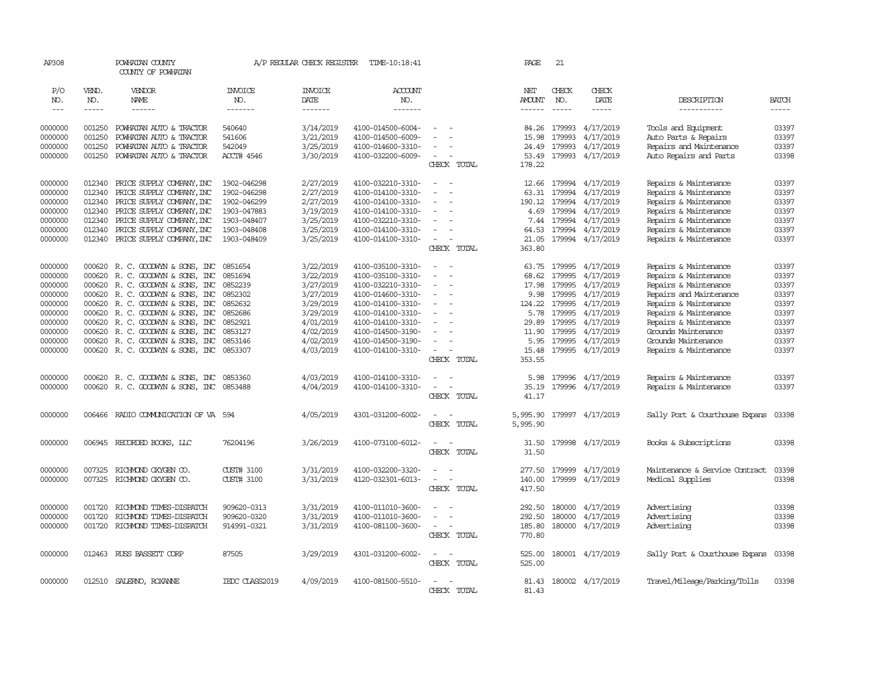| AP308         |             | POWHATAN COUNTY<br>COUNTY OF POWHATAN |                | A/P REGULAR CHECK REGISTER | TIME-10:18:41     |                                                      | PAGE          | 21            |                        |                                |              |
|---------------|-------------|---------------------------------------|----------------|----------------------------|-------------------|------------------------------------------------------|---------------|---------------|------------------------|--------------------------------|--------------|
| P/O           | VEND.       | VENDOR                                | <b>INVOICE</b> | <b>INVOICE</b>             | ACCOUNT           |                                                      | NET           | CHECK         | CHECK                  |                                |              |
| NO.           | NO.         | NAME                                  | NO.            | DATE                       | NO.               |                                                      | <b>AMOUNT</b> | NO.           | DATE                   | DESCRIPTION                    | <b>BATCH</b> |
| $\frac{1}{2}$ | $- - - - -$ | $- - - - - -$                         | -------        | $- - - - - - -$            | $- - - - - - -$   |                                                      | $- - - - - -$ | $\frac{1}{2}$ | -----                  | -----------                    | $- - - - -$  |
| 0000000       | 001250      | POWHATAN AUTO & TRACTOR               | 540640         | 3/14/2019                  | 4100-014500-6004- |                                                      | 84.26         | 179993        | 4/17/2019              | Tools and Equipment            | 03397        |
| 0000000       | 001250      | POWHATAN AUTO & TRACTOR               | 541606         | 3/21/2019                  | 4100-014500-6009- |                                                      | 15.98         | 179993        | 4/17/2019              | Auto Parts & Repairs           | 03397        |
| 0000000       | 001250      | POWHATAN AUTO & TRACTOR               | 542049         | 3/25/2019                  | 4100-014600-3310- |                                                      | 24.49         | 179993        | 4/17/2019              | Repairs and Maintenance        | 03397        |
| 0000000       |             | 001250 POWHATAN AUTO & TRACTOR        | ACCT# 4546     | 3/30/2019                  | 4100-032200-6009- | $\sim$                                               | 53.49         |               | 179993 4/17/2019       | Auto Repairs and Parts         | 03398        |
|               |             |                                       |                |                            |                   | CHECK TOTAL                                          | 178.22        |               |                        |                                |              |
|               |             |                                       |                |                            |                   | $\sim$<br>- 1                                        |               |               |                        |                                |              |
| 0000000       | 012340      | PRICE SUPPLY COMPANY, INC             | 1902-046298    | 2/27/2019                  | 4100-032210-3310- |                                                      |               |               | 12.66 179994 4/17/2019 | Repairs & Maintenance          | 03397        |
| 0000000       | 012340      | PRICE SUPPLY COMPANY, INC             | 1902-046298    | 2/27/2019                  | 4100-014100-3310- | $\sim$<br>$\overline{\phantom{a}}$                   | 63.31         | 179994        | 4/17/2019              | Repairs & Maintenance          | 03397        |
| 0000000       | 012340      | PRICE SUPPLY COMPANY, INC             | 1902-046299    | 2/27/2019                  | 4100-014100-3310- | $\equiv$                                             | 190.12        | 179994        | 4/17/2019              | Repairs & Maintenance          | 03397        |
| 0000000       | 012340      | PRICE SUPPLY COMPANY, INC             | 1903-047883    | 3/19/2019                  | 4100-014100-3310- |                                                      | 4.69          | 179994        | 4/17/2019              | Repairs & Maintenance          | 03397        |
| 0000000       | 012340      | PRICE SUPPLY COMPANY, INC             | 1903-048407    | 3/25/2019                  | 4100-032210-3310- | $\sim$                                               | 7.44          | 179994        | 4/17/2019              | Repairs & Maintenance          | 03397        |
| 0000000       | 012340      | PRICE SUPPLY COMPANY, INC             | 1903-048408    | 3/25/2019                  | 4100-014100-3310- | $\sim$                                               | 64.53         | 179994        | 4/17/2019              | Repairs & Maintenance          | 03397        |
| 0000000       | 012340      | PRICE SUPPLY COMPANY, INC             | 1903-048409    | 3/25/2019                  | 4100-014100-3310- | $\sim$<br>$\overline{a}$                             | 21.05         |               | 179994 4/17/2019       | Repairs & Maintenance          | 03397        |
|               |             |                                       |                |                            |                   | CHECK TOTAL                                          | 363.80        |               |                        |                                |              |
| 0000000       | 000620      | R. C. GOODWIN & SONS, INC             | 0851654        | 3/22/2019                  | 4100-035100-3310- | $\equiv$                                             | 63.75         | 179995        | 4/17/2019              | Repairs & Maintenance          | 03397        |
| 0000000       |             | 000620 R. C. GOODWYN & SONS, INC      | 0851694        | 3/22/2019                  | 4100-035100-3310- | $\overline{\phantom{a}}$                             | 68.62         | 179995        | 4/17/2019              | Repairs & Maintenance          | 03397        |
| 0000000       |             | 000620 R. C. GOODWYN & SONS, INC      | 0852239        | 3/27/2019                  | 4100-032210-3310- | $\equiv$                                             | 17.98         | 179995        | 4/17/2019              | Repairs & Maintenance          | 03397        |
| 0000000       | 000620      | R. C. GOODWYN & SONS, INC             | 0852302        | 3/27/2019                  | 4100-014600-3310- | $\equiv$                                             | 9.98          | 179995        | 4/17/2019              | Repairs and Maintenance        | 03397        |
| 0000000       |             | 000620 R.C. GOODWYN & SONS, INC       | 0852632        | 3/29/2019                  | 4100-014100-3310- | $\equiv$                                             | 124.22        | 179995        | 4/17/2019              | Repairs & Maintenance          | 03397        |
| 0000000       |             | 000620 R.C. GOODWYN & SONS, INC       | 0852686        | 3/29/2019                  | 4100-014100-3310- |                                                      | 5.78          | 179995        | 4/17/2019              | Repairs & Maintenance          | 03397        |
| 0000000       |             | 000620 R.C. GOODWYN & SONS, INC       | 0852921        | 4/01/2019                  | 4100-014100-3310- | $\equiv$                                             | 29.89         | 179995        | 4/17/2019              | Repairs & Maintenance          | 03397        |
| 0000000       | 000620      | R. C. GOODWIN & SONS, INC             | 0853127        | 4/02/2019                  | 4100-014500-3190- |                                                      | 11.90         | 179995        | 4/17/2019              | Grounds Maintenance            | 03397        |
| 0000000       |             | 000620 R. C. GOODWIN & SONS, INC      | 0853146        | 4/02/2019                  | 4100-014500-3190- |                                                      | 5.95          | 179995        | 4/17/2019              | Grounds Maintenance            | 03397        |
| 0000000       |             | 000620 R. C. GOODWIN & SONS, INC      | 0853307        | 4/03/2019                  | 4100-014100-3310- | $\equiv$                                             | 15.48         |               | 179995 4/17/2019       | Repairs & Maintenance          | 03397        |
|               |             |                                       |                |                            |                   | CHECK TOTAL                                          | 353.55        |               |                        |                                |              |
| 0000000       |             | 000620 R. C. GOODWIN & SONS, INC      | 0853360        | 4/03/2019                  | 4100-014100-3310- |                                                      | 5.98          |               | 179996 4/17/2019       | Repairs & Maintenance          | 03397        |
| 0000000       |             | 000620 R.C. GOODWYN & SONS, INC       | 0853488        | 4/04/2019                  | 4100-014100-3310- | $\sim$<br>$\sim$                                     | 35.19         |               | 179996 4/17/2019       | Repairs & Maintenance          | 03397        |
|               |             |                                       |                |                            |                   | CHECK TOTAL                                          | 41.17         |               |                        |                                |              |
|               |             |                                       |                |                            |                   |                                                      |               |               |                        |                                |              |
| 0000000       |             | 006466 RADIO COMMUNICATION OF VA 594  |                | 4/05/2019                  | 4301-031200-6002- | $\sim$<br>$\sim$                                     | 5,995.90      |               | 179997 4/17/2019       | Sally Port & Courthouse Expans | 03398        |
|               |             |                                       |                |                            |                   | CHECK TOTAL                                          | 5,995.90      |               |                        |                                |              |
| 0000000       |             | 006945 RECORDED BOOKS, LLC            | 76204196       | 3/26/2019                  | 4100-073100-6012- | $\sim$<br>$\sim$                                     | 31.50         |               | 179998 4/17/2019       | Books & Subscriptions          | 03398        |
|               |             |                                       |                |                            |                   | CHECK TOTAL                                          | 31.50         |               |                        |                                |              |
| 0000000       | 007325      | RICHMOND OXYGEN CO.                   | CUST# 3100     | 3/31/2019                  | 4100-032200-3320- | $\equiv$                                             | 277.50        |               | 179999 4/17/2019       | Maintenance & Service Contract | 03398        |
| 0000000       | 007325      | RICHMOND OXYGEN CO.                   | CUST# 3100     | 3/31/2019                  | 4120-032301-6013- | $\overline{\phantom{a}}$<br>$\overline{\phantom{a}}$ | 140.00        |               | 179999 4/17/2019       | Medical Supplies               | 03398        |
|               |             |                                       |                |                            |                   | CHECK TOTAL                                          | 417.50        |               |                        |                                |              |
|               |             |                                       |                |                            |                   |                                                      |               |               |                        |                                |              |
| 0000000       | 001720      | RICHMOND TIMES-DISPATCH               | 909620-0313    | 3/31/2019                  | 4100-011010-3600- |                                                      | 292.50        | 180000        | 4/17/2019              | Advertising                    | 03398        |
| 0000000       | 001720      | RICHMOND TIMES-DISPATCH               | 909620-0320    | 3/31/2019                  | 4100-011010-3600- | $\equiv$                                             | 292.50        | 180000        | 4/17/2019              | Advertising                    | 03398        |
| 0000000       | 001720      | RICHMOND TIMES-DISPATCH               | 914991-0321    | 3/31/2019                  | 4100-081100-3600- | $\overline{\phantom{a}}$                             | 185.80        | 180000        | 4/17/2019              | Advertising                    | 03398        |
|               |             |                                       |                |                            |                   | CHECK TOTAL                                          | 770.80        |               |                        |                                |              |
| 0000000       |             | 012463 RUSS BASSETT CORP              | 87505          | 3/29/2019                  | 4301-031200-6002- | $\sim$<br>$\sim$                                     | 525.00        |               | 180001 4/17/2019       | Sally Port & Courthouse Expans | 03398        |
|               |             |                                       |                |                            |                   | CHECK TOTAL                                          | 525.00        |               |                        |                                |              |
|               |             |                                       |                |                            |                   |                                                      |               |               |                        |                                |              |
| 0000000       |             | 012510 SALERNO, ROXANNE               | IEDC CLASS2019 | 4/09/2019                  | 4100-081500-5510- | $\sim$<br>- -                                        | 81.43         |               | 180002 4/17/2019       | Travel/Mileage/Parking/Tolls   | 03398        |
|               |             |                                       |                |                            |                   | CHECK TOTAL                                          | 81.43         |               |                        |                                |              |
|               |             |                                       |                |                            |                   |                                                      |               |               |                        |                                |              |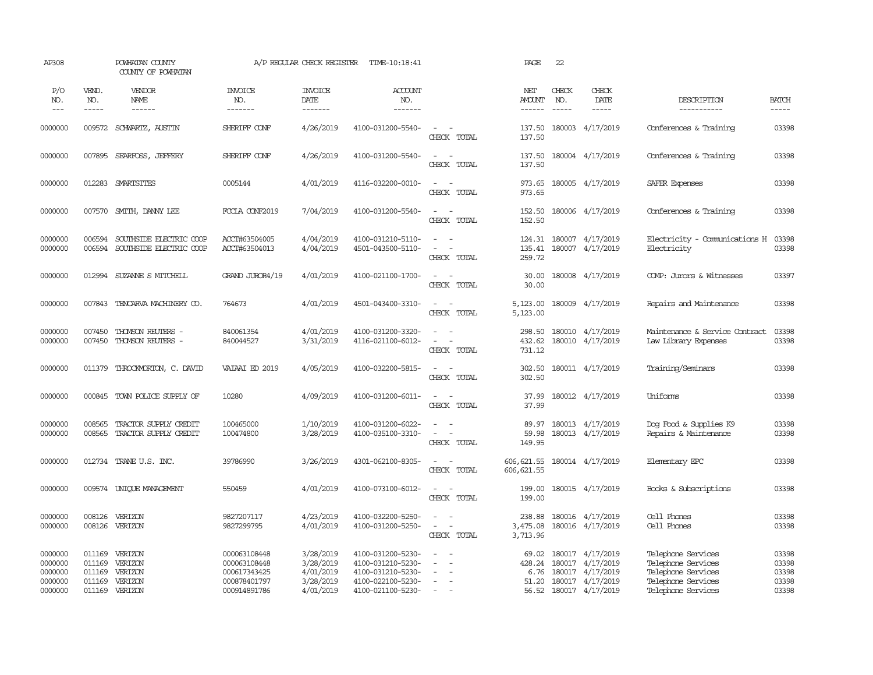| AP308                                               |                                                | POWHATAN COUNTY<br>COUNTY OF POWHATAN               |                                                                              | A/P REGULAR CHECK REGISTER                                    | TIME-10:18:41                                                                                         |                                                                       | PAGE                                      | 22                                                                                                                                                                                                                                                                                                                                                                                                           |                                                                                                  |                                                                                                            |                                           |
|-----------------------------------------------------|------------------------------------------------|-----------------------------------------------------|------------------------------------------------------------------------------|---------------------------------------------------------------|-------------------------------------------------------------------------------------------------------|-----------------------------------------------------------------------|-------------------------------------------|--------------------------------------------------------------------------------------------------------------------------------------------------------------------------------------------------------------------------------------------------------------------------------------------------------------------------------------------------------------------------------------------------------------|--------------------------------------------------------------------------------------------------|------------------------------------------------------------------------------------------------------------|-------------------------------------------|
| P/O<br>NO.<br>$---$                                 | VEND.<br>NO.<br>-----                          | VENDOR<br>NAME                                      | <b>INVOICE</b><br>NO.<br>-------                                             | <b>INVOICE</b><br>DATE<br>-------                             | <b>ACCOUNT</b><br>NO.<br>-------                                                                      |                                                                       | NET<br><b>AMOUNT</b><br>------            | CHECK<br>NO.<br>$\frac{1}{2} \frac{1}{2} \frac{1}{2} \frac{1}{2} \frac{1}{2} \frac{1}{2} \frac{1}{2} \frac{1}{2} \frac{1}{2} \frac{1}{2} \frac{1}{2} \frac{1}{2} \frac{1}{2} \frac{1}{2} \frac{1}{2} \frac{1}{2} \frac{1}{2} \frac{1}{2} \frac{1}{2} \frac{1}{2} \frac{1}{2} \frac{1}{2} \frac{1}{2} \frac{1}{2} \frac{1}{2} \frac{1}{2} \frac{1}{2} \frac{1}{2} \frac{1}{2} \frac{1}{2} \frac{1}{2} \frac{$ | CHECK<br>DATE<br>-----                                                                           | DESCRIPTION<br>-----------                                                                                 | <b>BATCH</b><br>-----                     |
| 0000000                                             | 009572                                         | SCHWARTZ, AUSTIN                                    | SHERIFF CONF                                                                 | 4/26/2019                                                     | 4100-031200-5540-                                                                                     | $\sim$<br>$\sim$<br>CHECK TOTAL                                       | 137.50<br>137.50                          |                                                                                                                                                                                                                                                                                                                                                                                                              | 180003 4/17/2019                                                                                 | Conferences & Training                                                                                     | 03398                                     |
| 0000000                                             | 007895                                         | SEARFOSS, JEFFERY                                   | SHERIFF CONF                                                                 | 4/26/2019                                                     | 4100-031200-5540-                                                                                     | $\sim$<br>$\sim$<br>CHECK TOTAL                                       | 137.50<br>137.50                          |                                                                                                                                                                                                                                                                                                                                                                                                              | 180004 4/17/2019                                                                                 | Conferences & Training                                                                                     | 03398                                     |
| 0000000                                             |                                                | 012283 SMARTSITES                                   | 0005144                                                                      | 4/01/2019                                                     | 4116-032200-0010-                                                                                     | $\sim$<br>$\sim$<br>CHECK TOTAL                                       | 973.65<br>973.65                          |                                                                                                                                                                                                                                                                                                                                                                                                              | 180005 4/17/2019                                                                                 | SAFER Expenses                                                                                             | 03398                                     |
| 0000000                                             | 007570                                         | SMITH, DANNY LEE                                    | FOCLA CONF2019                                                               | 7/04/2019                                                     | 4100-031200-5540-                                                                                     | $\sim$ 100 $\sim$<br>CHECK TOTAL                                      | 152.50<br>152.50                          |                                                                                                                                                                                                                                                                                                                                                                                                              | 180006 4/17/2019                                                                                 | Conferences & Training                                                                                     | 03398                                     |
| 0000000<br>0000000                                  | 006594<br>006594                               | SOUTHSIDE ELECTRIC COOP<br>SOUTHSIDE ELECTRIC COOP  | ACCT#63504005<br>ACCT#63504013                                               | 4/04/2019<br>4/04/2019                                        | 4100-031210-5110-<br>4501-043500-5110-                                                                | $\sim$<br>$\sim$<br>$\overline{\phantom{a}}$<br>$\sim$<br>CHECK TOTAL | 135.41<br>259.72                          |                                                                                                                                                                                                                                                                                                                                                                                                              | 124.31 180007 4/17/2019<br>180007 4/17/2019                                                      | Electricity - Comunications H<br>Electricity                                                               | 03398<br>03398                            |
| 0000000                                             | 012994                                         | SUZANNE S MITCHELL                                  | GRAND JUROR4/19                                                              | 4/01/2019                                                     | 4100-021100-1700-                                                                                     | $\sim$ $ \sim$<br>CHECK TOTAL                                         | 30.00<br>30.00                            |                                                                                                                                                                                                                                                                                                                                                                                                              | 180008 4/17/2019                                                                                 | COMP: Jurors & Witnesses                                                                                   | 03397                                     |
| 0000000                                             | 007843                                         | TENCARVA MACHINERY CO.                              | 764673                                                                       | 4/01/2019                                                     | 4501-043400-3310-                                                                                     | $\omega_{\rm{max}}$ and $\omega_{\rm{max}}$<br>CHECK TOTAL            | 5,123.00<br>5,123.00                      |                                                                                                                                                                                                                                                                                                                                                                                                              | 180009 4/17/2019                                                                                 | Repairs and Maintenance                                                                                    | 03398                                     |
| 0000000<br>0000000                                  | 007450<br>007450                               | THOMSON REUTERS -<br>THOMSON REUTERS -              | 840061354<br>840044527                                                       | 4/01/2019<br>3/31/2019                                        | 4100-031200-3320-<br>4116-021100-6012-                                                                | $\sim$<br>$\sim$<br>$\sim$ 100 $\sim$<br>CHECK TOTAL                  | 298.50<br>432.62<br>731.12                |                                                                                                                                                                                                                                                                                                                                                                                                              | 180010 4/17/2019<br>180010 4/17/2019                                                             | Maintenance & Service Contract<br>Law Library Expenses                                                     | 03398<br>03398                            |
| 0000000                                             | 011379                                         | THROCKMORTON, C. DAVID                              | VAIAAI ED 2019                                                               | 4/05/2019                                                     | 4100-032200-5815-                                                                                     | $\sim$<br>$\sim$ $-$<br>CHECK TOTAL                                   | 302.50<br>302.50                          |                                                                                                                                                                                                                                                                                                                                                                                                              | 180011 4/17/2019                                                                                 | Training/Seminars                                                                                          | 03398                                     |
| 0000000                                             | 000845                                         | TOWN POLICE SUPPLY OF                               | 10280                                                                        | 4/09/2019                                                     | 4100-031200-6011-                                                                                     | $\sim$<br>$\sim$<br>CHECK TOTAL                                       | 37.99<br>37.99                            |                                                                                                                                                                                                                                                                                                                                                                                                              | 180012 4/17/2019                                                                                 | Uniforms                                                                                                   | 03398                                     |
| 0000000<br>0000000                                  | 008565<br>008565                               | TRACTOR SUPPLY CREDIT<br>TRACTOR SUPPLY CREDIT      | 100465000<br>100474800                                                       | 1/10/2019<br>3/28/2019                                        | 4100-031200-6022-<br>4100-035100-3310-                                                                | CHECK TOTAL                                                           | 89.97<br>59.98<br>149.95                  |                                                                                                                                                                                                                                                                                                                                                                                                              | 180013 4/17/2019<br>180013 4/17/2019                                                             | Dog Food & Supplies K9<br>Repairs & Maintenance                                                            | 03398<br>03398                            |
| 0000000                                             |                                                | 012734 TRANE U.S. INC.                              | 39786990                                                                     | 3/26/2019                                                     | 4301-062100-8305-                                                                                     | $\sim$<br>$\sim$<br>CHECK TOTAL                                       | 606, 621.55<br>606, 621.55                |                                                                                                                                                                                                                                                                                                                                                                                                              | 180014 4/17/2019                                                                                 | Elementary EPC                                                                                             | 03398                                     |
| 0000000                                             | 009574                                         | UNIOUE MANAGEMENT                                   | 550459                                                                       | 4/01/2019                                                     | 4100-073100-6012-                                                                                     | $\equiv$<br>CHECK TOTAL                                               | 199.00<br>199.00                          |                                                                                                                                                                                                                                                                                                                                                                                                              | 180015 4/17/2019                                                                                 | Books & Subscriptions                                                                                      | 03398                                     |
| 0000000<br>0000000                                  | 008126<br>008126                               | VERIZON<br>VERIZON                                  | 9827207117<br>9827299795                                                     | 4/23/2019<br>4/01/2019                                        | 4100-032200-5250-<br>4100-031200-5250-                                                                | $\sim$<br>$\sim$<br>$\sim$<br>CHECK TOTAL                             | 238.88<br>3,475.08<br>3,713.96            |                                                                                                                                                                                                                                                                                                                                                                                                              | 180016 4/17/2019<br>180016 4/17/2019                                                             | Cell Phones<br>Cell Phones                                                                                 | 03398<br>03398                            |
| 0000000<br>0000000<br>0000000<br>0000000<br>0000000 | 011169<br>011169<br>011169<br>011169<br>011169 | VERIZON<br>VERIZON<br>VERIZON<br>VERIZON<br>VERIZON | 000063108448<br>000063108448<br>000617343425<br>000878401797<br>000914891786 | 3/28/2019<br>3/28/2019<br>4/01/2019<br>3/28/2019<br>4/01/2019 | 4100-031200-5230-<br>4100-031210-5230-<br>4100-031210-5230-<br>4100-022100-5230-<br>4100-021100-5230- | $\overline{\phantom{a}}$<br>$\sim$<br>$\sim$<br>$\sim$                | 69.02<br>428.24<br>6.76<br>51.20<br>56.52 |                                                                                                                                                                                                                                                                                                                                                                                                              | 180017 4/17/2019<br>180017 4/17/2019<br>180017 4/17/2019<br>180017 4/17/2019<br>180017 4/17/2019 | Telephone Services<br>Telephone Services<br>Telephone Services<br>Telephone Services<br>Telephone Services | 03398<br>03398<br>03398<br>03398<br>03398 |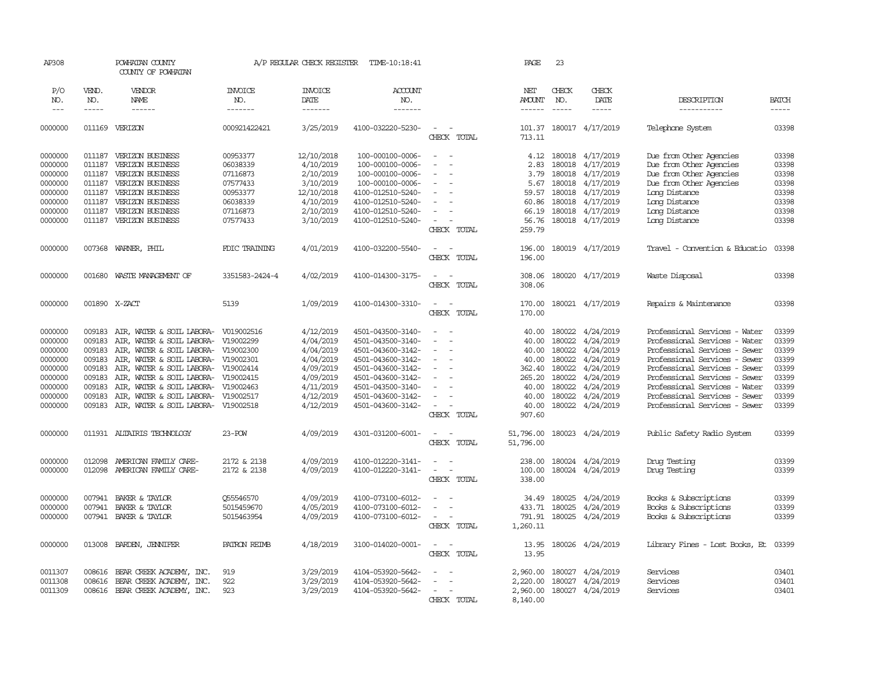| AP308      |               | POWHATAN COUNTY<br>COUNTY OF POWHATAN |                       | A/P REGULAR CHECK REGISTER | TIME-10:18:41     |                                    | PAGE            | 23           |                           |                                |              |
|------------|---------------|---------------------------------------|-----------------------|----------------------------|-------------------|------------------------------------|-----------------|--------------|---------------------------|--------------------------------|--------------|
| P/O<br>NO. | VEND.<br>NO.  | VENDOR<br>NAME                        | <b>INVOICE</b><br>NO. | <b>INVOICE</b><br>DATE     | ACCOUNT<br>NO.    |                                    | NET<br>AMOUNT   | CHECK<br>NO. | CHECK<br>DATE             | DESCRIPTION                    | <b>BATCH</b> |
| $---$      | -----         | $- - - - - -$                         | -------               | -------                    | -------           |                                    | $- - - - - -$   | $- - - - -$  | $- - - - -$               | -----------                    | -----        |
| 0000000    |               | 011169 VERIZON                        | 000921422421          | 3/25/2019                  | 4100-032220-5230- | $\sim$<br>$\sim$<br>CHECK TOTAL    | 713.11          |              | 101.37 180017 4/17/2019   | Telephone System               | 03398        |
| 0000000    | 011187        | VERIZON BUSINESS                      | 00953377              | 12/10/2018                 | 100-000100-0006-  | $\equiv$                           | 4.12            |              | 180018 4/17/2019          | Due from Other Agencies        | 03398        |
| 0000000    | 011187        | VERIZON BUSINESS                      | 06038339              | 4/10/2019                  | 100-000100-0006-  | $\overline{\phantom{a}}$<br>$\sim$ | 2.83            |              | 180018 4/17/2019          | Due from Other Agencies        | 03398        |
| 0000000    | 011187        | VERIZON BUSINESS                      | 07116873              | 2/10/2019                  | 100-000100-0006-  | $\sim$                             | 3.79            | 180018       | 4/17/2019                 | Due from Other Agencies        | 03398        |
| 0000000    | 011187        | VERIZON BUSINESS                      | 07577433              | 3/10/2019                  | 100-000100-0006-  | $\sim$                             | 5.67            |              | 180018 4/17/2019          | Due from Other Agencies        | 03398        |
| 0000000    | 011187        | VERIZON BUSINESS                      | 00953377              | 12/10/2018                 | 4100-012510-5240- |                                    | 59.57           |              | 180018 4/17/2019          | Long Distance                  | 03398        |
| 0000000    | 011187        | VERIZON BUSINESS                      | 06038339              | 4/10/2019                  | 4100-012510-5240- | $\sim$                             | 60.86           |              | 180018 4/17/2019          | Long Distance                  | 03398        |
| 0000000    | 011187        | VERIZON BUSINESS                      | 07116873              | 2/10/2019                  | 4100-012510-5240- | $\equiv$                           | 66.19           |              | 180018 4/17/2019          | Long Distance                  | 03398        |
| 0000000    | 011187        | VERIZON BUSINESS                      | 07577433              | 3/10/2019                  | 4100-012510-5240- | $\sim$                             | 56.76           |              | 180018 4/17/2019          | Long Distance                  | 03398        |
|            |               |                                       |                       |                            |                   | CHECK TOTAL                        | 259.79          |              |                           |                                |              |
| 0000000    | 007368        | WARNER, PHIL                          | FDIC TRAINING         | 4/01/2019                  | 4100-032200-5540- | $\overline{\phantom{a}}$           | 196.00          |              | 180019 4/17/2019          | Travel - Convention & Educatio | 03398        |
|            |               |                                       |                       |                            |                   | CHECK TOTAL                        | 196.00          |              |                           |                                |              |
| 0000000    | 001680        | WASTE MANAGEMENT OF                   | 3351583-2424-4        | 4/02/2019                  | 4100-014300-3175- | $\sim$<br>$\sim$                   | 308.06          |              | 180020 4/17/2019          | Waste Disposal                 | 03398        |
|            |               |                                       |                       |                            |                   | CHECK TOTAL                        | 308.06          |              |                           |                                |              |
| 0000000    | 001890 X-ZACT |                                       | 5139                  | 1/09/2019                  | 4100-014300-3310- | $\sim$ $\sim$                      | 170.00          |              | 180021 4/17/2019          | Repairs & Maintenance          | 03398        |
|            |               |                                       |                       |                            |                   | CHECK TOTAL                        | 170.00          |              |                           |                                |              |
|            |               |                                       |                       |                            |                   |                                    |                 |              |                           |                                |              |
| 0000000    | 009183        | AIR, WATER & SOIL LABORA- V019002516  |                       | 4/12/2019                  | 4501-043500-3140- | $\sim$                             | 40.00           |              | 180022 4/24/2019          | Professional Services - Water  | 03399        |
| 0000000    | 009183        | AIR, WATER & SOIL LABORA- V19002299   |                       | 4/04/2019                  | 4501-043500-3140- | $\equiv$                           | 40.00           | 180022       | 4/24/2019                 | Professional Services - Water  | 03399        |
| 0000000    | 009183        | AIR, WATER & SOIL LABORA- V19002300   |                       | 4/04/2019                  | 4501-043600-3142- | $\sim$                             | 40.00           | 180022       | 4/24/2019                 | Professional Services - Sewer  | 03399        |
| 0000000    | 009183        | AIR, WATER & SOIL LABORA- V19002301   |                       | 4/04/2019                  | 4501-043600-3142- | $\equiv$                           | 40.00           | 180022       | 4/24/2019                 | Professional Services - Sewer  | 03399        |
| 0000000    | 009183        | AIR, WATER & SOIL LABORA- V19002414   |                       | 4/09/2019                  | 4501-043600-3142- | $\equiv$                           | 362.40          | 180022       | 4/24/2019                 | Professional Services - Sewer  | 03399        |
| 0000000    | 009183        | AIR, WATER & SOIL LABORA- V19002415   |                       | 4/09/2019                  | 4501-043600-3142- | $\sim$                             | 265.20          | 180022       | 4/24/2019                 | Professional Services - Sewer  | 03399        |
| 0000000    | 009183        | AIR, WATER & SOIL LABORA- V19002463   |                       | 4/11/2019                  | 4501-043500-3140- | $\equiv$                           | 40.00           | 180022       | 4/24/2019                 | Professional Services - Water  | 03399        |
| 0000000    | 009183        | AIR, WATER & SOIL LABORA- V19002517   |                       | 4/12/2019                  | 4501-043600-3142- | $\equiv$                           | 40.00           | 180022       | 4/24/2019                 | Professional Services - Sewer  | 03399        |
| 0000000    | 009183        | AIR, WATER & SOIL LABORA- V19002518   |                       | 4/12/2019                  | 4501-043600-3142- | $\sim$<br>$\overline{\phantom{a}}$ | 40.00<br>907.60 |              | 180022 4/24/2019          | Professional Services - Sewer  | 03399        |
|            |               |                                       |                       |                            |                   | CHECK TOTAL                        |                 |              |                           |                                |              |
| 0000000    |               | 011931 ALTAIRIS TECHNOLOGY            | $23 - POW$            | 4/09/2019                  | 4301-031200-6001- | $\overline{\phantom{a}}$<br>$\sim$ | 51,796.00       |              | 180023 4/24/2019          | Public Safety Radio System     | 03399        |
|            |               |                                       |                       |                            |                   | CHECK TOTAL                        | 51,796.00       |              |                           |                                |              |
| 0000000    | 012098        | AMERICAN FAMILY CARE-                 | 2172 & 2138           | 4/09/2019                  | 4100-012220-3141- | $\overline{\phantom{a}}$<br>$\sim$ | 238.00          |              | 180024 4/24/2019          | Drug Testing                   | 03399        |
| 0000000    | 012098        | AMERICAN FAMILY CARE-                 | 2172 & 2138           | 4/09/2019                  | 4100-012220-3141- | $\overline{\phantom{a}}$           | 100.00          |              | 180024 4/24/2019          | Drug Testing                   | 03399        |
|            |               |                                       |                       |                            |                   | CHECK TOTAL                        | 338.00          |              |                           |                                |              |
| 0000000    | 007941        | BAKER & TAYLOR                        | Q55546570             | 4/09/2019                  | 4100-073100-6012- | $\equiv$                           | 34.49           |              | 180025 4/24/2019          | Books & Subscriptions          | 03399        |
| 0000000    | 007941        | BAKER & TAYLOR                        | 5015459670            | 4/05/2019                  | 4100-073100-6012- |                                    |                 |              | 433.71 180025 4/24/2019   | Books & Subscriptions          | 03399        |
| 0000000    |               | 007941 BAKER & TAYLOR                 | 5015463954            | 4/09/2019                  | 4100-073100-6012- |                                    |                 |              | 791.91 180025 4/24/2019   | Books & Subscriptions          | 03399        |
|            |               |                                       |                       |                            |                   | CHECK TOTAL                        | 1,260.11        |              |                           |                                |              |
| 0000000    | 013008        | BARDEN, JENNIFER                      | PATRON REIMB          | 4/18/2019                  | 3100-014020-0001- | $\sim$                             | 13.95           |              | 180026 4/24/2019          | Library Fines - Lost Books, Et | 03399        |
|            |               |                                       |                       |                            |                   | CHECK TOTAL                        | 13.95           |              |                           |                                |              |
| 0011307    | 008616        | BEAR CREEK ACADEMY, INC.              | 919                   | 3/29/2019                  | 4104-053920-5642- |                                    | 2,960.00        |              | 180027 4/24/2019          | Services                       | 03401        |
| 0011308    | 008616        | BEAR CREEK ACADEMY, INC.              | 922                   | 3/29/2019                  | 4104-053920-5642- |                                    | 2,220.00        |              | 180027 4/24/2019          | Services                       | 03401        |
| 0011309    | 008616        | BEAR CREEK ACADEMY, INC.              | 923                   | 3/29/2019                  | 4104-053920-5642- |                                    |                 |              | 2,960.00 180027 4/24/2019 | Services                       | 03401        |
|            |               |                                       |                       |                            |                   | CHECK TOTAL                        | 8,140.00        |              |                           |                                |              |
|            |               |                                       |                       |                            |                   |                                    |                 |              |                           |                                |              |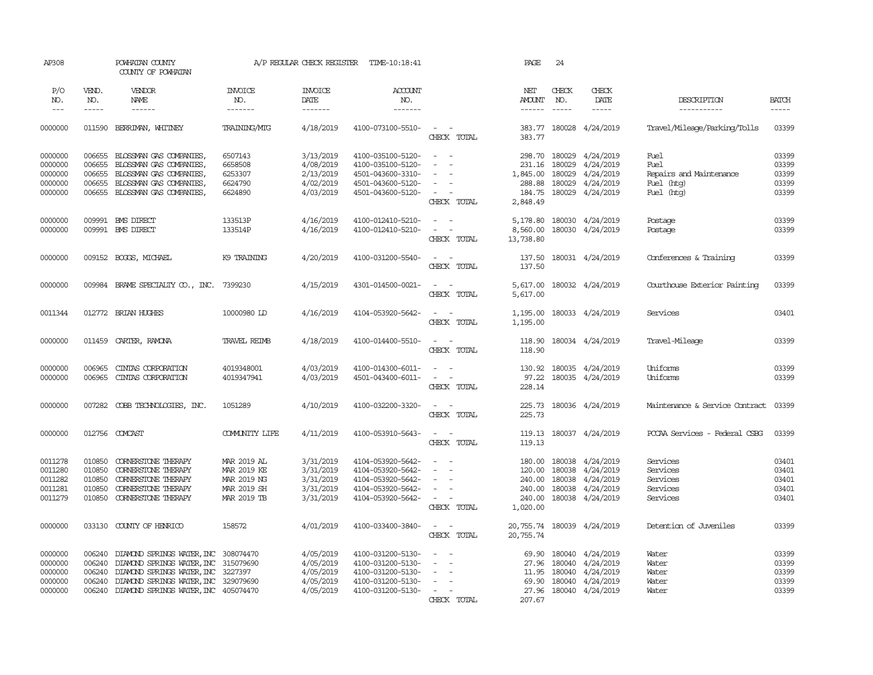| AP308                |                  | POWHATAN COUNTY<br>COUNTY OF POWHATAN                                        |                     | A/P REGULAR CHECK REGISTER | TIME-10:18:41                          |                                                                                                | PAGE             | 24            |                                            |                                |                        |
|----------------------|------------------|------------------------------------------------------------------------------|---------------------|----------------------------|----------------------------------------|------------------------------------------------------------------------------------------------|------------------|---------------|--------------------------------------------|--------------------------------|------------------------|
| P/O                  | VEND.            | VENDOR                                                                       | <b>INVOICE</b>      | <b>INVOICE</b>             | <b>ACCOUNT</b>                         |                                                                                                | NET              | CHECK         | CHECK                                      |                                |                        |
| NO.                  | NO.              | NAME                                                                         | NO.                 | DATE                       | NO.                                    |                                                                                                | <b>AMOUNT</b>    | NO.           | DATE                                       | DESCRIPTION                    | <b>BATCH</b>           |
| $\sim$ $\sim$ $\sim$ | -----            |                                                                              | -------             | -------                    | $------$                               |                                                                                                | $- - - - - -$    | $\frac{1}{2}$ | $\cdots \cdots \cdots$                     | ------------                   | $\cdots \cdots \cdots$ |
|                      |                  |                                                                              |                     |                            |                                        |                                                                                                |                  |               |                                            |                                |                        |
| 0000000              |                  | 011590 BERRIMAN, WHITNEY                                                     | <b>TRAINING/MIG</b> | 4/18/2019                  | 4100-073100-5510-                      | $\sim$ $  -$                                                                                   |                  |               | 383.77 180028 4/24/2019                    | Travel/Mileage/Parking/Tolls   | 03399                  |
|                      |                  |                                                                              |                     |                            |                                        | CHECK TOTAL                                                                                    | 383.77           |               |                                            |                                |                        |
| 0000000              | 006655           | BLOSSMAN GAS COMPANIES,                                                      | 6507143             | 3/13/2019                  | 4100-035100-5120-                      | $\sim$<br>$\sim$                                                                               |                  |               | 298.70 180029 4/24/2019                    | Fuel                           | 03399                  |
| 0000000              | 006655           | BLOSSMAN GAS COMPANIES,                                                      | 6658508             | 4/08/2019                  | 4100-035100-5120-                      | $\sim$<br>$\sim$                                                                               |                  |               | 231.16 180029 4/24/2019                    | Fuel                           | 03399                  |
| 0000000              | 006655           | BLOSSMAN GAS COMPANIES,                                                      | 6253307             | 2/13/2019                  | 4501-043600-3310-                      |                                                                                                | 1,845.00         |               | 180029 4/24/2019                           | Repairs and Maintenance        | 03399                  |
| 0000000              | 006655           | BLOSSMAN GAS COMPANIES,                                                      | 6624790             | 4/02/2019                  | 4501-043600-5120-                      |                                                                                                | 288.88           |               | 180029 4/24/2019                           | Fuel (htg)                     | 03399                  |
| 0000000              |                  | 006655 BLOSSMAN GAS COMPANIES,                                               | 6624890             | 4/03/2019                  | 4501-043600-5120-                      | $\sim$                                                                                         |                  |               | 184.75 180029 4/24/2019                    | Fuel (htg)                     | 03399                  |
|                      |                  |                                                                              |                     |                            |                                        | CHECK TOTAL                                                                                    | 2,848.49         |               |                                            |                                |                        |
| 0000000              |                  | 009991 BMS DIRECT                                                            | 133513P             | 4/16/2019                  | 4100-012410-5210-                      | $\frac{1}{2} \left( \frac{1}{2} \right) \left( \frac{1}{2} \right) \left( \frac{1}{2} \right)$ |                  |               | 5,178.80 180030 4/24/2019                  | Postage                        | 03399                  |
| 0000000              |                  | 009991 BMS DIRECT                                                            | 133514P             | 4/16/2019                  | 4100-012410-5210-                      | $\omega_{\rm{max}}$                                                                            |                  |               | 8,560.00 180030 4/24/2019                  | Postage                        | 03399                  |
|                      |                  |                                                                              |                     |                            |                                        | CHECK TOTAL                                                                                    | 13,738.80        |               |                                            |                                |                        |
|                      |                  |                                                                              |                     |                            |                                        |                                                                                                |                  |               |                                            |                                |                        |
| 0000000              |                  | 009152 BOGGS, MICHAEL                                                        | K9 TRAINING         | 4/20/2019                  | 4100-031200-5540-                      | $\sim$ $ \sim$<br>CHECK TOTAL                                                                  | 137.50           |               | 137.50 180031 4/24/2019                    | Conferences & Training         | 03399                  |
|                      |                  |                                                                              |                     |                            |                                        |                                                                                                |                  |               |                                            |                                |                        |
| 0000000              |                  | 009984 BRAME SPECIALITY CO., INC. 7399230                                    |                     | 4/15/2019                  | 4301-014500-0021-                      | $\sim$ $ \sim$                                                                                 |                  |               | 5,617.00 180032 4/24/2019                  | Courthouse Exterior Painting   | 03399                  |
|                      |                  |                                                                              |                     |                            |                                        | CHECK TOTAL                                                                                    | 5,617.00         |               |                                            |                                |                        |
| 0011344              |                  | 012772 BRIAN HUGHES                                                          | 10000980 LD         | 4/16/2019                  | 4104-053920-5642-                      | $\sim$<br>$\sim$                                                                               | 1,195.00         |               | 180033 4/24/2019                           | Services                       | 03401                  |
|                      |                  |                                                                              |                     |                            |                                        | CHECK TOTAL                                                                                    | 1,195.00         |               |                                            |                                |                        |
|                      |                  |                                                                              |                     |                            |                                        |                                                                                                |                  |               |                                            |                                |                        |
| 0000000              |                  | 011459 CARTER, RAMONA                                                        | <b>TRAVEL REIMB</b> | 4/18/2019                  | 4100-014400-5510-                      | $\sim$ $ \sim$                                                                                 | 118.90           |               | 180034 4/24/2019                           | Travel-Mileage                 | 03399                  |
|                      |                  |                                                                              |                     |                            |                                        | CHECK TOTAL                                                                                    | 118.90           |               |                                            |                                |                        |
| 0000000              | 006965           | CINIAS CORPORATION                                                           | 4019348001          | 4/03/2019                  | 4100-014300-6011-                      | $\sim$ $ \sim$                                                                                 |                  |               | 130.92 180035 4/24/2019                    | Uniforms                       | 03399                  |
| 0000000              | 006965           | CINIAS CORPORATION                                                           | 4019347941          | 4/03/2019                  | 4501-043400-6011-                      | $\frac{1}{2} \left( \frac{1}{2} \right) \left( \frac{1}{2} \right) \left( \frac{1}{2} \right)$ | 97.22            |               | 180035 4/24/2019                           | Uniforms                       | 03399                  |
|                      |                  |                                                                              |                     |                            |                                        | CHECK TOTAL                                                                                    | 228.14           |               |                                            |                                |                        |
| 0000000              |                  |                                                                              | 1051289             |                            | 4100-032200-3320-                      | $\sim$<br>$\sim$ $-$                                                                           |                  |               |                                            | Maintenance & Service Contract | 03399                  |
|                      |                  | 007282 COBB TECHNOLOGIES, INC.                                               |                     | 4/10/2019                  |                                        | CHECK TOTAL                                                                                    | 225.73<br>225.73 |               | 180036 4/24/2019                           |                                |                        |
|                      |                  |                                                                              |                     |                            |                                        |                                                                                                |                  |               |                                            |                                |                        |
| 0000000              |                  | 012756 COMCAST                                                               | COMUNITY LIFE       | 4/11/2019                  | 4100-053910-5643-                      | $\sim 100$ $\sim$                                                                              |                  |               | 119.13 180037 4/24/2019                    | PCCAA Services - Federal CSBG  | 03399                  |
|                      |                  |                                                                              |                     |                            |                                        | CHECK TOTAL                                                                                    | 119.13           |               |                                            |                                |                        |
| 0011278              | 010850           | <b>CORNERSTONE THERAPY</b>                                                   | MAR 2019 AL         | 3/31/2019                  | 4104-053920-5642-                      | $\overline{\phantom{a}}$                                                                       |                  |               | 180.00 180038 4/24/2019                    | Services                       | 03401                  |
| 0011280              | 010850           | CORNERSTONE THERAPY                                                          | MAR 2019 KE         | 3/31/2019                  | 4104-053920-5642-                      | $\sim$<br>$\sim$                                                                               |                  |               | 120.00 180038 4/24/2019                    | Services                       | 03401                  |
| 0011282              | 010850           | CORNERSTONE THERAPY                                                          | MAR 2019 NG         | 3/31/2019                  | 4104-053920-5642-                      | $\sim$                                                                                         |                  |               | 240.00 180038 4/24/2019                    | Services                       | 03401                  |
| 0011281              | 010850           | <b>CORNERSTONE THERAPY</b>                                                   | MAR 2019 SH         | 3/31/2019                  | 4104-053920-5642-                      |                                                                                                |                  |               | 240.00 180038 4/24/2019                    | Services                       | 03401                  |
| 0011279              | 010850           | CORNERSTONE THERAPY                                                          | MAR 2019 TB         | 3/31/2019                  | 4104-053920-5642-                      | $\sim$ $ \sim$                                                                                 |                  |               | 240.00 180038 4/24/2019                    | Services                       | 03401                  |
|                      |                  |                                                                              |                     |                            |                                        | CHECK TOTAL                                                                                    | 1,020.00         |               |                                            |                                |                        |
| 0000000              | 033130           | COUNTY OF HENRICO                                                            | 158572              | 4/01/2019                  | 4100-033400-3840-                      | $\overline{\phantom{a}}$<br>$\sim$                                                             |                  |               | 20,755.74 180039 4/24/2019                 | Detention of Juveniles         | 03399                  |
|                      |                  |                                                                              |                     |                            |                                        | CHECK TOTAL                                                                                    | 20,755.74        |               |                                            |                                |                        |
|                      |                  |                                                                              |                     |                            |                                        |                                                                                                |                  |               |                                            |                                |                        |
| 0000000              | 006240           | DIAMOND SPRINGS WATER, INC 308074470                                         |                     | 4/05/2019                  | 4100-031200-5130-                      | $\sim$                                                                                         | 69.90            |               | 180040 4/24/2019                           | Water                          | 03399                  |
| 0000000              | 006240           | DIAMOND SPRINGS WATER, INC 315079690                                         |                     | 4/05/2019                  | 4100-031200-5130-                      | $\sim$                                                                                         |                  |               | 27.96 180040 4/24/2019                     | Water                          | 03399                  |
| 0000000              | 006240           | DIAMOND SPRINGS WATER, INC 3227397                                           |                     | 4/05/2019                  | 4100-031200-5130-                      | $\sim$<br>$\overline{\phantom{a}}$                                                             |                  |               | 11.95 180040 4/24/2019                     | Water                          | 03399                  |
| 0000000<br>0000000   | 006240<br>006240 | DIAMOND SPRINGS WATER, INC 329079690<br>DIAMOND SPRINGS WATER, INC 405074470 |                     | 4/05/2019<br>4/05/2019     | 4100-031200-5130-<br>4100-031200-5130- | $\sim$ $  -$                                                                                   | 69.90            |               | 180040 4/24/2019<br>27.96 180040 4/24/2019 | Water<br>Water                 | 03399<br>03399         |
|                      |                  |                                                                              |                     |                            |                                        | CHECK TOTAL                                                                                    | 207.67           |               |                                            |                                |                        |
|                      |                  |                                                                              |                     |                            |                                        |                                                                                                |                  |               |                                            |                                |                        |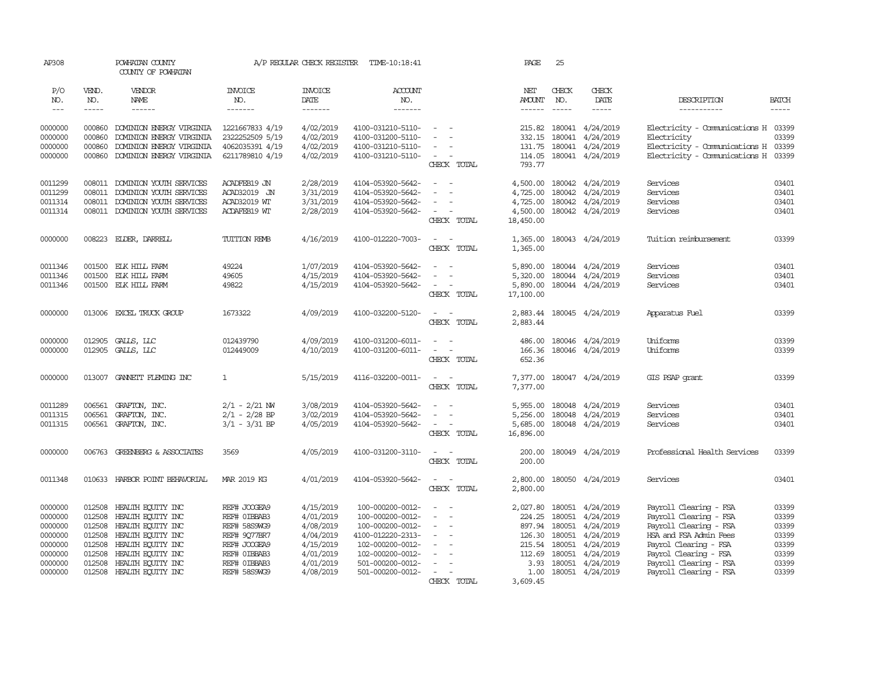| AP308                         |                            | POWHATAN COUNTY<br>COUNTY OF POWHATAN                                            |                                                       | A/P REGULAR CHECK REGISTER          | TIME-10:18:41                                               |                                                                                                               | PAGE                 | 25           |                                                                 |                                                                                           |              |
|-------------------------------|----------------------------|----------------------------------------------------------------------------------|-------------------------------------------------------|-------------------------------------|-------------------------------------------------------------|---------------------------------------------------------------------------------------------------------------|----------------------|--------------|-----------------------------------------------------------------|-------------------------------------------------------------------------------------------|--------------|
| P/O<br>NO.                    | VEND.<br>NO.               | VENDOR<br><b>NAME</b>                                                            | <b>INVOICE</b><br>NO.                                 | <b>INVOICE</b><br>DATE              | ACCOUNT<br>NO.                                              |                                                                                                               | NET<br><b>AMOUNT</b> | CHECK<br>NO. | CHECK<br>DATE                                                   | DESCRIPTION                                                                               | <b>BATCH</b> |
| $\frac{1}{2}$                 | $\frac{1}{2}$              | $- - - - - -$                                                                    | -------                                               | $- - - - - - -$                     | $- - - - - - -$                                             |                                                                                                               | $\frac{1}{2}$        | ------       |                                                                 | -----------                                                                               |              |
| 0000000<br>0000000<br>0000000 | 000860<br>000860<br>000860 | DOMINION ENERGY VIRGINIA<br>DOMINION ENERGY VIRGINIA<br>DOMINION ENERGY VIRGINIA | 1221667833 4/19<br>2322252509 5/19<br>4062035391 4/19 | 4/02/2019<br>4/02/2019<br>4/02/2019 | 4100-031210-5110-<br>4100-031200-5110-<br>4100-031210-5110- | $\sim$<br>$\sim$                                                                                              | 215.82<br>332.15     |              | 180041 4/24/2019<br>180041 4/24/2019<br>131.75 180041 4/24/2019 | Electricity - Comunications H 03399<br>Electricity<br>Electricity - Comunications H 03399 | 03399        |
| 0000000                       | 000860                     | DOMINION ENERGY VIRGINIA                                                         | 6211789810 4/19                                       | 4/02/2019                           | 4100-031210-5110-                                           | $\sim$<br>CHECK TOTAL                                                                                         | 114.05<br>793.77     |              | 180041 4/24/2019                                                | Electricity - Comunications H 03399                                                       |              |
| 0011299                       |                            | 008011 DOMINION YOUTH SERVICES                                                   | ACADFEB19 JN                                          | 2/28/2019                           | 4104-053920-5642-                                           | $\overline{\phantom{a}}$<br>$\overline{\phantom{a}}$                                                          |                      |              | 4,500.00 180042 4/24/2019                                       | Services                                                                                  | 03401        |
| 0011299                       | 008011                     | DOMINION YOUTH SERVICES                                                          | ACAD32019 JN                                          | 3/31/2019                           | 4104-053920-5642-                                           |                                                                                                               | 4,725.00             |              | 180042 4/24/2019                                                | Services                                                                                  | 03401        |
| 0011314                       | 008011                     | DOMINION YOUTH SERVICES                                                          | ACAD32019 WT                                          | 3/31/2019                           | 4104-053920-5642-                                           | $\sim$                                                                                                        | 4,725.00             |              | 180042 4/24/2019                                                | Services                                                                                  | 03401        |
| 0011314                       |                            | 008011 DOMINION YOUTH SERVICES                                                   | ACDAFEB19 WT                                          | 2/28/2019                           | 4104-053920-5642-                                           | $\sim$                                                                                                        | 4,500.00             |              | 180042 4/24/2019                                                | Services                                                                                  | 03401        |
|                               |                            |                                                                                  |                                                       |                                     |                                                             | CHECK TOTAL                                                                                                   | 18,450.00            |              |                                                                 |                                                                                           |              |
| 0000000                       |                            | 008223 EIDER, DARREIL                                                            | TUITION REMB                                          | 4/16/2019                           | 4100-012220-7003-                                           | $\sim$<br>$\sim$<br>CHECK TOTAL                                                                               | 1,365.00<br>1,365.00 |              | 180043 4/24/2019                                                | Tuition reimbursement                                                                     | 03399        |
| 0011346                       |                            | 001500 ELK HILL FARM                                                             | 49224                                                 | 1/07/2019                           | 4104-053920-5642-                                           |                                                                                                               | 5,890.00             |              | 180044 4/24/2019                                                | Services                                                                                  | 03401        |
| 0011346                       | 001500                     | ELK HILL FARM                                                                    | 49605                                                 | 4/15/2019                           | 4104-053920-5642-                                           |                                                                                                               | 5,320.00             |              | 180044 4/24/2019                                                | Services                                                                                  | 03401        |
| 0011346                       |                            | 001500 ELK HILL FARM                                                             | 49822                                                 | 4/15/2019                           | 4104-053920-5642-                                           | $\sim$                                                                                                        | 5,890.00             |              | 180044 4/24/2019                                                | Services                                                                                  | 03401        |
|                               |                            |                                                                                  |                                                       |                                     |                                                             | CHECK TOTAL                                                                                                   | 17,100.00            |              |                                                                 |                                                                                           |              |
| 0000000                       |                            | 013006 EXCEL TRUCK GROUP                                                         | 1673322                                               | 4/09/2019                           | 4100-032200-5120-                                           | $\frac{1}{2} \left( \frac{1}{2} \right) \left( \frac{1}{2} \right) \left( \frac{1}{2} \right)$<br>CHECK TOTAL | 2,883.44<br>2,883.44 |              | 180045 4/24/2019                                                | Apparatus Fuel                                                                            | 03399        |
| 0000000                       |                            | 012905 GALLS, LLC                                                                | 012439790                                             | 4/09/2019                           | 4100-031200-6011-                                           |                                                                                                               | 486.00               |              | 180046 4/24/2019                                                | Uniforms                                                                                  | 03399        |
| 0000000                       |                            | 012905 GALLS, LLC                                                                | 012449009                                             | 4/10/2019                           | 4100-031200-6011-                                           | $\sim$ 100 $\sim$                                                                                             | 166.36               |              | 180046 4/24/2019                                                | Uniforms                                                                                  | 03399        |
|                               |                            |                                                                                  |                                                       |                                     |                                                             | CHECK TOTAL                                                                                                   | 652.36               |              |                                                                 |                                                                                           |              |
| 0000000                       |                            | 013007 GANNETT FLEMING INC                                                       | $\mathbf{1}$                                          | 5/15/2019                           | 4116-032200-0011-                                           | $\sim$ $ \sim$<br>CHECK TOTAL                                                                                 | 7,377.00             |              | 7,377.00 180047 4/24/2019                                       | GIS PSAP grant                                                                            | 03399        |
| 0011289                       |                            | 006561 GRAFTON, INC.                                                             | $2/1 - 2/21$ NW                                       | 3/08/2019                           | 4104-053920-5642-                                           | $\sim$<br>$\sim$                                                                                              | 5,955.00             |              | 180048 4/24/2019                                                | Services                                                                                  | 03401        |
| 0011315                       |                            | 006561 GRAFTON, INC.                                                             | $2/1 - 2/28$ BP                                       | 3/02/2019                           | 4104-053920-5642-                                           |                                                                                                               | 5,256.00             |              | 180048 4/24/2019                                                | Services                                                                                  | 03401        |
| 0011315                       |                            | 006561 GRAFTON, INC.                                                             | $3/1 - 3/31$ BP                                       | 4/05/2019                           | 4104-053920-5642-                                           | $\sim$ $ \sim$                                                                                                | 5,685.00             |              | 180048 4/24/2019                                                | Services                                                                                  | 03401        |
|                               |                            |                                                                                  |                                                       |                                     |                                                             | CHECK TOTAL                                                                                                   | 16,896.00            |              |                                                                 |                                                                                           |              |
| 0000000                       |                            | 006763 GREENBERG & ASSOCIATES                                                    | 3569                                                  | 4/05/2019                           | 4100-031200-3110-                                           | $\sim$<br>$\sim$<br>CHECK TOTAL                                                                               | 200.00<br>200.00     |              | 180049 4/24/2019                                                | Professional Health Services                                                              | 03399        |
| 0011348                       |                            | 010633 HARBOR POINT BEHAVORIAL                                                   | MAR 2019 KG                                           | 4/01/2019                           | 4104-053920-5642-                                           | $\overline{\phantom{a}}$<br>CHECK TOTAL                                                                       | 2,800.00<br>2,800.00 |              | 180050 4/24/2019                                                | Services                                                                                  | 03401        |
| 0000000                       |                            | 012508 HEALTH EQUITY INC                                                         | REF# JOOGEA9                                          | 4/15/2019                           | 100-000200-0012-                                            | $\overline{\phantom{a}}$                                                                                      | 2,027.80             |              | 180051 4/24/2019                                                | Payroll Clearing - FSA                                                                    | 03399        |
| 0000000                       | 012508                     | HEALTH EQUITY INC                                                                | REF# OIBBAB3                                          | 4/01/2019                           | 100-000200-0012-                                            |                                                                                                               | 224.25               |              | 180051 4/24/2019                                                | Payroll Clearing - FSA                                                                    | 03399        |
| 0000000                       | 012508                     | HEALTH EQUITY INC                                                                | REF# 58S9WG9                                          | 4/08/2019                           | 100-000200-0012-                                            | $\overline{\phantom{a}}$<br>$\overline{\phantom{a}}$                                                          | 897.94               |              | 180051 4/24/2019                                                | Payroll Clearing - FSA                                                                    | 03399        |
| 0000000                       | 012508                     | HEALTH EQUITY INC                                                                | REF# 9Q77BR7                                          | 4/04/2019                           | 4100-012220-2313-                                           | $\sim$                                                                                                        | 126.30               |              | 180051 4/24/2019                                                | HSA and FSA Admin Fees                                                                    | 03399        |
| 0000000                       | 012508                     | HEALTH ECUTTY INC                                                                | REF# JOOGEA9                                          | 4/15/2019                           | 102-000200-0012-                                            |                                                                                                               | 215.54               |              | 180051 4/24/2019                                                | Payrol Clearing - FSA                                                                     | 03399        |
| 0000000                       | 012508                     | HEALTH EQUITY INC                                                                | REF# OIBBAB3                                          | 4/01/2019                           | 102-000200-0012-                                            |                                                                                                               | 112.69               |              | 180051 4/24/2019                                                | Payrol Clearing - FSA                                                                     | 03399        |
| 0000000                       | 012508                     | HEALTH EQUITY INC                                                                | REF# OIBBAB3                                          | 4/01/2019                           | 501-000200-0012-                                            | $\sim$                                                                                                        | 3.93                 |              | 180051 4/24/2019                                                | Payroll Clearing - FSA                                                                    | 03399        |
| 0000000                       |                            | 012508 HEALTH ECUTTY INC                                                         | REF# 58S9WG9                                          | 4/08/2019                           | 501-000200-0012-                                            | $\sim$                                                                                                        |                      |              | 1.00 180051 4/24/2019                                           | Payroll Clearing - FSA                                                                    | 03399        |
|                               |                            |                                                                                  |                                                       |                                     |                                                             | CHECK TOTAL                                                                                                   | 3,609.45             |              |                                                                 |                                                                                           |              |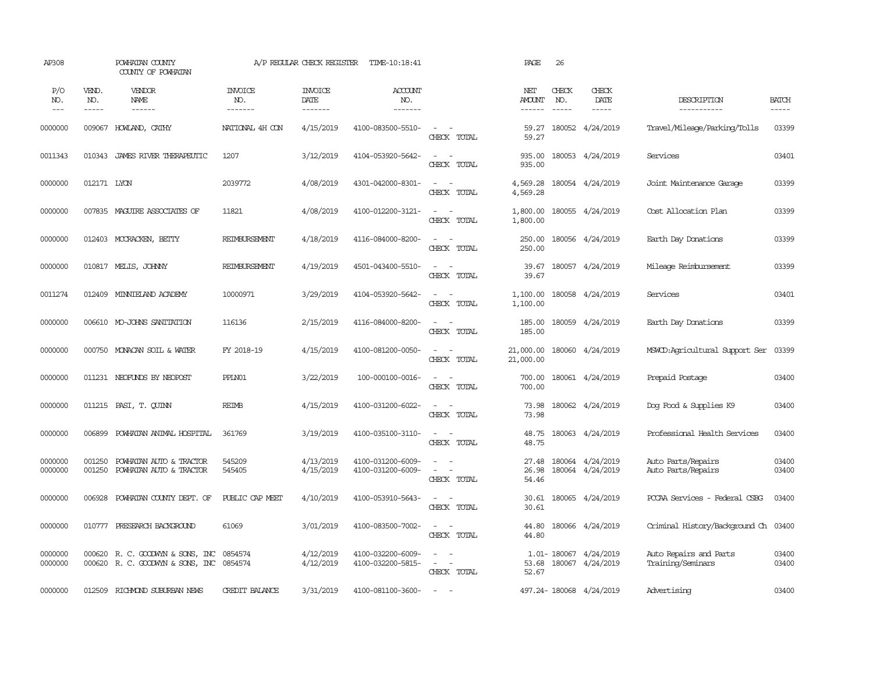| AP308               |                             | POWHATAN COUNTY<br>COUNTY OF POWHATAN                                |                                  | A/P REGULAR CHECK REGISTER         | TIME-10:18:41                          |                                                                       | PAGE                           | 26                                                                                                                                                                                                                                                                                                                                                                                                           |                               |                                             |                          |
|---------------------|-----------------------------|----------------------------------------------------------------------|----------------------------------|------------------------------------|----------------------------------------|-----------------------------------------------------------------------|--------------------------------|--------------------------------------------------------------------------------------------------------------------------------------------------------------------------------------------------------------------------------------------------------------------------------------------------------------------------------------------------------------------------------------------------------------|-------------------------------|---------------------------------------------|--------------------------|
| P/O<br>NO.<br>$---$ | VEND.<br>NO.<br>$- - - - -$ | VENDOR<br><b>NAME</b>                                                | <b>INVOICE</b><br>NO.<br>------- | <b>INVOICE</b><br>DATE<br>-------- | <b>ACCOUNT</b><br>NO.<br>-------       |                                                                       | NET<br><b>AMOUNT</b><br>------ | CHECK<br>NO.<br>$\frac{1}{2} \frac{1}{2} \frac{1}{2} \frac{1}{2} \frac{1}{2} \frac{1}{2} \frac{1}{2} \frac{1}{2} \frac{1}{2} \frac{1}{2} \frac{1}{2} \frac{1}{2} \frac{1}{2} \frac{1}{2} \frac{1}{2} \frac{1}{2} \frac{1}{2} \frac{1}{2} \frac{1}{2} \frac{1}{2} \frac{1}{2} \frac{1}{2} \frac{1}{2} \frac{1}{2} \frac{1}{2} \frac{1}{2} \frac{1}{2} \frac{1}{2} \frac{1}{2} \frac{1}{2} \frac{1}{2} \frac{$ | CHECK<br>DATE<br>$- - - - -$  | DESCRIPTION<br>-----------                  | <b>BATCH</b><br>$\cdots$ |
| 0000000             | 009067                      | HOWLAND, CATHY                                                       | NATIONAL 4H CON                  | 4/15/2019                          | 4100-083500-5510-                      | $\sim$ $ \sim$<br>CHECK TOTAL                                         | 59.27<br>59.27                 |                                                                                                                                                                                                                                                                                                                                                                                                              | 180052 4/24/2019              | Travel/Mileage/Parking/Tolls                | 03399                    |
| 0011343             | 010343                      | JAMES RIVER THERAPEUTIC                                              | 1207                             | 3/12/2019                          | 4104-053920-5642-                      | $\sim$<br>$\sim$<br>CHECK TOTAL                                       | 935.00<br>935.00               |                                                                                                                                                                                                                                                                                                                                                                                                              | 180053 4/24/2019              | Services                                    | 03401                    |
| 0000000             | 012171 LYON                 |                                                                      | 2039772                          | 4/08/2019                          | 4301-042000-8301-                      | $\omega_{\rm{max}}$ and $\omega_{\rm{max}}$<br>CHECK TOTAL            | 4,569.28<br>4,569.28           |                                                                                                                                                                                                                                                                                                                                                                                                              | 180054 4/24/2019              | Joint Maintenance Garage                    | 03399                    |
| 0000000             |                             | 007835 MAGUIRE ASSOCIATES OF                                         | 11821                            | 4/08/2019                          | 4100-012200-3121-                      | $\sim$ $ \sim$<br>CHECK TOTAL                                         | 1,800.00<br>1,800.00           |                                                                                                                                                                                                                                                                                                                                                                                                              | 180055 4/24/2019              | Cost Allocation Plan                        | 03399                    |
| 0000000             |                             | 012403 MCCRACKEN, BETTY                                              | REIMBURSEMENT                    | 4/18/2019                          | 4116-084000-8200-                      | $\omega_{\rm{max}}$ and $\omega_{\rm{max}}$<br>CHECK TOTAL            | 250.00<br>250.00               |                                                                                                                                                                                                                                                                                                                                                                                                              | 180056 4/24/2019              | Earth Day Donations                         | 03399                    |
| 0000000             |                             | 010817 MELIS, JOHNNY                                                 | REIMBURSEMENT                    | 4/19/2019                          | 4501-043400-5510-                      | $\sim$<br>$\sim$<br>CHECK TOTAL                                       | 39.67<br>39.67                 |                                                                                                                                                                                                                                                                                                                                                                                                              | 180057 4/24/2019              | Mileage Reimbursement                       | 03399                    |
| 0011274             |                             | 012409 MINNIELAND ACADEMY                                            | 10000971                         | 3/29/2019                          | 4104-053920-5642-                      | $\sim$<br>$\sim$<br>CHECK TOTAL                                       | 1,100.00<br>1,100.00           |                                                                                                                                                                                                                                                                                                                                                                                                              | 180058 4/24/2019              | Services                                    | 03401                    |
| 0000000             |                             | 006610 MO-JOHNS SANITATION                                           | 116136                           | 2/15/2019                          | 4116-084000-8200-                      | $\sim$<br>$\sim$<br>CHECK TOTAL                                       | 185.00<br>185.00               |                                                                                                                                                                                                                                                                                                                                                                                                              | 180059 4/24/2019              | Earth Day Donations                         | 03399                    |
| 0000000             |                             | 000750 MONACAN SOIL & WATER                                          | FY 2018-19                       | 4/15/2019                          | 4100-081200-0050-                      | $\sim$<br>$\sim$<br>CHECK TOTAL                                       | 21,000.00<br>21,000.00         |                                                                                                                                                                                                                                                                                                                                                                                                              | 180060 4/24/2019              | MSWCD:Agricultural Support Ser              | 03399                    |
| 0000000             |                             | 011231 NEOFUNDS BY NEOPOST                                           | PPLN01                           | 3/22/2019                          | 100-000100-0016-                       | $\sim$ $ \sim$<br>CHECK TOTAL                                         | 700.00<br>700.00               |                                                                                                                                                                                                                                                                                                                                                                                                              | 180061 4/24/2019              | Prepaid Postage                             | 03400                    |
| 0000000             |                             | 011215 PASI, T. QUINN                                                | REIMB                            | 4/15/2019                          | 4100-031200-6022-                      | $\sim$<br>$\sim$<br>CHECK TOTAL                                       | 73.98<br>73.98                 |                                                                                                                                                                                                                                                                                                                                                                                                              | 180062 4/24/2019              | Dog Food & Supplies K9                      | 03400                    |
| 0000000             | 006899                      | POWHATAN ANIMAL HOSPITAL                                             | 361769                           | 3/19/2019                          | 4100-035100-3110-                      | $\omega_{\rm{max}}$ and $\omega_{\rm{max}}$<br>CHECK TOTAL            | 48.75<br>48.75                 |                                                                                                                                                                                                                                                                                                                                                                                                              | 180063 4/24/2019              | Professional Health Services                | 03400                    |
| 0000000<br>0000000  | 001250<br>001250            | POWHATAN AUTO & TRACTOR<br>POWHATAN AUTO & TRACTOR                   | 545209<br>545405                 | 4/13/2019<br>4/15/2019             | 4100-031200-6009-<br>4100-031200-6009- | $\sim$<br>$\sim$<br>$\sim$ $ -$<br>CHECK TOTAL                        | 27.48<br>26.98<br>54.46        | 180064                                                                                                                                                                                                                                                                                                                                                                                                       | 4/24/2019<br>180064 4/24/2019 | Auto Parts/Repairs<br>Auto Parts/Repairs    | 03400<br>03400           |
| 0000000             | 006928                      | POWHATAN COUNTY DEPT. OF                                             | PUBLIC CAP MEET                  | 4/10/2019                          | 4100-053910-5643-                      | $\sim$ $ \sim$<br>CHECK TOTAL                                         | 30.61<br>30.61                 |                                                                                                                                                                                                                                                                                                                                                                                                              | 180065 4/24/2019              | PCCAA Services - Federal CSBG               | 03400                    |
| 0000000             |                             | 010777 PRESEARCH BACKGROUND                                          | 61069                            | 3/01/2019                          | 4100-083500-7002-                      | $\sim$ $ \sim$<br>CHECK TOTAL                                         | 44.80<br>44.80                 |                                                                                                                                                                                                                                                                                                                                                                                                              | 180066 4/24/2019              | Criminal History/Background Ch 03400        |                          |
| 0000000<br>0000000  |                             | 000620 R. C. GOODWYN & SONS, INC<br>000620 R. C. GOODWYN & SONS, INC | 0854574<br>0854574               | 4/12/2019<br>4/12/2019             | 4100-032200-6009-<br>4100-032200-5815- | $\sim$<br>$\sim$<br>$\sim$<br>$\overline{\phantom{a}}$<br>CHECK TOTAL | 53.68<br>52.67                 | 1.01-180067                                                                                                                                                                                                                                                                                                                                                                                                  | 4/24/2019<br>180067 4/24/2019 | Auto Repairs and Parts<br>Training/Seminars | 03400<br>03400           |
| 0000000             | 012509                      | RICHMOND SUBURBAN NEWS                                               | <b>CREDIT BALANCE</b>            | 3/31/2019                          | 4100-081100-3600-                      | $\sim$                                                                |                                |                                                                                                                                                                                                                                                                                                                                                                                                              | 497.24-180068 4/24/2019       | Advertising                                 | 03400                    |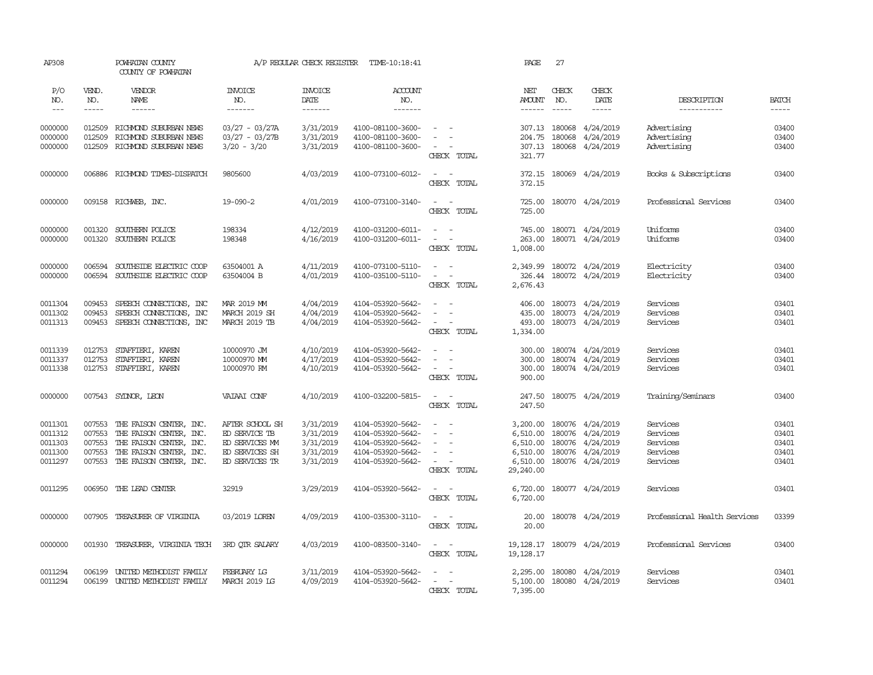| AP308                                               |                  | POWHATAN COUNTY<br>COUNTY OF POWHATAN                                                                                                                           |                                                                                                                                                                                                                                                                                                                                                                                                                                                                                        | A/P REGULAR CHECK REGISTER                                    | TIME-10:18:41                                                                                         |                                                                                   | PAGE                                                                                                                                                                                                                                                                                                                                                                                                                                                                                   | 27           |                                                                                                           |                                                          |                                           |
|-----------------------------------------------------|------------------|-----------------------------------------------------------------------------------------------------------------------------------------------------------------|----------------------------------------------------------------------------------------------------------------------------------------------------------------------------------------------------------------------------------------------------------------------------------------------------------------------------------------------------------------------------------------------------------------------------------------------------------------------------------------|---------------------------------------------------------------|-------------------------------------------------------------------------------------------------------|-----------------------------------------------------------------------------------|----------------------------------------------------------------------------------------------------------------------------------------------------------------------------------------------------------------------------------------------------------------------------------------------------------------------------------------------------------------------------------------------------------------------------------------------------------------------------------------|--------------|-----------------------------------------------------------------------------------------------------------|----------------------------------------------------------|-------------------------------------------|
| P/O<br>NO.                                          | VEND.<br>NO.     | VENDOR<br>NAME                                                                                                                                                  | <b>INVOICE</b><br>NO.                                                                                                                                                                                                                                                                                                                                                                                                                                                                  | <b>INVOICE</b><br>DATE                                        | ACCOUNT<br>NO.                                                                                        |                                                                                   | NET<br>AMOUNT                                                                                                                                                                                                                                                                                                                                                                                                                                                                          | CHECK<br>NO. | CHECK<br>DATE                                                                                             | DESCRIPTION                                              | <b>BATCH</b>                              |
| $---$                                               | $\frac{1}{2}$    | $- - - - - -$                                                                                                                                                   | $\begin{array}{cccccccccc} \multicolumn{2}{c}{} & \multicolumn{2}{c}{} & \multicolumn{2}{c}{} & \multicolumn{2}{c}{} & \multicolumn{2}{c}{} & \multicolumn{2}{c}{} & \multicolumn{2}{c}{} & \multicolumn{2}{c}{} & \multicolumn{2}{c}{} & \multicolumn{2}{c}{} & \multicolumn{2}{c}{} & \multicolumn{2}{c}{} & \multicolumn{2}{c}{} & \multicolumn{2}{c}{} & \multicolumn{2}{c}{} & \multicolumn{2}{c}{} & \multicolumn{2}{c}{} & \multicolumn{2}{c}{} & \multicolumn{2}{c}{} & \mult$ | $- - - - - - -$                                               | $- - - - - - -$                                                                                       |                                                                                   | $\begin{array}{cccccccccc} \multicolumn{2}{c}{} & \multicolumn{2}{c}{} & \multicolumn{2}{c}{} & \multicolumn{2}{c}{} & \multicolumn{2}{c}{} & \multicolumn{2}{c}{} & \multicolumn{2}{c}{} & \multicolumn{2}{c}{} & \multicolumn{2}{c}{} & \multicolumn{2}{c}{} & \multicolumn{2}{c}{} & \multicolumn{2}{c}{} & \multicolumn{2}{c}{} & \multicolumn{2}{c}{} & \multicolumn{2}{c}{} & \multicolumn{2}{c}{} & \multicolumn{2}{c}{} & \multicolumn{2}{c}{} & \multicolumn{2}{c}{} & \mult$ | $- - - - -$  |                                                                                                           | -----------                                              | $- - - - -$                               |
| 0000000<br>0000000<br>0000000                       | 012509<br>012509 | 012509 RICHMOND SUBURBAN NEWS<br>RICHMOND SUBURBAN NEWS<br>RICHMOND SUBURBAN NEWS                                                                               | 03/27 - 03/27A<br>$03/27 - 03/27B$<br>$3/20 - 3/20$                                                                                                                                                                                                                                                                                                                                                                                                                                    | 3/31/2019<br>3/31/2019<br>3/31/2019                           | 4100-081100-3600-<br>4100-081100-3600-<br>4100-081100-3600-                                           | $\sim$ $ \sim$<br>$\sim$<br>$\sim$ $\sim$<br>CHECK TOTAL                          | 204.75<br>321.77                                                                                                                                                                                                                                                                                                                                                                                                                                                                       | 180068       | 307.13 180068 4/24/2019<br>4/24/2019<br>307.13 180068 4/24/2019                                           | Advertising<br>Advertising<br>Advertising                | 03400<br>03400<br>03400                   |
| 0000000                                             |                  | 006886 RICHMOND TIMES-DISPATCH                                                                                                                                  | 9805600                                                                                                                                                                                                                                                                                                                                                                                                                                                                                | 4/03/2019                                                     | 4100-073100-6012-                                                                                     | $\sim$ $ \sim$<br>CHECK TOTAL                                                     | 372.15                                                                                                                                                                                                                                                                                                                                                                                                                                                                                 |              | 372.15 180069 4/24/2019                                                                                   | Books & Subscriptions                                    | 03400                                     |
| 0000000                                             |                  | 009158 RICHWEB, INC.                                                                                                                                            | $19 - 090 - 2$                                                                                                                                                                                                                                                                                                                                                                                                                                                                         | 4/01/2019                                                     | 4100-073100-3140-                                                                                     | $\sim$ $ \sim$<br>CHECK TOTAL                                                     | 725.00<br>725.00                                                                                                                                                                                                                                                                                                                                                                                                                                                                       |              | 180070 4/24/2019                                                                                          | Professional Services                                    | 03400                                     |
| 0000000<br>0000000                                  | 001320           | 001320 SOUTHERN POLICE<br>SOUTHERN POLICE                                                                                                                       | 198334<br>198348                                                                                                                                                                                                                                                                                                                                                                                                                                                                       | 4/12/2019<br>4/16/2019                                        | 4100-031200-6011-<br>4100-031200-6011-                                                                | $\sim$ $ -$<br>$\sim$ $ -$<br>CHECK TOTAL                                         | 745.00<br>263.00<br>1,008.00                                                                                                                                                                                                                                                                                                                                                                                                                                                           |              | 180071 4/24/2019<br>180071 4/24/2019                                                                      | Uniforms<br>Uniforms                                     | 03400<br>03400                            |
| 0000000<br>0000000                                  | 006594<br>006594 | SOUTHSIDE ELECTRIC COOP<br>SOUTHSIDE ELECTRIC COOP                                                                                                              | 63504001 A<br>63504004 B                                                                                                                                                                                                                                                                                                                                                                                                                                                               | 4/11/2019<br>4/01/2019                                        | 4100-073100-5110-<br>4100-035100-5110-                                                                | $\sim$<br>$\sim$<br>$\sim$ $ \sim$<br>CHECK TOTAL                                 | 2,349.99<br>326.44<br>2,676.43                                                                                                                                                                                                                                                                                                                                                                                                                                                         |              | 180072 4/24/2019<br>180072 4/24/2019                                                                      | Electricity<br>Electricity                               | 03400<br>03400                            |
| 0011304<br>0011302<br>0011313                       | 009453<br>009453 | SPEECH CONNECTIONS, INC<br>SPEECH CONNECTIONS, INC<br>009453 SPEECH CONNECTIONS, INC                                                                            | MAR 2019 MM<br>MARCH 2019 SH<br>MARCH 2019 TB                                                                                                                                                                                                                                                                                                                                                                                                                                          | 4/04/2019<br>4/04/2019<br>4/04/2019                           | 4104-053920-5642-<br>4104-053920-5642-<br>4104-053920-5642-                                           | $\sim$<br>$\overline{\phantom{a}}$<br>$\equiv$<br>$\sim$<br>$\sim$<br>CHECK TOTAL | 406.00<br>435.00<br>493.00<br>1,334.00                                                                                                                                                                                                                                                                                                                                                                                                                                                 |              | 180073 4/24/2019<br>180073 4/24/2019<br>180073 4/24/2019                                                  | Services<br>Services<br>Services                         | 03401<br>03401<br>03401                   |
| 0011339<br>0011337<br>0011338                       | 012753<br>012753 | STAFFIERI, KAREN<br>STAFFIERI, KAREN<br>012753 STAFFIERI, KAREN                                                                                                 | 10000970 JM<br>10000970 MM<br>10000970 RM                                                                                                                                                                                                                                                                                                                                                                                                                                              | 4/10/2019<br>4/17/2019<br>4/10/2019                           | 4104-053920-5642-<br>4104-053920-5642-<br>4104-053920-5642-                                           | $\sim$<br>$\sim$<br>$\sim$ 100 $\sim$<br>$\sim$ $ -$<br>CHECK TOTAL               | 300.00<br>300.00<br>300.00<br>900.00                                                                                                                                                                                                                                                                                                                                                                                                                                                   |              | 180074 4/24/2019<br>180074 4/24/2019<br>180074 4/24/2019                                                  | Services<br>Services<br>Services                         | 03401<br>03401<br>03401                   |
| 0000000                                             |                  | 007543 SYDNOR, LEON                                                                                                                                             | VAIAAI CONF                                                                                                                                                                                                                                                                                                                                                                                                                                                                            | 4/10/2019                                                     | 4100-032200-5815-                                                                                     | $\sim$ $ -$<br>CHECK TOTAL                                                        | 247.50<br>247.50                                                                                                                                                                                                                                                                                                                                                                                                                                                                       |              | 180075 4/24/2019                                                                                          | Training/Seminars                                        | 03400                                     |
| 0011301<br>0011312<br>0011303<br>0011300<br>0011297 | 007553           | 007553 THE FAISON CENTER, INC.<br>007553 THE FAISON CENTER, INC.<br>THE FAISON CENTER, INC.<br>007553 THE FAISON CENTER, INC.<br>007553 THE FAISON CENTER, INC. | AFTER SCHOOL SH<br>ED SERVICE TB<br>ED SERVICES MM<br>ED SERVICES SH<br>ED SERVICES TR                                                                                                                                                                                                                                                                                                                                                                                                 | 3/31/2019<br>3/31/2019<br>3/31/2019<br>3/31/2019<br>3/31/2019 | 4104-053920-5642-<br>4104-053920-5642-<br>4104-053920-5642-<br>4104-053920-5642-<br>4104-053920-5642- | $\sim$<br>$\sim$<br>$\sim$<br>$\sim$<br>$\sim$<br>$\sim$ $ \sim$<br>CHECK TOTAL   | 3,200.00<br>6,510.00<br>6,510.00<br>6,510.00<br>29,240.00                                                                                                                                                                                                                                                                                                                                                                                                                              |              | 180076 4/24/2019<br>180076 4/24/2019<br>180076 4/24/2019<br>6,510.00 180076 4/24/2019<br>180076 4/24/2019 | Services<br>Services<br>Services<br>Services<br>Services | 03401<br>03401<br>03401<br>03401<br>03401 |
| 0011295                                             |                  | 006950 THE LEAD CENTER                                                                                                                                          | 32919                                                                                                                                                                                                                                                                                                                                                                                                                                                                                  | 3/29/2019                                                     | 4104-053920-5642-                                                                                     | $\sim$ $ -$<br>CHECK TOTAL                                                        | 6,720.00<br>6,720.00                                                                                                                                                                                                                                                                                                                                                                                                                                                                   |              | 180077 4/24/2019                                                                                          | Services                                                 | 03401                                     |
| 0000000                                             |                  | 007905 TREASURER OF VIRGINIA                                                                                                                                    | 03/2019 LOREN                                                                                                                                                                                                                                                                                                                                                                                                                                                                          | 4/09/2019                                                     | 4100-035300-3110-                                                                                     | $\mathcal{L} = \mathcal{L} \times \mathcal{L}$<br>CHECK TOTAL                     | 20.00                                                                                                                                                                                                                                                                                                                                                                                                                                                                                  |              | 20.00 180078 4/24/2019                                                                                    | Professional Health Services                             | 03399                                     |
| 0000000                                             |                  | 001930 TREASURER, VIRGINIA TECH                                                                                                                                 | 3RD OTR SALARY                                                                                                                                                                                                                                                                                                                                                                                                                                                                         | 4/03/2019                                                     | 4100-083500-3140-                                                                                     | $\sim$ $ -$<br>CHECK TOTAL                                                        | 19,128.17                                                                                                                                                                                                                                                                                                                                                                                                                                                                              |              | 19, 128. 17 180079 4/24/2019                                                                              | Professional Services                                    | 03400                                     |
| 0011294<br>0011294                                  | 006199           | UNITED METHODIST FAMILY<br>006199 UNITED METHODIST FAMILY                                                                                                       | FEBRUARY LG<br>MARCH 2019 LG                                                                                                                                                                                                                                                                                                                                                                                                                                                           | 3/11/2019<br>4/09/2019                                        | 4104-053920-5642-<br>4104-053920-5642-                                                                | $\sim$<br>$\sim$<br>$\sim$ $ \sim$<br>CHECK TOTAL                                 | 2,295.00<br>7,395.00                                                                                                                                                                                                                                                                                                                                                                                                                                                                   |              | 180080 4/24/2019<br>5,100.00 180080 4/24/2019                                                             | Services<br>Services                                     | 03401<br>03401                            |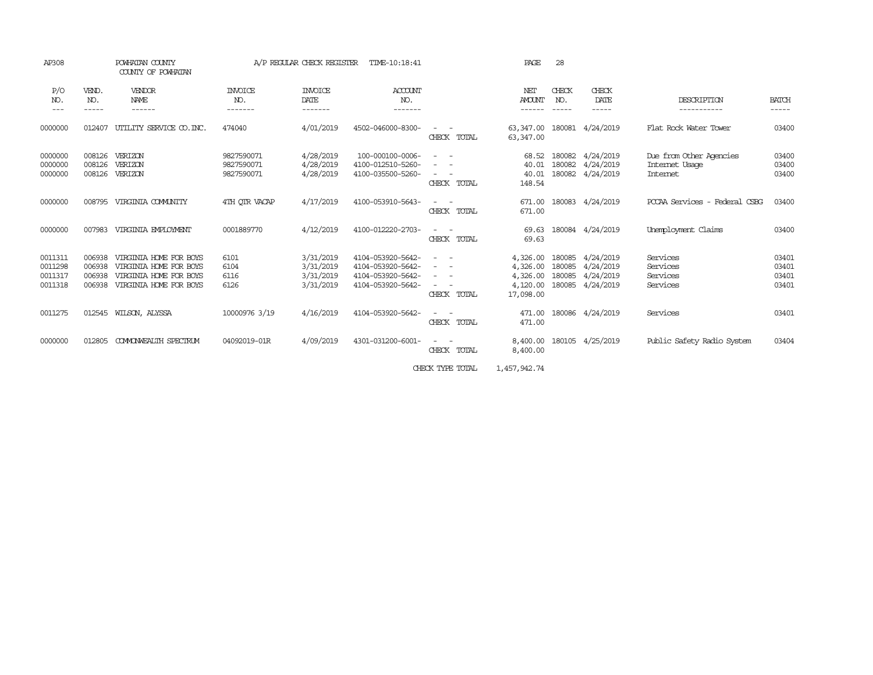| AP308                                    |                                      | POWHATAN COUNTY<br>COUNTY OF POWHATAN                                                                |                                        | A/P REGULAR CHECK REGISTER                       | TIME-10:18:41                                                                    |                                                                                                                                                                                                                                                                                                                                                                                  | PAGE                                                      | 28                                   |                                                  |                                                       |                                  |
|------------------------------------------|--------------------------------------|------------------------------------------------------------------------------------------------------|----------------------------------------|--------------------------------------------------|----------------------------------------------------------------------------------|----------------------------------------------------------------------------------------------------------------------------------------------------------------------------------------------------------------------------------------------------------------------------------------------------------------------------------------------------------------------------------|-----------------------------------------------------------|--------------------------------------|--------------------------------------------------|-------------------------------------------------------|----------------------------------|
| P/O<br>NO.<br>$---$                      | VEND.<br>NO.<br>-----                | VENDOR<br>NAME<br>------                                                                             | <b>INVOICE</b><br>NO.<br>-------       | <b>INVOICE</b><br>DATE<br>-------                | ACCOUNT<br>NO.<br>-------                                                        |                                                                                                                                                                                                                                                                                                                                                                                  | NET<br><b>AMOUNT</b><br>------                            | CHECK<br>NO.<br>------               | CHECK<br>DATE<br>-----                           | DESCRIPTION<br>-----------                            | <b>BATCH</b><br>-----            |
| 0000000                                  | 012407                               | UTILITY SERVICE CO. INC.                                                                             | 474040                                 | 4/01/2019                                        | 4502-046000-8300-                                                                | TOTAL<br>CHECK                                                                                                                                                                                                                                                                                                                                                                   | 63,347.00<br>63,347.00                                    | 180081                               | 4/24/2019                                        | Flat Rock Water Tower                                 | 03400                            |
| 0000000<br>0000000<br>0000000            | 008126<br>008126<br>008126           | VERIZON<br>VERIZON<br>VERIZON                                                                        | 9827590071<br>9827590071<br>9827590071 | 4/28/2019<br>4/28/2019<br>4/28/2019              | 100-000100-0006-<br>4100-012510-5260-<br>4100-035500-5260-                       | $ -$<br>$\sim$<br>$\frac{1}{2} \left( \frac{1}{2} \right) \left( \frac{1}{2} \right) = \frac{1}{2} \left( \frac{1}{2} \right)$<br>CHECK TOTAL                                                                                                                                                                                                                                    | 68.52<br>40.01<br>40.01<br>148.54                         | 180082<br>180082<br>180082           | 4/24/2019<br>4/24/2019<br>4/24/2019              | Due from Other Agencies<br>Internet Usage<br>Internet | 03400<br>03400<br>03400          |
| 0000000                                  | 008795                               | VIRGINIA COMUNITY                                                                                    | 4TH OTR VACAP                          | 4/17/2019                                        | 4100-053910-5643-                                                                | CHECK TOTAL                                                                                                                                                                                                                                                                                                                                                                      | 671.00<br>671.00                                          | 180083                               | 4/24/2019                                        | PCCAA Services - Federal CSBG                         | 03400                            |
| 0000000                                  | 007983                               | VIRGINIA EMPLOYMENT                                                                                  | 0001889770                             | 4/12/2019                                        | 4100-012220-2703-                                                                | $\sim$<br>CHECK TOTAL                                                                                                                                                                                                                                                                                                                                                            | 69.63<br>69.63                                            |                                      | 180084 4/24/2019                                 | Unemployment Claims                                   | 03400                            |
| 0011311<br>0011298<br>0011317<br>0011318 | 006938<br>006938<br>006938<br>006938 | VIRGINIA HOME FOR BOYS<br>VIRGINIA HOME FOR BOYS<br>VIRGINIA HOME FOR BOYS<br>VIRGINIA HOME FOR BOYS | 6101<br>6104<br>6116<br>6126           | 3/31/2019<br>3/31/2019<br>3/31/2019<br>3/31/2019 | 4104-053920-5642-<br>4104-053920-5642-<br>4104-053920-5642-<br>4104-053920-5642- | $\overline{\phantom{a}}$<br>$\sim$<br>$\frac{1}{2} \left( \frac{1}{2} \right) \left( \frac{1}{2} \right) \left( \frac{1}{2} \right)$<br>$\sim$<br>$\frac{1}{2} \left( \begin{array}{ccc} 1 & 0 & 0 \\ 0 & 1 & 0 \\ 0 & 0 & 0 \end{array} \right) = \frac{1}{2} \left( \begin{array}{ccc} 1 & 0 & 0 \\ 0 & 1 & 0 \\ 0 & 0 & 0 \\ 0 & 0 & 0 \end{array} \right)$<br>CHECK<br>TOTAL | 4,326.00<br>4,326.00<br>4,326.00<br>4,120.00<br>17,098.00 | 180085<br>180085<br>180085<br>180085 | 4/24/2019<br>4/24/2019<br>4/24/2019<br>4/24/2019 | Services<br>Services<br>Services<br>Services          | 03401<br>03401<br>03401<br>03401 |
| 0011275                                  |                                      | 012545 WILSON, ALYSSA                                                                                | 10000976 3/19                          | 4/16/2019                                        | 4104-053920-5642-                                                                | CHECK TOTAL                                                                                                                                                                                                                                                                                                                                                                      | 471.00<br>471.00                                          |                                      | 180086 4/24/2019                                 | Services                                              | 03401                            |
| 0000000                                  | 012805                               | COMONWEALTH SPECTRUM                                                                                 | 04092019-01R                           | 4/09/2019                                        | 4301-031200-6001-                                                                | $\frac{1}{2} \left( \frac{1}{2} \right) \left( \frac{1}{2} \right) = \frac{1}{2} \left( \frac{1}{2} \right)$<br>CHECK TOTAL                                                                                                                                                                                                                                                      | 8,400.00<br>8,400.00                                      | 180105                               | 4/25/2019                                        | Public Safety Radio System                            | 03404                            |
|                                          |                                      |                                                                                                      |                                        |                                                  |                                                                                  |                                                                                                                                                                                                                                                                                                                                                                                  |                                                           |                                      |                                                  |                                                       |                                  |

CHECK TYPE TOTAL 1,457,942.74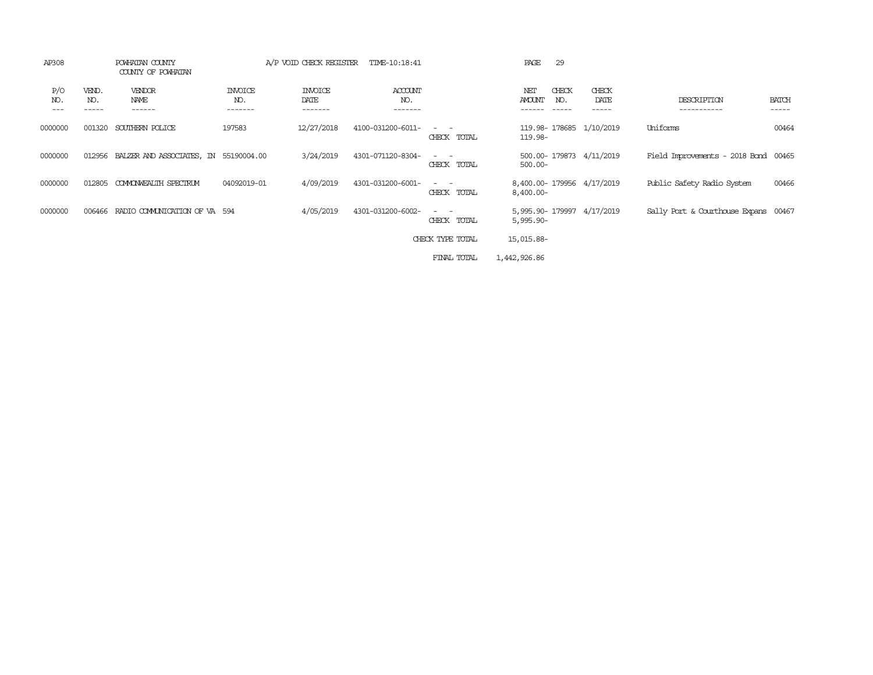| AP308                 |                       | POWHATAN COUNTY<br>COUNTY OF POWHATAN |                           | A/P VOID CHECK REGISTER    | TIME-10:18:41             |                                                                                                                                          | 29<br>PAGE                                              |                        |                                      |                       |
|-----------------------|-----------------------|---------------------------------------|---------------------------|----------------------------|---------------------------|------------------------------------------------------------------------------------------------------------------------------------------|---------------------------------------------------------|------------------------|--------------------------------------|-----------------------|
| P/O<br>NO.<br>$- - -$ | VEND.<br>NO.<br>----- | VENDOR<br>NAME<br>------              | INVOICE<br>NO.<br>------- | INVOICE<br>DATE<br>------- | ACCOUNT<br>NO.<br>------- |                                                                                                                                          | CHECK<br>NET<br><b>AMOUNT</b><br>NO.<br>------<br>----- | CHECK<br>DATE<br>----- | DESCRIPTION<br>-----------           | <b>BATCH</b><br>----- |
| 0000000               | 001320                | SOUTHERN POLICE                       | 197583                    | 12/27/2018                 | 4100-031200-6011-         | CHECK TOTAL                                                                                                                              | 119.98-178685 1/10/2019<br>119.98-                      |                        | Uniforms                             | 00464                 |
| 0000000               | 012956                | BALZER AND ASSOCIATES, IN 55190004.00 |                           | 3/24/2019                  | 4301-071120-8304-         | $\frac{1}{2} \left( \frac{1}{2} \right) \left( \frac{1}{2} \right) \left( \frac{1}{2} \right) \left( \frac{1}{2} \right)$<br>CHECK TOTAL | 500.00-179873 4/11/2019<br>$500.00 -$                   |                        | Field Improvements - 2018 Bond 00465 |                       |
| 0000000               | 012805                | COMONWEALTH SPECTRUM                  | 04092019-01               | 4/09/2019                  | 4301-031200-6001-         | $\frac{1}{2} \left( \frac{1}{2} \right) \left( \frac{1}{2} \right) = \frac{1}{2} \left( \frac{1}{2} \right)$<br>CHECK TOTAL              | 8,400.00-179956 4/17/2019<br>$8,400.00 -$               |                        | Public Safety Radio System           | 00466                 |
| 0000000               | 006466                | RADIO COMMUNICATION OF VA 594         |                           | 4/05/2019                  | 4301-031200-6002-         | $\frac{1}{2} \left( \frac{1}{2} \right) \left( \frac{1}{2} \right) = \frac{1}{2} \left( \frac{1}{2} \right)$<br>CHECK TOTAL              | 5,995.90-179997 4/17/2019<br>$5,995.90 -$               |                        | Sally Port & Courthouse Expans 00467 |                       |
|                       |                       |                                       |                           |                            |                           | CHECK TYPE TOTAL                                                                                                                         | 15,015.88-                                              |                        |                                      |                       |
|                       |                       |                                       |                           |                            |                           | FINAL TOTAL                                                                                                                              | 1,442,926.86                                            |                        |                                      |                       |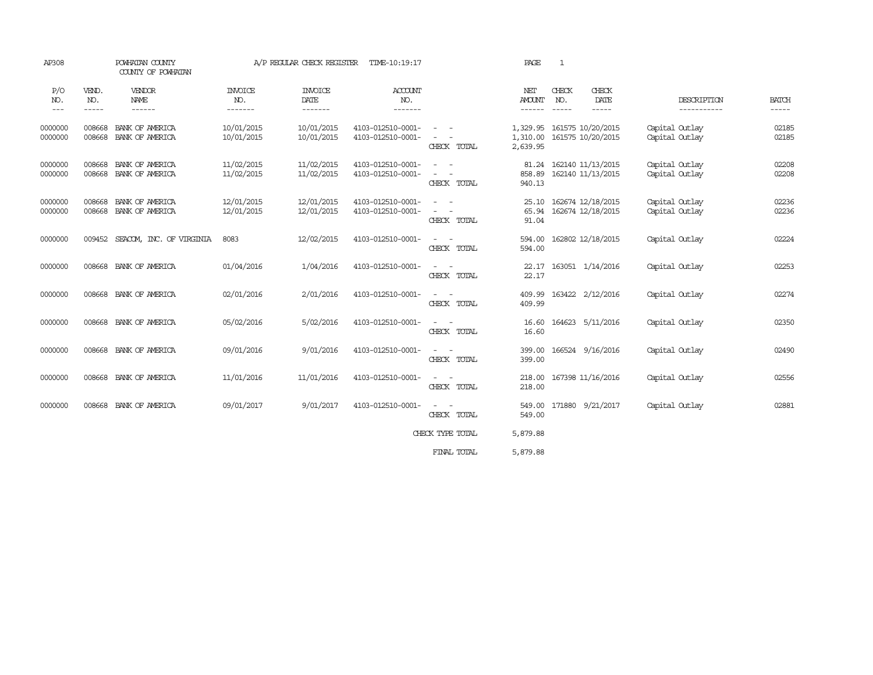| AP308                             |                       | POWHATAN COUNTY<br>COUNTY OF POWHATAN |                                   | A/P REGULAR CHECK REGISTER         | TIME-10:19:17                          |                                                                                                                                                                                                                                             | PAGE                             | 1            |                                                    |                                  |                       |
|-----------------------------------|-----------------------|---------------------------------------|-----------------------------------|------------------------------------|----------------------------------------|---------------------------------------------------------------------------------------------------------------------------------------------------------------------------------------------------------------------------------------------|----------------------------------|--------------|----------------------------------------------------|----------------------------------|-----------------------|
| P/O<br>NO.<br>$\qquad \qquad - -$ | VEND.<br>NO.<br>----- | <b>VENDOR</b><br>NAME<br>------       | <b>INVOICE</b><br>NO.<br>-------- | <b>INVOICE</b><br>DATE<br>-------- | ACCOUNT<br>NO.<br>--------             |                                                                                                                                                                                                                                             | NET<br><b>AMOUNT</b><br>------   | CHECK<br>NO. | CHECK<br>DATE<br>$- - - - -$                       | DESCRIPTION<br>-----------       | <b>BATCH</b><br>----- |
| 0000000<br>0000000                | 008668<br>008668      | BANK OF AMERICA<br>BANK OF AMERICA    | 10/01/2015<br>10/01/2015          | 10/01/2015<br>10/01/2015           | 4103-012510-0001-<br>4103-012510-0001- | $\frac{1}{2} \left( \frac{1}{2} \right) \left( \frac{1}{2} \right) = \frac{1}{2} \left( \frac{1}{2} \right)$<br>$\sim$<br>CHECK TOTAL                                                                                                       | 1,329.95<br>1,310.00<br>2,639.95 |              | 161575 10/20/2015<br>161575 10/20/2015             | Capital Outlay<br>Capital Outlay | 02185<br>02185        |
| 0000000<br>0000000                | 008668<br>008668      | BANK OF AMERICA<br>BANK OF AMERICA    | 11/02/2015<br>11/02/2015          | 11/02/2015<br>11/02/2015           | 4103-012510-0001-<br>4103-012510-0001- | $\frac{1}{2} \left( \frac{1}{2} \right) \left( \frac{1}{2} \right) = \frac{1}{2} \left( \frac{1}{2} \right)$<br>$\frac{1}{2} \left( \frac{1}{2} \right) \left( \frac{1}{2} \right) \left( \frac{1}{2} \right)$<br>CHECK TOTAL               | 858.89<br>940.13                 |              | 81.24 162140 11/13/2015<br>162140 11/13/2015       | Capital Outlay<br>Capital Outlay | 02208<br>02208        |
| 0000000<br>0000000                | 008668<br>008668      | BANK OF AMERICA<br>BANK OF AMERICA    | 12/01/2015<br>12/01/2015          | 12/01/2015<br>12/01/2015           | 4103-012510-0001-<br>4103-012510-0001- | $\frac{1}{2} \left( \frac{1}{2} \right) \left( \frac{1}{2} \right) = \frac{1}{2} \left( \frac{1}{2} \right)$<br>$\frac{1}{2} \left( \frac{1}{2} \right) \left( \frac{1}{2} \right) = \frac{1}{2} \left( \frac{1}{2} \right)$<br>CHECK TOTAL | 91.04                            |              | 25.10 162674 12/18/2015<br>65.94 162674 12/18/2015 | Capital Outlay<br>Capital Outlay | 02236<br>02236        |
| 0000000                           |                       | 009452 SEACOM, INC. OF VIRGINIA       | 8083                              | 12/02/2015                         | 4103-012510-0001-                      | $\sim$ $-$<br>$\sim$<br>CHECK TOTAL                                                                                                                                                                                                         | 594.00                           |              | 594.00 162802 12/18/2015                           | Capital Outlay                   | 02224                 |
| 0000000                           |                       | 008668 BANK OF AMERICA                | 01/04/2016                        | 1/04/2016                          | 4103-012510-0001-                      | $\sim$ $ \sim$<br>CHECK TOTAL                                                                                                                                                                                                               | 22.17<br>22.17                   |              | 163051 1/14/2016                                   | Capital Outlay                   | 02253                 |
| 0000000                           |                       | 008668 BANK OF AMERICA                | 02/01/2016                        | 2/01/2016                          | 4103-012510-0001-                      | $\sim$<br>CHECK TOTAL                                                                                                                                                                                                                       | 409.99<br>409.99                 |              | 163422 2/12/2016                                   | Capital Outlay                   | 02274                 |
| 0000000                           |                       | 008668 BANK OF AMERICA                | 05/02/2016                        | 5/02/2016                          | 4103-012510-0001-                      | $\sim$ 100 $\sim$<br>CHECK TOTAL                                                                                                                                                                                                            | 16.60<br>16.60                   |              | 164623 5/11/2016                                   | Capital Outlay                   | 02350                 |
| 0000000                           | 008668                | BANK OF AMERICA                       | 09/01/2016                        | 9/01/2016                          | 4103-012510-0001-                      | $\sim 100$ km s $^{-1}$<br>CHECK TOTAL                                                                                                                                                                                                      | 399.00<br>399.00                 |              | 166524 9/16/2016                                   | Capital Outlay                   | 02490                 |
| 0000000                           |                       | 008668 BANK OF AMERICA                | 11/01/2016                        | 11/01/2016                         | 4103-012510-0001-                      | $\sim$<br>CHECK TOTAL                                                                                                                                                                                                                       | 218.00<br>218.00                 |              | 167398 11/16/2016                                  | Capital Outlay                   | 02556                 |
| 0000000                           |                       | 008668 BANK OF AMERICA                | 09/01/2017                        | 9/01/2017                          | 4103-012510-0001-                      | CHECK TOTAL                                                                                                                                                                                                                                 | 549.00<br>549.00                 |              | 171880 9/21/2017                                   | Capital Outlay                   | 02881                 |
|                                   |                       |                                       |                                   |                                    |                                        | CHECK TYPE TOTAL                                                                                                                                                                                                                            | 5,879.88                         |              |                                                    |                                  |                       |
|                                   |                       |                                       |                                   |                                    |                                        | FINAL TOTAL                                                                                                                                                                                                                                 | 5,879.88                         |              |                                                    |                                  |                       |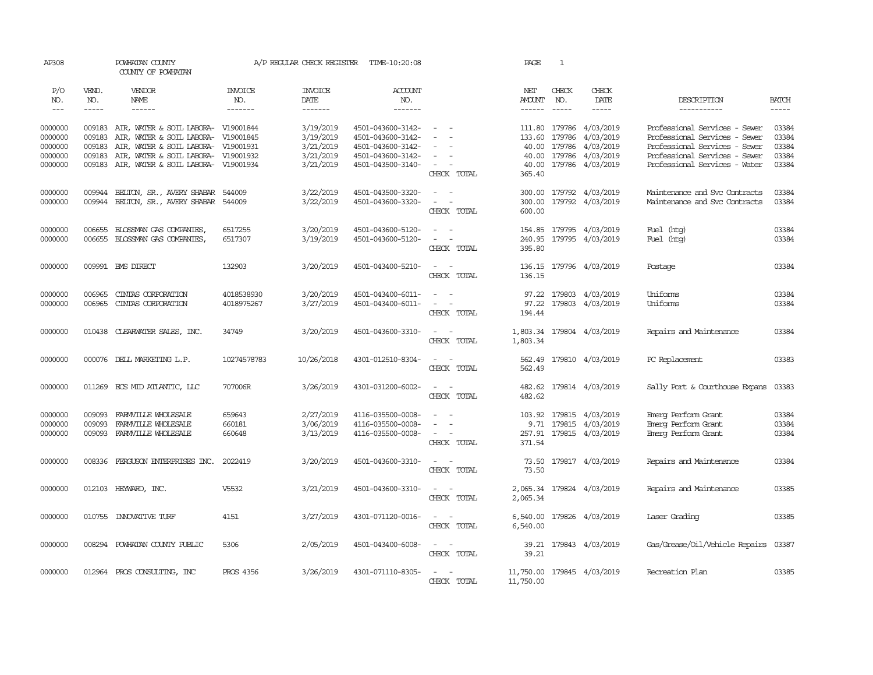| AP308                                               |                                      | POWHATAN COUNTY<br>COUNTY OF POWHATAN                                                                                                                                                                  |                                  | A/P REGULAR CHECK REGISTER                                    | TIME-10:20:08                                                                                         |                                                             | PAGE                                                  | 1                                    |                                                                      |                                                                                                                                                                   |                                           |
|-----------------------------------------------------|--------------------------------------|--------------------------------------------------------------------------------------------------------------------------------------------------------------------------------------------------------|----------------------------------|---------------------------------------------------------------|-------------------------------------------------------------------------------------------------------|-------------------------------------------------------------|-------------------------------------------------------|--------------------------------------|----------------------------------------------------------------------|-------------------------------------------------------------------------------------------------------------------------------------------------------------------|-------------------------------------------|
| P/O<br>NO.<br>$\frac{1}{2}$                         | VEND.<br>NO.<br>$- - - - -$          | VENDOR<br><b>NAME</b><br>------                                                                                                                                                                        | <b>INVOICE</b><br>NO.<br>------- | <b>INVOICE</b><br>DATE<br>-------                             | ACCOUNT<br>NO.<br>-------                                                                             |                                                             | NET<br>AMOUNT                                         | CHECK<br>NO.                         | CHECK<br><b>DATE</b><br>$- - - - -$                                  | DESCRIPTION<br>-----------                                                                                                                                        | <b>BATCH</b><br>-----                     |
| 0000000<br>0000000<br>0000000<br>0000000<br>0000000 | 009183<br>009183<br>009183<br>009183 | 009183 AIR, WATER & SOIL LABORA- V19001844<br>AIR, WATER & SOIL LABORA- V19001845<br>AIR, WATER & SOIL LABORA- V19001931<br>AIR, WATER & SOIL LABORA- V19001932<br>AIR, WATER & SOIL LABORA- V19001934 |                                  | 3/19/2019<br>3/19/2019<br>3/21/2019<br>3/21/2019<br>3/21/2019 | 4501-043600-3142-<br>4501-043600-3142-<br>4501-043600-3142-<br>4501-043600-3142-<br>4501-043500-3140- | $\sim$<br>$\sim$<br>$\overline{\phantom{a}}$<br>CHECK TOTAL | 111.80<br>133.60<br>40.00<br>40.00<br>40.00<br>365.40 | 179786<br>179786<br>179786<br>179786 | 4/03/2019<br>4/03/2019<br>4/03/2019<br>4/03/2019<br>179786 4/03/2019 | Professional Services - Sewer<br>Professional Services - Sewer<br>Professional Services - Sewer<br>Professional Services - Sewer<br>Professional Services - Water | 03384<br>03384<br>03384<br>03384<br>03384 |
| 0000000<br>0000000                                  | 009944<br>009944                     | BELTON, SR., AVERY SHABAR<br>BELTON, SR., AVERY SHABAR                                                                                                                                                 | 544009<br>544009                 | 3/22/2019<br>3/22/2019                                        | 4501-043500-3320-<br>4501-043600-3320-                                                                | $\sim$<br>$\sim$<br>$\sim$<br>$\sim$<br>CHECK TOTAL         | 300.00<br>600.00                                      |                                      | 300.00 179792 4/03/2019<br>179792 4/03/2019                          | Maintenance and Svc Contracts<br>Maintenance and Svc Contracts                                                                                                    | 03384<br>03384                            |
| 0000000<br>0000000                                  | 006655<br>006655                     | BLOSSMAN GAS COMPANIES,<br>BLOSSMAN GAS COMPANIES,                                                                                                                                                     | 6517255<br>6517307               | 3/20/2019<br>3/19/2019                                        | 4501-043600-5120-<br>4501-043600-5120-                                                                | $\sim$<br>$\sim$<br>$\sim$<br>$\sim$ $-$<br>CHECK TOTAL     | 154.85<br>240.95<br>395.80                            |                                      | 179795 4/03/2019<br>179795 4/03/2019                                 | Fuel (htg)<br>Fuel (htg)                                                                                                                                          | 03384<br>03384                            |
| 0000000                                             |                                      | 009991 BMS DIRECT                                                                                                                                                                                      | 132903                           | 3/20/2019                                                     | 4501-043400-5210-                                                                                     | $\omega_{\rm{max}}$ and $\omega_{\rm{max}}$<br>CHECK TOTAL  | 136.15                                                |                                      | 136.15 179796 4/03/2019                                              | Postage                                                                                                                                                           | 03384                                     |
| 0000000<br>0000000                                  | 006965<br>006965                     | CINIAS CORPORATION<br>CINTAS CORPORATION                                                                                                                                                               | 4018538930<br>4018975267         | 3/20/2019<br>3/27/2019                                        | 4501-043400-6011-<br>4501-043400-6011-                                                                | $\sim$ $-$<br>$\sim$<br>$\sim$<br>$\sim$ $-$<br>CHECK TOTAL | 97.22<br>194.44                                       | 179803                               | 97.22 179803 4/03/2019<br>4/03/2019                                  | Uniforms<br>Uniforms                                                                                                                                              | 03384<br>03384                            |
| 0000000                                             |                                      | 010438 CLEARWATER SALES, INC.                                                                                                                                                                          | 34749                            | 3/20/2019                                                     | 4501-043600-3310-                                                                                     | $\sim$ $ -$<br>CHECK TOTAL                                  | 1,803.34                                              |                                      | 1,803.34 179804 4/03/2019                                            | Repairs and Maintenance                                                                                                                                           | 03384                                     |
| 0000000                                             |                                      | 000076 DELL MARKETING L.P.                                                                                                                                                                             | 10274578783                      | 10/26/2018                                                    | 4301-012510-8304-                                                                                     | $\sim$ $  -$<br>CHECK TOTAL                                 | 562.49<br>562.49                                      |                                      | 179810 4/03/2019                                                     | PC Replacement                                                                                                                                                    | 03383                                     |
| 0000000                                             |                                      | 011269 ECS MID ATLANTIC, LLC                                                                                                                                                                           | 707006R                          | 3/26/2019                                                     | 4301-031200-6002-                                                                                     | $\sim$ $ \sim$<br>CHECK TOTAL                               | 482.62<br>482.62                                      |                                      | 179814 4/03/2019                                                     | Sally Port & Courthouse Expans                                                                                                                                    | 03383                                     |
| 0000000<br>0000000<br>0000000                       | 009093<br>009093<br>009093           | FARMVILLE WHOLESALE<br>FARMVILLE WHOLESALE<br>FARMVILLE WHOLESALE                                                                                                                                      | 659643<br>660181<br>660648       | 2/27/2019<br>3/06/2019<br>3/13/2019                           | 4116-035500-0008-<br>4116-035500-0008-<br>4116-035500-0008-                                           | $\sim$<br>$\sim$<br>$\sim$ $ \sim$<br>CHECK TOTAL           | 103.92<br>371.54                                      |                                      | 179815 4/03/2019<br>9.71 179815 4/03/2019<br>257.91 179815 4/03/2019 | Emerg Perform Grant<br>Emerg Perform Grant<br>Emerg Perform Grant                                                                                                 | 03384<br>03384<br>03384                   |
| 0000000                                             |                                      | 008336 FERGUSON ENTERPRISES INC.                                                                                                                                                                       | 2022419                          | 3/20/2019                                                     | 4501-043600-3310-                                                                                     | $\sim$ $  -$<br>CHECK TOTAL                                 | 73.50<br>73.50                                        |                                      | 179817 4/03/2019                                                     | Repairs and Maintenance                                                                                                                                           | 03384                                     |
| 0000000                                             |                                      | 012103 HEYWARD, INC.                                                                                                                                                                                   | V5532                            | 3/21/2019                                                     | 4501-043600-3310-                                                                                     | $\sim$<br>$\sim$<br>CHECK TOTAL                             | 2,065.34                                              |                                      | 2,065.34 179824 4/03/2019                                            | Repairs and Maintenance                                                                                                                                           | 03385                                     |
| 0000000                                             | 010755                               | INNOVATIVE TURF                                                                                                                                                                                        | 4151                             | 3/27/2019                                                     | 4301-071120-0016-                                                                                     | $\sim$<br>$\sim$<br>CHECK TOTAL                             | 6,540.00<br>6,540.00                                  |                                      | 179826 4/03/2019                                                     | Laser Grading                                                                                                                                                     | 03385                                     |
| 0000000                                             | 008294                               | POWHATAN COUNTY PUBLIC                                                                                                                                                                                 | 5306                             | 2/05/2019                                                     | 4501-043400-6008-                                                                                     | $\sim$<br>$\sim$<br>CHECK TOTAL                             | 39.21<br>39.21                                        |                                      | 179843 4/03/2019                                                     | Gas/Grease/Oil/Vehicle Repairs 03387                                                                                                                              |                                           |
| 0000000                                             |                                      | 012964 PROS CONSULTING, INC                                                                                                                                                                            | PROS 4356                        | 3/26/2019                                                     | 4301-071110-8305-                                                                                     | $\overline{a}$<br>$\sim$<br>CHECK TOTAL                     | 11,750.00<br>11,750.00                                |                                      | 179845 4/03/2019                                                     | Recreation Plan                                                                                                                                                   | 03385                                     |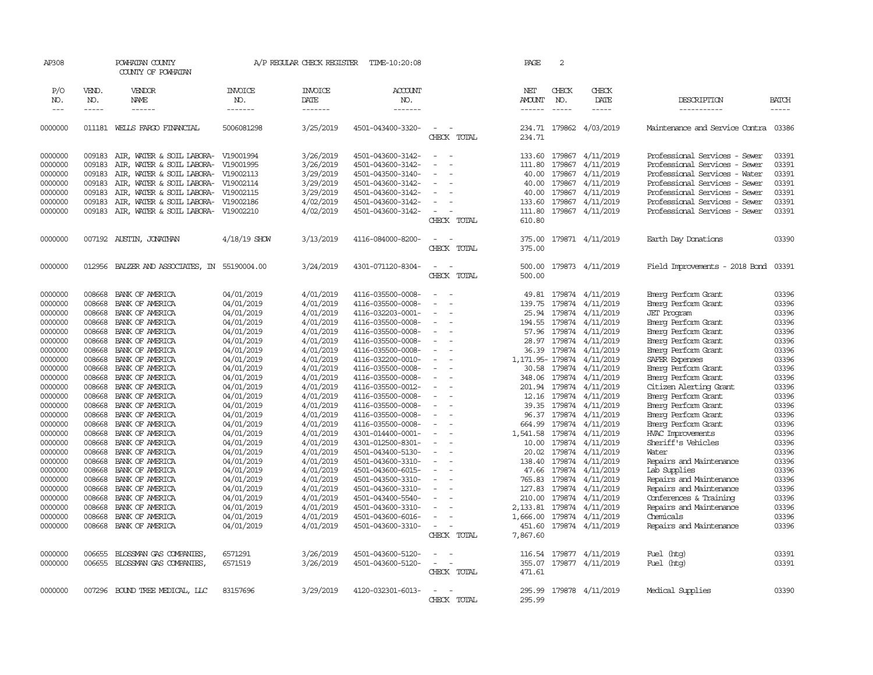| AP308   |               | POWHATAN COUNTY<br>COUNTY OF POWHATAN |                | A/P REGULAR CHECK REGISTER | TIME-10:20:08     |                                    | PAGE              | 2           |                  |                                      |              |
|---------|---------------|---------------------------------------|----------------|----------------------------|-------------------|------------------------------------|-------------------|-------------|------------------|--------------------------------------|--------------|
| P/O     | VEND.         | VENDOR                                | <b>INVOICE</b> | <b>INVOICE</b>             | <b>ACCOUNT</b>    |                                    | NET               | CHECK       | CHECK            |                                      |              |
| NO.     | NO.           | NAME                                  | NO.            | DATE                       | NO.               |                                    | <b>AMOUNT</b>     | NO.         | DATE             | DESCRIPTION                          | <b>BATCH</b> |
| $---$   | $\frac{1}{2}$ | ------                                | -------        | -------                    | -------           |                                    | -------           | $- - - - -$ | -----            | -----------                          | -----        |
| 0000000 |               | 011181 WELLS FARGO FINANCIAL          | 5006081298     | 3/25/2019                  | 4501-043400-3320- |                                    | 234.71            | 179862      | 4/03/2019        | Maintenance and Service Contra 03386 |              |
|         |               |                                       |                |                            |                   | CHECK TOTAL                        | 234.71            |             |                  |                                      |              |
| 0000000 | 009183        | AIR, WATER & SOIL LABORA- V19001994   |                | 3/26/2019                  | 4501-043600-3142- | $\overline{\phantom{a}}$           | 133.60            | 179867      | 4/11/2019        | Professional Services - Sewer        | 03391        |
| 0000000 | 009183        | AIR, WATER & SOIL LABORA-             | V19001995      | 3/26/2019                  | 4501-043600-3142- |                                    | 111.80            | 179867      | 4/11/2019        | Professional Services - Sewer        | 03391        |
| 0000000 | 009183        | AIR, WATER & SOIL LABORA- V19002113   |                | 3/29/2019                  | 4501-043500-3140- | $\blacksquare$                     | 40.00             | 179867      | 4/11/2019        | Professional Services - Water        | 03391        |
| 0000000 | 009183        | AIR, WATER & SOIL LABORA- V19002114   |                | 3/29/2019                  | 4501-043600-3142- |                                    | 40.00             | 179867      | 4/11/2019        | Professional Services - Sewer        | 03391        |
| 0000000 | 009183        | AIR, WATER & SOIL LABORA- V19002115   |                | 3/29/2019                  | 4501-043600-3142- | $\overline{\phantom{a}}$           | 40.00             | 179867      | 4/11/2019        | Professional Services - Sewer        | 03391        |
| 0000000 | 009183        | AIR, WATER & SOIL LABORA-             | V19002186      | 4/02/2019                  | 4501-043600-3142- |                                    | 133.60            | 179867      | 4/11/2019        | Professional Services - Sewer        | 03391        |
| 0000000 | 009183        | AIR, WATER & SOIL LABORA- V19002210   |                | 4/02/2019                  | 4501-043600-3142- | $\overline{\phantom{a}}$<br>$\sim$ | 111.80            | 179867      | 4/11/2019        | Professional Services - Sewer        | 03391        |
|         |               |                                       |                |                            |                   | CHECK TOTAL                        | 610.80            |             |                  |                                      |              |
| 0000000 |               | 007192 AUSTIN, JONATHAN               | 4/18/19 SHOW   | 3/13/2019                  | 4116-084000-8200- | $\overline{\phantom{a}}$           | 375.00            |             | 179871 4/11/2019 | Earth Day Donations                  | 03390        |
|         |               |                                       |                |                            |                   | CHECK TOTAL                        | 375.00            |             |                  |                                      |              |
| 0000000 | 012956        | BALZER AND ASSOCIATES, IN             | 55190004.00    | 3/24/2019                  | 4301-071120-8304- | $\sim$<br>$\sim$                   | 500.00            |             | 179873 4/11/2019 | Field Improvements - 2018 Bond       | 03391        |
|         |               |                                       |                |                            |                   | CHECK TOTAL                        | 500.00            |             |                  |                                      |              |
|         |               |                                       |                |                            |                   |                                    |                   |             |                  |                                      |              |
| 0000000 | 008668        | BANK OF AMERICA                       | 04/01/2019     | 4/01/2019                  | 4116-035500-0008- | $\overline{\phantom{a}}$           | 49.81             | 179874      | 4/11/2019        | Emerg Perform Grant                  | 03396        |
| 0000000 | 008668        | BANK OF AMERICA                       | 04/01/2019     | 4/01/2019                  | 4116-035500-0008- | $\overline{a}$                     | 139.75            | 179874      | 4/11/2019        | Emerg Perform Grant                  | 03396        |
| 0000000 | 008668        | BANK OF AMERICA                       | 04/01/2019     | 4/01/2019                  | 4116-032203-0001- |                                    | 25.94             | 179874      | 4/11/2019        | <b>JET</b> Program                   | 03396        |
| 0000000 | 008668        | BANK OF AMERICA                       | 04/01/2019     | 4/01/2019                  | 4116-035500-0008- |                                    | 194.55            | 179874      | 4/11/2019        | Emerg Perform Grant                  | 03396        |
| 0000000 | 008668        | BANK OF AMERICA                       | 04/01/2019     | 4/01/2019                  | 4116-035500-0008- |                                    | 57.96             | 179874      | 4/11/2019        | Emerg Perform Grant                  | 03396        |
| 0000000 | 008668        | BANK OF AMERICA                       | 04/01/2019     | 4/01/2019                  | 4116-035500-0008- | $\overline{\phantom{a}}$           | 28.97             | 179874      | 4/11/2019        | Emerg Perform Grant                  | 03396        |
| 0000000 | 008668        | BANK OF AMERICA                       | 04/01/2019     | 4/01/2019                  | 4116-035500-0008- |                                    | 36.39             | 179874      | 4/11/2019        | Emerg Perform Grant                  | 03396        |
| 0000000 | 008668        | BANK OF AMERICA                       | 04/01/2019     | 4/01/2019                  | 4116-032200-0010- | $\equiv$                           | 1, 171.95- 179874 |             | 4/11/2019        | SAFER Expenses                       | 03396        |
| 0000000 | 008668        | BANK OF AMERICA                       | 04/01/2019     | 4/01/2019                  | 4116-035500-0008- |                                    | 30.58             | 179874      | 4/11/2019        | Emerg Perform Grant                  | 03396        |
| 0000000 | 008668        | BANK OF AMERICA                       | 04/01/2019     | 4/01/2019                  | 4116-035500-0008- | $\equiv$                           | 348.06            | 179874      | 4/11/2019        | Emerg Perform Grant                  | 03396        |
| 0000000 | 008668        | BANK OF AMERICA                       | 04/01/2019     | 4/01/2019                  | 4116-035500-0012- |                                    | 201.94            | 179874      | 4/11/2019        | Citizen Alerting Grant               | 03396        |
| 0000000 | 008668        | BANK OF AMERICA                       | 04/01/2019     | 4/01/2019                  | 4116-035500-0008- | $\sim$<br>÷.                       | 12.16             | 179874      | 4/11/2019        | Emerg Perform Grant                  | 03396        |
| 0000000 | 008668        | BANK OF AMERICA                       | 04/01/2019     | 4/01/2019                  | 4116-035500-0008- |                                    | 39.35             | 179874      | 4/11/2019        | Emerg Perform Grant                  | 03396        |
| 0000000 | 008668        | BANK OF AMERICA                       | 04/01/2019     | 4/01/2019                  | 4116-035500-0008- |                                    | 96.37             | 179874      | 4/11/2019        | Emerg Perform Grant                  | 03396        |
| 0000000 | 008668        | BANK OF AMERICA                       | 04/01/2019     | 4/01/2019                  | 4116-035500-0008- | $\overline{\phantom{a}}$           | 664.99            | 179874      | 4/11/2019        | Emerg Perform Grant                  | 03396        |
| 0000000 | 008668        | BANK OF AMERICA                       | 04/01/2019     | 4/01/2019                  | 4301-014400-0001- | $\overline{\phantom{a}}$           | 1,541.58          | 179874      | 4/11/2019        | <b>HVAC Improvements</b>             | 03396        |
| 0000000 | 008668        | BANK OF AMERICA                       | 04/01/2019     | 4/01/2019                  | 4301-012500-8301- | $\overline{\phantom{a}}$           | 10.00             | 179874      | 4/11/2019        | Sheriff's Vehicles                   | 03396        |
| 0000000 | 008668        | BANK OF AMERICA                       | 04/01/2019     | 4/01/2019                  | 4501-043400-5130- |                                    | 20.02             | 179874      | 4/11/2019        | Water                                | 03396        |
| 0000000 | 008668        | BANK OF AMERICA                       | 04/01/2019     | 4/01/2019                  | 4501-043600-3310- | $\overline{\phantom{a}}$           | 138.40            | 179874      | 4/11/2019        | Repairs and Maintenance              | 03396        |
| 0000000 | 008668        | BANK OF AMERICA                       | 04/01/2019     | 4/01/2019                  | 4501-043600-6015- |                                    | 47.66             | 179874      | 4/11/2019        | Lab Supplies                         | 03396        |
| 0000000 | 008668        | BANK OF AMERICA                       | 04/01/2019     | 4/01/2019                  | 4501-043500-3310- |                                    | 765.83            | 179874      | 4/11/2019        | Repairs and Maintenance              | 03396        |
| 0000000 | 008668        | BANK OF AMERICA                       | 04/01/2019     | 4/01/2019                  | 4501-043600-3310- |                                    | 127.83            | 179874      | 4/11/2019        | Repairs and Maintenance              | 03396        |
| 0000000 | 008668        | BANK OF AMERICA                       | 04/01/2019     | 4/01/2019                  | 4501-043400-5540- | $\overline{\phantom{a}}$           | 210.00            | 179874      | 4/11/2019        | Conferences & Training               | 03396        |
| 0000000 | 008668        | BANK OF AMERICA                       | 04/01/2019     | 4/01/2019                  | 4501-043600-3310- |                                    | 2,133.81          | 179874      | 4/11/2019        | Repairs and Maintenance              | 03396        |
| 0000000 | 008668        | BANK OF AMERICA                       | 04/01/2019     | 4/01/2019                  | 4501-043600-6016- |                                    | 1,666.00          | 179874      | 4/11/2019        | Chemicals                            | 03396        |
| 0000000 | 008668        | BANK OF AMERICA                       | 04/01/2019     | 4/01/2019                  | 4501-043600-3310- | $\overline{\phantom{a}}$           | 451.60            |             | 179874 4/11/2019 | Repairs and Maintenance              | 03396        |
|         |               |                                       |                |                            |                   | CHECK TOTAL                        | 7,867.60          |             |                  |                                      |              |
| 0000000 | 006655        | BLOSSMAN GAS COMPANIES                | 6571291        | 3/26/2019                  | 4501-043600-5120- |                                    | 116.54            | 179877      | 4/11/2019        |                                      | 03391        |
|         | 006655        |                                       |                |                            |                   | $\sim$<br>$\overline{\phantom{a}}$ |                   |             |                  | Fuel (htg)                           |              |
| 0000000 |               | BLOSSMAN GAS COMPANIES                | 6571519        | 3/26/2019                  | 4501-043600-5120- | CHECK TOTAL                        | 355.07<br>471.61  |             | 179877 4/11/2019 | Fuel (htg)                           | 03391        |
|         |               |                                       |                |                            |                   |                                    |                   |             |                  |                                      |              |
| 0000000 |               | 007296 BOUND TREE MEDICAL, LLC        | 83157696       | 3/29/2019                  | 4120-032301-6013- |                                    | 295.99            |             | 179878 4/11/2019 | Medical Supplies                     | 03390        |
|         |               |                                       |                |                            |                   | CHFCK<br>TOTAL                     | 295.99            |             |                  |                                      |              |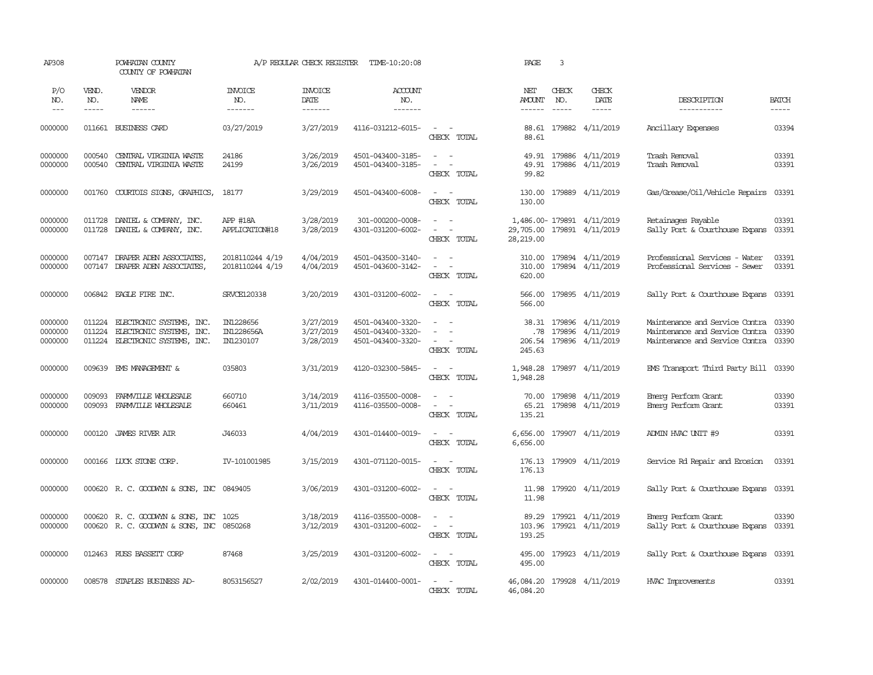| AP308                             |                       | POWHATAN COUNTY<br>COUNTY OF POWHATAN                                                   |                                      | A/P REGULAR CHECK REGISTER          | TIME-10:20:08                                               |                                                                           | PAGE                                  | 3                             |                                                                       |                                                                                                                |                             |
|-----------------------------------|-----------------------|-----------------------------------------------------------------------------------------|--------------------------------------|-------------------------------------|-------------------------------------------------------------|---------------------------------------------------------------------------|---------------------------------------|-------------------------------|-----------------------------------------------------------------------|----------------------------------------------------------------------------------------------------------------|-----------------------------|
| P/O<br>NO.<br>$\qquad \qquad - -$ | VEND.<br>NO.<br>----- | VENDOR<br>NAME                                                                          | <b>INVOICE</b><br>NO.<br>-------     | <b>INVOICE</b><br>DATE<br>-------   | <b>ACCOUNT</b><br>NO.<br>--------                           |                                                                           | NET<br><b>AMOUNT</b><br>$- - - - - -$ | CHECK<br>NO.<br>$\frac{1}{2}$ | CHECK<br>DATE<br>$- - - - -$                                          | DESCRIPTION<br>-----------                                                                                     | <b>BATCH</b><br>$- - - - -$ |
| 0000000                           |                       | 011661 BUSINESS CARD                                                                    | 03/27/2019                           | 3/27/2019                           | 4116-031212-6015-                                           | $\sim$ $\sim$<br>CHECK TOTAL                                              | 88.61                                 |                               | 88.61 179882 4/11/2019                                                | Ancillary Expenses                                                                                             | 03394                       |
| 0000000<br>0000000                | 000540<br>000540      | CENTRAL VIRGINIA WASTE<br>CENTRAL VIRGINIA WASTE                                        | 24186<br>24199                       | 3/26/2019<br>3/26/2019              | 4501-043400-3185-<br>4501-043400-3185-                      | $\sim$ $ -$<br>$\omega_{\rm{max}}$ and $\omega_{\rm{max}}$<br>CHECK TOTAL | 49.91<br>99.82                        |                               | 49.91 179886 4/11/2019<br>179886 4/11/2019                            | Trash Removal<br>Trash Removal                                                                                 | 03391<br>03391              |
| 0000000                           | 001760                | COURTOIS SIGNS, GRAPHICS,                                                               | 18177                                | 3/29/2019                           | 4501-043400-6008-                                           | $\sim$<br>CHECK TOTAL                                                     | 130.00<br>130.00                      |                               | 179889 4/11/2019                                                      | Gas/Grease/Oil/Vehicle Repairs                                                                                 | 03391                       |
| 0000000<br>0000000                | 011728<br>011728      | DANIEL & COMPANY, INC.<br>DANIEL & COMPANY, INC.                                        | APP #18A<br>APPLICATION#18           | 3/28/2019<br>3/28/2019              | 301-000200-0008-<br>4301-031200-6002-                       | $\sim$ $ \sim$<br>$\sim$ $ -$<br>CHECK TOTAL                              | 28,219.00                             |                               | 1,486.00-179891 4/11/2019<br>29,705.00 179891 4/11/2019               | Retainages Payable<br>Sally Port & Courthouse Expans                                                           | 03391<br>03391              |
| 0000000<br>0000000                |                       | 007147 DRAPER ADEN ASSOCIATES,<br>007147 DRAPER ADEN ASSOCIATES,                        | 2018110244 4/19<br>2018110244 4/19   | 4/04/2019<br>4/04/2019              | 4501-043500-3140-<br>4501-043600-3142-                      | $\sim$ $ \sim$<br>$\sim$<br>CHECK TOTAL                                   | 310.00<br>620.00                      |                               | 310.00 179894 4/11/2019<br>179894 4/11/2019                           | Professional Services - Water<br>Professional Services - Sewer                                                 | 03391<br>03391              |
| 0000000                           |                       | 006842 EAGLE FIRE INC.                                                                  | SRVCE120338                          | 3/20/2019                           | 4301-031200-6002-                                           | $\sim$ $ -$<br>CHECK TOTAL                                                | 566.00<br>566.00                      |                               | 179895 4/11/2019                                                      | Sally Port & Courthouse Expans                                                                                 | 03391                       |
| 0000000<br>0000000<br>0000000     | 011224<br>011224      | ELECTRONIC SYSTEMS, INC.<br>ELECTRONIC SYSTEMS, INC.<br>011224 ELECTRONIC SYSTEMS, INC. | IN1228656<br>IN1228656A<br>IN1230107 | 3/27/2019<br>3/27/2019<br>3/28/2019 | 4501-043400-3320-<br>4501-043400-3320-<br>4501-043400-3320- | $\sim$<br>$\sim$<br>$\sim$<br>$\sim$<br>$\sim$<br>CHECK TOTAL             | .78<br>245.63                         |                               | 38.31 179896 4/11/2019<br>179896 4/11/2019<br>206.54 179896 4/11/2019 | Maintenance and Service Contra 03390<br>Maintenance and Service Contra<br>Maintenance and Service Contra 03390 | 03390                       |
| 0000000                           |                       | 009639 EMS MANAGEMENT &                                                                 | 035803                               | 3/31/2019                           | 4120-032300-5845-                                           | $\sim$ $ \sim$<br>CHECK TOTAL                                             | 1,948.28<br>1,948.28                  |                               | 179897 4/11/2019                                                      | EMS Transport Third Party Bill 03390                                                                           |                             |
| 0000000<br>0000000                | 009093<br>009093      | FARMULLE WHOLESALE<br>FARMVILLE WHOLESALE                                               | 660710<br>660461                     | 3/14/2019<br>3/11/2019              | 4116-035500-0008-<br>4116-035500-0008-                      | $\overline{a}$<br>$\sim$<br>$\equiv$<br>CHECK TOTAL                       | 135.21                                |                               | 70.00 179898 4/11/2019<br>65.21 179898 4/11/2019                      | Emerg Perform Grant<br>Emerg Perform Grant                                                                     | 03390<br>03391              |
| 0000000                           | 000120                | <b>JAMES RIVER AIR</b>                                                                  | J46033                               | 4/04/2019                           | 4301-014400-0019-                                           | $\sim$ $ \sim$<br>CHECK TOTAL                                             | 6,656.00<br>6,656.00                  |                               | 179907 4/11/2019                                                      | ADMIN HVAC UNIT #9                                                                                             | 03391                       |
| 0000000                           |                       | 000166 LUCK STONE CORP.                                                                 | IV-101001985                         | 3/15/2019                           | 4301-071120-0015-                                           | $\overline{\phantom{a}}$<br>$\sim$<br>CHECK TOTAL                         | 176.13<br>176.13                      |                               | 179909 4/11/2019                                                      | Service Rd Repair and Erosion                                                                                  | 03391                       |
| 0000000                           |                       | 000620 R. C. GOODWYN & SONS, INC 0849405                                                |                                      | 3/06/2019                           | 4301-031200-6002-                                           | $\sim$<br>$\sim$<br>CHECK TOTAL                                           | 11.98<br>11.98                        |                               | 179920 4/11/2019                                                      | Sally Port & Courthouse Expans                                                                                 | 03391                       |
| 0000000<br>0000000                |                       | 000620 R. C. GOODWIN & SONS, INC 1025<br>000620 R. C. GOODWIN & SONS, INC 0850268       |                                      | 3/18/2019<br>3/12/2019              | 4116-035500-0008-<br>4301-031200-6002-                      | $\sim$ $ \sim$<br>$\sim$ $ -$<br>CHECK TOTAL                              | 193.25                                |                               | 89.29 179921 4/11/2019<br>103.96 179921 4/11/2019                     | Emerg Perform Grant<br>Sally Port & Courthouse Expans                                                          | 03390<br>03391              |
| 0000000                           |                       | 012463 RUSS BASSETT CORP                                                                | 87468                                | 3/25/2019                           | 4301-031200-6002-                                           | $\sim$ $ -$<br>CHECK TOTAL                                                | 495.00<br>495.00                      |                               | 179923 4/11/2019                                                      | Sally Port & Courthouse Expans                                                                                 | 03391                       |
| 0000000                           |                       | 008578 STAPLES BUSINESS AD-                                                             | 8053156527                           | 2/02/2019                           | 4301-014400-0001-                                           | $\sim$ $ \sim$<br>CHECK TOTAL                                             | 46,084.20                             |                               | 46,084.20 179928 4/11/2019                                            | <b>HVAC Improvements</b>                                                                                       | 03391                       |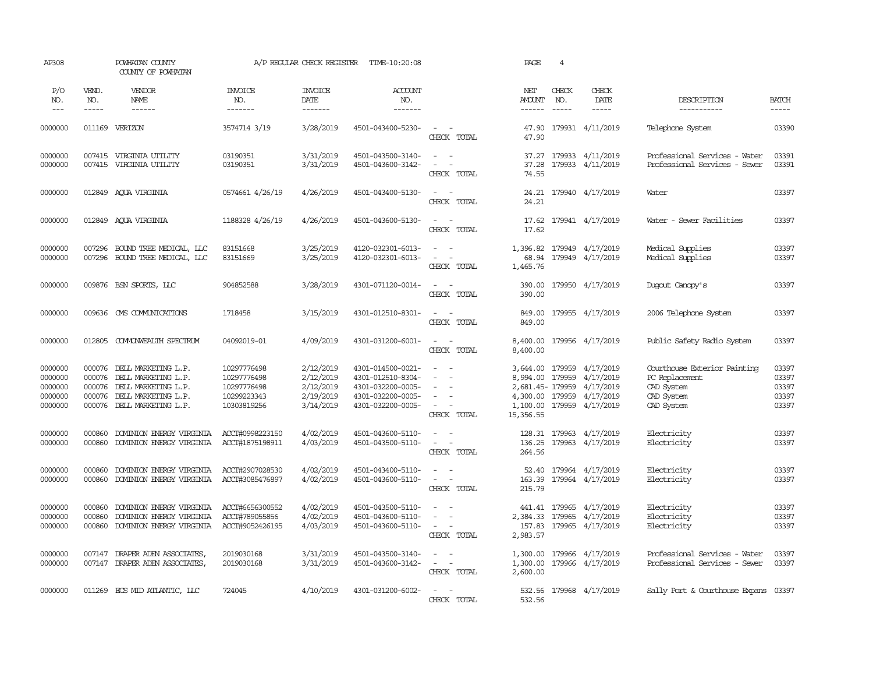| AP308                                               |                                                | POWHATAN COUNTY<br>COUNTY OF POWHATAN                                                                           |                                                                         | A/P REGULAR CHECK REGISTER                                    | TIME-10:20:08                                                                                         |                                                                                                                                                 | PAGE                                                              | $\overline{4}$                |                                                                                 |                                                                                          |                                           |
|-----------------------------------------------------|------------------------------------------------|-----------------------------------------------------------------------------------------------------------------|-------------------------------------------------------------------------|---------------------------------------------------------------|-------------------------------------------------------------------------------------------------------|-------------------------------------------------------------------------------------------------------------------------------------------------|-------------------------------------------------------------------|-------------------------------|---------------------------------------------------------------------------------|------------------------------------------------------------------------------------------|-------------------------------------------|
| P/O<br>NO.<br>$---$                                 | VEND.<br>NO.<br>$- - - - -$                    | VENDOR<br>NAME<br>$- - - - - -$                                                                                 | <b>INVOICE</b><br>NO.<br>-------                                        | <b>INVOICE</b><br>DATE<br>-------                             | ACCOUNT<br>NO.<br>-------                                                                             |                                                                                                                                                 | NET<br><b>AMOUNT</b><br>------                                    | CHECK<br>NO.<br>$\frac{1}{2}$ | CHECK<br>DATE<br>$- - - - -$                                                    | DESCRIPTION<br>-----------                                                               | <b>BATCH</b><br>-----                     |
| 0000000                                             |                                                | 011169 VERIZON                                                                                                  | 3574714 3/19                                                            | 3/28/2019                                                     | 4501-043400-5230-                                                                                     | $\sim$ $-$<br>CHECK TOTAL                                                                                                                       | 47.90<br>47.90                                                    |                               | 179931 4/11/2019                                                                | Telephone System                                                                         | 03390                                     |
| 0000000<br>0000000                                  | 007415<br>007415                               | VIRGINIA UTILITY<br>VIRGINIA UTILITY                                                                            | 03190351<br>03190351                                                    | 3/31/2019<br>3/31/2019                                        | 4501-043500-3140-<br>4501-043600-3142-                                                                | $\sim$<br>$\sim$<br>$\overline{\phantom{a}}$<br>$\sim$<br>CHECK TOTAL                                                                           | 37.27<br>37.28<br>74.55                                           |                               | 179933 4/11/2019<br>179933 4/11/2019                                            | Professional Services - Water<br>Professional Services - Sewer                           | 03391<br>03391                            |
| 0000000                                             |                                                | 012849 AQUA VIRGINIA                                                                                            | 0574661 4/26/19                                                         | 4/26/2019                                                     | 4501-043400-5130-                                                                                     | $\sim$ $ \sim$<br>CHECK TOTAL                                                                                                                   | 24.21<br>24.21                                                    |                               | 179940 4/17/2019                                                                | Water                                                                                    | 03397                                     |
| 0000000                                             |                                                | 012849 AQUA VIRGINIA                                                                                            | 1188328 4/26/19                                                         | 4/26/2019                                                     | 4501-043600-5130-                                                                                     | $\sim$ $ \sim$<br>CHECK TOTAL                                                                                                                   | 17.62                                                             |                               | 17.62 179941 4/17/2019                                                          | Water - Sewer Facilities                                                                 | 03397                                     |
| 0000000<br>0000000                                  | 007296<br>007296                               | BOUND TREE MEDICAL, LLC<br>BOUND TREE MEDICAL, LLC                                                              | 83151668<br>83151669                                                    | 3/25/2019<br>3/25/2019                                        | 4120-032301-6013-<br>4120-032301-6013-                                                                | $\sim$<br>$\sim$<br>$\sim$ $ -$<br>CHECK TOTAL                                                                                                  | 68.94<br>1,465.76                                                 |                               | 1,396.82 179949 4/17/2019<br>179949 4/17/2019                                   | Medical Supplies<br>Medical Supplies                                                     | 03397<br>03397                            |
| 0000000                                             |                                                | 009876 BSN SPORTS, LLC                                                                                          | 904852588                                                               | 3/28/2019                                                     | 4301-071120-0014-                                                                                     | $\sim$ $ \sim$<br>CHECK TOTAL                                                                                                                   | 390.00<br>390.00                                                  |                               | 179950 4/17/2019                                                                | Duqout Canopy's                                                                          | 03397                                     |
| 0000000                                             | 009636                                         | CMS COMMUNICATIONS                                                                                              | 1718458                                                                 | 3/15/2019                                                     | 4301-012510-8301-                                                                                     | $\frac{1}{2} \left( \frac{1}{2} \right) \left( \frac{1}{2} \right) \left( \frac{1}{2} \right)$<br>CHECK TOTAL                                   | 849.00<br>849.00                                                  |                               | 179955 4/17/2019                                                                | 2006 Telephone System                                                                    | 03397                                     |
| 0000000                                             | 012805                                         | COMONWEALTH SPECTRUM                                                                                            | 04092019-01                                                             | 4/09/2019                                                     | 4301-031200-6001-                                                                                     | $\sim$<br>$\sim$<br>CHECK TOTAL                                                                                                                 | 8,400.00<br>8,400.00                                              |                               | 179956 4/17/2019                                                                | Public Safety Radio System                                                               | 03397                                     |
| 0000000<br>0000000<br>0000000<br>0000000<br>0000000 | 000076<br>000076<br>000076<br>000076<br>000076 | DELL MARKETING L.P.<br>DELL MARKETING L.P.<br>DELL MARKETING L.P.<br>DELL MARKETING L.P.<br>DELL MARKETING L.P. | 10297776498<br>10297776498<br>10297776498<br>10299223343<br>10303819256 | 2/12/2019<br>2/12/2019<br>2/12/2019<br>2/19/2019<br>3/14/2019 | 4301-014500-0021-<br>4301-012510-8304-<br>4301-032200-0005-<br>4301-032200-0005-<br>4301-032200-0005- | $\sim$<br>$\sim$<br>$\overline{\phantom{a}}$<br>$\sim$ $ -$<br>CHECK TOTAL                                                                      | 3,644.00<br>8,994.00<br>2,681.45- 179959<br>1,100.00<br>15,356.55 | 179959<br>179959<br>179959    | 4/17/2019<br>4/17/2019<br>4/17/2019<br>4,300.00 179959 4/17/2019<br>4/17/2019   | Courthouse Exterior Painting<br>PC Replacement<br>CAD System<br>CAD System<br>CAD System | 03397<br>03397<br>03397<br>03397<br>03397 |
| 0000000<br>0000000                                  | 000860<br>000860                               | DOMINION ENERGY VIRGINIA<br>DOMINION ENERGY VIRGINIA                                                            | ACCT#0998223150<br>ACCT#1875198911                                      | 4/02/2019<br>4/03/2019                                        | 4501-043600-5110-<br>4501-043500-5110-                                                                | $\sim$ $ \sim$<br>$\sim$<br>$\sim$<br>CHECK TOTAL                                                                                               | 136.25<br>264.56                                                  | 128.31 179963                 | 4/17/2019<br>179963 4/17/2019                                                   | Electricity<br>Electricity                                                               | 03397<br>03397                            |
| 0000000<br>0000000                                  | 000860<br>000860                               | DOMINION ENERGY VIRGINIA<br>DOMINION ENERGY VIRGINIA                                                            | ACCT#2907028530<br>ACCT#3085476897                                      | 4/02/2019<br>4/02/2019                                        | 4501-043400-5110-<br>4501-043600-5110-                                                                | $\overline{\phantom{a}}$<br>$\sim$<br>$\sim$<br>$\sim$<br>CHECK TOTAL                                                                           | 52.40<br>163.39<br>215.79                                         |                               | 179964 4/17/2019<br>179964 4/17/2019                                            | Electricity<br>Electricity                                                               | 03397<br>03397                            |
| 0000000<br>0000000<br>0000000                       | 000860<br>000860<br>000860                     | DOMINION ENERGY VIRGINIA<br>DOMINION ENERGY VIRGINIA<br>DOMINION ENERGY VIRGINIA                                | ACCT#6656300552<br>ACCT#789055856<br>ACCT#9052426195                    | 4/02/2019<br>4/02/2019<br>4/03/2019                           | 4501-043500-5110-<br>4501-043600-5110-<br>4501-043600-5110-                                           | $\sim$<br>$\sim$<br>$\frac{1}{2} \left( \frac{1}{2} \right) \left( \frac{1}{2} \right) = \frac{1}{2} \left( \frac{1}{2} \right)$<br>CHECK TOTAL | 2,983.57                                                          |                               | 441.41 179965 4/17/2019<br>2,384.33 179965 4/17/2019<br>157.83 179965 4/17/2019 | Electricity<br>Electricity<br>Electricity                                                | 03397<br>03397<br>03397                   |
| 0000000<br>0000000                                  | 007147<br>007147                               | DRAPER ADEN ASSOCIATES,<br>DRAPER ADEN ASSOCIATES,                                                              | 2019030168<br>2019030168                                                | 3/31/2019<br>3/31/2019                                        | 4501-043500-3140-<br>4501-043600-3142-                                                                | $\sim$<br>- -<br>$\sim$<br>$\sim$ $-$<br>CHECK TOTAL                                                                                            | 1,300.00<br>1,300.00<br>2,600.00                                  |                               | 179966 4/17/2019<br>179966 4/17/2019                                            | Professional Services - Water<br>Professional Services - Sewer                           | 03397<br>03397                            |
| 0000000                                             |                                                | 011269 ECS MID ATLANTIC, LLC                                                                                    | 724045                                                                  | 4/10/2019                                                     | 4301-031200-6002-                                                                                     | $\sim$<br>CHECK TOTAL                                                                                                                           | 532.56                                                            |                               | 532.56 179968 4/17/2019                                                         | Sally Port & Courthouse Expans 03397                                                     |                                           |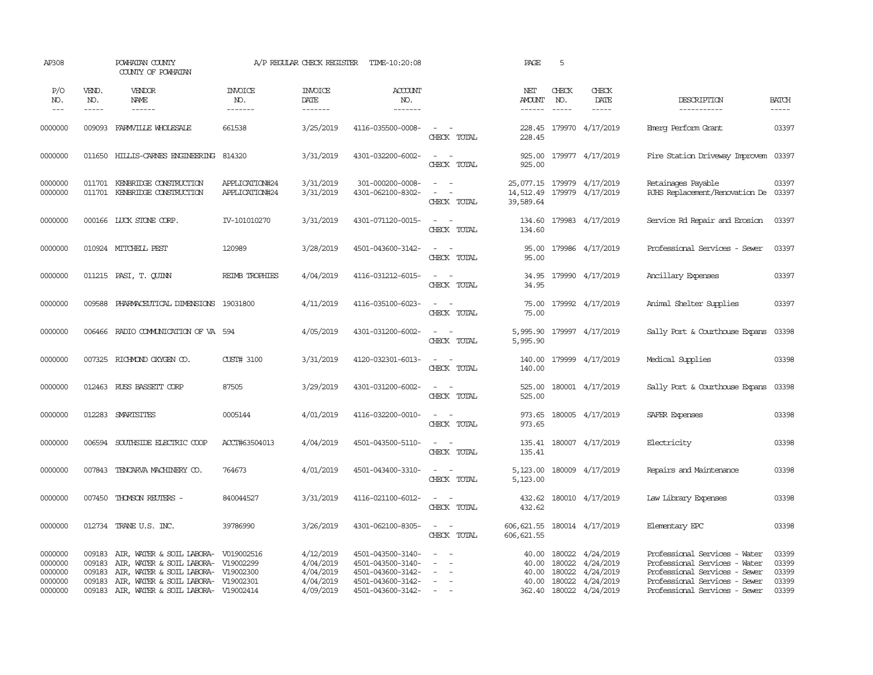|                                      | POWHATAN COUNTY<br>COUNTY OF POWHATAN |                                                                                                                                                                                                                                                                                                                                                                                  |                                                                                                                                                                                                                                                                                                                           |                                   |                                                                                                                                                                                                                                                                                                                                                                                                                                                                              | PAGE                                  | 5                      |                              |                                                                                                                                                                                                                                                                                                                                                                                                                                                |                                           |
|--------------------------------------|---------------------------------------|----------------------------------------------------------------------------------------------------------------------------------------------------------------------------------------------------------------------------------------------------------------------------------------------------------------------------------------------------------------------------------|---------------------------------------------------------------------------------------------------------------------------------------------------------------------------------------------------------------------------------------------------------------------------------------------------------------------------|-----------------------------------|------------------------------------------------------------------------------------------------------------------------------------------------------------------------------------------------------------------------------------------------------------------------------------------------------------------------------------------------------------------------------------------------------------------------------------------------------------------------------|---------------------------------------|------------------------|------------------------------|------------------------------------------------------------------------------------------------------------------------------------------------------------------------------------------------------------------------------------------------------------------------------------------------------------------------------------------------------------------------------------------------------------------------------------------------|-------------------------------------------|
| VEND.<br>NO.<br>-----                | VENDOR<br>NAME<br>------              | <b>INVOICE</b><br>NO.<br>-------                                                                                                                                                                                                                                                                                                                                                 | <b>INVOICE</b><br>DATE<br>-------                                                                                                                                                                                                                                                                                         | <b>ACCOUNT</b><br>NO.<br>-------- |                                                                                                                                                                                                                                                                                                                                                                                                                                                                              | NET<br><b>AMOUNT</b><br>$- - - - - -$ | CHECK<br>$\frac{1}{2}$ | CHECK<br>DATE<br>$- - - - -$ | DESCRIPTION<br>-----------                                                                                                                                                                                                                                                                                                                                                                                                                     | <b>BATCH</b><br>-----                     |
|                                      |                                       | 661538                                                                                                                                                                                                                                                                                                                                                                           | 3/25/2019                                                                                                                                                                                                                                                                                                                 |                                   | $\sim$<br>$\sim$<br>CHECK TOTAL                                                                                                                                                                                                                                                                                                                                                                                                                                              | 228.45<br>228.45                      |                        |                              | Emerg Perform Grant                                                                                                                                                                                                                                                                                                                                                                                                                            | 03397                                     |
|                                      |                                       |                                                                                                                                                                                                                                                                                                                                                                                  | 3/31/2019                                                                                                                                                                                                                                                                                                                 |                                   | $\sim$<br>$\sim$<br>CHECK TOTAL                                                                                                                                                                                                                                                                                                                                                                                                                                              | 925.00<br>925.00                      |                        |                              | Fire Station Driveway Improvem 03397                                                                                                                                                                                                                                                                                                                                                                                                           |                                           |
|                                      |                                       | APPLICATION#24<br>APPLICATION#24                                                                                                                                                                                                                                                                                                                                                 | 3/31/2019<br>3/31/2019                                                                                                                                                                                                                                                                                                    | 301-000200-0008-                  | $\sim$ $ \sim$<br>$\omega_{\rm{max}}$ and $\omega_{\rm{max}}$<br>CHECK TOTAL                                                                                                                                                                                                                                                                                                                                                                                                 | 14,512.49<br>39,589.64                |                        |                              | Retainages Payable<br>RJHS Replacement/Renovation De 03397                                                                                                                                                                                                                                                                                                                                                                                     | 03397                                     |
|                                      |                                       | IV-101010270                                                                                                                                                                                                                                                                                                                                                                     | 3/31/2019                                                                                                                                                                                                                                                                                                                 |                                   | $\overline{\phantom{a}}$<br>$\sim$<br>CHECK TOTAL                                                                                                                                                                                                                                                                                                                                                                                                                            | 134.60<br>134.60                      |                        |                              | Service Rd Repair and Erosion                                                                                                                                                                                                                                                                                                                                                                                                                  | 03397                                     |
|                                      |                                       | 120989                                                                                                                                                                                                                                                                                                                                                                           | 3/28/2019                                                                                                                                                                                                                                                                                                                 |                                   | $\sim$ $ \sim$<br>CHECK TOTAL                                                                                                                                                                                                                                                                                                                                                                                                                                                | 95.00<br>95.00                        |                        |                              | Professional Services - Sewer                                                                                                                                                                                                                                                                                                                                                                                                                  | 03397                                     |
|                                      |                                       | REIMB TROPHIES                                                                                                                                                                                                                                                                                                                                                                   | 4/04/2019                                                                                                                                                                                                                                                                                                                 |                                   | $\omega_{\rm{max}}$ and $\omega_{\rm{max}}$<br>CHECK TOTAL                                                                                                                                                                                                                                                                                                                                                                                                                   | 34.95<br>34.95                        |                        |                              | Ancillary Expenses                                                                                                                                                                                                                                                                                                                                                                                                                             | 03397                                     |
| 009588                               |                                       |                                                                                                                                                                                                                                                                                                                                                                                  | 4/11/2019                                                                                                                                                                                                                                                                                                                 |                                   | $\sim$ $ -$<br>CHECK TOTAL                                                                                                                                                                                                                                                                                                                                                                                                                                                   | 75.00<br>75.00                        |                        |                              | Animal Shelter Supplies                                                                                                                                                                                                                                                                                                                                                                                                                        | 03397                                     |
| 006466                               |                                       |                                                                                                                                                                                                                                                                                                                                                                                  | 4/05/2019                                                                                                                                                                                                                                                                                                                 |                                   | $\sim$ $ \sim$<br>CHECK TOTAL                                                                                                                                                                                                                                                                                                                                                                                                                                                | 5,995.90                              |                        |                              | Sally Port & Courthouse Expans                                                                                                                                                                                                                                                                                                                                                                                                                 | 03398                                     |
|                                      |                                       | CUST# 3100                                                                                                                                                                                                                                                                                                                                                                       | 3/31/2019                                                                                                                                                                                                                                                                                                                 |                                   | $\sim$ 100 $\sim$<br>CHECK TOTAL                                                                                                                                                                                                                                                                                                                                                                                                                                             | 140.00<br>140.00                      |                        |                              | Medical Supplies                                                                                                                                                                                                                                                                                                                                                                                                                               | 03398                                     |
|                                      |                                       | 87505                                                                                                                                                                                                                                                                                                                                                                            | 3/29/2019                                                                                                                                                                                                                                                                                                                 |                                   | $\sim$<br>$\sim$<br>CHECK TOTAL                                                                                                                                                                                                                                                                                                                                                                                                                                              | 525.00<br>525.00                      |                        |                              | Sally Port & Courthouse Expans                                                                                                                                                                                                                                                                                                                                                                                                                 | 03398                                     |
|                                      |                                       | 0005144                                                                                                                                                                                                                                                                                                                                                                          | 4/01/2019                                                                                                                                                                                                                                                                                                                 |                                   | $\sim$ $ \sim$<br>CHECK TOTAL                                                                                                                                                                                                                                                                                                                                                                                                                                                | 973.65<br>973.65                      |                        |                              | SAFER Expenses                                                                                                                                                                                                                                                                                                                                                                                                                                 | 03398                                     |
|                                      |                                       | ACCT#63504013                                                                                                                                                                                                                                                                                                                                                                    | 4/04/2019                                                                                                                                                                                                                                                                                                                 |                                   | $\sim$<br>$\sim$<br>CHECK TOTAL                                                                                                                                                                                                                                                                                                                                                                                                                                              | 135.41                                |                        |                              | Electricity                                                                                                                                                                                                                                                                                                                                                                                                                                    | 03398                                     |
|                                      |                                       | 764673                                                                                                                                                                                                                                                                                                                                                                           | 4/01/2019                                                                                                                                                                                                                                                                                                                 |                                   | $\sim$ $ -$<br>CHECK TOTAL                                                                                                                                                                                                                                                                                                                                                                                                                                                   | 5,123.00                              |                        |                              | Repairs and Maintenance                                                                                                                                                                                                                                                                                                                                                                                                                        | 03398                                     |
|                                      |                                       | 840044527                                                                                                                                                                                                                                                                                                                                                                        | 3/31/2019                                                                                                                                                                                                                                                                                                                 |                                   | $\sim$ $\sim$<br>CHECK TOTAL                                                                                                                                                                                                                                                                                                                                                                                                                                                 | 432.62                                |                        |                              | Law Library Expenses                                                                                                                                                                                                                                                                                                                                                                                                                           | 03398                                     |
|                                      |                                       | 39786990                                                                                                                                                                                                                                                                                                                                                                         | 3/26/2019                                                                                                                                                                                                                                                                                                                 |                                   | $\sim$ $ -$<br>CHECK TOTAL                                                                                                                                                                                                                                                                                                                                                                                                                                                   | 606, 621.55                           |                        |                              | Elementary EPC                                                                                                                                                                                                                                                                                                                                                                                                                                 | 03398                                     |
| 009183<br>009183<br>009183<br>009183 |                                       |                                                                                                                                                                                                                                                                                                                                                                                  | 4/12/2019<br>4/04/2019<br>4/04/2019<br>4/04/2019                                                                                                                                                                                                                                                                          |                                   | $\equiv$<br>$\overline{a}$<br>$\overline{\phantom{a}}$<br>$\sim$                                                                                                                                                                                                                                                                                                                                                                                                             | 40.00<br>40.00<br>40.00<br>40.00      |                        | 4/24/2019<br>4/24/2019       | Professional Services - Water<br>Professional Services - Water<br>Professional Services - Sewer<br>Professional Services - Sewer                                                                                                                                                                                                                                                                                                               | 03399<br>03399<br>03399<br>03399<br>03399 |
|                                      |                                       | 009093 FARMVILLE WHOLESALE<br>011701 KENBRIDGE CONSTRUCTION<br>011701 KENBRIDGE CONSTRUCTION<br>000166 LUCK STONE CORP.<br>010924 MITCHELL PEST<br>011215 PASI, T. OUINN<br>007325 RICHMOND OXYGEN CO.<br>012463 RUSS BASSETT CORP<br>012283 SMARTSITES<br>006594 SOUTHSIDE ELECTRIC COOP<br>007843 TENCARVA MACHINERY CO.<br>007450 THOMSON REUTERS -<br>012734 TRANE U.S. INC. | 011650 HILLIS-CARNES ENGINEERING 814320<br>PHARMACEUTICAL DIMENSIONS 19031800<br>RADIO COMMUNICATION OF VA 594<br>AIR, WATER & SOIL LABORA- V019002516<br>AIR, WATER & SOIL LABORA- V19002299<br>AIR, WATER & SOIL LABORA- V19002300<br>AIR, WATER & SOIL LABORA- V19002301<br>009183 AIR, WATER & SOIL LABORA- V19002414 | 4/09/2019                         | A/P REGULAR CHECK REGISTER TIME-10:20:08<br>4116-035500-0008-<br>4301-032200-6002-<br>4301-062100-8302-<br>4301-071120-0015-<br>4501-043600-3142-<br>4116-031212-6015-<br>4116-035100-6023-<br>4301-031200-6002-<br>4120-032301-6013-<br>4301-031200-6002-<br>4116-032200-0010-<br>4501-043500-5110-<br>4501-043400-3310-<br>4116-021100-6012-<br>4301-062100-8305-<br>4501-043500-3140-<br>4501-043500-3140-<br>4501-043600-3142-<br>4501-043600-3142-<br>4501-043600-3142- |                                       | 362.40                 | NO.<br>180022<br>180022      | 179970 4/17/2019<br>179977 4/17/2019<br>25,077.15 179979 4/17/2019<br>179979 4/17/2019<br>179983 4/17/2019<br>179986 4/17/2019<br>179990 4/17/2019<br>179992 4/17/2019<br>5,995.90 179997 4/17/2019<br>179999 4/17/2019<br>180001 4/17/2019<br>180005 4/17/2019<br>135.41 180007 4/17/2019<br>5,123.00 180009 4/17/2019<br>432.62 180010 4/17/2019<br>606, 621.55 180014 4/17/2019<br>180022 4/24/2019<br>180022 4/24/2019<br>180022 4/24/2019 | Professional Services - Sewer             |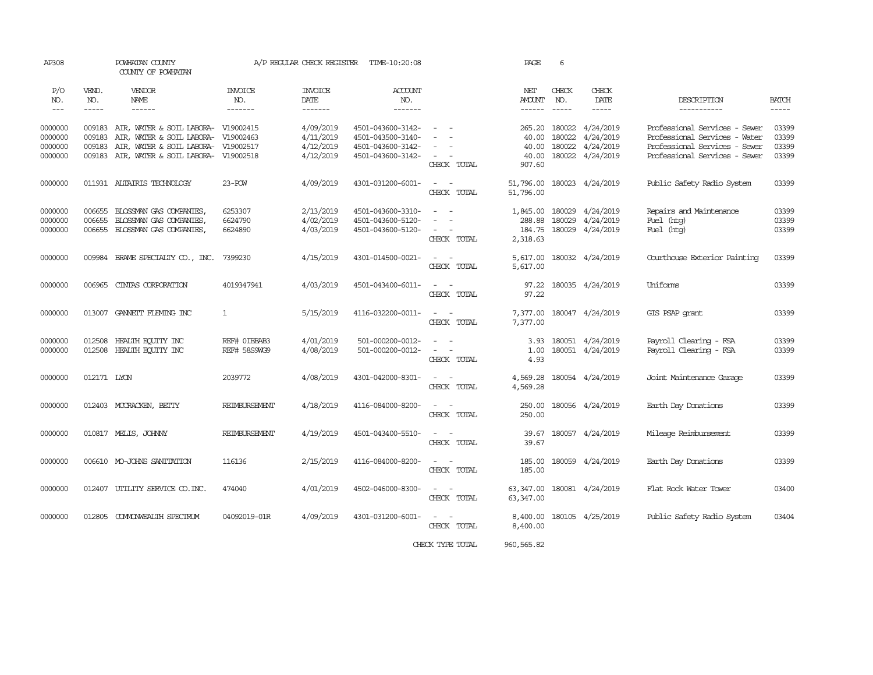| AP308                                    |                                      | POWHATAN COUNTY<br>COUNTY OF POWHATAN                                                                                                                    |                                  | A/P REGULAR CHECK REGISTER                       | TIME-10:20:08                                                                    |                                                                                                                             | PAGE                                        | 6                                    |                                                  |                                                                                                                                  |                                  |
|------------------------------------------|--------------------------------------|----------------------------------------------------------------------------------------------------------------------------------------------------------|----------------------------------|--------------------------------------------------|----------------------------------------------------------------------------------|-----------------------------------------------------------------------------------------------------------------------------|---------------------------------------------|--------------------------------------|--------------------------------------------------|----------------------------------------------------------------------------------------------------------------------------------|----------------------------------|
| P/O<br>NO.<br>$\frac{1}{2}$              | VEND.<br>NO.<br>$- - - - -$          | VENDOR<br>NAME<br>$- - - - - -$                                                                                                                          | <b>INVOICE</b><br>NO.<br>------- | <b>INVOICE</b><br>DATE<br>-------                | <b>ACCOUNT</b><br>NO.<br>-------                                                 |                                                                                                                             | NET<br><b>AMOUNT</b><br>------              | CHECK<br>NO.                         | CHECK<br>DATE                                    | DESCRIPTION<br>-----------                                                                                                       | BATCH<br>-----                   |
| 0000000<br>0000000<br>0000000<br>0000000 | 009183<br>009183<br>009183<br>009183 | AIR, WATER & SOIL LABORA- V19002415<br>AIR, WATER & SOIL LABORA- V19002463<br>AIR, WATER & SOIL LABORA- V19002517<br>AIR, WATER & SOIL LABORA- V19002518 |                                  | 4/09/2019<br>4/11/2019<br>4/12/2019<br>4/12/2019 | 4501-043600-3142-<br>4501-043500-3140-<br>4501-043600-3142-<br>4501-043600-3142- | $\sim$ 100 $\sim$<br>$\sim$<br>CHECK TOTAL                                                                                  | 265.20<br>40.00<br>40.00<br>40.00<br>907.60 | 180022<br>180022<br>180022<br>180022 | 4/24/2019<br>4/24/2019<br>4/24/2019<br>4/24/2019 | Professional Services - Sewer<br>Professional Services - Water<br>Professional Services - Sewer<br>Professional Services - Sewer | 03399<br>03399<br>03399<br>03399 |
| 0000000                                  |                                      | 011931 ALTAIRIS TECHNOLOGY                                                                                                                               | $23 - POW$                       | 4/09/2019                                        | 4301-031200-6001-                                                                | $\sim$<br>$\sim$ $-$<br>CHECK TOTAL                                                                                         | 51,796.00<br>51,796.00                      |                                      | 180023 4/24/2019                                 | Public Safety Radio System                                                                                                       | 03399                            |
| 0000000<br>0000000<br>0000000            | 006655<br>006655<br>006655           | BLOSSMAN GAS COMPANIES,<br>BLOSSMAN GAS COMPANIES<br>BLOSSMAN GAS COMPANIES,                                                                             | 6253307<br>6624790<br>6624890    | 2/13/2019<br>4/02/2019<br>4/03/2019              | 4501-043600-3310-<br>4501-043600-5120-<br>4501-043600-5120-                      | $\sim$<br>$\sim$<br>$\sim$<br>$\overline{\phantom{a}}$<br>CHECK TOTAL                                                       | 1,845.00<br>288.88<br>184.75<br>2,318.63    | 180029<br>180029                     | 4/24/2019<br>4/24/2019<br>180029 4/24/2019       | Repairs and Maintenance<br>Fuel (htg)<br>Fuel (htg)                                                                              | 03399<br>03399<br>03399          |
| 0000000                                  |                                      | 009984 BRAME SPECIALITY CO., INC. 7399230                                                                                                                |                                  | 4/15/2019                                        | 4301-014500-0021-                                                                | $\frac{1}{2} \left( \frac{1}{2} \right) \left( \frac{1}{2} \right) = \frac{1}{2} \left( \frac{1}{2} \right)$<br>CHECK TOTAL | 5,617.00                                    |                                      | 5,617.00 180032 4/24/2019                        | Courthouse Exterior Painting                                                                                                     | 03399                            |
| 0000000                                  | 006965                               | CINTAS CORPORATION                                                                                                                                       | 4019347941                       | 4/03/2019                                        | 4501-043400-6011-                                                                | $\sim$ $ \sim$<br>CHECK TOTAL                                                                                               | 97.22                                       |                                      | 97.22 180035 4/24/2019                           | Uniforms                                                                                                                         | 03399                            |
| 0000000                                  |                                      | 013007 GANNETT FLEMING INC                                                                                                                               | $\mathbf{1}$                     | 5/15/2019                                        | 4116-032200-0011-                                                                | $\sim$ $ -$<br>CHECK TOTAL                                                                                                  | 7,377.00<br>7,377.00                        |                                      | 180047 4/24/2019                                 | GIS PSAP grant                                                                                                                   | 03399                            |
| 0000000<br>0000000                       | 012508                               | HEALTH EQUITY INC<br>012508 HEALTH EQUITY INC                                                                                                            | REF# OIBBAB3<br>REF# 58S9WG9     | 4/01/2019<br>4/08/2019                           | 501-000200-0012-<br>501-000200-0012-                                             | $\sim$<br>$\sim$<br>$\overline{\phantom{a}}$<br>$\sim$<br>CHECK TOTAL                                                       | 3.93<br>1.00<br>4.93                        |                                      | 180051 4/24/2019<br>180051 4/24/2019             | Payroll Clearing - FSA<br>Payroll Clearing - FSA                                                                                 | 03399<br>03399                   |
| 0000000                                  | 012171 LYON                          |                                                                                                                                                          | 2039772                          | 4/08/2019                                        | 4301-042000-8301-                                                                | $\sim$ $ -$<br>CHECK TOTAL                                                                                                  | 4,569.28<br>4,569.28                        |                                      | 180054 4/24/2019                                 | Joint Maintenance Garage                                                                                                         | 03399                            |
| 0000000                                  |                                      | 012403 MCCRACKEN, BETTY                                                                                                                                  | <b>REIMBURSEMENT</b>             | 4/18/2019                                        | 4116-084000-8200-                                                                | $\sim$ $ \sim$<br>CHECK TOTAL                                                                                               | 250.00<br>250.00                            |                                      | 180056 4/24/2019                                 | Earth Day Donations                                                                                                              | 03399                            |
| 0000000                                  |                                      | 010817 MELIS, JOHNNY                                                                                                                                     | REIMBURSEMENT                    | 4/19/2019                                        | 4501-043400-5510-                                                                | $\sim$ $ \sim$<br>CHECK TOTAL                                                                                               | 39.67<br>39.67                              |                                      | 180057 4/24/2019                                 | Mileage Reimbursement                                                                                                            | 03399                            |
| 0000000                                  |                                      | 006610 MO-JOHNS SANITATION                                                                                                                               | 116136                           | 2/15/2019                                        | 4116-084000-8200-                                                                | $\sim$ 100 $\sim$<br>CHECK TOTAL                                                                                            | 185.00<br>185.00                            |                                      | 180059 4/24/2019                                 | Earth Day Donations                                                                                                              | 03399                            |
| 0000000                                  |                                      | 012407 UTILITY SERVICE CO. INC.                                                                                                                          | 474040                           | 4/01/2019                                        | 4502-046000-8300-                                                                | $\sim$ $  -$<br>CHECK TOTAL                                                                                                 | 63, 347, 00                                 |                                      | 63, 347.00 180081 4/24/2019                      | Flat Rock Water Tower                                                                                                            | 03400                            |
| 0000000                                  |                                      | 012805 COMMONWEALTH SPECTRUM                                                                                                                             | 04092019-01R                     | 4/09/2019                                        | 4301-031200-6001-                                                                | $\sim$ $ -$<br>CHECK TOTAL                                                                                                  | 8,400.00                                    |                                      | 8,400.00 180105 4/25/2019                        | Public Safety Radio System                                                                                                       | 03404                            |
|                                          |                                      |                                                                                                                                                          |                                  |                                                  |                                                                                  | CHECK TYPE TOTAL                                                                                                            | 960, 565.82                                 |                                      |                                                  |                                                                                                                                  |                                  |